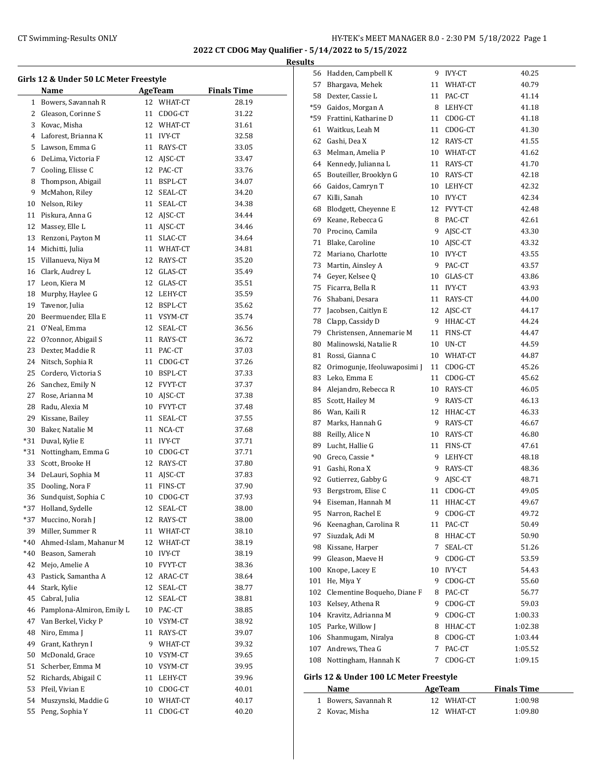**2022 CT CDOG May Qualifier - 5/14/2022 to 5/15/2022**

**Results**

 $\overline{a}$ 

|     | Girls 12 & Under 50 LC Meter Freestyle |    |                |                    |  |  |  |
|-----|----------------------------------------|----|----------------|--------------------|--|--|--|
|     | Name                                   |    | <b>AgeTeam</b> | <b>Finals Time</b> |  |  |  |
| 1   | Bowers, Savannah R                     |    | 12 WHAT-CT     | 28.19              |  |  |  |
| 2   | Gleason, Corinne S                     | 11 | CDOG-CT        | 31.22              |  |  |  |
| 3   | Kovac, Misha                           |    | 12 WHAT-CT     | 31.61              |  |  |  |
| 4   | Laforest, Brianna K                    |    | 11 IVY-CT      | 32.58              |  |  |  |
| 5   | Lawson, Emma G                         |    | 11 RAYS-CT     | 33.05              |  |  |  |
| 6   | DeLima, Victoria F                     |    | 12 AJSC-CT     | 33.47              |  |  |  |
| 7   | Cooling, Elisse C                      |    | 12 PAC-CT      | 33.76              |  |  |  |
| 8   | Thompson, Abigail                      | 11 | BSPL-CT        | 34.07              |  |  |  |
| 9   | McMahon, Riley                         | 12 | SEAL-CT        | 34.20              |  |  |  |
| 10  | Nelson, Riley                          | 11 | SEAL-CT        | 34.38              |  |  |  |
| 11  | Piskura, Anna G                        |    | 12 AJSC-CT     | 34.44              |  |  |  |
| 12  | Massey, Elle L                         | 11 | AJSC-CT        | 34.46              |  |  |  |
| 13  | Renzoni, Payton M                      | 11 | SLAC-CT        | 34.64              |  |  |  |
| 14  | Michitti, Julia                        |    | 11 WHAT-CT     | 34.81              |  |  |  |
| 15  | Villanueva, Niya M                     |    | 12 RAYS-CT     | 35.20              |  |  |  |
| 16  | Clark, Audrey L                        |    | 12 GLAS-CT     | 35.49              |  |  |  |
| 17  | Leon, Kiera M                          |    | 12 GLAS-CT     | 35.51              |  |  |  |
| 18  | Murphy, Haylee G                       |    | 12 LEHY-CT     | 35.59              |  |  |  |
| 19  | Tavenor, Julia                         |    | 12 BSPL-CT     | 35.62              |  |  |  |
| 20  | Beermuender, Ella E                    |    | 11 VSYM-CT     | 35.74              |  |  |  |
| 21  |                                        |    | 12 SEAL-CT     | 36.56              |  |  |  |
| 22  | O'Neal, Emma<br>O?connor, Abigail S    |    | 11 RAYS-CT     | 36.72              |  |  |  |
|     |                                        |    |                |                    |  |  |  |
| 23  | Dexter, Maddie R                       |    | 11 PAC-CT      | 37.03              |  |  |  |
| 24  | Nitsch, Sophia R                       | 11 | CDOG-CT        | 37.26              |  |  |  |
| 25  | Cordero, Victoria S                    |    | 10 BSPL-CT     | 37.33              |  |  |  |
| 26  | Sanchez, Emily N                       |    | 12 FVYT-CT     | 37.37              |  |  |  |
| 27  | Rose, Arianna M                        |    | 10 AJSC-CT     | 37.38              |  |  |  |
| 28  | Radu, Alexia M                         |    | 10 FVYT-CT     | 37.48              |  |  |  |
| 29  | Kissane, Bailey                        |    | 11 SEAL-CT     | 37.55              |  |  |  |
| 30  | Baker, Natalie M                       |    | 11 NCA-CT      | 37.68              |  |  |  |
| *31 | Duval, Kylie E                         | 11 | IVY-CT         | 37.71              |  |  |  |
| *31 | Nottingham, Emma G                     |    | 10 CDOG-CT     | 37.71              |  |  |  |
| 33  | Scott, Brooke H                        |    | 12 RAYS-CT     | 37.80              |  |  |  |
| 34  | DeLauri, Sophia M                      | 11 | AJSC-CT        | 37.83              |  |  |  |
| 35  | Dooling, Nora F                        | 11 | FINS-CT        | 37.90              |  |  |  |
| 36  | Sundquist, Sophia C                    |    | 10 CDOG-CT     | 37.93              |  |  |  |
| *37 | Holland, Sydelle                       | 12 | SEAL-CT        | 38.00              |  |  |  |
| *37 | Muccino, Norah J                       |    | 12 RAYS-CT     | 38.00              |  |  |  |
| 39  | Miller, Summer R                       | 11 | WHAT-CT        | 38.10              |  |  |  |
| *40 | Ahmed-Islam, Mahanur M                 |    | 12 WHAT-CT     | 38.19              |  |  |  |
| *40 | Beason, Samerah                        | 10 | IVY-CT         | 38.19              |  |  |  |
| 42  | Mejo, Amelie A                         |    | 10 FVYT-CT     | 38.36              |  |  |  |
| 43  | Pastick, Samantha A                    |    | 12 ARAC-CT     | 38.64              |  |  |  |
| 44  | Stark, Kylie                           | 12 | SEAL-CT        | 38.77              |  |  |  |
| 45  | Cabral, Julia                          | 12 | SEAL-CT        | 38.81              |  |  |  |
| 46  | Pamplona-Almiron, Emily L              | 10 | PAC-CT         | 38.85              |  |  |  |
| 47  | Van Berkel, Vicky P                    | 10 | VSYM-CT        | 38.92              |  |  |  |
| 48  | Niro, Emma J                           | 11 | RAYS-CT        | 39.07              |  |  |  |
| 49  | Grant, Kathryn I                       | 9  | WHAT-CT        | 39.32              |  |  |  |
| 50  | McDonald, Grace                        |    | 10 VSYM-CT     | 39.65              |  |  |  |
| 51  | Scherber, Emma M                       |    | 10 VSYM-CT     | 39.95              |  |  |  |
| 52  | Richards, Abigail C                    | 11 | LEHY-CT        | 39.96              |  |  |  |
| 53  | Pfeil, Vivian E                        | 10 | CDOG-CT        | 40.01              |  |  |  |
| 54  | Muszynski, Maddie G                    | 10 | WHAT-CT        | 40.17              |  |  |  |
| 55  | Peng, Sophia Y                         | 11 | CDOG-CT        | 40.20              |  |  |  |

| 81<br>82<br>83<br>84<br>85<br>86<br>87<br>88<br>89<br>90<br>91<br>92<br>93<br>94<br>95<br>96<br>97<br>98<br>99<br>100<br>101<br>102<br>103<br>104<br>105<br>106<br>107<br>108 | Bergstrom, Elise C<br>Eiseman, Hannah M<br>Narron, Rachel E<br>Keenaghan, Carolina R<br>Siuzdak, Adi M<br>Kissane, Harper<br>Gleason, Maeve H<br>Knope, Lacey E<br>He, Miya Y<br>Clementine Boqueho, Diane F<br>Kelsey, Athena R<br>Kravitz, Adrianna M<br>Parke, Willow J<br>Shanmugam, Niralya<br>Andrews, Thea G<br>Nottingham, Hannah K<br>Girls 12 & Under 100 LC Meter Freestyle<br><b>Name</b> | 9<br>9<br>11<br>9<br>11<br>8<br>7<br>9<br>8<br>9<br>9<br>8<br>8<br>7<br>7 | 9 LEHY-CT<br>RAYS-CT<br>AJSC-CT<br>CDOG-CT<br>11 HHAC-CT<br>CDOG-CT<br>PAC-CT<br>HHAC-CT<br>SEAL-CT<br>9 CDOG-CT<br>10 IVY-CT<br>CDOG-CT<br>PAC-CT<br>$CDOG-CT$<br>CDOG-CT<br>HHAC-CT<br>CDOG-CT<br>PAC-CT<br>CDOG-CT<br><b>AgeTeam</b> | 48.18<br>48.36<br>48.71<br>49.05<br>49.67<br>49.72<br>50.49<br>50.90<br>51.26<br>53.59<br>54.43<br>55.60<br>56.77<br>59.03<br>1:00.33<br>1:02.38<br>1:03.44<br>1:05.52<br>1:09.15<br><b>Finals Time</b> |
|-------------------------------------------------------------------------------------------------------------------------------------------------------------------------------|-------------------------------------------------------------------------------------------------------------------------------------------------------------------------------------------------------------------------------------------------------------------------------------------------------------------------------------------------------------------------------------------------------|---------------------------------------------------------------------------|-----------------------------------------------------------------------------------------------------------------------------------------------------------------------------------------------------------------------------------------|---------------------------------------------------------------------------------------------------------------------------------------------------------------------------------------------------------|
|                                                                                                                                                                               |                                                                                                                                                                                                                                                                                                                                                                                                       |                                                                           |                                                                                                                                                                                                                                         |                                                                                                                                                                                                         |
|                                                                                                                                                                               |                                                                                                                                                                                                                                                                                                                                                                                                       |                                                                           |                                                                                                                                                                                                                                         |                                                                                                                                                                                                         |
|                                                                                                                                                                               |                                                                                                                                                                                                                                                                                                                                                                                                       |                                                                           |                                                                                                                                                                                                                                         |                                                                                                                                                                                                         |
|                                                                                                                                                                               |                                                                                                                                                                                                                                                                                                                                                                                                       |                                                                           |                                                                                                                                                                                                                                         |                                                                                                                                                                                                         |
|                                                                                                                                                                               |                                                                                                                                                                                                                                                                                                                                                                                                       |                                                                           |                                                                                                                                                                                                                                         |                                                                                                                                                                                                         |
|                                                                                                                                                                               |                                                                                                                                                                                                                                                                                                                                                                                                       |                                                                           |                                                                                                                                                                                                                                         |                                                                                                                                                                                                         |
|                                                                                                                                                                               |                                                                                                                                                                                                                                                                                                                                                                                                       |                                                                           |                                                                                                                                                                                                                                         |                                                                                                                                                                                                         |
|                                                                                                                                                                               |                                                                                                                                                                                                                                                                                                                                                                                                       |                                                                           |                                                                                                                                                                                                                                         |                                                                                                                                                                                                         |
|                                                                                                                                                                               |                                                                                                                                                                                                                                                                                                                                                                                                       |                                                                           |                                                                                                                                                                                                                                         |                                                                                                                                                                                                         |
|                                                                                                                                                                               |                                                                                                                                                                                                                                                                                                                                                                                                       |                                                                           |                                                                                                                                                                                                                                         |                                                                                                                                                                                                         |
|                                                                                                                                                                               |                                                                                                                                                                                                                                                                                                                                                                                                       |                                                                           |                                                                                                                                                                                                                                         |                                                                                                                                                                                                         |
|                                                                                                                                                                               |                                                                                                                                                                                                                                                                                                                                                                                                       |                                                                           |                                                                                                                                                                                                                                         |                                                                                                                                                                                                         |
|                                                                                                                                                                               |                                                                                                                                                                                                                                                                                                                                                                                                       |                                                                           |                                                                                                                                                                                                                                         |                                                                                                                                                                                                         |
|                                                                                                                                                                               |                                                                                                                                                                                                                                                                                                                                                                                                       |                                                                           |                                                                                                                                                                                                                                         |                                                                                                                                                                                                         |
|                                                                                                                                                                               |                                                                                                                                                                                                                                                                                                                                                                                                       |                                                                           |                                                                                                                                                                                                                                         |                                                                                                                                                                                                         |
|                                                                                                                                                                               |                                                                                                                                                                                                                                                                                                                                                                                                       |                                                                           |                                                                                                                                                                                                                                         |                                                                                                                                                                                                         |
|                                                                                                                                                                               |                                                                                                                                                                                                                                                                                                                                                                                                       |                                                                           |                                                                                                                                                                                                                                         |                                                                                                                                                                                                         |
|                                                                                                                                                                               |                                                                                                                                                                                                                                                                                                                                                                                                       |                                                                           |                                                                                                                                                                                                                                         |                                                                                                                                                                                                         |
|                                                                                                                                                                               |                                                                                                                                                                                                                                                                                                                                                                                                       |                                                                           |                                                                                                                                                                                                                                         |                                                                                                                                                                                                         |
|                                                                                                                                                                               | Gutierrez, Gabby G                                                                                                                                                                                                                                                                                                                                                                                    |                                                                           |                                                                                                                                                                                                                                         |                                                                                                                                                                                                         |
|                                                                                                                                                                               | Gashi, Rona X                                                                                                                                                                                                                                                                                                                                                                                         |                                                                           |                                                                                                                                                                                                                                         |                                                                                                                                                                                                         |
|                                                                                                                                                                               | Greco, Cassie*                                                                                                                                                                                                                                                                                                                                                                                        |                                                                           |                                                                                                                                                                                                                                         |                                                                                                                                                                                                         |
|                                                                                                                                                                               | Lucht, Hallie G                                                                                                                                                                                                                                                                                                                                                                                       |                                                                           | 11 FINS-CT                                                                                                                                                                                                                              | 47.61                                                                                                                                                                                                   |
|                                                                                                                                                                               | Reilly, Alice N                                                                                                                                                                                                                                                                                                                                                                                       |                                                                           | 10 RAYS-CT                                                                                                                                                                                                                              | 46.80                                                                                                                                                                                                   |
|                                                                                                                                                                               | Marks, Hannah G                                                                                                                                                                                                                                                                                                                                                                                       |                                                                           | 9 RAYS-CT                                                                                                                                                                                                                               | 46.67                                                                                                                                                                                                   |
|                                                                                                                                                                               | Wan, Kaili R                                                                                                                                                                                                                                                                                                                                                                                          |                                                                           | 12 HHAC-CT                                                                                                                                                                                                                              | 46.33                                                                                                                                                                                                   |
|                                                                                                                                                                               |                                                                                                                                                                                                                                                                                                                                                                                                       |                                                                           |                                                                                                                                                                                                                                         |                                                                                                                                                                                                         |
|                                                                                                                                                                               | Scott, Hailey M                                                                                                                                                                                                                                                                                                                                                                                       |                                                                           | 9 RAYS-CT                                                                                                                                                                                                                               | 46.13                                                                                                                                                                                                   |
|                                                                                                                                                                               | Alejandro, Rebecca R                                                                                                                                                                                                                                                                                                                                                                                  |                                                                           | 10 RAYS-CT                                                                                                                                                                                                                              | 46.05                                                                                                                                                                                                   |
|                                                                                                                                                                               | Leko, Emma E                                                                                                                                                                                                                                                                                                                                                                                          |                                                                           | 11 CDOG-CT                                                                                                                                                                                                                              | 45.62                                                                                                                                                                                                   |
|                                                                                                                                                                               | Orimogunje, Ifeoluwaposimi J                                                                                                                                                                                                                                                                                                                                                                          |                                                                           | 11 CDOG-CT                                                                                                                                                                                                                              | 45.26                                                                                                                                                                                                   |
|                                                                                                                                                                               | Rossi, Gianna C                                                                                                                                                                                                                                                                                                                                                                                       |                                                                           | 10 WHAT-CT                                                                                                                                                                                                                              | 44.87                                                                                                                                                                                                   |
| 80                                                                                                                                                                            | Malinowski, Natalie R                                                                                                                                                                                                                                                                                                                                                                                 |                                                                           | 10 UN-CT                                                                                                                                                                                                                                | 44.59                                                                                                                                                                                                   |
| 79                                                                                                                                                                            | Christensen, Annemarie M                                                                                                                                                                                                                                                                                                                                                                              |                                                                           | 11 FINS-CT                                                                                                                                                                                                                              | 44.47                                                                                                                                                                                                   |
| 78                                                                                                                                                                            | Clapp, Cassidy D                                                                                                                                                                                                                                                                                                                                                                                      |                                                                           | 9 HHAC-CT                                                                                                                                                                                                                               | 44.24                                                                                                                                                                                                   |
| 77                                                                                                                                                                            | Jacobsen, Caitlyn E                                                                                                                                                                                                                                                                                                                                                                                   |                                                                           | 12 AISC-CT                                                                                                                                                                                                                              | 44.17                                                                                                                                                                                                   |
| 76                                                                                                                                                                            | Shabani, Desara                                                                                                                                                                                                                                                                                                                                                                                       |                                                                           | 11 RAYS-CT                                                                                                                                                                                                                              | 44.00                                                                                                                                                                                                   |
| 75                                                                                                                                                                            | Ficarra, Bella R                                                                                                                                                                                                                                                                                                                                                                                      |                                                                           | 11 IVY-CT                                                                                                                                                                                                                               | 43.93                                                                                                                                                                                                   |
| 74                                                                                                                                                                            | Geyer, Kelsee Q                                                                                                                                                                                                                                                                                                                                                                                       |                                                                           | 10 GLAS-CT                                                                                                                                                                                                                              | 43.86                                                                                                                                                                                                   |
| 73                                                                                                                                                                            | Martin, Ainsley A                                                                                                                                                                                                                                                                                                                                                                                     |                                                                           | 9 PAC-CT                                                                                                                                                                                                                                | 43.57                                                                                                                                                                                                   |
| 72                                                                                                                                                                            | Mariano, Charlotte                                                                                                                                                                                                                                                                                                                                                                                    |                                                                           | 10 IVY-CT                                                                                                                                                                                                                               | 43.55                                                                                                                                                                                                   |
| 71                                                                                                                                                                            | Blake, Caroline                                                                                                                                                                                                                                                                                                                                                                                       |                                                                           | 10 AJSC-CT                                                                                                                                                                                                                              | 43.32                                                                                                                                                                                                   |
| 70                                                                                                                                                                            | Procino, Camila                                                                                                                                                                                                                                                                                                                                                                                       |                                                                           | 9 AJSC-CT                                                                                                                                                                                                                               | 43.30                                                                                                                                                                                                   |
| 69                                                                                                                                                                            | Keane, Rebecca G                                                                                                                                                                                                                                                                                                                                                                                      |                                                                           | 8 PAC-CT                                                                                                                                                                                                                                | 42.61                                                                                                                                                                                                   |
| 68                                                                                                                                                                            | Blodgett, Cheyenne E                                                                                                                                                                                                                                                                                                                                                                                  |                                                                           | 12 FVYT-CT                                                                                                                                                                                                                              | 42.48                                                                                                                                                                                                   |
| 67                                                                                                                                                                            | Killi, Sanah                                                                                                                                                                                                                                                                                                                                                                                          |                                                                           | 10 IVY-CT                                                                                                                                                                                                                               | 42.34                                                                                                                                                                                                   |
| 66                                                                                                                                                                            | Gaidos, Camryn T                                                                                                                                                                                                                                                                                                                                                                                      |                                                                           | 10 LEHY-CT                                                                                                                                                                                                                              | 42.32                                                                                                                                                                                                   |
| 65                                                                                                                                                                            | Bouteiller, Brooklyn G                                                                                                                                                                                                                                                                                                                                                                                |                                                                           | 10 RAYS-CT                                                                                                                                                                                                                              | 42.18                                                                                                                                                                                                   |
| 64                                                                                                                                                                            | Kennedy, Julianna L                                                                                                                                                                                                                                                                                                                                                                                   |                                                                           | 11 RAYS-CT                                                                                                                                                                                                                              | 41.70                                                                                                                                                                                                   |
| 63                                                                                                                                                                            | Melman, Amelia P                                                                                                                                                                                                                                                                                                                                                                                      |                                                                           | 10 WHAT-CT                                                                                                                                                                                                                              | 41.62                                                                                                                                                                                                   |
| 62                                                                                                                                                                            | Gashi, Dea X                                                                                                                                                                                                                                                                                                                                                                                          |                                                                           | 12 RAYS-CT                                                                                                                                                                                                                              | 41.55                                                                                                                                                                                                   |
| 61                                                                                                                                                                            | Waitkus, Leah M                                                                                                                                                                                                                                                                                                                                                                                       |                                                                           | 11 CDOG-CT                                                                                                                                                                                                                              | 41.30                                                                                                                                                                                                   |
| *59                                                                                                                                                                           | Frattini, Katharine D                                                                                                                                                                                                                                                                                                                                                                                 |                                                                           | 11 CDOG-CT                                                                                                                                                                                                                              | 41.18                                                                                                                                                                                                   |
| *59                                                                                                                                                                           | Gaidos, Morgan A                                                                                                                                                                                                                                                                                                                                                                                      |                                                                           | 8 LEHY-CT                                                                                                                                                                                                                               | 41.18                                                                                                                                                                                                   |
| 58                                                                                                                                                                            | Dexter, Cassie L                                                                                                                                                                                                                                                                                                                                                                                      |                                                                           | 11 PAC-CT                                                                                                                                                                                                                               | 41.14                                                                                                                                                                                                   |
| 57                                                                                                                                                                            | Bhargava, Mehek                                                                                                                                                                                                                                                                                                                                                                                       | 11                                                                        | WHAT-CT                                                                                                                                                                                                                                 | 40.79                                                                                                                                                                                                   |
| 56                                                                                                                                                                            | Hadden, Campbell K                                                                                                                                                                                                                                                                                                                                                                                    | 9                                                                         | IVY-CT                                                                                                                                                                                                                                  | 40.25                                                                                                                                                                                                   |

Kovac, Misha 12 WHAT-CT 1:09.80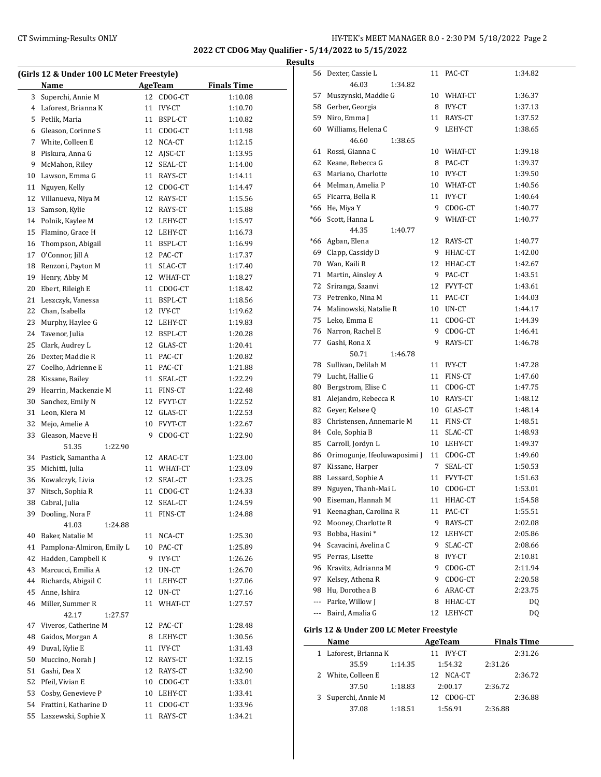## CT Swimming-Results ONLY **EXAMPLE 1999 CONCOMPTER'S MEET MANAGER 8.0 - 2:30 PM 5/18/2022** Page 2

**2022 CT CDOG May Qualifier - 5/14/2022 to 5/15/2022**

| (Girls 12 & Under 100 LC Meter Freestyle) |                           |    |               |                    |  |  |
|-------------------------------------------|---------------------------|----|---------------|--------------------|--|--|
|                                           | Name                      |    | AgeTeam       | <b>Finals Time</b> |  |  |
| 3                                         | Superchi, Annie M         | 12 | CDOG-CT       | 1:10.08            |  |  |
| 4                                         | Laforest, Brianna K       | 11 | <b>IVY-CT</b> | 1:10.70            |  |  |
| 5                                         | Petlik, Maria             | 11 | BSPL-CT       | 1:10.82            |  |  |
| 6                                         | Gleason, Corinne S        | 11 | CDOG-CT       | 1:11.98            |  |  |
| 7                                         | White, Colleen E          |    | 12 NCA-CT     | 1:12.15            |  |  |
| 8                                         | Piskura, Anna G           |    | 12 AJSC-CT    | 1:13.95            |  |  |
| 9                                         | McMahon, Riley            |    | 12 SEAL-CT    | 1:14.00            |  |  |
| 10                                        | Lawson, Emma G            |    | 11 RAYS-CT    | 1:14.11            |  |  |
| 11                                        | Nguyen, Kelly             |    | 12 CDOG-CT    | 1:14.47            |  |  |
| 12                                        | Villanueva, Niya M        |    | 12 RAYS-CT    | 1:15.56            |  |  |
| 13                                        | Samson, Kylie             |    | 12 RAYS-CT    | 1:15.88            |  |  |
| 14                                        | Polnik, Kaylee M          |    | 12 LEHY-CT    | 1:15.97            |  |  |
| 15                                        | Flamino, Grace H          |    | 12 LEHY-CT    | 1:16.73            |  |  |
| 16                                        | Thompson, Abigail         |    | 11 BSPL-CT    | 1:16.99            |  |  |
| 17                                        | O'Connor, Jill A          |    | 12 PAC-CT     | 1:17.37            |  |  |
| 18                                        | Renzoni, Payton M         |    | 11 SLAC-CT    | 1:17.40            |  |  |
| 19                                        | Henry, Abby M             |    | 12 WHAT-CT    | 1:18.27            |  |  |
| 20                                        | Ebert, Rileigh E          |    | 11 CDOG-CT    | 1:18.42            |  |  |
| 21                                        | Leszczyk, Vanessa         |    | 11 BSPL-CT    | 1:18.56            |  |  |
| 22                                        | Chan, Isabella            |    | 12 IVY-CT     | 1:19.62            |  |  |
| 23                                        | Murphy, Haylee G          |    | 12 LEHY-CT    | 1:19.83            |  |  |
| 24                                        | Tavenor, Julia            |    | 12 BSPL-CT    | 1:20.28            |  |  |
| 25                                        | Clark, Audrey L           | 12 | GLAS-CT       | 1:20.41            |  |  |
| 26                                        | Dexter, Maddie R          |    | 11 PAC-CT     | 1:20.82            |  |  |
| 27                                        | Coelho, Adrienne E        |    | 11 PAC-CT     | 1:21.88            |  |  |
| 28                                        | Kissane, Bailey           | 11 | SEAL-CT       | 1:22.29            |  |  |
| 29                                        | Hearrin, Mackenzie M      |    | 11 FINS-CT    | 1:22.48            |  |  |
| 30                                        | Sanchez, Emily N          |    | 12 FVYT-CT    | 1:22.52            |  |  |
| 31                                        | Leon, Kiera M             |    | 12 GLAS-CT    | 1:22.53            |  |  |
| 32                                        | Mejo, Amelie A            |    | 10 FVYT-CT    | 1:22.67            |  |  |
| 33                                        | Gleason, Maeve H          | 9  | CDOG-CT       | 1:22.90            |  |  |
|                                           | 51.35<br>1:22.90          |    |               |                    |  |  |
| 34                                        | Pastick, Samantha A       |    | 12 ARAC-CT    | 1:23.00            |  |  |
| 35                                        | Michitti, Julia           |    | 11 WHAT-CT    | 1:23.09            |  |  |
| 36                                        | Kowalczyk, Livia          | 12 | SEAL-CT       | 1:23.25            |  |  |
| 37                                        | Nitsch, Sophia R          | 11 | CDOG-CT       | 1:24.33            |  |  |
| 38                                        | Cabral, Julia             | 12 | SEAL-CT       | 1:24.59            |  |  |
| 39                                        | Dooling, Nora F           | 11 | FINS-CT       | 1:24.88            |  |  |
|                                           | 41.03<br>1:24.88          |    |               |                    |  |  |
| 40                                        | Baker, Natalie M          | 11 | NCA-CT        | 1:25.30            |  |  |
| 41                                        | Pamplona-Almiron, Emily L |    | 10 PAC-CT     | 1:25.89            |  |  |
| 42                                        | Hadden, Campbell K        |    | 9 IVY-CT      | 1:26.26            |  |  |
| 43                                        | Marcucci, Emilia A        |    | 12 UN-CT      | 1:26.70            |  |  |
| 44                                        | Richards, Abigail C       | 11 | LEHY-CT       | 1:27.06            |  |  |
| 45                                        | Anne, Ishira              | 12 | UN-CT         | 1:27.16            |  |  |
| 46                                        | Miller, Summer R          | 11 | WHAT-CT       | 1:27.57            |  |  |
|                                           | 42.17<br>1:27.57          |    |               |                    |  |  |
| 47                                        | Viveros, Catherine M      |    | 12 PAC-CT     | 1:28.48            |  |  |
| 48                                        | Gaidos, Morgan A          | 8  | LEHY-CT       | 1:30.56            |  |  |
| 49                                        | Duval, Kylie E            |    | 11 IVY-CT     | 1:31.43            |  |  |
| 50                                        | Muccino, Norah J          |    | 12 RAYS-CT    | 1:32.15            |  |  |
| 51                                        | Gashi, Dea X              |    | 12 RAYS-CT    | 1:32.90            |  |  |
| 52                                        | Pfeil, Vivian E           |    | 10 CDOG-CT    | 1:33.01            |  |  |
| 53                                        | Cosby, Genevieve P        |    | 10 LEHY-CT    | 1:33.41            |  |  |
| 54                                        | Frattini, Katharine D     | 11 | CDOG-CT       | 1:33.96            |  |  |
| 55                                        | Laszewski, Sophie X       | 11 | RAYS-CT       | 1:34.21            |  |  |
|                                           |                           |    |               |                    |  |  |

|    | 56 Dexter, Cassie L                             |    | 11 PAC-CT      | 1:34.82            |
|----|-------------------------------------------------|----|----------------|--------------------|
|    | 46.03<br>1:34.82                                |    |                |                    |
| 57 | Muszynski, Maddie G                             |    | 10 WHAT-CT     | 1:36.37            |
|    | 58 Gerber, Georgia                              |    | 8 IVY-CT       | 1:37.13            |
|    | 59 Niro, Emma J                                 |    | 11 RAYS-CT     | 1:37.52            |
| 60 | Williams, Helena C                              |    | 9 LEHY-CT      | 1:38.65            |
|    | 46.60<br>1:38.65                                |    |                |                    |
|    | 61 Rossi, Gianna C                              |    | 10 WHAT-CT     | 1:39.18            |
|    | 62 Keane, Rebecca G                             |    | 8 PAC-CT       | 1:39.37            |
|    | 63 Mariano, Charlotte                           |    | 10 IVY-CT      | 1:39.50            |
|    | 64 Melman, Amelia P                             |    | 10 WHAT-CT     | 1:40.56            |
|    | 65 Ficarra, Bella R                             |    | 11 IVY-CT      | 1:40.64            |
|    | *66 He, Miya Y                                  |    | 9 CDOG-CT      | 1:40.77            |
|    | *66 Scott, Hanna L                              | 9  | WHAT-CT        | 1:40.77            |
|    | 44.35<br>1:40.77                                |    |                |                    |
|    | *66 Agban, Elena                                |    | 12 RAYS-CT     | 1:40.77            |
| 69 | Clapp, Cassidy D                                |    | 9 HHAC-CT      | 1:42.00            |
|    | 70 Wan, Kaili R                                 |    | 12 HHAC-CT     | 1:42.67            |
|    | 71 Martin, Ainsley A                            |    | 9 PAC-CT       | 1:43.51            |
|    | 72 Sriranga, Saanvi                             |    | 12 FVYT-CT     | 1:43.61            |
|    |                                                 |    |                |                    |
|    | 73 Petrenko, Nina M                             |    | 11 PAC-CT      | 1:44.03            |
|    | 74 Malinowski, Natalie R                        |    | 10 UN-CT       | 1:44.17            |
|    | 75 Leko, Emma E                                 |    | 11 CDOG-CT     | 1:44.39            |
|    | 76 Narron, Rachel E                             |    | 9 CDOG-CT      | 1:46.41            |
| 77 | Gashi, Rona X                                   |    | 9 RAYS-CT      | 1:46.78            |
|    | 50.71<br>1:46.78                                |    |                |                    |
|    | 78 Sullivan, Delilah M                          |    | 11 IVY-CT      | 1:47.28            |
| 79 | Lucht, Hallie G                                 |    | 11 FINS-CT     | 1:47.60            |
| 80 | Bergstrom, Elise C                              |    | 11 CDOG-CT     | 1:47.75            |
| 81 | Alejandro, Rebecca R                            |    | 10 RAYS-CT     | 1:48.12            |
|    | 82 Geyer, Kelsee Q                              |    | 10 GLAS-CT     | 1:48.14            |
|    | 83 Christensen, Annemarie M                     |    | 11 FINS-CT     | 1:48.51            |
|    | 84 Cole, Sophia B                               |    | 11 SLAC-CT     | 1:48.93            |
|    | 85 Carroll, Jordyn L                            |    | 10 LEHY-CT     | 1:49.37            |
|    | 86 Orimogunje, Ifeoluwaposimi J                 |    | 11 CDOG-CT     | 1:49.60            |
| 87 | Kissane, Harper                                 |    | 7 SEAL-CT      | 1:50.53            |
| 88 | Lessard, Sophie A                               |    | 11 FVYT-CT     | 1:51.63            |
| 89 | Nguyen, Thanh-Mai L                             |    | 10 CDOG-CT     | 1:53.01            |
| 90 | Eiseman, Hannah M                               |    | 11 HHAC-CT     | 1:54.58            |
| 91 | Keenaghan, Carolina R                           | 11 | PAC-CT         | 1:55.51            |
| 92 | Mooney, Charlotte R                             | 9  | RAYS-CT        | 2:02.08            |
| 93 | Bobba, Hasini*                                  | 12 | LEHY-CT        | 2:05.86            |
|    | 94 Scavacini, Avelina C                         | 9  | SLAC-CT        | 2:08.66            |
|    | 95 Perras, Lisette                              |    | 8 IVY-CT       | 2:10.81            |
|    | 96 Kravitz, Adrianna M                          | 9  | CDOG-CT        | 2:11.94            |
|    | 97 Kelsey, Athena R                             |    | 9 CDOG-CT      | 2:20.58            |
|    | 98 Hu, Dorothea B                               |    | 6 ARAC-CT      | 2:23.75            |
|    | --- Parke, Willow J                             |    | 8 HHAC-CT      | DQ                 |
|    | --- Baird, Amalia G                             | 12 | LEHY-CT        | DQ                 |
|    |                                                 |    |                |                    |
|    | Girls 12 & Under 200 LC Meter Freestyle<br>Name |    | <b>AgeTeam</b> | <b>Finals Time</b> |
|    | 1 Laforest, Brianna K                           |    | 11 IVY-CT      | 2:31.26            |
|    | 35.59<br>1:14.35                                |    | 1:54.32        | 2:31.26            |
| 2  | White, Colleen E                                |    | 12 NCA-CT      | 2:36.72            |
|    | 37.50<br>1:18.83                                |    | 2:00.17        | 2:36.72            |
| 3  | Superchi, Annie M                               |    | 12 CDOG-CT     | 2:36.88            |
|    | 37.08<br>1:18.51                                |    | 1:56.91        | 2:36.88            |
|    |                                                 |    |                |                    |
|    |                                                 |    |                |                    |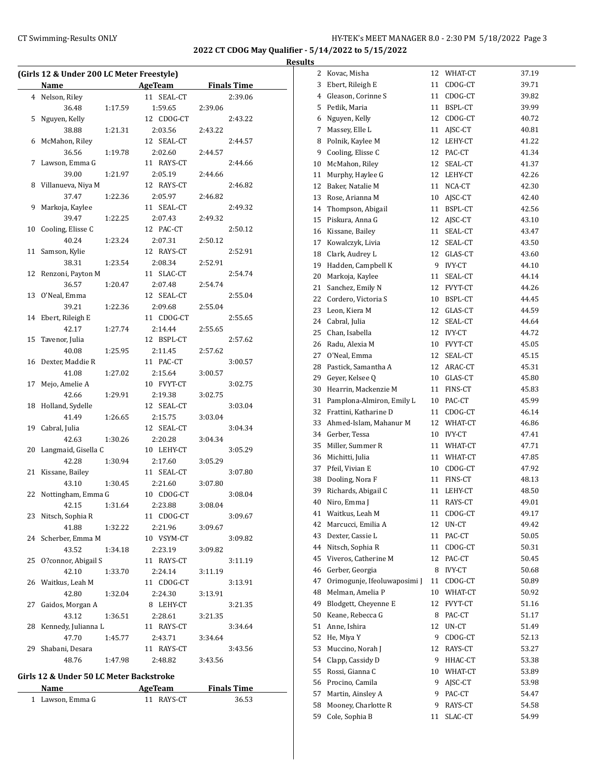**2022 CT CDOG May Qualifier - 5/14/2022 to 5/15/2022 Results**

|    | (Girls 12 & Under 200 LC Meter Freestyle) |         |                                        |         |         |
|----|-------------------------------------------|---------|----------------------------------------|---------|---------|
|    | Name                                      |         | <b>Example 2.1 AgeTeam</b> Finals Time |         |         |
|    | 4 Nelson, Riley                           |         | 11 SEAL-CT                             |         | 2:39.06 |
|    | 36.48                                     | 1:17.59 | 1:59.65                                | 2:39.06 |         |
| 5  | Nguyen, Kelly                             |         | 12 CDOG-CT                             |         | 2:43.22 |
|    | 38.88                                     | 1:21.31 | 2:03.56                                | 2:43.22 |         |
| 6  | McMahon, Riley                            |         | 12 SEAL-CT                             |         | 2:44.57 |
|    | 36.56                                     | 1:19.78 | 2:02.60                                | 2:44.57 |         |
| 7  | Lawson, Emma G                            |         | 11 RAYS-CT                             |         | 2:44.66 |
|    | 39.00                                     | 1:21.97 | 2:05.19                                | 2:44.66 |         |
| 8  | Villanueva, Niya M                        |         | 12 RAYS-CT                             |         | 2:46.82 |
|    | 37.47                                     | 1:22.36 | 2:05.97                                | 2:46.82 |         |
| 9  | Markoja, Kaylee                           |         | 11 SEAL-CT                             |         | 2:49.32 |
|    | 39.47                                     | 1:22.25 | 2:07.43                                | 2:49.32 |         |
| 10 | Cooling, Elisse C                         |         | 12 PAC-CT                              |         | 2:50.12 |
|    | 40.24                                     | 1:23.24 | 2:07.31                                | 2:50.12 |         |
| 11 | Samson, Kylie                             |         | 12 RAYS-CT                             |         | 2:52.91 |
|    | 38.31                                     | 1:23.54 | 2:08.34                                | 2:52.91 |         |
| 12 | Renzoni, Payton M                         |         | 11 SLAC-CT                             |         | 2:54.74 |
|    | 36.57                                     | 1:20.47 | 2:07.48                                | 2:54.74 |         |
| 13 | O'Neal, Emma                              |         | 12 SEAL-CT                             |         | 2:55.04 |
|    | 39.21                                     | 1:22.36 | 2:09.68                                | 2:55.04 |         |
| 14 | Ebert, Rileigh E                          |         | 11 CDOG-CT                             |         | 2:55.65 |
|    | 42.17                                     | 1:27.74 | 2:14.44                                | 2:55.65 |         |
| 15 | Tavenor, Julia                            |         | 12 BSPL-CT                             |         | 2:57.62 |
|    | 40.08                                     | 1:25.95 | 2:11.45                                | 2:57.62 |         |
| 16 | Dexter, Maddie R                          |         | 11 PAC-CT                              |         | 3:00.57 |
|    | 41.08                                     | 1:27.02 | 2:15.64                                | 3:00.57 |         |
| 17 | Mejo, Amelie A                            |         | 10 FVYT-CT                             |         | 3:02.75 |
|    | 42.66                                     | 1:29.91 | 2:19.38                                | 3:02.75 |         |
| 18 | Holland, Sydelle                          |         | 12 SEAL-CT                             |         | 3:03.04 |
|    | 41.49                                     | 1:26.65 | 2:15.75                                | 3:03.04 |         |
|    | 19 Cabral, Julia                          |         | 12 SEAL-CT                             |         | 3:04.34 |
|    | 42.63                                     | 1:30.26 | 2:20.28                                | 3:04.34 |         |
| 20 | Langmaid, Gisella C                       |         | 10 LEHY-CT                             |         | 3:05.29 |
|    | 42.28                                     | 1:30.94 | 2:17.60                                | 3:05.29 |         |
| 21 | Kissane, Bailey                           |         | 11 SEAL-CT                             |         | 3:07.80 |
|    | 43.10                                     | 1:30.45 | 2:21.60                                | 3:07.80 |         |
| 22 | Nottingham, Emma G                        |         | 10 CDOG-CT                             |         | 3:08.04 |
|    | 42.15 1:31.64                             |         | 2:23.88                                | 3:08.04 |         |
|    | 23 Nitsch, Sophia R                       |         | 11 CDOG-CT                             |         | 3:09.67 |
|    | 41.88                                     | 1:32.22 | 2:21.96                                | 3:09.67 |         |
| 24 | Scherber, Emma M                          |         | 10 VSYM-CT                             |         | 3:09.82 |
|    | 43.52                                     | 1:34.18 | 2:23.19                                | 3:09.82 |         |
| 25 | O?connor, Abigail S                       |         | 11 RAYS-CT                             |         | 3:11.19 |
|    | 42.10                                     | 1:33.70 | 2:24.14                                | 3:11.19 |         |
| 26 | Waitkus, Leah M                           |         | 11 CDOG-CT                             |         | 3:13.91 |
|    | 42.80                                     | 1:32.04 | 2:24.30                                | 3:13.91 |         |
| 27 | Gaidos, Morgan A                          |         | 8 LEHY-CT                              |         | 3:21.35 |
|    | 43.12                                     | 1:36.51 | 2:28.61                                | 3:21.35 |         |
| 28 | Kennedy, Julianna L                       |         | 11 RAYS-CT                             |         | 3:34.64 |
|    | 47.70                                     | 1:45.77 | 2:43.71                                | 3:34.64 |         |
| 29 | Shabani, Desara                           |         | 11 RAYS-CT                             |         | 3:43.56 |
|    | 48.76                                     | 1:47.98 | 2:48.82                                | 3:43.56 |         |
|    | Girls 12 & Under 50 LC Meter Backstroke   |         |                                        |         |         |

## **Girls 12 & Under 50 LC Meter Backstroke**

| <b>Name</b>      | AgeTeam    | <b>Finals Time</b> |  |
|------------------|------------|--------------------|--|
| 1 Lawson, Emma G | 11 RAYS-CT | 36.53              |  |

| <u>גו</u> |                              |    |               |       |
|-----------|------------------------------|----|---------------|-------|
| 2         | Kovac, Misha                 | 12 | WHAT-CT       | 37.19 |
| 3         | Ebert, Rileigh E             | 11 | CDOG-CT       | 39.71 |
| 4         | Gleason, Corinne S           | 11 | CDOG-CT       | 39.82 |
| 5         | Petlik, Maria                | 11 | BSPL-CT       | 39.99 |
| 6         | Nguyen, Kelly                | 12 | CDOG-CT       | 40.72 |
| 7         | Massey, Elle L               | 11 | AJSC-CT       | 40.81 |
| 8         | Polnik, Kaylee M             | 12 | LEHY-CT       | 41.22 |
| 9         | Cooling, Elisse C            | 12 | PAC-CT        | 41.34 |
| 10        | McMahon, Rilev               | 12 | SEAL-CT       | 41.37 |
| 11        | Murphy, Haylee G             | 12 | LEHY-CT       | 42.26 |
| 12        | Baker, Natalie M             | 11 | NCA-CT        | 42.30 |
| 13        | Rose, Arianna M              | 10 | AJSC-CT       | 42.40 |
| 14        | Thompson, Abigail            | 11 | BSPL-CT       | 42.56 |
| 15        | Piskura, Anna G              | 12 | AJSC-CT       | 43.10 |
| 16        | Kissane, Bailey              | 11 | SEAL-CT       | 43.47 |
| 17        | Kowalczyk, Livia             | 12 | SEAL-CT       | 43.50 |
| 18        | Clark, Audrey L              | 12 | GLAS-CT       | 43.60 |
| 19        | Hadden, Campbell K           | 9  | <b>IVY-CT</b> | 44.10 |
| 20        | Markoja, Kaylee              | 11 | SEAL-CT       | 44.14 |
| 21        | Sanchez, Emily N             | 12 | FVYT-CT       | 44.26 |
| 22        | Cordero, Victoria S          | 10 | BSPL-CT       | 44.45 |
| 23        | Leon, Kiera M                | 12 | GLAS-CT       | 44.59 |
| 24        | Cabral, Julia                | 12 | SEAL-CT       | 44.64 |
| 25        | Chan, Isabella               | 12 | <b>IVY-CT</b> | 44.72 |
| 26        | Radu, Alexia M               | 10 | FVYT-CT       | 45.05 |
| 27        | O'Neal, Emma                 | 12 | SEAL-CT       | 45.15 |
| 28        | Pastick, Samantha A          | 12 | ARAC-CT       | 45.31 |
| 29        | Geyer, Kelsee Q              | 10 | GLAS-CT       | 45.80 |
| 30        | Hearrin, Mackenzie M         | 11 | FINS-CT       | 45.83 |
| 31        | Pamplona-Almiron, Emily L    | 10 | PAC-CT        | 45.99 |
| 32        | Frattini, Katharine D        | 11 | CDOG-CT       | 46.14 |
| 33        | Ahmed-Islam, Mahanur M       | 12 | WHAT-CT       | 46.86 |
| 34        | Gerber, Tessa                | 10 | <b>IVY-CT</b> | 47.41 |
| 35        | Miller, Summer R             | 11 | WHAT-CT       | 47.71 |
| 36        | Michitti, Julia              | 11 | WHAT-CT       | 47.85 |
| 37        | Pfeil, Vivian E              | 10 | CDOG-CT       | 47.92 |
| 38        | Dooling, Nora F              | 11 | FINS-CT       | 48.13 |
| 39        | Richards, Abigail C          | 11 | LEHY-CT       | 48.50 |
| 40        | Niro, Emma J                 | 11 | RAYS-CT       | 49.01 |
| 41        | Waitkus, Leah M              | 11 | CDOG-CT       | 49.17 |
| 42        | Marcucci, Emilia A           | 12 | UN-CT         | 49.42 |
| 43        | Dexter, Cassie L             | 11 | PAC-CT        | 50.05 |
| 44        | Nitsch, Sophia R             | 11 | CDOG-CT       | 50.31 |
| 45        | Viveros, Catherine M         | 12 | PAC-CT        | 50.45 |
| 46        | Gerber, Georgia              | 8  | IVY-CT        | 50.68 |
| 47        | Orimogunje, Ifeoluwaposimi J | 11 | CDOG-CT       | 50.89 |
| 48        | Melman, Amelia P             | 10 | WHAT-CT       | 50.92 |
| 49        | Blodgett, Cheyenne E         | 12 | FVYT-CT       | 51.16 |
| 50        | Keane, Rebecca G             | 8  | PAC-CT        | 51.17 |
| 51        | Anne, Ishira                 | 12 | UN-CT         | 51.49 |
| 52        | He, Miya Y                   | 9  | CDOG-CT       | 52.13 |
| 53        | Muccino, Norah J             | 12 | RAYS-CT       | 53.27 |
| 54        | Clapp, Cassidy D             | 9  | HHAC-CT       | 53.38 |
| 55        | Rossi, Gianna C              | 10 | WHAT-CT       | 53.89 |
| 56        | Procino, Camila              | 9  | AJSC-CT       | 53.98 |
| 57        | Martin, Ainsley A            | 9  | PAC-CT        | 54.47 |
| 58        | Mooney, Charlotte R          | 9  | RAYS-CT       | 54.58 |
| 59        | Cole, Sophia B               | 11 | SLAC-CT       | 54.99 |
|           |                              |    |               |       |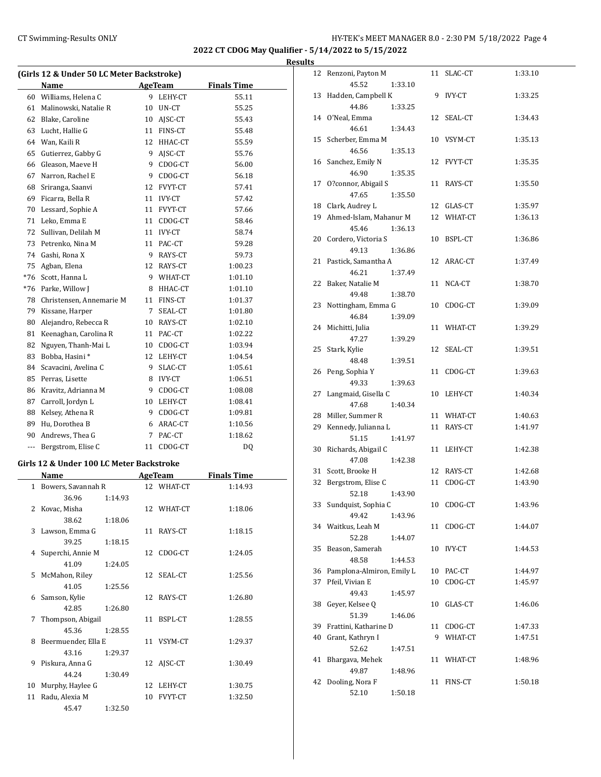$\overline{a}$ 

## CT Swimming-Results ONLY **EXAMPLE 19 AND SET MANAGER 8.0 - 2:30 PM 5/18/2022** Page 4

**2022 CT CDOG May Qualifier - 5/14/2022 to 5/15/2022**

|     |                                           |    |               | 2022 CT CDOG May Qualifier - 5/1 |                |
|-----|-------------------------------------------|----|---------------|----------------------------------|----------------|
|     |                                           |    |               |                                  | <b>Results</b> |
|     | (Girls 12 & Under 50 LC Meter Backstroke) |    |               |                                  | 12             |
|     | Name                                      |    | AgeTeam       | <b>Finals Time</b>               |                |
|     | 60 Williams, Helena C                     |    | 9 LEHY-CT     | 55.11                            | 13             |
|     | 61 Malinowski, Natalie R                  | 10 | UN-CT         | 55.25                            |                |
|     | 62 Blake, Caroline                        |    | 10 AJSC-CT    | 55.43                            | 14             |
|     | 63 Lucht, Hallie G                        |    | 11 FINS-CT    | 55.48                            |                |
|     | 64 Wan, Kaili R                           | 12 | HHAC-CT       | 55.59                            | 15             |
|     | 65 Gutierrez, Gabby G                     | 9  | AJSC-CT       | 55.76                            |                |
|     | 66 Gleason, Maeve H                       | 9  | CDOG-CT       | 56.00                            | 16             |
|     | 67 Narron, Rachel E                       | 9  | CDOG-CT       | 56.18                            |                |
| 68  | Sriranga, Saanvi                          | 12 | FVYT-CT       | 57.41                            | 17             |
|     | 69 Ficarra, Bella R                       | 11 | <b>IVY-CT</b> | 57.42                            |                |
|     | 70 Lessard, Sophie A                      | 11 | FVYT-CT       | 57.66                            | 18             |
| 71  | Leko, Emma E                              | 11 | CDOG-CT       | 58.46                            | 19             |
| 72  | Sullivan, Delilah M                       | 11 | <b>IVY-CT</b> | 58.74                            |                |
| 73  | Petrenko, Nina M                          | 11 | PAC-CT        | 59.28                            | 20             |
|     | 74 Gashi, Rona X                          | 9  | RAYS-CT       | 59.73                            |                |
|     | 75 Agban, Elena                           | 12 | RAYS-CT       | 1:00.23                          | 21             |
|     | *76 Scott, Hanna L                        |    | 9 WHAT-CT     | 1:01.10                          |                |
|     | *76 Parke, Willow J                       | 8  | HHAC-CT       | 1:01.10                          | 22             |
|     | 78 Christensen, Annemarie M               | 11 | FINS-CT       | 1:01.37                          |                |
|     | 79 Kissane, Harper                        | 7  | SEAL-CT       | 1:01.80                          | 23             |
|     | 80 Alejandro, Rebecca R                   | 10 | RAYS-CT       | 1:02.10                          |                |
|     | 81 Keenaghan, Carolina R                  | 11 | PAC-CT        | 1:02.22                          | 24             |
| 82  | Nguyen, Thanh-Mai L                       | 10 | CDOG-CT       | 1:03.94                          | 25             |
| 83  | Bobba, Hasini*                            | 12 | LEHY-CT       | 1:04.54                          |                |
| 84  | Scavacini, Avelina C                      | 9  | SLAC-CT       | 1:05.61                          | 26             |
|     | 85 Perras, Lisette                        | 8  | <b>IVY-CT</b> | 1:06.51                          |                |
|     | 86 Kravitz, Adrianna M                    | 9  | CDOG-CT       | 1:08.08                          | 27             |
| 87  | Carroll, Jordyn L                         | 10 | LEHY-CT       | 1:08.41                          |                |
|     | 88 Kelsey, Athena R                       | 9  | CDOG-CT       | 1:09.81                          | 28             |
|     | 89 Hu, Dorothea B                         |    | 6 ARAC-CT     | 1:10.56                          | 29             |
|     | 90 Andrews, Thea G                        | 7  | PAC-CT        | 1:18.62                          |                |
| --- | Bergstrom, Elise C                        | 11 | CDOG-CT       | DQ                               | 30             |

#### **Girls 12 & Under 100 LC Meter Backstroke**

|    | Name                 |         |    | <b>AgeTeam</b> | <b>Finals Time</b> |
|----|----------------------|---------|----|----------------|--------------------|
|    | 1 Bowers, Savannah R |         |    | 12 WHAT-CT     | 1:14.93            |
|    | 36.96                | 1:14.93 |    |                |                    |
| 2  | Kovac, Misha         |         |    | 12 WHAT-CT     | 1:18.06            |
|    | 38.62                | 1:18.06 |    |                |                    |
|    | 3 Lawson, Emma G     |         |    | 11 RAYS-CT     | 1:18.15            |
|    | 39.25                | 1:18.15 |    |                |                    |
|    | 4 Superchi, Annie M  |         |    | 12 CDOG-CT     | 1:24.05            |
|    | 41.09                | 1:24.05 |    |                |                    |
| 5  | McMahon, Riley       |         |    | 12 SEAL-CT     | 1:25.56            |
|    | 41.05                | 1:25.56 |    |                |                    |
| 6  | Samson, Kylie        |         |    | 12 RAYS-CT     | 1:26.80            |
|    | 42.85                | 1:26.80 |    |                |                    |
| 7  | Thompson, Abigail    |         |    | 11 BSPL-CT     | 1:28.55            |
|    | 45.36                | 1:28.55 |    |                |                    |
| 8  | Beermuender, Ella E  |         |    | 11 VSYM-CT     | 1:29.37            |
|    | 43.16                | 1:29.37 |    |                |                    |
| 9  | Piskura, Anna G      |         |    | 12 AJSC-CT     | 1:30.49            |
|    | 44.24                | 1:30.49 |    |                |                    |
| 10 | Murphy, Haylee G     |         | 12 | LEHY-CT        | 1:30.75            |
| 11 | Radu, Alexia M       |         | 10 | <b>FVYT-CT</b> | 1:32.50            |
|    | 45.47                | 1:32.50 |    |                |                    |

|    | 12 Renzoni, Payton M         |               | 11 SLAC-CT    | 1:33.10 |
|----|------------------------------|---------------|---------------|---------|
|    | 45.52                        | 1:33.10       |               |         |
| 13 | Hadden, Campbell K<br>44.86  | 9             | <b>IVY-CT</b> | 1:33.25 |
|    | 14 O'Neal, Emma              | 1:33.25<br>12 | SEAL-CT       | 1:34.43 |
|    | 46.61                        | 1:34.43       |               |         |
|    | 15 Scherber, Emma M          |               | 10 VSYM-CT    | 1:35.13 |
|    | 46.56                        | 1:35.13       |               |         |
|    | 16 Sanchez, Emily N          |               | 12 FVYT-CT    | 1:35.35 |
|    | 46.90                        | 1:35.35       |               |         |
|    | 17 O?connor, Abigail S       | 11            | RAYS-CT       | 1:35.50 |
|    | 47.65                        | 1:35.50       |               |         |
|    | 18 Clark, Audrey L           |               | 12 GLAS-CT    | 1:35.97 |
|    | 19 Ahmed-Islam, Mahanur M    |               | 12 WHAT-CT    | 1:36.13 |
|    | 45.46                        | 1:36.13       |               |         |
|    | 20 Cordero, Victoria S       |               | 10 BSPL-CT    | 1:36.86 |
|    | 49.13                        | 1:36.86       |               |         |
| 21 | Pastick, Samantha A          |               | 12 ARAC-CT    | 1:37.49 |
|    | 46.21                        | 1:37.49       |               |         |
|    | 22 Baker, Natalie M          | 11            | NCA-CT        | 1:38.70 |
|    | 49.48                        | 1:38.70       |               |         |
| 23 | Nottingham, Emma G           |               | 10 CDOG-CT    | 1:39.09 |
|    | 46.84                        | 1:39.09       |               |         |
|    | 24 Michitti, Julia           |               | 11 WHAT-CT    | 1:39.29 |
|    | 47.27                        | 1:39.29       |               |         |
| 25 | Stark, Kylie                 |               | 12 SEAL-CT    | 1:39.51 |
| 26 | 48.48<br>Peng, Sophia Y      | 1:39.51<br>11 | CDOG-CT       | 1:39.63 |
|    | 49.33                        | 1:39.63       |               |         |
| 27 | Langmaid, Gisella C          |               | 10 LEHY-CT    | 1:40.34 |
|    | 47.68                        | 1:40.34       |               |         |
| 28 | Miller, Summer R             |               | 11 WHAT-CT    | 1:40.63 |
| 29 | Kennedy, Julianna L          |               | 11 RAYS-CT    | 1:41.97 |
|    | 51.15                        | 1:41.97       |               |         |
| 30 | Richards, Abigail C          |               | 11 LEHY-CT    | 1:42.38 |
|    | 47.08                        | 1:42.38       |               |         |
| 31 | Scott, Brooke H              |               | 12 RAYS-CT    | 1:42.68 |
| 32 | Bergstrom, Elise C           | 11            | CDOG-CT       | 1:43.90 |
|    | 52.18                        | 1:43.90       |               |         |
| 33 | Sundquist, Sophia C          | 10            | CDOG-CT       | 1:43.96 |
|    | 49.42                        | 1:43.96       |               |         |
|    | 34 Waitkus, Leah M           |               | 11 CDOG-CT    | 1:44.07 |
|    | 52.28                        | 1:44.07       |               |         |
| 35 | Beason, Samerah              | 10            | IVY-CT        | 1:44.53 |
|    | 48.58                        | 1:44.53       |               |         |
|    | 36 Pamplona-Almiron, Emily L |               | 10 PAC-CT     | 1:44.97 |
| 37 | Pfeil, Vivian E              | 10            | CDOG-CT       | 1:45.97 |
|    | 49.43                        | 1:45.97       |               |         |
| 38 | Geyer, Kelsee Q<br>51.39     | 10            | GLAS-CT       | 1:46.06 |
| 39 | Frattini, Katharine D        | 1:46.06       | 11 CDOG-CT    | 1:47.33 |
| 40 | Grant, Kathryn I             |               | 9 WHAT-CT     | 1:47.51 |
|    | 52.62                        | 1:47.51       |               |         |
| 41 | Bhargava, Mehek              |               | 11 WHAT-CT    | 1:48.96 |
|    | 49.87                        | 1:48.96       |               |         |
| 42 | Dooling, Nora F              |               | 11 FINS-CT    | 1:50.18 |
|    | 52.10                        | 1:50.18       |               |         |
|    |                              |               |               |         |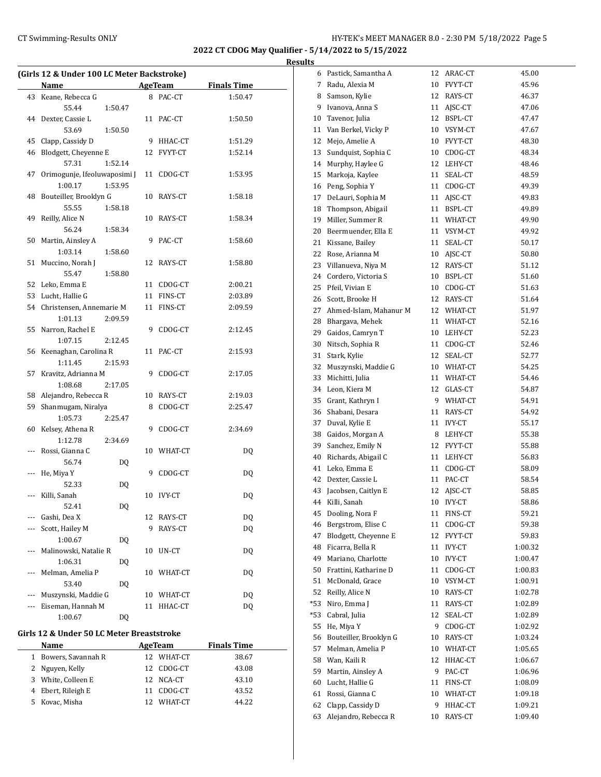÷,

 $\overline{a}$ 

J.

**2022 CT CDOG May Qualifier - 5/14/2022 to 5/15/2022 Results**

|     | (Girls 12 & Under 100 LC Meter Backstroke) |                        |    |                |                    |  |
|-----|--------------------------------------------|------------------------|----|----------------|--------------------|--|
|     | Name                                       |                        |    | AgeTeam        | <b>Finals Time</b> |  |
|     | 43 Keane, Rebecca G                        |                        |    | 8 PAC-CT       | 1:50.47            |  |
|     | 55.44                                      | 1:50.47                |    |                |                    |  |
| 44  | Dexter, Cassie L                           |                        |    | 11 PAC-CT      | 1:50.50            |  |
|     | 53.69                                      | 1:50.50                |    |                |                    |  |
| 45  | Clapp, Cassidy D                           |                        |    | 9 HHAC-CT      | 1:51.29            |  |
| 46  | Blodgett, Cheyenne E                       |                        |    | 12 FVYT-CT     | 1:52.14            |  |
|     | 57.31                                      | 1:52.14                |    |                |                    |  |
| 47  | Orimogunje, Ifeoluwaposimi J               |                        |    | 11 CDOG-CT     | 1:53.95            |  |
|     | 1:00.17                                    | 1:53.95                |    |                |                    |  |
| 48  | Bouteiller, Brooklyn G                     |                        |    | 10 RAYS-CT     | 1:58.18            |  |
|     | 55.55                                      | 1:58.18                |    |                |                    |  |
| 49  | Reilly, Alice N                            |                        |    | 10 RAYS-CT     | 1:58.34            |  |
|     | 56.24                                      | 1:58.34                |    |                |                    |  |
| 50  | Martin, Ainsley A                          |                        | 9  | PAC-CT         | 1:58.60            |  |
|     | 1:03.14                                    | 1:58.60                |    |                |                    |  |
| 51  | Muccino, Norah J                           |                        |    | 12 RAYS-CT     | 1:58.80            |  |
|     | 55.47                                      | 1:58.80                |    |                |                    |  |
|     | 52 Leko, Emma E                            |                        |    | 11 CDOG-CT     | 2:00.21            |  |
|     | 53 Lucht, Hallie G                         |                        |    | 11 FINS-CT     | 2:03.89            |  |
|     | 54 Christensen, Annemarie M                |                        |    | 11 FINS-CT     | 2:09.59            |  |
|     | 1:01.13                                    | 2:09.59                |    |                |                    |  |
| 55  | Narron, Rachel E                           |                        |    | 9 CDOG-CT      | 2:12.45            |  |
|     | 1:07.15                                    | 2:12.45                |    |                |                    |  |
|     | 56 Keenaghan, Carolina R                   |                        |    | 11 PAC-CT      | 2:15.93            |  |
|     | 1:11.45                                    | 2:15.93                |    |                |                    |  |
| 57  | Kravitz, Adrianna M                        |                        |    | 9 CDOG-CT      | 2:17.05            |  |
|     | 1:08.68                                    | 2:17.05                |    |                |                    |  |
| 58  | Alejandro, Rebecca R                       |                        |    | 10 RAYS-CT     | 2:19.03            |  |
| 59  | Shanmugam, Niralya                         |                        |    | 8 CDOG-CT      | 2:25.47            |  |
|     | 1:05.73                                    | 2:25.47                |    |                |                    |  |
| 60  | Kelsey, Athena R                           |                        | 9  | CDOG-CT        | 2:34.69            |  |
|     | 1:12.78                                    | 2:34.69                |    |                |                    |  |
| --- | Rossi, Gianna C                            |                        |    | 10 WHAT-CT     | DQ                 |  |
|     | 56.74                                      | DQ                     |    |                |                    |  |
| --- | He, Miya Y                                 |                        |    | 9 CDOG-CT      | DQ                 |  |
|     | 52.33                                      | DQ                     |    |                |                    |  |
|     | Killi, Sanah                               |                        |    | 10 IVY-CT      | DQ                 |  |
|     | 52.41                                      | $\mathsf{D}\mathsf{Q}$ |    |                |                    |  |
|     | Gashi, Dea X                               |                        |    | 12 RAYS-CT     | DQ                 |  |
|     | Scott, Hailey M                            |                        | 9  | RAYS-CT        | DQ                 |  |
|     | 1:00.67                                    | DQ                     |    |                |                    |  |
| --- | Malinowski, Natalie R                      |                        |    | 10 UN-CT       | DQ                 |  |
|     | 1:06.31                                    | DQ                     |    |                |                    |  |
| --- | Melman, Amelia P                           |                        |    | 10 WHAT-CT     | DQ                 |  |
|     | 53.40                                      | DQ                     |    |                |                    |  |
|     | Muszynski, Maddie G                        |                        |    | 10 WHAT-CT     | DQ                 |  |
|     | Eiseman, Hannah M                          |                        | 11 | HHAC-CT        | DQ                 |  |
|     | 1:00.67                                    | DQ                     |    |                |                    |  |
|     | Girls 12 & Under 50 LC Meter Breaststroke  |                        |    |                |                    |  |
|     | Name                                       |                        |    | <b>AgeTeam</b> | <b>Finals Time</b> |  |
| 1   | Bowers, Savannah R                         |                        |    | 12 WHAT-CT     | 38.67              |  |
| 2   | Nguyen, Kelly                              |                        | 12 | CDOG-CT        | 43.08              |  |
| 3   | White, Colleen E                           |                        | 12 | NCA-CT         | 43.10              |  |
|     | 4 Ebert, Rileigh E                         |                        |    | 11 CDOG-CT     | 43.52              |  |

Kovac, Misha 12 WHAT-CT 44.22

| 6     | Pastick, Samantha A    | 12 | ARAC-CT       | 45.00   |
|-------|------------------------|----|---------------|---------|
| 7     | Radu, Alexia M         | 10 | FVYT-CT       | 45.96   |
| 8     | Samson, Kylie          | 12 | RAYS-CT       | 46.37   |
| 9     | Ivanova, Anna S        | 11 | AJSC-CT       | 47.06   |
| 10    | Tavenor, Julia         | 12 | BSPL-CT       | 47.47   |
| 11    | Van Berkel, Vicky P    |    | 10 VSYM-CT    | 47.67   |
| 12    | Mejo, Amelie A         | 10 | FVYT-CT       | 48.30   |
| 13    | Sundquist, Sophia C    | 10 | CDOG-CT       | 48.34   |
| 14    | Murphy, Haylee G       | 12 | LEHY-CT       | 48.46   |
| 15    | Markoja, Kaylee        | 11 | SEAL-CT       | 48.59   |
| 16    | Peng, Sophia Y         | 11 | CDOG-CT       | 49.39   |
| 17    | DeLauri, Sophia M      | 11 |               | 49.83   |
|       | Thompson, Abigail      |    | AJSC-CT       |         |
| 18    |                        | 11 | BSPL-CT       | 49.89   |
| 19    | Miller, Summer R       | 11 | WHAT-CT       | 49.90   |
| 20    | Beermuender, Ella E    | 11 | VSYM-CT       | 49.92   |
| 21    | Kissane, Bailey        | 11 | SEAL-CT       | 50.17   |
| 22    | Rose, Arianna M        | 10 | AJSC-CT       | 50.80   |
| 23    | Villanueva, Niya M     | 12 | RAYS-CT       | 51.12   |
| 24    | Cordero, Victoria S    | 10 | BSPL-CT       | 51.60   |
| 25    | Pfeil, Vivian E        | 10 | CDOG-CT       | 51.63   |
| 26    | Scott, Brooke H        | 12 | RAYS-CT       | 51.64   |
| 27    | Ahmed-Islam, Mahanur M | 12 | WHAT-CT       | 51.97   |
| 28    | Bhargava, Mehek        | 11 | WHAT-CT       | 52.16   |
| 29    | Gaidos, Camryn T       | 10 | LEHY-CT       | 52.23   |
| 30    | Nitsch, Sophia R       | 11 | CDOG-CT       | 52.46   |
| 31    | Stark, Kylie           | 12 | SEAL-CT       | 52.77   |
| 32    | Muszynski, Maddie G    |    | 10 WHAT-CT    | 54.25   |
| 33    | Michitti, Julia        | 11 | WHAT-CT       | 54.46   |
| 34    | Leon, Kiera M          |    | 12 GLAS-CT    | 54.87   |
| 35    | Grant, Kathryn I       | 9  | WHAT-CT       | 54.91   |
| 36    | Shabani, Desara        | 11 | RAYS-CT       | 54.92   |
| 37    | Duval, Kylie E         | 11 | IVY-CT        | 55.17   |
| 38    | Gaidos, Morgan A       | 8  | LEHY-CT       | 55.38   |
| 39    | Sanchez, Emily N       | 12 | FVYT-CT       | 55.88   |
| 40    | Richards, Abigail C    | 11 | LEHY-CT       | 56.83   |
| 41    | Leko, Emma E           | 11 | CDOG-CT       | 58.09   |
| 42    | Dexter, Cassie L       | 11 | PAC-CT        | 58.54   |
| 43    | Jacobsen, Caitlyn E    | 12 | AJSC-CT       | 58.85   |
| 44    | Killi, Sanah           | 10 | <b>IVY-CT</b> | 58.86   |
| 45    | Dooling, Nora F        | 11 | FINS-CT       | 59.21   |
| 46    | Bergstrom, Elise C     | 11 | CDOG-CT       | 59.38   |
| 47    | Blodgett, Cheyenne E   | 12 | FVYT-CT       | 59.83   |
| 48    | Ficarra, Bella R       | 11 | IVY-CT        | 1:00.32 |
| 49    | Mariano, Charlotte     | 10 | IVY-CT        | 1:00.47 |
| 50    | Frattini, Katharine D  | 11 | CDOG-CT       | 1:00.83 |
| 51    | McDonald, Grace        | 10 | VSYM-CT       | 1:00.91 |
| 52    | Reilly, Alice N        | 10 | RAYS-CT       | 1:02.78 |
| *53   | Niro, Emma J           | 11 | RAYS-CT       | 1:02.89 |
| $*53$ | Cabral, Julia          | 12 | SEAL-CT       | 1:02.89 |
| 55    | He, Miya Y             | 9  | CDOG-CT       | 1:02.92 |
| 56    | Bouteiller, Brooklyn G | 10 | RAYS-CT       | 1:03.24 |
| 57    | Melman, Amelia P       | 10 | WHAT-CT       | 1:05.65 |
| 58    | Wan, Kaili R           | 12 | HHAC-CT       | 1:06.67 |
| 59    | Martin, Ainsley A      | 9  | PAC-CT        | 1:06.96 |
| 60    | Lucht, Hallie G        | 11 | FINS-CT       | 1:08.09 |
| 61    | Rossi, Gianna C        | 10 | WHAT-CT       | 1:09.18 |
| 62    | Clapp, Cassidy D       | 9  | HHAC-CT       | 1:09.21 |
| 63    | Alejandro, Rebecca R   | 10 | RAYS-CT       | 1:09.40 |
|       |                        |    |               |         |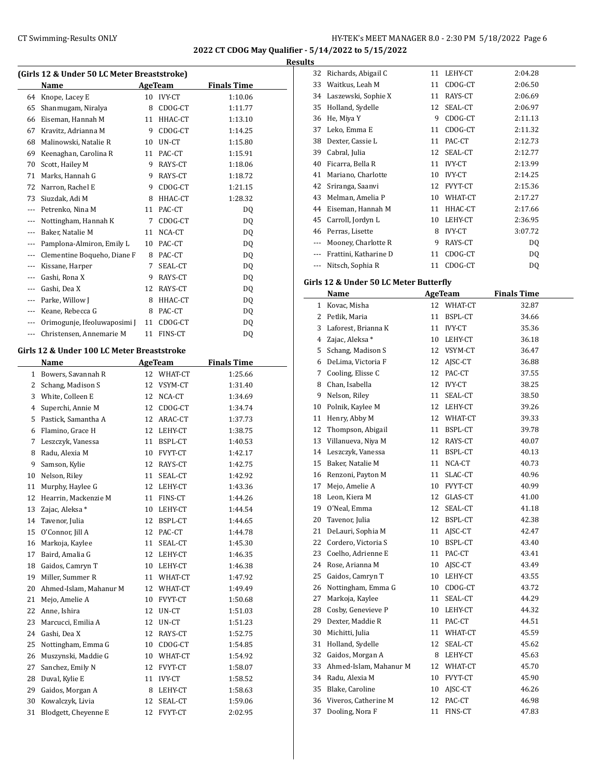## CT Swimming-Results ONLY **EXAMPLE 1999 CONCOMPTER'S MEET MANAGER 8.0 - 2:30 PM 5/18/2022** Page 6

**2022 CT CDOG May Qualifier - 5/14/2022 to 5/15/2022**

**Results**

| (Girls 12 & Under 50 LC Meter Breaststroke) |                              |    |                |                    |  |  |  |
|---------------------------------------------|------------------------------|----|----------------|--------------------|--|--|--|
|                                             | Name                         |    | <b>AgeTeam</b> | <b>Finals Time</b> |  |  |  |
| 64                                          | Knope, Lacey E               | 10 | <b>IVY-CT</b>  | 1:10.06            |  |  |  |
| 65                                          | Shanmugam, Niralya           | 8  | CDOG-CT        | 1:11.77            |  |  |  |
| 66                                          | Eiseman, Hannah M            | 11 | HHAC-CT        | 1:13.10            |  |  |  |
| 67                                          | Kravitz, Adrianna M          | 9  | CDOG-CT        | 1:14.25            |  |  |  |
| 68                                          | Malinowski, Natalie R        | 10 | UN-CT          | 1:15.80            |  |  |  |
| 69                                          | Keenaghan, Carolina R        | 11 | PAC-CT         | 1:15.91            |  |  |  |
| 70                                          | Scott, Hailey M              | 9  | RAYS-CT        | 1:18.06            |  |  |  |
| 71                                          | Marks, Hannah G              | 9  | RAYS-CT        | 1:18.72            |  |  |  |
| 72                                          | Narron, Rachel E             | 9  | CDOG-CT        | 1:21.15            |  |  |  |
| 73                                          | Siuzdak, Adi M               | 8  | HHAC-CT        | 1:28.32            |  |  |  |
| $---$                                       | Petrenko, Nina M             | 11 | PAC-CT         | DO.                |  |  |  |
| $---$                                       | Nottingham, Hannah K         | 7  | CDOG-CT        | DO.                |  |  |  |
| $---$                                       | Baker, Natalie M             | 11 | NCA-CT         | DO.                |  |  |  |
| $---$                                       | Pamplona-Almiron, Emily L    | 10 | PAC-CT         | DQ                 |  |  |  |
| $- - -$                                     | Clementine Boqueho, Diane F  | 8  | PAC-CT         | DQ                 |  |  |  |
| $---$                                       | Kissane, Harper              | 7  | SEAL-CT        | DQ                 |  |  |  |
| $---$                                       | Gashi, Rona X                | 9  | RAYS-CT        | DQ                 |  |  |  |
| $---$                                       | Gashi, Dea X                 | 12 | RAYS-CT        | DO.                |  |  |  |
| ---                                         | Parke, Willow J              | 8  | HHAC-CT        | D <sub>0</sub>     |  |  |  |
| ---                                         | Keane, Rebecca G             | 8  | PAC-CT         | DQ                 |  |  |  |
| $---$                                       | Orimogunje, Ifeoluwaposimi ] | 11 | CDOG-CT        | DQ                 |  |  |  |
| $---$                                       | Christensen, Annemarie M     | 11 | FINS-CT        | DQ                 |  |  |  |
|                                             |                              |    |                |                    |  |  |  |

## **Girls 12 & Under 100 LC Meter Breaststroke**

| Name                   | <b>AgeTeam</b> |                | <b>Finals Time</b>                             |  |
|------------------------|----------------|----------------|------------------------------------------------|--|
| Bowers, Savannah R     | 12             | WHAT-CT        | 1:25.66                                        |  |
| Schang, Madison S      | 12             | VSYM-CT        | 1:31.40                                        |  |
| White, Colleen E       | 12             | NCA-CT         | 1:34.69                                        |  |
| Superchi, Annie M      | 12             | CDOG-CT        | 1:34.74                                        |  |
| Pastick. Samantha A    | 12             | ARAC-CT        | 1:37.73                                        |  |
| Flamino, Grace H       | 12             |                | 1:38.75                                        |  |
| Leszczyk, Vanessa      | 11             | BSPL-CT        | 1:40.53                                        |  |
| Radu, Alexia M         | 10             | FVYT-CT        | 1:42.17                                        |  |
| Samson, Kylie          | 12             | RAYS-CT        | 1:42.75                                        |  |
| Nelson, Riley          | 11             | SEAL-CT        | 1:42.92                                        |  |
| Murphy, Haylee G       | 12             | LEHY-CT        | 1:43.36                                        |  |
| Hearrin, Mackenzie M   | 11             | FINS-CT        | 1:44.26                                        |  |
| Zajac, Aleksa *        | 10             | LEHY-CT        | 1:44.54                                        |  |
| Tavenor, Julia         | 12             | BSPL-CT        | 1:44.65                                        |  |
| O'Connor, Jill A       | 12             | PAC-CT         | 1:44.78                                        |  |
| Markoja, Kaylee        | 11             | SEAL-CT        | 1:45.30                                        |  |
| Baird, Amalia G        | 12             | LEHY-CT        | 1:46.35                                        |  |
| Gaidos, Camryn T       | 10             |                | 1:46.38                                        |  |
| Miller, Summer R       | 11             | WHAT-CT        | 1:47.92                                        |  |
| Ahmed-Islam, Mahanur M |                |                | 1:49.49                                        |  |
| Mejo, Amelie A         | 10             | <b>FVYT-CT</b> | 1:50.68                                        |  |
| Anne, Ishira           | 12             | UN-CT          | 1:51.03                                        |  |
| Marcucci, Emilia A     | 12             | UN-CT          | 1:51.23                                        |  |
| Gashi, Dea X           | 12             | RAYS-CT        | 1:52.75                                        |  |
| Nottingham, Emma G     | 10             | CDOG-CT        | 1:54.85                                        |  |
| Muszynski, Maddie G    |                |                | 1:54.92                                        |  |
| Sanchez, Emily N       | 12             | <b>FVYT-CT</b> | 1:58.07                                        |  |
| Duval, Kylie E         | 11             | <b>IVY-CT</b>  | 1:58.52                                        |  |
| Gaidos, Morgan A       | 8              | LEHY-CT        | 1:58.63                                        |  |
| Kowalczyk, Livia       | 12             | SEAL-CT        | 1:59.06                                        |  |
| Blodgett, Cheyenne E   | 12             | <b>FVYT-CT</b> | 2:02.95                                        |  |
|                        |                |                | LEHY-CT<br>LEHY-CT<br>12 WHAT-CT<br>10 WHAT-CT |  |

| ເພ  |                       |    |               |         |
|-----|-----------------------|----|---------------|---------|
| 32  | Richards, Abigail C   | 11 | LEHY-CT       | 2:04.28 |
| 33  | Waitkus, Leah M       | 11 | CDOG-CT       | 2:06.50 |
| 34  | Laszewski, Sophie X   | 11 | RAYS-CT       | 2:06.69 |
| 35  | Holland, Sydelle      | 12 | SEAL-CT       | 2:06.97 |
| 36  | He, Miya Y            | 9  | CDOG-CT       | 2:11.13 |
| 37  | Leko, Emma E          | 11 | CDOG-CT       | 2:11.32 |
| 38  | Dexter, Cassie L      | 11 | PAC-CT        | 2:12.73 |
| 39  | Cabral, Julia         | 12 | SEAL-CT       | 2:12.77 |
| 40  | Ficarra, Bella R      | 11 | <b>IVY-CT</b> | 2:13.99 |
| 41  | Mariano, Charlotte    | 10 | <b>IVY-CT</b> | 2:14.25 |
| 42  | Sriranga, Saanvi      | 12 | FVYT-CT       | 2:15.36 |
| 43  | Melman, Amelia P      | 10 | WHAT-CT       | 2:17.27 |
| 44  | Eiseman, Hannah M     | 11 | HHAC-CT       | 2:17.66 |
| 45  | Carroll, Jordyn L     | 10 | LEHY-CT       | 2:36.95 |
| 46  | Perras, Lisette       | 8  | <b>IVY-CT</b> | 3:07.72 |
| --- | Mooney, Charlotte R   | 9  | RAYS-CT       | DQ      |
|     | Frattini, Katharine D | 11 | CDOG-CT       | DQ      |
|     | Nitsch, Sophia R      | 11 | CDOG-CT       | DQ      |
|     |                       |    |               |         |

## **Girls 12 & Under 50 LC Meter Butterfly**

|    | Name                   |    | AgeTeam       | <b>Finals Time</b> |
|----|------------------------|----|---------------|--------------------|
| 1  | Kovac, Misha           | 12 | WHAT-CT       | 32.87              |
| 2  | Petlik, Maria          | 11 | BSPL-CT       | 34.66              |
| 3  | Laforest, Brianna K    | 11 | <b>IVY-CT</b> | 35.36              |
| 4  | Zajac, Aleksa *        | 10 | LEHY-CT       | 36.18              |
| 5  | Schang, Madison S      |    | 12 VSYM-CT    | 36.47              |
| 6  | DeLima, Victoria F     | 12 | AJSC-CT       | 36.88              |
| 7  | Cooling, Elisse C      | 12 | PAC-CT        | 37.55              |
| 8  | Chan, Isabella         | 12 | <b>IVY-CT</b> | 38.25              |
| 9  | Nelson, Riley          | 11 | SEAL-CT       | 38.50              |
| 10 | Polnik, Kaylee M       |    | 12 LEHY-CT    | 39.26              |
| 11 | Henry, Abby M          |    | 12 WHAT-CT    | 39.33              |
| 12 | Thompson, Abigail      | 11 | BSPL-CT       | 39.78              |
| 13 | Villanueva, Niya M     | 12 | RAYS-CT       | 40.07              |
| 14 | Leszczyk, Vanessa      | 11 | BSPL-CT       | 40.13              |
| 15 | Baker, Natalie M       | 11 | NCA-CT        | 40.73              |
| 16 | Renzoni, Payton M      | 11 | SLAC-CT       | 40.96              |
| 17 | Mejo, Amelie A         | 10 | FVYT-CT       | 40.99              |
| 18 | Leon, Kiera M          | 12 | GLAS-CT       | 41.00              |
| 19 | O'Neal, Emma           | 12 | SEAL-CT       | 41.18              |
| 20 | Tavenor, Julia         | 12 | BSPL-CT       | 42.38              |
| 21 | DeLauri, Sophia M      | 11 | AJSC-CT       | 42.47              |
| 22 | Cordero, Victoria S    | 10 | BSPL-CT       | 43.40              |
| 23 | Coelho, Adrienne E     | 11 | PAC-CT        | 43.41              |
| 24 | Rose, Arianna M        | 10 | AJSC-CT       | 43.49              |
| 25 | Gaidos, Camryn T       |    | 10 LEHY-CT    | 43.55              |
| 26 | Nottingham, Emma G     |    | 10 CDOG-CT    | 43.72              |
| 27 | Markoja, Kaylee        | 11 | SEAL-CT       | 44.29              |
| 28 | Cosby, Genevieve P     |    | 10 LEHY-CT    | 44.32              |
| 29 | Dexter, Maddie R       |    | 11 PAC-CT     | 44.51              |
| 30 | Michitti, Julia        | 11 | WHAT-CT       | 45.59              |
| 31 | Holland, Sydelle       | 12 | SEAL-CT       | 45.62              |
| 32 | Gaidos, Morgan A       | 8  | LEHY-CT       | 45.63              |
| 33 | Ahmed-Islam, Mahanur M |    | 12 WHAT-CT    | 45.70              |
| 34 | Radu, Alexia M         | 10 | FVYT-CT       | 45.90              |
| 35 | Blake, Caroline        | 10 | AJSC-CT       | 46.26              |
| 36 | Viveros. Catherine M   | 12 | PAC-CT        | 46.98              |
| 37 | Dooling, Nora F        | 11 | FINS-CT       | 47.83              |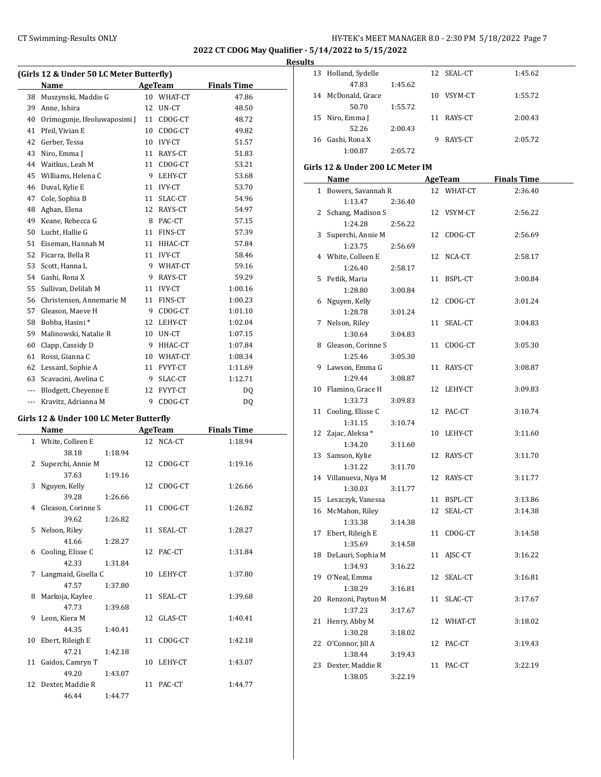## CT Swimming-Results ONLY **EXAMPLE 19 AND SET MANAGER 8.0 - 2:30 PM 5/18/2022** Page 7

**2022 CT CDOG May Qualifier - 5/14/2022 to 5/15/2022**

## **Results**

|     | (Girls 12 & Under 50 LC Meter Butterfly) |    |                |                    |  |
|-----|------------------------------------------|----|----------------|--------------------|--|
|     | Name                                     |    | AgeTeam        | <b>Finals Time</b> |  |
| 38  | Muszynski, Maddie G                      |    | 10 WHAT-CT     | 47.86              |  |
| 39  | Anne, Ishira                             | 12 | UN-CT          | 48.50              |  |
| 40  | Orimogunje, Ifeoluwaposimi ]             | 11 | CDOG-CT        | 48.72              |  |
| 41  | Pfeil, Vivian E                          | 10 | CDOG-CT        | 49.82              |  |
| 42  | Gerber, Tessa                            | 10 | <b>IVY-CT</b>  | 51.57              |  |
| 43  | Niro, Emma J                             | 11 | RAYS-CT        | 51.83              |  |
| 44  | Waitkus, Leah M                          | 11 | CDOG-CT        | 53.21              |  |
| 45  | Williams, Helena C                       | 9  | LEHY-CT        | 53.68              |  |
| 46  | Duval, Kylie E                           | 11 | <b>IVY-CT</b>  | 53.70              |  |
| 47  | Cole, Sophia B                           | 11 | SLAC-CT        | 54.96              |  |
| 48  | Agban, Elena                             | 12 | RAYS-CT        | 54.97              |  |
| 49  | Keane, Rebecca G                         | 8  | PAC-CT         | 57.15              |  |
| 50  | Lucht, Hallie G                          | 11 | FINS-CT        | 57.39              |  |
| 51  | Eiseman, Hannah M                        | 11 | HHAC-CT        | 57.84              |  |
| 52  | Ficarra, Bella R                         | 11 | <b>IVY-CT</b>  | 58.46              |  |
| 53  | Scott, Hanna L                           | 9. | WHAT-CT        | 59.16              |  |
| 54  | Gashi, Rona X                            | 9  | RAYS-CT        | 59.29              |  |
| 55  | Sullivan, Delilah M                      | 11 | <b>IVY-CT</b>  | 1:00.16            |  |
| 56  | Christensen, Annemarie M                 | 11 | FINS-CT        | 1:00.23            |  |
| 57  | Gleason, Maeve H                         | 9  | CDOG-CT        | 1:01.10            |  |
| 58  | Bobba, Hasini*                           | 12 | LEHY-CT        | 1:02.04            |  |
| 59  | Malinowski, Natalie R                    | 10 | UN-CT          | 1:07.15            |  |
| 60  | Clapp, Cassidy D                         | 9  | HHAC-CT        | 1:07.84            |  |
| 61  | Rossi, Gianna C                          |    | 10 WHAT-CT     | 1:08.34            |  |
| 62  | Lessard, Sophie A                        | 11 | FVYT-CT        | 1:11.69            |  |
| 63  | Scavacini, Avelina C                     | 9  | SLAC-CT        | 1:12.71            |  |
| --- | Blodgett, Cheyenne E                     | 12 | <b>FVYT-CT</b> | DQ                 |  |
| --- | Kravitz, Adrianna M                      | 9  | CDOG-CT        | D <sub>0</sub>     |  |

## **Girls 12 & Under 100 LC Meter Butterfly**

|   | Name                 |         | AgeTeam |            | <b>Finals Time</b> |
|---|----------------------|---------|---------|------------|--------------------|
|   | 1 White, Colleen E   |         |         | 12 NCA-CT  | 1:18.94            |
|   | 38.18                | 1:18.94 |         |            |                    |
|   | 2 Superchi, Annie M  |         |         | 12 CDOG-CT | 1:19.16            |
|   | 37.63                | 1:19.16 |         |            |                    |
| 3 | Nguyen, Kelly        |         |         | 12 CDOG-CT | 1:26.66            |
|   | 39.28                | 1:26.66 |         |            |                    |
|   | 4 Gleason, Corinne S |         |         | 11 CDOG-CT | 1:26.82            |
|   | 39.62                | 1:26.82 |         |            |                    |
|   | 5 Nelson, Riley      |         |         | 11 SEAL-CT | 1:28.27            |
|   | 41.66                | 1:28.27 |         |            |                    |
|   | 6 Cooling, Elisse C  |         |         | 12 PAC-CT  | 1:31.84            |
|   | 42.33                | 1:31.84 |         |            |                    |
| 7 | Langmaid, Gisella C  |         |         | 10 LEHY-CT | 1:37.80            |
|   | 47.57                | 1:37.80 |         |            |                    |
|   | 8 Markoja, Kaylee    |         |         | 11 SEAL-CT | 1:39.68            |
|   | 47.73                | 1:39.68 |         |            |                    |
|   | 9 Leon, Kiera M      |         |         | 12 GLAS-CT | 1:40.41            |
|   | 44.35                | 1:40.41 |         |            |                    |
|   | 10 Ebert, Rileigh E  |         |         | 11 CDOG-CT | 1:42.18            |
|   | 47.21                | 1:42.18 |         |            |                    |
|   | 11 Gaidos, Camryn T  |         |         | 10 LEHY-CT | 1:43.07            |
|   | 49.20                | 1:43.07 |         |            |                    |
|   | 12 Dexter, Maddie R  |         |         | 11 PAC-CT  | 1:44.77            |
|   | 46.44                | 1:44.77 |         |            |                    |

| ILS |                     |         |    |            |         |
|-----|---------------------|---------|----|------------|---------|
|     | 13 Holland, Sydelle |         |    | 12 SEAL-CT | 1:45.62 |
|     | 47.83               | 1:45.62 |    |            |         |
|     | 14 McDonald, Grace  |         | 10 | VSYM-CT    | 1:55.72 |
|     | 50.70               | 1:55.72 |    |            |         |
|     | 15 Niro, Emma J     |         | 11 | RAYS-CT    | 2:00.43 |
|     | 52.26               | 2:00.43 |    |            |         |
|     | 16 Gashi, Rona X    |         | 9  | RAYS-CT    | 2:05.72 |
|     | 1:00.87             | 2:05.72 |    |            |         |

## **Girls 12 & Under 200 LC Meter IM**

|              | Name                  |    |                       |                               |
|--------------|-----------------------|----|-----------------------|-------------------------------|
| $\mathbf{1}$ |                       |    | AgeTeam<br>12 WHAT-CT | <b>Finals Time</b><br>2:36.40 |
|              | Bowers, Savannah R    |    |                       |                               |
| 2            | 1:13.47<br>2:36.40    |    |                       |                               |
|              | Schang, Madison S     |    | 12 VSYM-CT            | 2:56.22                       |
| 3            | 1:24.28<br>2:56.22    | 12 | CDOG-CT               | 2:56.69                       |
|              | Superchi, Annie M     |    |                       |                               |
|              | 1:23.75<br>2:56.69    |    |                       |                               |
|              | 4 White, Colleen E    |    | 12 NCA-CT             | 2:58.17                       |
|              | 1:26.40<br>2:58.17    |    |                       |                               |
| 5            | Petlik, Maria         | 11 | BSPL-CT               | 3:00.84                       |
|              | 1:28.80<br>3:00.84    |    |                       |                               |
| 6            | Nguyen, Kelly         | 12 | CDOG-CT               | 3:01.24                       |
| 7            | 1:28.78<br>3:01.24    | 11 |                       |                               |
|              | Nelson, Riley         |    | SEAL-CT               | 3:04.83                       |
|              | 1:30.64<br>3:04.83    |    |                       |                               |
| 8            | Gleason, Corinne S    | 11 | CDOG-CT               | 3:05.30                       |
|              | 1:25.46<br>3:05.30    |    |                       |                               |
| 9            | Lawson, Emma G        |    | 11 RAYS-CT            | 3:08.87                       |
|              | 1:29.44<br>3:08.87    |    |                       |                               |
| 10           | Flamino, Grace H      |    | 12 LEHY-CT            | 3:09.83                       |
|              | 1:33.73<br>3:09.83    |    |                       |                               |
|              | 11 Cooling, Elisse C  |    | 12 PAC-CT             | 3:10.74                       |
|              | 1:31.15<br>3:10.74    |    |                       |                               |
|              | 12 Zajac, Aleksa *    |    | 10 LEHY-CT            | 3:11.60                       |
|              | 1:34.20<br>3:11.60    |    |                       |                               |
|              | 13 Samson, Kylie      |    | 12 RAYS-CT            | 3:11.70                       |
|              | 1:31.22<br>3:11.70    |    |                       |                               |
|              | 14 Villanueva, Niya M |    | 12 RAYS-CT            | 3:11.77                       |
|              | 1:30.03<br>3:11.77    |    |                       |                               |
|              | 15 Leszczyk, Vanessa  |    | 11 BSPL-CT            | 3:13.86                       |
|              | 16 McMahon, Riley     | 12 | SEAL-CT               | 3:14.38                       |
|              | 1:33.38<br>3:14.38    |    |                       |                               |
| 17           | Ebert, Rileigh E      | 11 | CDOG-CT               | 3:14.58                       |
|              | 1:35.69<br>3:14.58    |    |                       |                               |
| 18           | DeLauri, Sophia M     | 11 | AJSC-CT               | 3:16.22                       |
|              | 1:34.93<br>3:16.22    |    |                       |                               |
| 19           | O'Neal, Emma          | 12 | SEAL-CT               | 3:16.81                       |
|              | 1:38.29<br>3:16.81    |    |                       |                               |
| 20           | Renzoni, Payton M     |    | 11 SLAC-CT            | 3:17.67                       |
|              | 1:37.23<br>3:17.67    |    |                       |                               |
| 21           | Henry, Abby M         |    | 12 WHAT-CT            | 3:18.02                       |
|              | 1:30.28<br>3:18.02    |    |                       |                               |
|              | 22 O'Connor, Jill A   |    | 12 PAC-CT             | 3:19.43                       |
|              | 1:38.44<br>3:19.43    |    |                       |                               |
| 23           | Dexter, Maddie R      |    | 11 PAC-CT             | 3:22.19                       |
|              | 1:38.05<br>3:22.19    |    |                       |                               |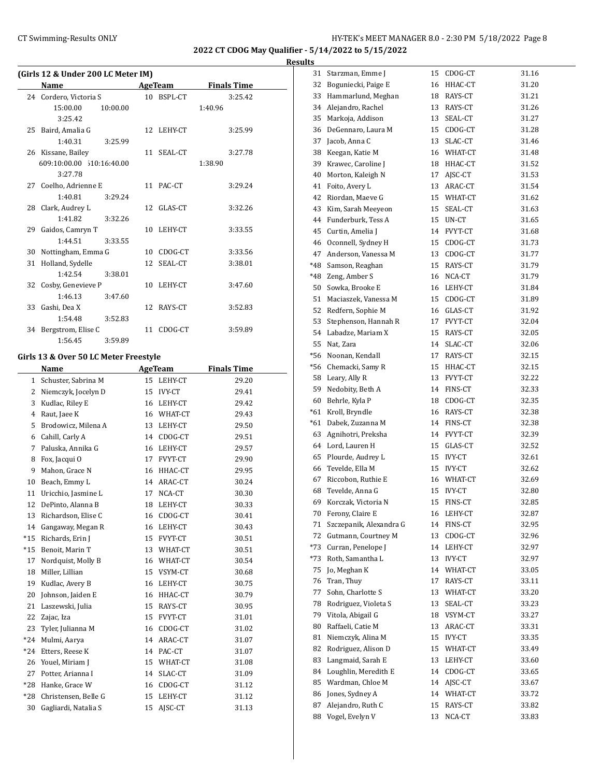**2022 CT CDOG May Qualifier - 5/14/2022 to 5/15/2022**

**Results**

|                | (Girls 12 & Under 200 LC Meter IM)    |    |                |                    |
|----------------|---------------------------------------|----|----------------|--------------------|
|                | Name                                  |    | <b>AgeTeam</b> | <b>Finals Time</b> |
| 24             | Cordero, Victoria S                   |    | 10 BSPL-CT     | 3:25.42            |
|                | 15:00.00<br>10:00.00                  |    |                | 1:40.96            |
|                | 3:25.42                               |    |                |                    |
| 25             | Baird, Amalia G                       | 12 | LEHY-CT        | 3:25.99            |
|                | 1:40.31<br>3:25.99                    |    |                |                    |
|                | 26 Kissane, Bailey                    | 11 | SEAL-CT        | 3:27.78            |
|                | 609:10:00.00 510:16:40.00             |    |                | 1:38.90            |
|                | 3:27.78                               |    |                |                    |
| 27             | Coelho, Adrienne E                    | 11 | PAC-CT         | 3:29.24            |
|                | 1:40.81<br>3:29.24                    |    |                |                    |
| 28             | Clark, Audrey L                       | 12 | GLAS-CT        | 3:32.26            |
|                | 1:41.82<br>3:32.26                    |    |                |                    |
| 29             | Gaidos, Camryn T                      | 10 | LEHY-CT        | 3:33.55            |
|                | 1:44.51<br>3:33.55                    |    |                |                    |
| 30             | Nottingham, Emma G                    |    | 10 CDOG-CT     | 3:33.56            |
| 31             | Holland, Sydelle                      | 12 | SEAL-CT        | 3:38.01            |
|                | 1:42.54<br>3:38.01                    |    |                |                    |
| 32             | Cosby, Genevieve P                    | 10 | LEHY-CT        | 3:47.60            |
|                | 1:46.13<br>3:47.60                    |    |                |                    |
| 33             | Gashi, Dea X                          | 12 | RAYS-CT        | 3:52.83            |
|                | 1:54.48<br>3:52.83                    |    |                |                    |
| 34             | Bergstrom, Elise C                    | 11 | CDOG-CT        | 3:59.89            |
|                | 1:56.45<br>3:59.89                    |    |                |                    |
|                | Girls 13 & Over 50 LC Meter Freestyle |    |                |                    |
|                | Name                                  |    | AgeTeam        | <b>Finals Time</b> |
| $\mathbf{1}$   | Schuster, Sabrina M                   |    | 15 LEHY-CT     | 29.20              |
| 2              | Niemczyk, Jocelyn D                   |    | 15 IVY-CT      | 29.41              |
| 3              | Kudlac, Riley E                       |    | 16 LEHY-CT     | 29.42              |
| $\overline{4}$ | Raut, Jaee K                          |    | 16 WHAT-CT     | 29.43              |
| 5              | Brodowicz, Milena A                   |    | 13 LEHY-CT     | 29.50              |
| 6              | Cahill, Carly A                       |    | 14 CDOG-CT     | 29.51              |
| 7              | Paluska, Annika G                     |    | 16 LEHY-CT     | 29.57              |
| 8              | Fox, Jacqui O                         |    | 17 FVYT-CT     | 29.90              |
| 9              | Mahon, Grace N                        |    | 16 HHAC-CT     | 29.95              |
| 10             | Beach, Emmy L                         |    | 14 ARAC-CT     | 30.24              |
| 11             | Uricchio, Jasmine L                   |    | 17 NCA-CT      | 30.30              |
| 12             | DePinto, Alanna B                     |    | 18 LEHY-CT     | 30.33              |
| 13             | Richardson, Elise C                   |    | 16 CDOG-CT     | 30.41              |
| 14             | Gangaway, Megan R                     |    | 16 LEHY-CT     | 30.43              |
| $*15$          | Richards, Erin J                      |    | 15 FVYT-CT     | 30.51              |
| $*15$          | Benoit, Marin T                       |    | 13 WHAT-CT     | 30.51              |
| 17             | Nordquist, Molly B                    |    | 16 WHAT-CT     | 30.54              |

18 Miller, Lillian 15 VSYM-CT 30.68

19 Kudlac, Avery B 16 LEHY-CT 30.75<br>
20 Johnson, Jaiden E 16 HHAC-CT 30.79<br>
21 Laszewski, Julia 15 RAYS-CT 30.95 20 Johnson, Jaiden E 16 HHAC-CT 30.79 Laszewski, Julia 15 RAYS-CT 30.95 Zajac, Iza 15 FVYT-CT 31.01 23 Tyler, Julianna M 16 CDOG-CT 31.02 \*24 Mulmi, Aarya 14 ARAC-CT 31.07 \*24 Etters, Reese K 14 PAC-CT 31.07 26 Youel, Miriam J 15 WHAT-CT 31.08 27 Potter, Arianna I 14 SLAC-CT 31.09

\*28 Hanke, Grace W 16 CDOG-CT 31.12<br>
\*28 Christensen, Belle G 15 LEHY-CT 31.12<br>
30 Gagliardi Notalia C \*28 Christensen, Belle G 15 LEHY-CT 31.12 30 Gagliardi, Natalia S<br>
15 AJSC-CT 31.13

| 31    | Starzman, Emme J        | 15 | CDOG-CT       | 31.16 |
|-------|-------------------------|----|---------------|-------|
| 32    | Boguniecki, Paige E     |    | 16 HHAC-CT    | 31.20 |
| 33    | Hammarlund, Meghan      |    | 18 RAYS-CT    | 31.21 |
|       | 34 Alejandro, Rachel    |    | 13 RAYS-CT    | 31.26 |
| 35    | Markoja, Addison        | 13 | SEAL-CT       | 31.27 |
| 36    | DeGennaro, Laura M      |    | 15 CDOG-CT    | 31.28 |
| 37    | Jacob, Anna C           | 13 | SLAC-CT       | 31.46 |
| 38    | Keegan, Katie M         |    | 16 WHAT-CT    | 31.48 |
| 39    | Krawec, Caroline J      |    | 18 HHAC-CT    | 31.52 |
| 40    | Morton, Kaleigh N       | 17 | AISC-CT       | 31.53 |
| 41    | Foito, Avery L          |    | 13 ARAC-CT    | 31.54 |
| 42    | Riordan, Maeve G        |    | 15 WHAT-CT    | 31.62 |
| 43    | Kim, Sarah Meeyeon      |    | 15 SEAL-CT    | 31.63 |
|       | 44 Funderburk, Tess A   |    | 15 UN-CT      | 31.65 |
| 45    | Curtin, Amelia J        |    | 14 FVYT-CT    | 31.68 |
| 46    | Oconnell, Sydney H      |    | 15 CDOG-CT    | 31.73 |
| 47    | Anderson, Vanessa M     |    | 13 CDOG-CT    | 31.77 |
| *48   | Samson, Reaghan         |    | 15 RAYS-CT    | 31.79 |
|       | *48 Zeng, Amber S       |    | 16 NCA-CT     | 31.79 |
| 50    | Sowka, Brooke E         |    | 16 LEHY-CT    | 31.84 |
| 51    | Maciaszek, Vanessa M    | 15 | CDOG-CT       | 31.89 |
| 52    | Redfern, Sophie M       |    | 16 GLAS-CT    | 31.92 |
| 53    | Stephenson, Hannah R    |    | 17 FVYT-CT    | 32.04 |
| 54    | Labadze, Mariam X       |    | 15 RAYS-CT    | 32.05 |
| 55    | Nat, Zara               | 14 | SLAC-CT       | 32.06 |
| *56   | Noonan, Kendall         | 17 | RAYS-CT       | 32.15 |
| *56   | Chemacki, Samy R        |    | 15 HHAC-CT    | 32.15 |
|       | 58 Leary, Ally R        |    | 13 FVYT-CT    | 32.22 |
| 59    | Nedobity, Beth A        |    | 14 FINS-CT    | 32.33 |
| 60    | Behrle, Kyla P          |    | 18 CDOG-CT    | 32.35 |
| *61   | Kroll, Bryndle          |    | 16 RAYS-CT    | 32.38 |
| $*61$ | Dabek, Zuzanna M        |    | 14 FINS-CT    | 32.38 |
| 63    | Agnihotri, Preksha      |    | 14 FVYT-CT    | 32.39 |
| 64    | Lord, Lauren H          |    | 15 GLAS-CT    | 32.52 |
| 65    | Plourde, Audrey L       |    | 15 IVY-CT     | 32.61 |
| 66    | Tevelde, Ella M         |    | 15 IVY-CT     | 32.62 |
| 67    | Riccobon, Ruthie E      |    | 16 WHAT-CT    | 32.69 |
| 68    | Tevelde, Anna G         |    | 15 IVY-CT     | 32.80 |
| 69    | Korczak, Victoria N     | 15 | FINS-CT       | 32.85 |
| 70    | Ferony, Claire E        | 16 | LEHY-CT       | 32.87 |
| 71    | Szczepanik, Alexandra G | 14 | FINS-CT       | 32.95 |
| 72    | Gutmann, Courtney M     | 13 | CDOG-CT       | 32.96 |
| *73   | Curran, Penelope J      | 14 | LEHY-CT       | 32.97 |
| *73   | Roth, Samantha L        | 13 | <b>IVY-CT</b> | 32.97 |
| 75    | Jo, Meghan K            | 14 | WHAT-CT       | 33.05 |
| 76    | Tran, Thuy              | 17 | RAYS-CT       | 33.11 |
| 77    | Sohn, Charlotte S       | 13 | WHAT-CT       | 33.20 |
| 78    | Rodriguez, Violeta S    | 13 | SEAL-CT       | 33.23 |
| 79    | Vitola, Abigail G       | 18 | VSYM-CT       | 33.27 |
| 80    | Raffaeli, Catie M       | 13 | ARAC-CT       | 33.31 |
| 81    | Niemczyk, Alina M       | 15 | <b>IVY-CT</b> | 33.35 |
| 82    | Rodriguez, Alison D     | 15 | WHAT-CT       | 33.49 |
| 83    | Langmaid, Sarah E       | 13 | LEHY-CT       | 33.60 |
| 84    | Loughlin, Meredith E    | 14 | CDOG-CT       | 33.65 |
| 85    | Wardman, Chloe M        | 14 | AJSC-CT       | 33.67 |
| 86    | Jones, Sydney A         | 14 | WHAT-CT       | 33.72 |
| 87    | Alejandro, Ruth C       | 15 | RAYS-CT       | 33.82 |
| 88    | Vogel, Evelyn V         | 13 | NCA-CT        | 33.83 |
|       |                         |    |               |       |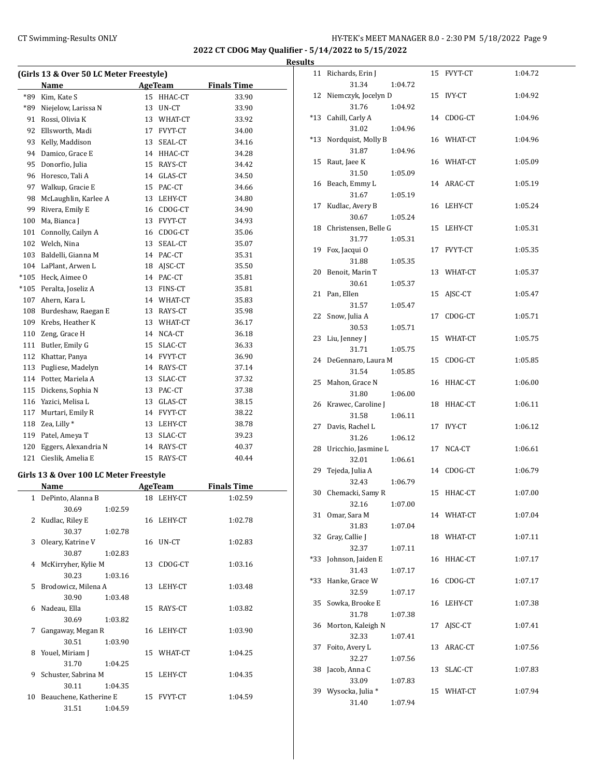## CT Swimming-Results ONLY **EXAMPLE 19 AND SET MANAGER 8.0 - 2:30 PM 5/18/2022** Page 9

**2022 CT CDOG May Qualifier - 5/14/2022 to 5/15/2022 Results**

| (Girls 13 & Over 50 LC Meter Freestyle) |                      |    |                |                    |  |  |  |
|-----------------------------------------|----------------------|----|----------------|--------------------|--|--|--|
|                                         | Name                 |    | <b>AgeTeam</b> | <b>Finals Time</b> |  |  |  |
| *89                                     | Kim, Kate S          | 15 | HHAC-CT        | 33.90              |  |  |  |
| *89                                     | Niejelow, Larissa N  | 13 | UN-CT          | 33.90              |  |  |  |
| 91                                      | Rossi, Olivia K      | 13 | WHAT-CT        | 33.92              |  |  |  |
| 92                                      | Ellsworth, Madi      | 17 | FVYT-CT        | 34.00              |  |  |  |
| 93                                      | Kelly, Maddison      | 13 | SEAL-CT        | 34.16              |  |  |  |
| 94                                      | Damico, Grace E      |    | 14 HHAC-CT     | 34.28              |  |  |  |
| 95                                      | Donorfio, Julia      | 15 | RAYS-CT        | 34.42              |  |  |  |
| 96                                      | Horesco, Tali A      | 14 | GLAS-CT        | 34.50              |  |  |  |
| 97                                      | Walkup, Gracie E     | 15 | PAC-CT         | 34.66              |  |  |  |
| 98                                      | McLaughlin, Karlee A | 13 | LEHY-CT        | 34.80              |  |  |  |
| 99                                      | Rivera, Emily E      | 16 | CDOG-CT        | 34.90              |  |  |  |
| 100                                     | Ma, Bianca J         | 13 | FVYT-CT        | 34.93              |  |  |  |
| 101                                     | Connolly, Cailyn A   | 16 | CDOG-CT        | 35.06              |  |  |  |
| 102                                     | Welch, Nina          | 13 | SEAL-CT        | 35.07              |  |  |  |
| 103                                     | Baldelli, Gianna M   | 14 | PAC-CT         | 35.31              |  |  |  |
| 104                                     | LaPlant, Arwen L     | 18 | AJSC-CT        | 35.50              |  |  |  |
| $*105$                                  | Heck, Aimee O        | 14 | PAC-CT         | 35.81              |  |  |  |
| $*105$                                  | Peralta, Joseliz A   | 13 | FINS-CT        | 35.81              |  |  |  |
| 107                                     | Ahern, Kara L        |    | 14 WHAT-CT     | 35.83              |  |  |  |
| 108                                     | Burdeshaw, Raegan E  |    | 13 RAYS-CT     | 35.98              |  |  |  |
| 109                                     | Krebs, Heather K     |    | 13 WHAT-CT     | 36.17              |  |  |  |
| 110                                     | Zeng, Grace H        | 14 | NCA-CT         | 36.18              |  |  |  |
| 111                                     | Butler, Emily G      | 15 | SLAC-CT        | 36.33              |  |  |  |
| 112                                     | Khattar, Panya       | 14 | FVYT-CT        | 36.90              |  |  |  |
| 113                                     | Pugliese, Madelyn    | 14 | RAYS-CT        | 37.14              |  |  |  |
| 114                                     | Potter, Mariela A    | 13 | SLAC-CT        | 37.32              |  |  |  |
| 115                                     | Dickens, Sophia N    | 13 | PAC-CT         | 37.38              |  |  |  |
| 116                                     | Yazici, Melisa L     | 13 | GLAS-CT        | 38.15              |  |  |  |
| 117                                     | Murtari, Emily R     | 14 | FVYT-CT        | 38.22              |  |  |  |
| 118                                     | Zea, Lilly *         | 13 | LEHY-CT        | 38.78              |  |  |  |
| 119                                     | Patel, Ameya T       | 13 | SLAC-CT        | 39.23              |  |  |  |
| 120                                     | Eggers, Alexandria N | 14 | RAYS-CT        | 40.37              |  |  |  |
| 121                                     | Cieslik, Amelia E    | 15 | RAYS-CT        | 40.44              |  |  |  |

## **Girls 13 & Over 100 LC Meter Freestyle**

|    | Name                   |         |    | AgeTeam    | <b>Finals Time</b> |  |
|----|------------------------|---------|----|------------|--------------------|--|
| 1  | DePinto, Alanna B      |         |    | 18 LEHY-CT | 1:02.59            |  |
|    | 30.69                  | 1:02.59 |    |            |                    |  |
| 2  | Kudlac, Riley E        |         |    | 16 LEHY-CT | 1:02.78            |  |
|    | 30.37                  | 1:02.78 |    |            |                    |  |
| 3  | Oleary, Katrine V      |         |    | 16 UN-CT   | 1:02.83            |  |
|    | 30.87                  | 1:02.83 |    |            |                    |  |
| 4  | McKirryher, Kylie M    |         | 13 | CDOG-CT    | 1:03.16            |  |
|    | 30.23                  | 1:03.16 |    |            |                    |  |
|    | 5 Brodowicz, Milena A  |         |    | 13 LEHY-CT | 1:03.48            |  |
|    | 30.90                  | 1:03.48 |    |            |                    |  |
| 6  | Nadeau, Ella           |         |    | 15 RAYS-CT | 1:03.82            |  |
|    | 30.69                  | 1:03.82 |    |            |                    |  |
| 7  | Gangaway, Megan R      |         |    | 16 LEHY-CT | 1:03.90            |  |
|    | 30.51                  | 1:03.90 |    |            |                    |  |
| 8  | Youel, Miriam J        |         |    | 15 WHAT-CT | 1:04.25            |  |
|    | 31.70                  | 1:04.25 |    |            |                    |  |
| 9  | Schuster, Sabrina M    |         |    | 15 LEHY-CT | 1:04.35            |  |
|    | 30.11                  | 1:04.35 |    |            |                    |  |
| 10 | Beauchene, Katherine E |         |    | 15 FVYT-CT | 1:04.59            |  |
|    | 31.51                  | 1:04.59 |    |            |                    |  |

| 11  | Richards, Erin J      |         |    | 15 FVYT-CT | 1:04.72 |
|-----|-----------------------|---------|----|------------|---------|
|     | 31.34                 | 1:04.72 |    |            |         |
| 12  | Niemczyk, Jocelyn D   |         |    | 15 IVY-CT  | 1:04.92 |
|     | 31.76                 | 1:04.92 |    |            |         |
| *13 | Cahill, Carly A       |         |    | 14 CDOG-CT | 1:04.96 |
|     | 31.02                 | 1:04.96 |    |            |         |
| *13 | Nordquist, Molly B    |         |    | 16 WHAT-CT | 1:04.96 |
|     | 31.87                 | 1:04.96 |    |            |         |
| 15  | Raut, Jaee K          |         |    | 16 WHAT-CT | 1:05.09 |
|     | 31.50                 | 1:05.09 |    |            |         |
| 16  | Beach, Emmy L         |         |    | 14 ARAC-CT | 1:05.19 |
|     | 31.67                 | 1:05.19 |    |            |         |
| 17  | Kudlac, Avery B       |         |    | 16 LEHY-CT | 1:05.24 |
|     |                       |         |    |            |         |
|     | 30.67                 | 1:05.24 |    |            |         |
| 18  | Christensen, Belle G  |         | 15 | LEHY-CT    | 1:05.31 |
|     | 31.77                 | 1:05.31 |    |            |         |
| 19  | Fox, Jacqui O         |         |    | 17 FVYT-CT | 1:05.35 |
|     | 31.88                 | 1:05.35 |    |            |         |
| 20  | Benoit, Marin T       |         |    | 13 WHAT-CT | 1:05.37 |
|     | 30.61                 | 1:05.37 |    |            |         |
| 21  | Pan, Ellen            |         |    | 15 AJSC-CT | 1:05.47 |
|     | 31.57                 | 1:05.47 |    |            |         |
| 22  | Snow, Julia A         |         | 17 | CDOG-CT    | 1:05.71 |
|     | 30.53                 | 1:05.71 |    |            |         |
| 23  | Liu, Jenney J         |         |    | 15 WHAT-CT | 1:05.75 |
|     | 31.71                 | 1:05.75 |    |            |         |
|     | 24 DeGennaro, Laura M |         | 15 | CDOG-CT    | 1:05.85 |
|     | 31.54                 | 1:05.85 |    |            |         |
| 25  | Mahon, Grace N        |         |    | 16 HHAC-CT | 1:06.00 |
|     | 31.80                 | 1:06.00 |    |            |         |
| 26  | Krawec, Caroline J    |         | 18 | HHAC-CT    | 1:06.11 |
|     | 31.58                 | 1:06.11 |    |            |         |
| 27  | Davis, Rachel L       |         | 17 | IVY-CT     | 1:06.12 |
|     | 31.26                 | 1:06.12 |    |            |         |
| 28  | Uricchio, Jasmine L   |         | 17 | NCA-CT     | 1:06.61 |
|     | 32.01                 | 1:06.61 |    |            |         |
| 29  | Tejeda, Julia A       |         |    | 14 CDOG-CT | 1:06.79 |
|     | 32.43                 | 1:06.79 |    |            |         |
| 30  | Chemacki, Samy R      |         | 15 | HHAC-CT    | 1:07.00 |
|     | 32.16                 | 1:07.00 |    |            |         |
|     |                       |         |    |            |         |
| 31  | Omar, Sara M          |         |    | 14 WHAT-CT | 1:07.04 |
|     | 31.83                 | 1:07.04 |    |            |         |
| 32  | Gray, Callie J        |         |    | 18 WHAT-CT | 1:07.11 |
|     | 32.37                 | 1:07.11 |    |            |         |
| *33 | Johnson, Jaiden E     |         | 16 | HHAC-CT    | 1:07.17 |
|     | 31.43                 | 1:07.17 |    |            |         |
| *33 | Hanke, Grace W        |         | 16 | CDOG-CT    | 1:07.17 |
|     | 32.59                 | 1:07.17 |    |            |         |
| 35  | Sowka, Brooke E       |         | 16 | LEHY-CT    | 1:07.38 |
|     | 31.78                 | 1:07.38 |    |            |         |
| 36  | Morton, Kaleigh N     |         | 17 | AJSC-CT    | 1:07.41 |
|     | 32.33                 | 1:07.41 |    |            |         |
| 37  | Foito, Avery L        |         | 13 | ARAC-CT    | 1:07.56 |
|     | 32.27                 | 1:07.56 |    |            |         |
| 38  | Jacob, Anna C         |         | 13 | SLAC-CT    | 1:07.83 |
|     | 33.09                 | 1:07.83 |    |            |         |
| 39  | Wysocka, Julia *      |         | 15 | WHAT-CT    | 1:07.94 |
|     | 31.40                 | 1:07.94 |    |            |         |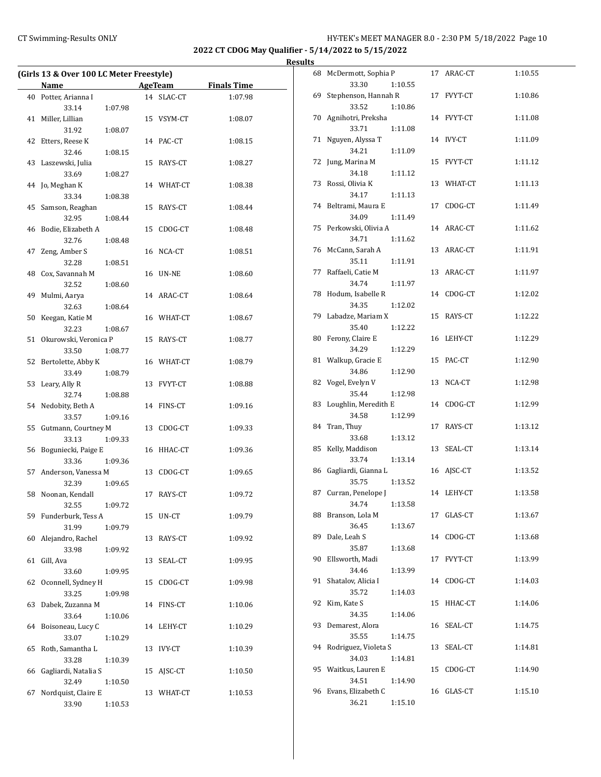## CT Swimming-Results ONLY **CT Swimming-Results ONLY** 10 12:30 PM 5/18/2022 Page 10

**2022 CT CDOG May Qualifier - 5/14/2022 to 5/15/2022**

|    | (Girls 13 & Over 100 LC Meter Freestyle) |         |    |               |                    |
|----|------------------------------------------|---------|----|---------------|--------------------|
|    | Name                                     |         |    | AgeTeam       | <b>Finals Time</b> |
|    | 40 Potter, Arianna I                     |         |    | 14 SLAC-CT    | 1:07.98            |
|    | 33.14                                    |         |    |               |                    |
|    |                                          | 1:07.98 |    |               |                    |
|    | 41 Miller, Lillian                       |         |    | 15 VSYM-CT    | 1:08.07            |
|    | 31.92                                    | 1:08.07 |    |               |                    |
|    | 42 Etters, Reese K                       |         |    | 14 PAC-CT     | 1:08.15            |
|    | 32.46                                    | 1:08.15 |    |               |                    |
|    | 43 Laszewski, Julia                      |         |    | 15 RAYS-CT    | 1:08.27            |
|    | 33.69                                    | 1:08.27 |    |               |                    |
|    | 44 Jo, Meghan K                          |         |    | 14 WHAT-CT    | 1:08.38            |
|    | 33.34                                    | 1:08.38 |    |               |                    |
|    | 45 Samson, Reaghan                       |         |    | 15 RAYS-CT    | 1:08.44            |
|    | 32.95                                    | 1:08.44 |    |               |                    |
|    | 46 Bodie, Elizabeth A                    |         |    | 15 CDOG-CT    | 1:08.48            |
|    | 32.76                                    | 1:08.48 |    |               |                    |
| 47 | Zeng, Amber S                            |         |    | 16 NCA-CT     | 1:08.51            |
|    | 32.28                                    | 1:08.51 |    |               |                    |
|    | 48 Cox, Savannah M                       |         |    | 16 UN-NE      | 1:08.60            |
|    | 32.52                                    | 1:08.60 |    |               |                    |
|    |                                          |         |    |               |                    |
|    | 49 Mulmi, Aarya                          |         |    | 14 ARAC-CT    | 1:08.64            |
|    | 32.63                                    | 1:08.64 |    |               |                    |
|    | 50 Keegan, Katie M                       |         |    | 16 WHAT-CT    | 1:08.67            |
|    | 32.23                                    | 1:08.67 |    |               |                    |
|    | 51 Okurowski, Veronica P                 |         |    | 15 RAYS-CT    | 1:08.77            |
|    | 33.50                                    | 1:08.77 |    |               |                    |
|    | 52 Bertolette, Abby K                    |         |    | 16 WHAT-CT    | 1:08.79            |
|    | 33.49                                    | 1:08.79 |    |               |                    |
|    | 53 Leary, Ally R                         |         |    | 13 FVYT-CT    | 1:08.88            |
|    | 32.74                                    | 1:08.88 |    |               |                    |
|    | 54 Nedobity, Beth A                      |         |    | 14 FINS-CT    | 1:09.16            |
|    | 33.57                                    | 1:09.16 |    |               |                    |
|    | 55 Gutmann, Courtney M                   |         | 13 | CDOG-CT       | 1:09.33            |
|    | 33.13                                    | 1:09.33 |    |               |                    |
|    | 56 Boguniecki, Paige E                   |         |    | 16 HHAC-CT    | 1:09.36            |
|    | 33.36                                    | 1:09.36 |    |               |                    |
|    | 57 Anderson, Vanessa M                   |         |    | 13 CDOG-CT    | 1:09.65            |
|    | 32.39                                    | 1:09.65 |    |               |                    |
|    |                                          |         |    | 17 RAYS-CT    |                    |
|    | 58 Noonan, Kendall                       |         |    |               | 1:09.72            |
|    | 32.55                                    | 1:09.72 |    |               |                    |
|    | 59 Funderburk, Tess A                    |         |    | 15 UN-CT      | 1:09.79            |
|    | 31.99                                    | 1:09.79 |    |               |                    |
|    | 60 Alejandro, Rachel                     |         |    | 13 RAYS-CT    | 1:09.92            |
|    | 33.98                                    | 1:09.92 |    |               |                    |
| 61 | Gill, Ava                                |         | 13 | SEAL-CT       | 1:09.95            |
|    | 33.60                                    | 1:09.95 |    |               |                    |
| 62 | Oconnell, Sydney H                       |         | 15 | CDOG-CT       | 1:09.98            |
|    | 33.25                                    | 1:09.98 |    |               |                    |
| 63 | Dabek, Zuzanna M                         |         |    | 14 FINS-CT    | 1:10.06            |
|    | 33.64                                    | 1:10.06 |    |               |                    |
|    | 64 Boisoneau, Lucy C                     |         |    | 14 LEHY-CT    | 1:10.29            |
|    | 33.07                                    | 1:10.29 |    |               |                    |
| 65 | Roth, Samantha L                         |         | 13 | <b>IVY-CT</b> | 1:10.39            |
|    | 33.28                                    | 1:10.39 |    |               |                    |
| 66 | Gagliardi, Natalia S                     |         | 15 | AJSC-CT       | 1:10.50            |
|    | 32.49                                    | 1:10.50 |    |               |                    |
| 67 | Nordquist, Claire E                      |         |    | 13 WHAT-CT    | 1:10.53            |
|    | 33.90                                    | 1:10.53 |    |               |                    |
|    |                                          |         |    |               |                    |

|    | 68 McDermott, Sophia P        |         |    | 17 ARAC-CT | 1:10.55 |
|----|-------------------------------|---------|----|------------|---------|
| 69 | 33.30<br>Stephenson, Hannah R | 1:10.55 |    | 17 FVYT-CT | 1:10.86 |
| 70 | 33.52<br>Agnihotri, Preksha   | 1:10.86 |    | 14 FVYT-CT | 1:11.08 |
| 71 | 33.71<br>Nguyen, Alyssa T     | 1:11.08 |    | 14 IVY-CT  | 1:11.09 |
|    | 34.21                         | 1:11.09 |    |            |         |
|    | 72 Jung, Marina M<br>34.18    | 1:11.12 | 15 | FVYT-CT    | 1:11.12 |
|    | 73 Rossi, Olivia K<br>34.17   | 1:11.13 |    | 13 WHAT-CT | 1:11.13 |
| 74 | Beltrami, Maura E<br>34.09    | 1:11.49 | 17 | CDOG-CT    | 1:11.49 |
| 75 | Perkowski, Olivia A           |         |    | 14 ARAC-CT | 1:11.62 |
| 76 | 34.71<br>McCann, Sarah A      | 1:11.62 | 13 | ARAC-CT    | 1:11.91 |
| 77 | 35.11<br>Raffaeli, Catie M    | 1:11.91 |    | 13 ARAC-CT | 1:11.97 |
|    | 34.74<br>78 Hodum, Isabelle R | 1:11.97 | 14 | CDOG-CT    | 1:12.02 |
|    | 34.35<br>79 Labadze, Mariam X | 1:12.02 |    | 15 RAYS-CT |         |
|    | 35.40                         | 1:12.22 |    |            | 1:12.22 |
| 80 | Ferony, Claire E<br>34.29     | 1:12.29 | 16 | LEHY-CT    | 1:12.29 |
| 81 | Walkup, Gracie E<br>34.86     | 1:12.90 | 15 | PAC-CT     | 1:12.90 |
| 82 | Vogel, Evelyn V<br>35.44      | 1:12.98 | 13 | NCA-CT     | 1:12.98 |
| 83 | Loughlin, Meredith E          |         |    | 14 CDOG-CT | 1:12.99 |
| 84 | 34.58<br>Tran, Thuy           | 1:12.99 |    | 17 RAYS-CT | 1:13.12 |
| 85 | 33.68<br>Kelly, Maddison      | 1:13.12 |    | 13 SEAL-CT | 1:13.14 |
| 86 | 33.74<br>Gagliardi, Gianna L  | 1:13.14 |    | 16 AJSC-CT | 1:13.52 |
|    | 35.75                         | 1:13.52 |    |            |         |
| 87 | Curran, Penelope J<br>34.74   | 1:13.58 |    | 14 LEHY-CT | 1:13.58 |
| 88 | Branson, Lola M<br>36.45      | 1:13.67 |    | 17 GLAS-CT | 1:13.67 |
| 89 | Dale, Leah S<br>35.87         | 1:13.68 | 14 | CDOG-CT    | 1:13.68 |
| 90 | Ellsworth, Madi<br>34.46      | 1:13.99 | 17 | FVYT-CT    | 1:13.99 |
| 91 | Shatalov, Alicia I            |         | 14 | CDOG-CT    | 1:14.03 |
| 92 | 35.72<br>Kim, Kate S          | 1:14.03 | 15 | HHAC-CT    | 1:14.06 |
| 93 | 34.35<br>Demarest, Alora      | 1:14.06 | 16 | SEAL-CT    | 1:14.75 |
| 94 | 35.55<br>Rodriguez, Violeta S | 1:14.75 | 13 | SEAL-CT    | 1:14.81 |
|    | 34.03                         | 1:14.81 |    |            |         |
| 95 | Waitkus, Lauren E<br>34.51    | 1:14.90 | 15 | CDOG-CT    | 1:14.90 |
| 96 | Evans, Elizabeth C<br>36.21   | 1:15.10 | 16 | GLAS-CT    | 1:15.10 |
|    |                               |         |    |            |         |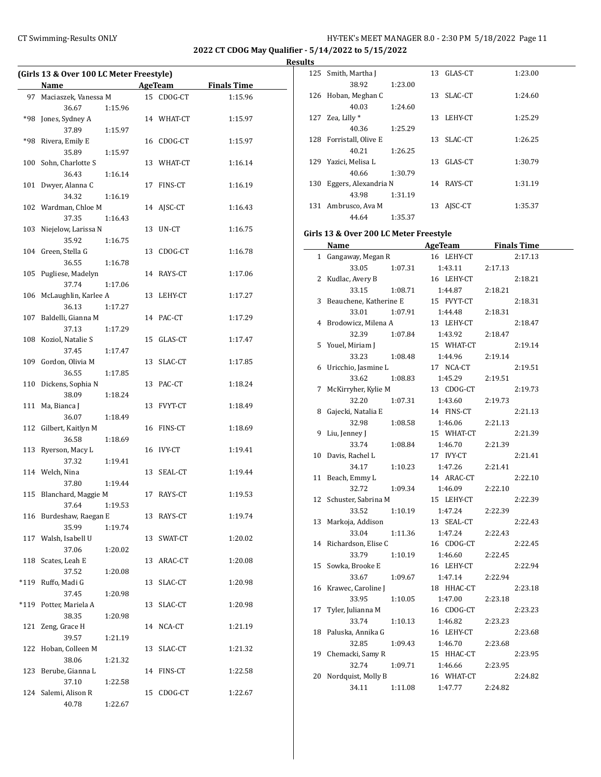## CT Swimming-Results ONLY **CT Swimming-Results ONLY** 11 CT Swimming-Results ONLY

**2022 CT CDOG May Qualifier - 5/14/2022 to 5/15/2022**

**Results**

| (Girls 13 & Over 100 LC Meter Freestyle) |                               |         |    |                |                    |  |
|------------------------------------------|-------------------------------|---------|----|----------------|--------------------|--|
|                                          | Name                          |         |    | <b>AgeTeam</b> | <b>Finals Time</b> |  |
| 97                                       | Maciaszek, Vanessa M          |         |    | 15 CDOG-CT     | 1:15.96            |  |
|                                          | 36.67                         | 1:15.96 |    |                |                    |  |
| *98                                      | Jones, Sydney A               |         |    | 14 WHAT-CT     | 1:15.97            |  |
|                                          | 37.89                         | 1:15.97 |    |                |                    |  |
| *98                                      | Rivera, Emily E               |         | 16 | CDOG-CT        | 1:15.97            |  |
|                                          | 35.89                         | 1:15.97 |    |                |                    |  |
| 100                                      | Sohn, Charlotte S             |         |    | 13 WHAT-CT     | 1:16.14            |  |
|                                          | 36.43                         | 1:16.14 |    |                |                    |  |
| 101                                      | Dwyer, Alanna C               |         |    | 17 FINS-CT     | 1:16.19            |  |
|                                          | 34.32                         | 1:16.19 |    |                |                    |  |
|                                          | 102 Wardman, Chloe M          |         |    | 14 AISC-CT     | 1:16.43            |  |
|                                          | 37.35                         | 1:16.43 |    |                |                    |  |
| 103                                      | Niejelow, Larissa N<br>35.92  | 1:16.75 | 13 | UN-CT          | 1:16.75            |  |
|                                          | 104 Green, Stella G           |         | 13 | CDOG-CT        | 1:16.78            |  |
|                                          | 36.55                         | 1:16.78 |    |                |                    |  |
| 105                                      | Pugliese, Madelyn             |         |    | 14 RAYS-CT     | 1:17.06            |  |
|                                          | 37.74                         | 1:17.06 |    |                |                    |  |
| 106                                      | McLaughlin, Karlee A          |         | 13 | LEHY-CT        | 1:17.27            |  |
|                                          | 36.13                         | 1:17.27 |    |                |                    |  |
| 107                                      | Baldelli, Gianna M            |         |    | 14 PAC-CT      | 1:17.29            |  |
|                                          | 37.13                         | 1:17.29 |    |                |                    |  |
|                                          | 108 Koziol, Natalie S         |         | 15 | GLAS-CT        | 1:17.47            |  |
|                                          | 37.45                         | 1:17.47 |    |                |                    |  |
| 109                                      | Gordon, Olivia M              |         | 13 | SLAC-CT        | 1:17.85            |  |
|                                          | 36.55                         | 1:17.85 |    |                |                    |  |
| 110                                      | Dickens, Sophia N             |         | 13 | PAC-CT         | 1:18.24            |  |
|                                          | 38.09                         | 1:18.24 |    |                |                    |  |
| 111                                      | Ma, Bianca J                  |         | 13 | FVYT-CT        | 1:18.49            |  |
|                                          | 36.07                         | 1:18.49 |    |                |                    |  |
| 112                                      | Gilbert, Kaitlyn M            |         | 16 | FINS-CT        | 1:18.69            |  |
|                                          | 36.58                         | 1:18.69 |    |                |                    |  |
| 113                                      | Ryerson, Macy L<br>37.32      |         | 16 | IVY-CT         | 1:19.41            |  |
|                                          | 114 Welch, Nina               | 1:19.41 |    |                | 1:19.44            |  |
|                                          | 37.80                         | 1:19.44 | 13 | SEAL-CT        |                    |  |
| 115                                      | Blanchard, Maggie M           |         |    | 17 RAYS-CT     | 1:19.53            |  |
|                                          | 37.64 1:19.53                 |         |    |                |                    |  |
|                                          | 116 Burdeshaw, Raegan E       |         |    | 13 RAYS-CT     | 1:19.74            |  |
|                                          | 35.99                         | 1:19.74 |    |                |                    |  |
|                                          | 117 Walsh, Isabell U          |         | 13 | SWAT-CT        | 1:20.02            |  |
|                                          | 37.06                         | 1:20.02 |    |                |                    |  |
| 118                                      | Scates, Leah E                |         | 13 | ARAC-CT        | 1:20.08            |  |
|                                          | 37.52                         | 1:20.08 |    |                |                    |  |
| $*119$                                   | Ruffo, Madi G                 |         | 13 | SLAC-CT        | 1:20.98            |  |
|                                          | 37.45                         | 1:20.98 |    |                |                    |  |
| *119                                     | Potter, Mariela A             |         | 13 | SLAC-CT        | 1:20.98            |  |
|                                          | 38.35                         | 1:20.98 |    |                |                    |  |
| 121                                      | Zeng, Grace H                 |         | 14 | NCA-CT         | 1:21.19            |  |
|                                          | 39.57                         | 1:21.19 |    |                |                    |  |
| 122                                      | Hoban, Colleen M              |         | 13 | SLAC-CT        | 1:21.32            |  |
|                                          | 38.06                         | 1:21.32 |    |                |                    |  |
| 123                                      | Berube, Gianna L              |         | 14 | FINS-CT        | 1:22.58            |  |
|                                          | 37.10                         | 1:22.58 |    |                |                    |  |
|                                          | 124 Salemi, Alison R<br>40.78 | 1:22.67 | 15 | CDOG-CT        | 1:22.67            |  |
|                                          |                               |         |    |                |                    |  |

|     | 125 Smith, Martha J     |         |     | 13 GLAS-CT | 1:23.00 |
|-----|-------------------------|---------|-----|------------|---------|
|     | 38.92                   | 1:23.00 |     |            |         |
|     | 126 Hoban, Meghan C     |         |     | 13 SLAC-CT | 1:24.60 |
|     | 40.03                   | 1:24.60 |     |            |         |
|     | 127 Zea, Lilly *        |         | 13  | LEHY-CT    | 1:25.29 |
|     | 40.36                   | 1:25.29 |     |            |         |
|     | 128 Forristall, Olive E |         | 13. | SLAC-CT    | 1:26.25 |
|     | 40.21                   | 1:26.25 |     |            |         |
| 129 | Yazici, Melisa L        |         | 13. | GLAS-CT    | 1:30.79 |
|     | 40.66                   | 1:30.79 |     |            |         |
| 130 | Eggers, Alexandria N    |         |     | 14 RAYS-CT | 1:31.19 |
|     | 43.98                   | 1:31.19 |     |            |         |
|     | 131 Ambrusco, Ava M     |         | 13  | AISC-CT    | 1:35.37 |
|     | 44.64                   | 1:35.37 |     |            |         |
|     |                         |         |     |            |         |

## **Girls 13 & Over 200 LC Meter Freestyle**

|              | <b>Name</b>            | <b>AgeTeam</b> | <b>Finals Time</b> |
|--------------|------------------------|----------------|--------------------|
| $\mathbf{1}$ | Gangaway, Megan R      | 16 LEHY-CT     | 2:17.13            |
|              | 33.05<br>1:07.31       | 1:43.11        | 2:17.13            |
| 2            | Kudlac, Avery B        | 16 LEHY-CT     | 2:18.21            |
|              | 33.15<br>1:08.71       | 1:44.87        | 2:18.21            |
| 3            | Beauchene, Katherine E | 15 FVYT-CT     | 2:18.31            |
|              | 33.01<br>1:07.91       | 1:44.48        | 2:18.31            |
| 4            | Brodowicz, Milena A    | 13 LEHY-CT     | 2:18.47            |
|              | 32.39<br>1:07.84       | 1:43.92        | 2:18.47            |
| 5            | Youel, Miriam J        | 15 WHAT-CT     | 2:19.14            |
|              | 33.23<br>1:08.48       | 1:44.96        | 2:19.14            |
| 6            | Uricchio, Jasmine L    | 17 NCA-CT      | 2:19.51            |
|              | 33.62<br>1:08.83       | 1:45.29        | 2:19.51            |
| 7            | McKirryher, Kylie M    | 13 CDOG-CT     | 2:19.73            |
|              | 32.20<br>1:07.31       | 1:43.60        | 2:19.73            |
| 8            | Gajecki, Natalia E     | 14 FINS-CT     | 2:21.13            |
|              | 32.98<br>1:08.58       | 1:46.06        | 2:21.13            |
| 9            | Liu, Jenney J          | 15 WHAT-CT     | 2:21.39            |
|              | 33.74<br>1:08.84       | 1:46.70        | 2:21.39            |
| 10           | Davis, Rachel L        | 17 IVY-CT      | 2:21.41            |
|              | 34.17<br>1:10.23       | 1:47.26        | 2:21.41            |
| 11           | Beach, Emmy L          | 14 ARAC-CT     | 2:22.10            |
|              | 32.72<br>1:09.34       | 1:46.09        | 2:22.10            |
| 12           | Schuster, Sabrina M    | 15 LEHY-CT     | 2:22.39            |
|              | 33.52<br>1:10.19       | 1:47.24        | 2:22.39            |
| 13           | Markoja, Addison       | 13 SEAL-CT     | 2:22.43            |
|              | 33.04<br>1:11.36       | 1:47.24        | 2:22.43            |
|              | 14 Richardson, Elise C | 16 CDOG-CT     | 2:22.45            |
|              | 1:10.19<br>33.79       | 1:46.60        | 2:22.45            |
| 15           | Sowka, Brooke E        | 16 LEHY-CT     | 2:22.94            |
|              | 33.67<br>1:09.67       | 1:47.14        | 2:22.94            |
| 16           | Krawec, Caroline J     | 18 HHAC-CT     | 2:23.18            |
|              | 33.95<br>1:10.05       | 1:47.00        | 2:23.18            |
| 17           | Tyler, Julianna M      | 16 CDOG-CT     | 2:23.23            |
|              | 33.74<br>1:10.13       | 1:46.82        | 2:23.23            |
| 18           | Paluska, Annika G      | 16 LEHY-CT     | 2:23.68            |
|              | 32.85<br>1:09.43       | 1:46.70        | 2:23.68            |
| 19           | Chemacki, Samy R       | 15 HHAC-CT     | 2:23.95            |
|              | 32.74<br>1:09.71       | 1:46.66        | 2:23.95            |
| 20           | Nordquist, Molly B     | 16 WHAT-CT     | 2:24.82            |
|              | 34.11<br>1:11.08       | 1:47.77        | 2:24.82            |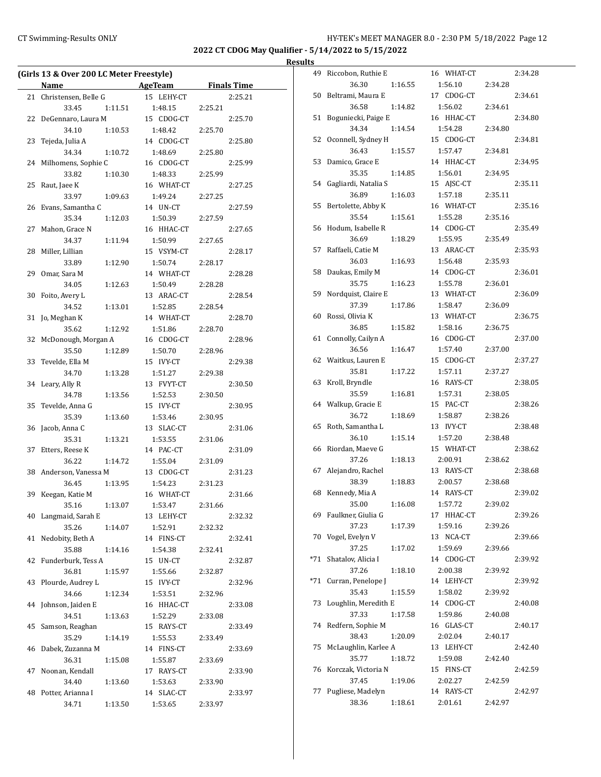**2022 CT CDOG May Qualifier - 5/14/2022 to 5/15/2022**

|    | (Girls 13 & Over 200 LC Meter Freestyle) |         |            |         |                    |  |  |
|----|------------------------------------------|---------|------------|---------|--------------------|--|--|
|    | Name                                     |         | AgeTeam    |         | <b>Finals Time</b> |  |  |
| 21 | Christensen, Belle G                     |         | 15 LEHY-CT |         | 2:25.21            |  |  |
|    | 33.45                                    | 1:11.51 | 1:48.15    | 2:25.21 |                    |  |  |
| 22 | DeGennaro, Laura M                       |         | 15 CDOG-CT |         | 2:25.70            |  |  |
|    | 34.10                                    | 1:10.53 | 1:48.42    | 2:25.70 |                    |  |  |
| 23 | Tejeda, Julia A                          |         | 14 CDOG-CT |         | 2:25.80            |  |  |
|    | 34.34                                    | 1:10.72 | 1:48.69    | 2:25.80 |                    |  |  |
| 24 | Milhomens, Sophie C                      |         | 16 CDOG-CT |         | 2:25.99            |  |  |
|    | 33.82                                    | 1:10.30 | 1:48.33    | 2:25.99 |                    |  |  |
| 25 | Raut, Jaee K                             |         | 16 WHAT-CT |         | 2:27.25            |  |  |
|    | 33.97                                    | 1:09.63 | 1:49.24    | 2:27.25 |                    |  |  |
| 26 | Evans, Samantha C                        |         | 14 UN-CT   |         | 2:27.59            |  |  |
|    | 35.34                                    | 1:12.03 | 1:50.39    | 2:27.59 |                    |  |  |
| 27 | Mahon, Grace N                           |         | 16 HHAC-CT |         | 2:27.65            |  |  |
|    | 34.37                                    | 1:11.94 | 1:50.99    | 2:27.65 |                    |  |  |
| 28 | Miller, Lillian                          |         | 15 VSYM-CT |         | 2:28.17            |  |  |
|    | 33.89                                    | 1:12.90 | 1:50.74    | 2:28.17 |                    |  |  |
| 29 | Omar, Sara M                             |         | 14 WHAT-CT |         | 2:28.28            |  |  |
|    | 34.05                                    | 1:12.63 | 1:50.49    | 2:28.28 |                    |  |  |
| 30 | Foito, Avery L                           |         | 13 ARAC-CT |         | 2:28.54            |  |  |
|    | 34.52                                    | 1:13.01 | 1:52.85    | 2:28.54 |                    |  |  |
| 31 | Jo, Meghan K                             |         | 14 WHAT-CT |         | 2:28.70            |  |  |
|    | 35.62                                    | 1:12.92 | 1:51.86    | 2:28.70 |                    |  |  |
| 32 | McDonough, Morgan A                      |         | 16 CDOG-CT |         | 2:28.96            |  |  |
|    | 35.50                                    | 1:12.89 | 1:50.70    | 2:28.96 |                    |  |  |
| 33 | Tevelde, Ella M                          |         | 15 IVY-CT  |         | 2:29.38            |  |  |
|    | 34.70                                    | 1:13.28 | 1:51.27    | 2:29.38 |                    |  |  |
| 34 | Leary, Ally R                            |         | 13 FVYT-CT |         | 2:30.50            |  |  |
|    | 34.78                                    | 1:13.56 | 1:52.53    | 2:30.50 |                    |  |  |
| 35 | Tevelde, Anna G                          |         | 15 IVY-CT  |         | 2:30.95            |  |  |
|    | 35.39                                    | 1:13.60 | 1:53.46    | 2:30.95 |                    |  |  |
| 36 | Jacob, Anna C                            |         | 13 SLAC-CT |         | 2:31.06            |  |  |
|    | 35.31                                    | 1:13.21 | 1:53.55    | 2:31.06 |                    |  |  |
| 37 | Etters, Reese K                          |         | 14 PAC-CT  |         | 2:31.09            |  |  |
|    | 36.22                                    | 1:14.72 | 1:55.04    | 2:31.09 |                    |  |  |
| 38 | Anderson, Vanessa M                      |         | 13 CDOG-CT |         | 2:31.23            |  |  |
|    | 36.45                                    | 1:13.95 | 1:54.23    | 2:31.23 |                    |  |  |
| 39 | Keegan, Katie M                          |         | 16 WHAT-CT |         | 2:31.66            |  |  |
|    | 35.16                                    | 1:13.07 | 1:53.47    | 2:31.66 |                    |  |  |
| 40 | Langmaid, Sarah E                        |         | 13 LEHY-CT |         | 2:32.32            |  |  |
|    | 35.26                                    | 1:14.07 | 1:52.91    | 2:32.32 |                    |  |  |
| 41 | Nedobity, Beth A                         |         | 14 FINS-CT |         | 2:32.41            |  |  |
|    | 35.88                                    | 1:14.16 | 1:54.38    | 2:32.41 |                    |  |  |
| 42 | Funderburk, Tess A                       |         | 15 UN-CT   |         | 2:32.87            |  |  |
|    | 36.81                                    | 1:15.97 | 1:55.66    | 2:32.87 |                    |  |  |
| 43 | Plourde, Audrey L                        |         | 15 IVY-CT  |         | 2:32.96            |  |  |
|    | 34.66                                    | 1:12.34 | 1:53.51    | 2:32.96 |                    |  |  |
| 44 | Johnson, Jaiden E                        |         | 16 HHAC-CT |         | 2:33.08            |  |  |
|    | 34.51                                    | 1:13.63 | 1:52.29    | 2:33.08 |                    |  |  |
| 45 | Samson, Reaghan                          |         | 15 RAYS-CT |         | 2:33.49            |  |  |
|    | 35.29                                    | 1:14.19 | 1:55.53    | 2:33.49 |                    |  |  |
| 46 | Dabek, Zuzanna M                         |         | 14 FINS-CT |         | 2:33.69            |  |  |
|    | 36.31                                    | 1:15.08 | 1:55.87    | 2:33.69 |                    |  |  |
| 47 | Noonan, Kendall                          |         | 17 RAYS-CT |         | 2:33.90            |  |  |
|    | 34.40                                    | 1:13.60 | 1:53.63    | 2:33.90 |                    |  |  |
| 48 | Potter, Arianna I                        |         | 14 SLAC-CT |         | 2:33.97            |  |  |
|    | 34.71                                    | 1:13.50 | 1:53.65    | 2:33.97 |                    |  |  |

| 49  | Riccobon, Ruthie E         |         | 16 WHAT-CT            |         | 2:34.28 |
|-----|----------------------------|---------|-----------------------|---------|---------|
|     | 36.30                      | 1:16.55 | 1:56.10               | 2:34.28 |         |
| 50  | Beltrami, Maura E          |         | 17 CDOG-CT            |         | 2:34.61 |
|     | 36.58                      | 1:14.82 | 1:56.02               | 2:34.61 |         |
| 51  | Boguniecki, Paige E        |         | 16 HHAC-CT            |         | 2:34.80 |
|     | 34.34                      | 1:14.54 | 1:54.28               | 2:34.80 |         |
| 52  | Oconnell, Sydney H         |         | 15 CDOG-CT            |         | 2:34.81 |
|     | 36.43                      | 1:15.57 | 1:57.47               | 2:34.81 |         |
| 53  | Damico, Grace E            |         | 14 HHAC-CT            |         | 2:34.95 |
|     | 35.35                      | 1:14.85 | 1:56.01               | 2:34.95 |         |
| 54  | Gagliardi, Natalia S       |         | 15 AJSC-CT            |         | 2:35.11 |
|     | 36.89                      | 1:16.03 | 1:57.18               | 2:35.11 |         |
| 55  | Bertolette, Abby K         |         | 16 WHAT-CT            |         | 2:35.16 |
|     | 35.54                      | 1:15.61 | 1:55.28               | 2:35.16 |         |
| 56  | Hodum, Isabelle R          |         | 14 CDOG-CT            |         | 2:35.49 |
|     | 36.69                      | 1:18.29 | 1:55.95               | 2:35.49 |         |
| 57  | Raffaeli, Catie M          |         | 13 ARAC-CT            |         | 2:35.93 |
|     | 36.03                      | 1:16.93 | 1:56.48               | 2:35.93 |         |
| 58  | Daukas, Emily M            |         | 14 CDOG-CT            |         | 2:36.01 |
|     | 35.75                      | 1:16.23 | 1:55.78               | 2:36.01 |         |
| 59  | Nordquist, Claire E        |         | 13 WHAT-CT            |         | 2:36.09 |
|     | 37.39                      | 1:17.86 | 1:58.47               | 2:36.09 |         |
| 60  | Rossi, Olivia K            |         | 13 WHAT-CT            |         | 2:36.75 |
|     | 36.85                      | 1:15.82 | 1:58.16               | 2:36.75 |         |
| 61  | Connolly, Cailyn A         |         | 16 CDOG-CT            |         | 2:37.00 |
|     | 36.56                      | 1:16.47 | 1:57.40               | 2:37.00 |         |
| 62  | Waitkus, Lauren E          |         | 15 CDOG-CT            |         | 2:37.27 |
|     | 35.81                      | 1:17.22 | 1:57.11               | 2:37.27 |         |
| 63  | Kroll, Bryndle             |         | 16 RAYS-CT            |         | 2:38.05 |
|     | 35.59                      | 1:16.81 | 1:57.31               | 2:38.05 |         |
| 64  | Walkup, Gracie E           |         | 15 PAC-CT             |         | 2:38.26 |
|     | 36.72                      | 1:18.69 | 1:58.87               | 2:38.26 |         |
| 65  | Roth, Samantha L           |         | 13 IVY-CT             |         | 2:38.48 |
|     | 36.10                      | 1:15.14 | 1:57.20               | 2:38.48 |         |
| 66  | Riordan, Maeve G           |         | 15 WHAT-CT            |         | 2:38.62 |
|     | 37.26                      | 1:18.13 | 2:00.91               | 2:38.62 | 2:38.68 |
| 67  | Alejandro, Rachel<br>38.39 |         | 13 RAYS-CT<br>2:00.57 | 2:38.68 |         |
| 68  | Kennedy, Mia A             | 1:18.83 | 14 RAYS-CT            |         | 2:39.02 |
|     | 35.00                      | 1:16.08 | 1:57.72               | 2:39.02 |         |
| 69  | Faulkner, Giulia G         |         | 17 HHAC-CT            |         | 2:39.26 |
|     | 37.23                      | 1:17.39 | 1:59.16               | 2:39.26 |         |
| 70  | Vogel, Evelyn V            |         | 13 NCA-CT             |         | 2:39.66 |
|     | 37.25                      | 1:17.02 | 1:59.69               | 2:39.66 |         |
| *71 | Shatalov, Alicia I         |         | 14 CDOG-CT            |         | 2:39.92 |
|     | 37.26                      | 1:18.10 | 2:00.38               | 2:39.92 |         |
| *71 | Curran, Penelope J         |         | 14 LEHY-CT            |         | 2:39.92 |
|     | 35.43                      | 1:15.59 | 1:58.02               | 2:39.92 |         |
| 73  | Loughlin, Meredith E       |         | 14 CDOG-CT            |         | 2:40.08 |
|     | 37.33                      | 1:17.58 | 1:59.86               | 2:40.08 |         |
| 74  | Redfern, Sophie M          |         | 16 GLAS-CT            |         | 2:40.17 |
|     | 38.43                      | 1:20.09 | 2:02.04               | 2:40.17 |         |
| 75  | McLaughlin, Karlee A       |         | 13 LEHY-CT            |         | 2:42.40 |
|     | 35.77                      | 1:18.72 | 1:59.08               | 2:42.40 |         |
| 76  | Korczak, Victoria N        |         | 15 FINS-CT            |         | 2:42.59 |
|     | 37.45                      | 1:19.06 | 2:02.27               | 2:42.59 |         |
| 77  | Pugliese, Madelyn          |         | 14 RAYS-CT            |         | 2:42.97 |
|     | 38.36                      | 1:18.61 | 2:01.61               | 2:42.97 |         |
|     |                            |         |                       |         |         |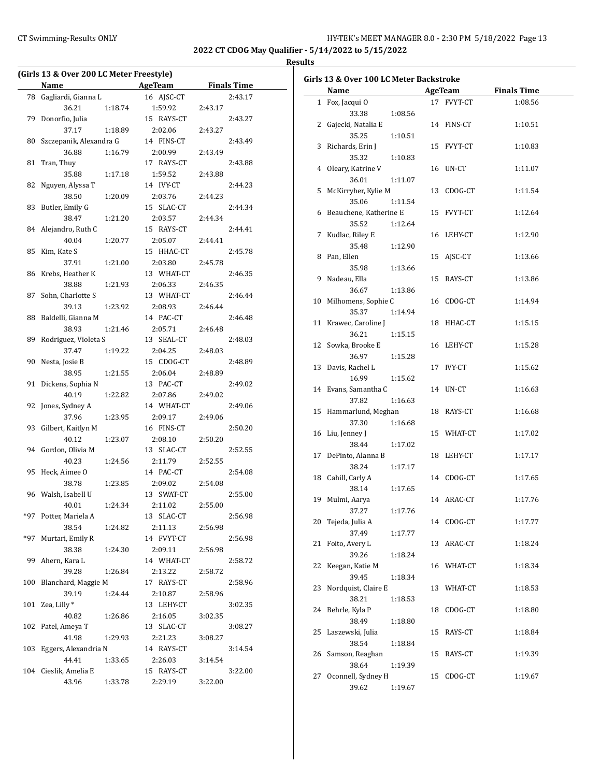**2022 CT CDOG May Qualifier - 5/14/2022 to 5/15/2022**

|       | (Girls 13 & Over 200 LC Meter Freestyle)                                                                                                 |                |         |                    |  |  |  |  |
|-------|------------------------------------------------------------------------------------------------------------------------------------------|----------------|---------|--------------------|--|--|--|--|
|       | Name<br>$\mathcal{L}^{\mathcal{L}}$ and $\mathcal{L}^{\mathcal{L}}$ are the set of the set of the set of the $\mathcal{L}^{\mathcal{L}}$ | <b>AgeTeam</b> |         | <b>Finals Time</b> |  |  |  |  |
| 78    | Gagliardi, Gianna L                                                                                                                      | 16 AJSC-CT     |         | 2:43.17            |  |  |  |  |
|       | 36.21<br>1:18.74                                                                                                                         | 1:59.92        | 2:43.17 |                    |  |  |  |  |
| 79    | Donorfio, Julia                                                                                                                          | 15 RAYS-CT     |         | 2:43.27            |  |  |  |  |
|       | 37.17<br>1:18.89                                                                                                                         | 2:02.06        | 2:43.27 |                    |  |  |  |  |
| 80    | Szczepanik, Alexandra G                                                                                                                  | 14 FINS-CT     |         | 2:43.49            |  |  |  |  |
|       | 1:16.79<br>36.88                                                                                                                         | 2:00.99        | 2:43.49 |                    |  |  |  |  |
| 81    | Tran, Thuy                                                                                                                               | 17 RAYS-CT     |         | 2:43.88            |  |  |  |  |
|       | 35.88<br>1:17.18                                                                                                                         | 1:59.52        | 2:43.88 |                    |  |  |  |  |
| 82    | Nguyen, Alyssa T                                                                                                                         | 14 IVY-CT      |         | 2:44.23            |  |  |  |  |
|       | 38.50<br>1:20.09                                                                                                                         | 2:03.76        | 2:44.23 |                    |  |  |  |  |
| 83    | Butler, Emily G                                                                                                                          | 15 SLAC-CT     |         | 2:44.34            |  |  |  |  |
|       | 38.47<br>1:21.20                                                                                                                         | 2:03.57        | 2:44.34 |                    |  |  |  |  |
| 84    | Alejandro, Ruth C                                                                                                                        | 15 RAYS-CT     |         | 2:44.41            |  |  |  |  |
|       | 40.04<br>1:20.77                                                                                                                         | 2:05.07        | 2:44.41 |                    |  |  |  |  |
| 85    | Kim, Kate S                                                                                                                              | 15 HHAC-CT     |         | 2:45.78            |  |  |  |  |
|       | 37.91<br>1:21.00                                                                                                                         | 2:03.80        | 2:45.78 |                    |  |  |  |  |
| 86    | Krebs, Heather K                                                                                                                         | 13 WHAT-CT     |         | 2:46.35            |  |  |  |  |
|       | 38.88<br>1:21.93                                                                                                                         | 2:06.33        | 2:46.35 |                    |  |  |  |  |
| 87    | Sohn, Charlotte S                                                                                                                        | 13 WHAT-CT     |         | 2:46.44            |  |  |  |  |
|       | 39.13<br>1:23.92                                                                                                                         | 2:08.93        | 2:46.44 |                    |  |  |  |  |
| 88    | Baldelli, Gianna M                                                                                                                       | 14 PAC-CT      |         | 2:46.48            |  |  |  |  |
|       | 38.93<br>1:21.46                                                                                                                         | 2:05.71        | 2:46.48 |                    |  |  |  |  |
| 89    | Rodriguez, Violeta S                                                                                                                     | 13 SEAL-CT     |         | 2:48.03            |  |  |  |  |
|       | 37.47<br>1:19.22                                                                                                                         | 2:04.25        | 2:48.03 |                    |  |  |  |  |
| 90    | Nesta, Josie B                                                                                                                           | 15 CDOG-CT     |         | 2:48.89            |  |  |  |  |
|       | 38.95<br>1:21.55                                                                                                                         | 2:06.04        | 2:48.89 |                    |  |  |  |  |
| 91    | Dickens, Sophia N                                                                                                                        | 13 PAC-CT      |         | 2:49.02            |  |  |  |  |
|       | 40.19<br>1:22.82                                                                                                                         | 2:07.86        | 2:49.02 |                    |  |  |  |  |
| 92    | Jones, Sydney A                                                                                                                          | 14 WHAT-CT     |         | 2:49.06            |  |  |  |  |
|       | 37.96<br>1:23.95                                                                                                                         | 2:09.17        | 2:49.06 |                    |  |  |  |  |
| 93    | Gilbert, Kaitlyn M                                                                                                                       | 16 FINS-CT     |         | 2:50.20            |  |  |  |  |
|       | 40.12<br>1:23.07                                                                                                                         | 2:08.10        | 2:50.20 |                    |  |  |  |  |
| 94    | Gordon, Olivia M                                                                                                                         | 13 SLAC-CT     |         | 2:52.55            |  |  |  |  |
|       | 40.23<br>1:24.56                                                                                                                         | 2:11.79        | 2:52.55 |                    |  |  |  |  |
| 95    | Heck, Aimee O                                                                                                                            | 14 PAC-CT      |         | 2:54.08            |  |  |  |  |
|       | 38.78<br>1:23.85                                                                                                                         | 2:09.02        | 2:54.08 |                    |  |  |  |  |
| 96    | Walsh, Isabell U                                                                                                                         | 13 SWAT-CT     |         | 2:55.00            |  |  |  |  |
|       | 40.01<br>1:24.34                                                                                                                         | 2:11.02        | 2:55.00 |                    |  |  |  |  |
| *97   | Potter, Mariela A                                                                                                                        | 13 SLAC-CT     |         | 2:56.98            |  |  |  |  |
|       | 38.54<br>1:24.82                                                                                                                         | 2:11.13        | 2:56.98 |                    |  |  |  |  |
| $*97$ | Murtari, Emily R                                                                                                                         | 14 FVYT-CT     |         | 2:56.98            |  |  |  |  |
|       | 38.38<br>1:24.30                                                                                                                         | 2:09.11        | 2:56.98 |                    |  |  |  |  |
| 99    | Ahern, Kara L                                                                                                                            | 14 WHAT-CT     |         | 2:58.72            |  |  |  |  |
|       | 39.28<br>1:26.84                                                                                                                         | 2:13.22        | 2:58.72 |                    |  |  |  |  |
| 100   | Blanchard, Maggie M                                                                                                                      | 17 RAYS-CT     |         | 2:58.96            |  |  |  |  |
|       | 39.19<br>1:24.44                                                                                                                         | 2:10.87        | 2:58.96 |                    |  |  |  |  |
| 101   | Zea, Lilly*                                                                                                                              | 13 LEHY-CT     |         | 3:02.35            |  |  |  |  |
|       | 40.82<br>1:26.86                                                                                                                         | 2:16.05        | 3:02.35 |                    |  |  |  |  |
| 102   | Patel, Ameya T                                                                                                                           | 13 SLAC-CT     |         | 3:08.27            |  |  |  |  |
|       | 41.98<br>1:29.93                                                                                                                         | 2:21.23        | 3:08.27 |                    |  |  |  |  |
| 103   | Eggers, Alexandria N                                                                                                                     | 14 RAYS-CT     |         | 3:14.54            |  |  |  |  |
|       | 44.41<br>1:33.65                                                                                                                         | 2:26.03        | 3:14.54 |                    |  |  |  |  |
| 104   | Cieslik, Amelia E                                                                                                                        | 15 RAYS-CT     |         | 3:22.00            |  |  |  |  |
|       | 43.96<br>1:33.78                                                                                                                         | 2:29.19        | 3:22.00 |                    |  |  |  |  |
|       |                                                                                                                                          |                |         |                    |  |  |  |  |

|    | <b>Name</b>              |         |    | <b>AgeTeam</b> | <b>Finals Time</b> |
|----|--------------------------|---------|----|----------------|--------------------|
|    | 1 Fox, Jacqui O          |         |    | 17 FVYT-CT     | 1:08.56            |
|    | 33.38                    | 1:08.56 |    |                |                    |
|    | 2 Gajecki, Natalia E     |         |    | 14 FINS-CT     | 1:10.51            |
|    | 35.25                    | 1:10.51 |    |                |                    |
|    | 3 Richards, Erin J       |         |    | 15 FVYT-CT     | 1:10.83            |
|    | 35.32                    | 1:10.83 |    |                |                    |
|    | 4 Oleary, Katrine V      |         |    | 16 UN-CT       | 1:11.07            |
|    | 36.01                    | 1:11.07 |    |                |                    |
|    | 5 McKirryher, Kylie M    |         |    | 13 CDOG-CT     | 1:11.54            |
|    | 35.06                    | 1:11.54 |    |                |                    |
|    | 6 Beauchene, Katherine E |         |    | 15 FVYT-CT     | 1:12.64            |
|    | 35.52                    | 1:12.64 |    |                |                    |
|    | 7 Kudlac, Riley E        |         |    | 16 LEHY-CT     | 1:12.90            |
|    | 35.48                    | 1:12.90 |    |                |                    |
|    | 8 Pan, Ellen             |         |    | 15 AJSC-CT     | 1:13.66            |
|    | 35.98                    | 1:13.66 |    |                |                    |
|    | 9 Nadeau, Ella           |         |    | 15 RAYS-CT     | 1:13.86            |
|    | 36.67                    | 1:13.86 |    |                |                    |
|    | 10 Milhomens, Sophie C   |         |    | 16 CDOG-CT     | 1:14.94            |
|    | 35.37                    | 1:14.94 |    |                |                    |
|    | 11 Krawec, Caroline J    |         |    | 18 HHAC-CT     | 1:15.15            |
|    | 36.21                    | 1:15.15 |    |                |                    |
|    | 12 Sowka, Brooke E       |         |    | 16 LEHY-CT     | 1:15.28            |
|    | 36.97                    | 1:15.28 |    |                |                    |
|    | 13 Davis, Rachel L       |         |    | 17 IVY-CT      | 1:15.62            |
|    | 16.99                    | 1:15.62 |    |                |                    |
|    | 14 Evans, Samantha C     |         |    | 14 UN-CT       | 1:16.63            |
|    | 37.82                    | 1:16.63 |    |                |                    |
|    | 15 Hammarlund, Meghan    |         |    | 18 RAYS-CT     | 1:16.68            |
|    | 37.30                    | 1:16.68 |    |                |                    |
|    | 16 Liu, Jenney J         |         |    | 15 WHAT-CT     | 1:17.02            |
|    | 38.44                    | 1:17.02 |    |                |                    |
|    | 17 DePinto, Alanna B     |         |    | 18 LEHY-CT     | 1:17.17            |
|    | 38.24                    | 1:17.17 |    |                |                    |
|    | 18 Cahill, Carly A       |         |    | 14 CDOG-CT     | 1:17.65            |
|    | 38.14                    | 1:17.65 |    |                |                    |
| 19 | Mulmi, Aarya             |         |    | 14 ARAC-CT     | 1:17.76            |
|    | 37.27                    | 1:17.76 |    |                |                    |
| 20 | Tejeda, Julia A          |         |    | 14 CDOG-CT     | 1:17.77            |
|    | 37.49                    |         |    |                |                    |
| 21 | Foito, Avery L           | 1:17.77 | 13 | ARAC-CT        | 1:18.24            |
|    |                          |         |    |                |                    |
|    | 39.26                    | 1:18.24 |    | 16 WHAT-CT     |                    |
| 22 | Keegan, Katie M          |         |    |                | 1:18.34            |
|    | 39.45                    | 1:18.34 |    |                |                    |
| 23 | Nordquist, Claire E      |         | 13 | WHAT-CT        | 1:18.53            |
|    | 38.21                    | 1:18.53 |    |                |                    |
| 24 | Behrle, Kyla P           |         | 18 | CDOG-CT        | 1:18.80            |
|    | 38.49                    | 1:18.80 |    |                |                    |
| 25 | Laszewski, Julia         |         | 15 | RAYS-CT        | 1:18.84            |
|    | 38.54                    | 1:18.84 |    |                |                    |
| 26 | Samson, Reaghan          |         | 15 | RAYS-CT        | 1:19.39            |
|    | 38.64                    | 1:19.39 |    |                |                    |
| 27 | Oconnell, Sydney H       |         | 15 | CDOG-CT        | 1:19.67            |
|    | 39.62                    | 1:19.67 |    |                |                    |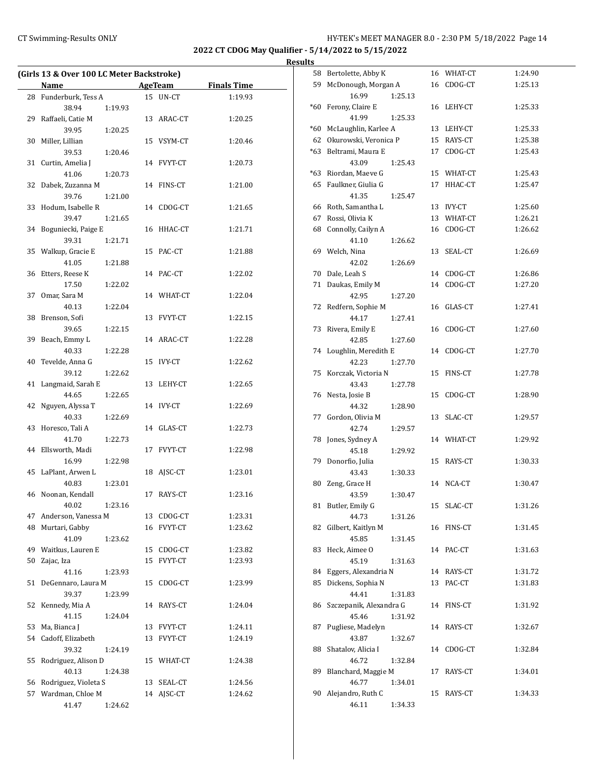## CT Swimming-Results ONLY **CT Swimming-Results ONLY** 14

**2022 CT CDOG May Qualifier - 5/14/2022 to 5/15/2022**

**Results**

|    | (Girls 13 & Over 100 LC Meter Backstroke)<br>Name |    | AgeTeam    | <b>Finals Time</b> |
|----|---------------------------------------------------|----|------------|--------------------|
|    | 28 Funderburk, Tess A                             |    | 15 UN-CT   | 1:19.93            |
|    |                                                   |    |            |                    |
|    | 38.94<br>1:19.93                                  |    |            |                    |
| 29 | Raffaeli, Catie M                                 |    | 13 ARAC-CT | 1:20.25            |
|    | 39.95<br>1:20.25                                  |    |            |                    |
|    | 30 Miller, Lillian                                |    | 15 VSYM-CT | 1:20.46            |
|    | 39.53<br>1:20.46                                  |    |            |                    |
| 31 | Curtin, Amelia J                                  |    | 14 FVYT-CT | 1:20.73            |
|    | 41.06<br>1:20.73                                  |    |            |                    |
| 32 | Dabek, Zuzanna M                                  |    | 14 FINS-CT | 1:21.00            |
|    | 39.76<br>1:21.00                                  |    |            |                    |
| 33 | Hodum, Isabelle R                                 |    | 14 CDOG-CT | 1:21.65            |
|    | 39.47<br>1:21.65                                  |    |            |                    |
| 34 | Boguniecki, Paige E                               |    | 16 HHAC-CT | 1:21.71            |
|    | 39.31<br>1:21.71                                  |    |            |                    |
| 35 | Walkup, Gracie E                                  |    | 15 PAC-CT  | 1:21.88            |
|    | 41.05<br>1:21.88                                  |    |            |                    |
| 36 | Etters, Reese K                                   |    | 14 PAC-CT  | 1:22.02            |
|    | 17.50<br>1:22.02                                  |    |            |                    |
| 37 | Omar, Sara M                                      |    | 14 WHAT-CT | 1:22.04            |
|    | 40.13<br>1:22.04                                  |    |            |                    |
|    | 38 Brenson, Sofi                                  |    | 13 FVYT-CT | 1:22.15            |
|    | 39.65<br>1:22.15                                  |    |            |                    |
| 39 | Beach, Emmy L                                     |    | 14 ARAC-CT | 1:22.28            |
|    | 40.33<br>1:22.28                                  |    |            |                    |
| 40 | Tevelde, Anna G                                   |    | 15 IVY-CT  | 1:22.62            |
|    | 39.12<br>1:22.62                                  |    |            |                    |
| 41 | Langmaid, Sarah E                                 |    | 13 LEHY-CT | 1:22.65            |
|    | 44.65<br>1:22.65                                  |    |            |                    |
| 42 | Nguyen, Alyssa T                                  |    | 14 IVY-CT  | 1:22.69            |
|    | 40.33<br>1:22.69                                  |    |            |                    |
| 43 | Horesco, Tali A                                   |    | 14 GLAS-CT | 1:22.73            |
|    | 41.70<br>1:22.73                                  |    |            |                    |
| 44 | Ellsworth, Madi                                   |    | 17 FVYT-CT | 1:22.98            |
|    | 16.99<br>1:22.98                                  |    |            |                    |
| 45 | LaPlant, Arwen L                                  | 18 | AJSC-CT    | 1:23.01            |
|    | 40.83<br>1:23.01                                  |    |            |                    |
| 46 | Noonan, Kendall                                   | 17 | RAYS-CT    | 1:23.16            |
|    | 1:23.16<br>40.02                                  |    |            |                    |
| 47 | Anderson, Vanessa M                               |    | 13 CDOG-CT | 1:23.31            |
| 48 | Murtari, Gabby                                    | 16 | FVYT-CT    | 1:23.62            |
|    | 41.09<br>1:23.62                                  |    |            |                    |
| 49 | Waitkus, Lauren E                                 |    | 15 CDOG-CT | 1:23.82            |
| 50 | Zajac, Iza                                        |    | 15 FVYT-CT | 1:23.93            |
|    | 41.16<br>1:23.93                                  |    |            |                    |
| 51 | DeGennaro, Laura M                                | 15 | CDOG-CT    | 1:23.99            |
|    | 39.37<br>1:23.99                                  |    |            |                    |
| 52 | Kennedy, Mia A                                    |    | 14 RAYS-CT | 1:24.04            |
|    | 41.15<br>1:24.04                                  |    |            |                    |
|    | 53 Ma, Bianca J                                   |    | 13 FVYT-CT | 1:24.11            |
| 54 | Cadoff, Elizabeth                                 |    | 13 FVYT-CT | 1:24.19            |
|    | 39.32<br>1:24.19                                  |    |            |                    |
| 55 | Rodriguez, Alison D                               |    | 15 WHAT-CT | 1:24.38            |
|    | 40.13<br>1:24.38                                  |    |            |                    |
| 56 | Rodriguez, Violeta S                              | 13 | SEAL-CT    | 1:24.56            |
| 57 | Wardman, Chloe M                                  |    | 14 AJSC-CT | 1:24.62            |
|    | 41.47<br>1:24.62                                  |    |            |                    |

| 58    | Bertolette, Abby K           |    | 16 WHAT-CT | 1:24.90 |
|-------|------------------------------|----|------------|---------|
| 59    | McDonough, Morgan A          |    | 16 CDOG-CT | 1:25.13 |
|       | 16.99<br>1:25.13             |    |            |         |
| *60   | Ferony, Claire E             |    | 16 LEHY-CT | 1:25.33 |
|       | 41.99<br>1:25.33             |    |            |         |
| $*60$ | McLaughlin, Karlee A         |    | 13 LEHY-CT | 1:25.33 |
|       | 62 Okurowski, Veronica P     |    | 15 RAYS-CT | 1:25.38 |
| *63   | Beltrami, Maura E            |    | 17 CDOG-CT | 1:25.43 |
|       | 43.09<br>1:25.43             |    |            |         |
|       | *63 Riordan, Maeve G         |    | 15 WHAT-CT | 1:25.43 |
| 65    | Faulkner, Giulia G           |    | 17 HHAC-CT | 1:25.47 |
|       | 41.35<br>1:25.47             |    |            |         |
|       | 66 Roth, Samantha L          |    | 13 IVY-CT  | 1:25.60 |
|       | 67 Rossi, Olivia K           |    | 13 WHAT-CT | 1:26.21 |
|       | 68 Connolly, Cailyn A        |    | 16 CDOG-CT | 1:26.62 |
|       | 41.10<br>1:26.62             |    |            |         |
|       |                              |    |            |         |
| 69    | Welch, Nina                  | 13 | SEAL-CT    | 1:26.69 |
|       | 42.02<br>1:26.69             |    |            |         |
|       | 70 Dale, Leah S              |    | 14 CDOG-CT | 1:26.86 |
|       | 71 Daukas, Emily M           |    | 14 CDOG-CT | 1:27.20 |
|       | 42.95<br>1:27.20             |    |            |         |
| 72    | Redfern, Sophie M            |    | 16 GLAS-CT | 1:27.41 |
|       | 44.17<br>1:27.41             |    |            |         |
| 73    | Rivera, Emily E              |    | 16 CDOG-CT | 1:27.60 |
|       | 42.85<br>1:27.60             |    |            |         |
|       | 74 Loughlin, Meredith E      | 14 | CDOG-CT    | 1:27.70 |
|       | 42.23<br>1:27.70             |    |            |         |
| 75    | Korczak, Victoria N          | 15 | FINS-CT    | 1:27.78 |
|       | 43.43<br>1:27.78             |    |            |         |
| 76    | Nesta, Josie B               | 15 | CDOG-CT    | 1:28.90 |
|       | 44.32<br>1:28.90             |    |            |         |
| 77    | Gordon, Olivia M             | 13 | SLAC-CT    | 1:29.57 |
|       | 42.74<br>1:29.57             |    |            |         |
| 78    | Jones, Sydney A              |    | 14 WHAT-CT | 1:29.92 |
|       | 45.18<br>1:29.92             |    |            |         |
| 79    | Donorfio, Julia              | 15 | RAYS-CT    | 1:30.33 |
|       | 43.43<br>1:30.33             |    |            |         |
| 80    | Zeng, Grace H                |    | 14 NCA-CT  | 1:30.47 |
|       | 43.59<br>1:30.47             |    |            |         |
| 81    | Butler, Emily G              |    | 15 SLAC-CT | 1:31.26 |
|       | 44.73<br>1:31.26             |    |            |         |
| 82    | Gilbert, Kaitlyn M           |    | 16 FINS-CT | 1:31.45 |
|       | 45.85<br>1:31.45             |    |            |         |
| 83    | Heck, Aimee O                |    | 14 PAC-CT  | 1:31.63 |
|       | 45.19<br>1:31.63             |    |            |         |
| 84    | Eggers, Alexandria N         |    | 14 RAYS-CT | 1:31.72 |
| 85    | Dickens, Sophia N            |    | 13 PAC-CT  | 1:31.83 |
|       | 44.41<br>1:31.83             |    |            |         |
| 86    | Szczepanik, Alexandra G      |    | 14 FINS-CT | 1:31.92 |
|       | 45.46<br>1:31.92             |    |            |         |
| 87    | Pugliese, Madelyn            |    | 14 RAYS-CT | 1:32.67 |
|       | 43.87<br>1:32.67             |    |            |         |
| 88    | Shatalov, Alicia I           |    | 14 CDOG-CT | 1:32.84 |
|       | 46.72<br>1:32.84             |    |            |         |
| 89    | Blanchard, Maggie M          | 17 | RAYS-CT    | 1:34.01 |
|       | 46.77                        |    |            |         |
| 90    | 1:34.01<br>Alejandro, Ruth C | 15 | RAYS-CT    | 1:34.33 |
|       | 46.11                        |    |            |         |
|       | 1:34.33                      |    |            |         |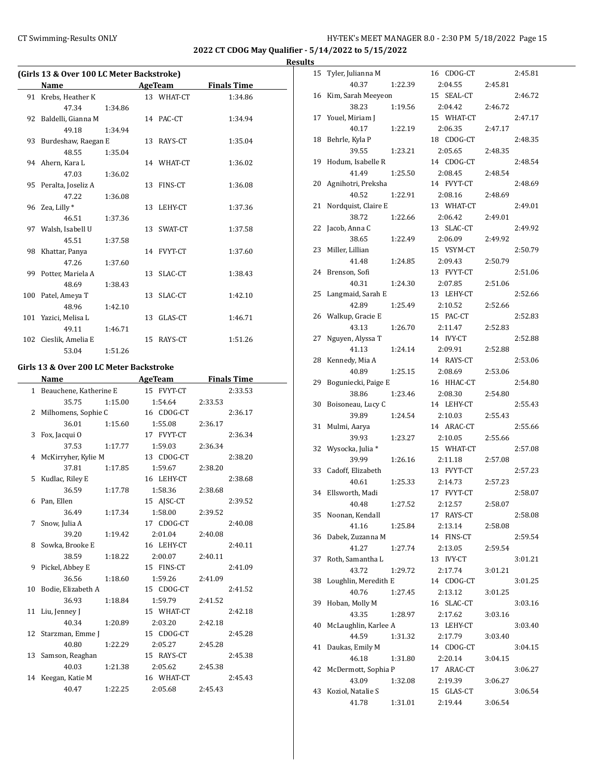**2022 CT CDOG May Qualifier - 5/14/2022 to 5/15/2022**

**Results**

| (Girls 13 & Over 100 LC Meter Backstroke) |                        |         |  |            |                    |  |
|-------------------------------------------|------------------------|---------|--|------------|--------------------|--|
|                                           | Name                   |         |  | AgeTeam    | <b>Finals Time</b> |  |
|                                           | 91 Krebs, Heather K    |         |  | 13 WHAT-CT | 1:34.86            |  |
|                                           | 47.34                  | 1:34.86 |  |            |                    |  |
|                                           | 92 Baldelli, Gianna M  |         |  | 14 PAC-CT  | 1:34.94            |  |
|                                           | 49.18                  | 1:34.94 |  |            |                    |  |
|                                           | 93 Burdeshaw, Raegan E |         |  | 13 RAYS-CT | 1:35.04            |  |
|                                           | 48.55                  | 1:35.04 |  |            |                    |  |
|                                           | 94 Ahern, Kara L       |         |  | 14 WHAT-CT | 1:36.02            |  |
|                                           | 47.03                  | 1:36.02 |  |            |                    |  |
|                                           | 95 Peralta, Joseliz A  |         |  | 13 FINS-CT | 1:36.08            |  |
|                                           | 47.22                  | 1:36.08 |  |            |                    |  |
|                                           | 96 Zea, Lilly *        |         |  | 13 LEHY-CT | 1:37.36            |  |
|                                           | 46.51                  | 1:37.36 |  |            |                    |  |
|                                           | 97 Walsh, Isabell U    |         |  | 13 SWAT-CT | 1:37.58            |  |
|                                           | 45.51                  | 1:37.58 |  |            |                    |  |
|                                           | 98 Khattar, Panya      |         |  | 14 FVYT-CT | 1:37.60            |  |
|                                           | 47.26                  | 1:37.60 |  |            |                    |  |
|                                           | 99 Potter, Mariela A   |         |  | 13 SLAC-CT | 1:38.43            |  |
|                                           | 48.69                  | 1:38.43 |  |            |                    |  |
|                                           | 100 Patel, Ameya T     |         |  | 13 SLAC-CT | 1:42.10            |  |
|                                           | 48.96                  | 1:42.10 |  |            |                    |  |
|                                           | 101 Yazici, Melisa L   |         |  | 13 GLAS-CT | 1:46.71            |  |
|                                           | 49.11                  | 1:46.71 |  |            |                    |  |
|                                           | 102 Cieslik, Amelia E  |         |  | 15 RAYS-CT | 1:51.26            |  |
|                                           | 53.04                  | 1:51.26 |  |            |                    |  |

## **Girls 13 & Over 200 LC Meter Backstroke**

|   | Name                     |         | <b>AgeTeam</b> | <b>Finals Time</b> |
|---|--------------------------|---------|----------------|--------------------|
|   | 1 Beauchene, Katherine E |         | 15 FVYT-CT     | 2:33.53            |
|   | 35.75                    | 1:15.00 | 1:54.64        | 2:33.53            |
|   | 2 Milhomens, Sophie C    |         | 16 CDOG-CT     | 2:36.17            |
|   | 36.01                    | 1:15.60 | 1:55.08        | 2:36.17            |
|   | 3 Fox, Jacqui O          |         | 17 FVYT-CT     | 2:36.34            |
|   | 37.53                    | 1:17.77 | 1:59.03        | 2:36.34            |
|   | 4 McKirryher, Kylie M    |         | 13 CDOG-CT     | 2:38.20            |
|   | 37.81                    | 1:17.85 | 1:59.67        | 2:38.20            |
|   | 5 Kudlac, Riley E        |         | 16 LEHY-CT     | 2:38.68            |
|   | 36.59                    | 1:17.78 | 1:58.36        | 2:38.68            |
|   | 6 Pan, Ellen             |         | 15 AJSC-CT     | 2:39.52            |
|   | 36.49                    | 1:17.34 | 1:58.00        | 2:39.52            |
| 7 | Snow, Julia A            |         | 17 CDOG-CT     | 2:40.08            |
|   | 39.20                    | 1:19.42 | 2:01.04        | 2:40.08            |
|   | 8 Sowka, Brooke E        |         | 16 LEHY-CT     | 2:40.11            |
|   | 38.59                    | 1:18.22 | 2:00.07        | 2:40.11            |
|   | 9 Pickel, Abbey E        |         | 15 FINS-CT     | 2:41.09            |
|   | 36.56                    | 1:18.60 | 1:59.26        | 2:41.09            |
|   | 10 Bodie, Elizabeth A    |         | 15 CDOG-CT     | 2:41.52            |
|   | 36.93                    | 1:18.84 | 1:59.79        | 2:41.52            |
|   | 11 Liu, Jenney J         |         | 15 WHAT-CT     | 2:42.18            |
|   | 40.34                    | 1:20.89 | 2:03.20        | 2:42.18            |
|   | 12 Starzman, Emme J      |         | 15 CDOG-CT     | 2:45.28            |
|   | 40.80                    | 1:22.29 | 2:05.27        | 2:45.28            |
|   | 13 Samson, Reaghan       |         | 15 RAYS-CT     | 2:45.38            |
|   | 40.03                    | 1:21.38 | 2:05.62        | 2:45.38            |
|   | 14 Keegan, Katie M       |         | 16 WHAT-CT     | 2:45.43            |
|   | 40.47                    | 1:22.25 | 2:05.68        | 2:45.43            |

| 15 | Tyler, Julianna M    |         | 16 CDOG-CT           |         | 2:45.81 |
|----|----------------------|---------|----------------------|---------|---------|
|    | 40.37                | 1:22.39 | 2:04.55              | 2:45.81 |         |
| 16 | Kim, Sarah Meeyeon   |         | 15<br>SEAL-CT        |         | 2:46.72 |
|    | 38.23                | 1:19.56 | 2:04.42              | 2:46.72 |         |
| 17 | Youel, Miriam J      |         | 15 WHAT-CT           |         | 2:47.17 |
|    | 40.17                | 1:22.19 | 2:06.35              | 2:47.17 |         |
| 18 | Behrle, Kyla P       |         | 18 CDOG-CT           |         | 2:48.35 |
|    | 39.55                | 1:23.21 | 2:05.65              | 2:48.35 |         |
| 19 | Hodum, Isabelle R    |         | 14 CDOG-CT           |         | 2:48.54 |
|    | 41.49                | 1:25.50 | 2:08.45              | 2:48.54 |         |
| 20 | Agnihotri, Preksha   |         | 14 FVYT-CT           |         | 2:48.69 |
|    | 40.52                | 1:22.91 | 2:08.16              | 2:48.69 |         |
| 21 | Nordquist, Claire E  |         | 13 WHAT-CT           |         | 2:49.01 |
|    | 38.72                | 1:22.66 | 2:06.42              | 2:49.01 |         |
| 22 | Jacob, Anna C        |         | 13 SLAC-CT           |         | 2:49.92 |
|    | 38.65                | 1:22.49 | 2:06.09              | 2:49.92 |         |
| 23 | Miller, Lillian      |         | 15 VSYM-CT           |         | 2:50.79 |
|    | 41.48                | 1:24.85 | 2:09.43              | 2:50.79 |         |
| 24 | Brenson, Sofi        |         | 13<br><b>FVYT-CT</b> |         | 2:51.06 |
|    | 40.31                | 1:24.30 | 2:07.85              | 2:51.06 |         |
| 25 | Langmaid, Sarah E    |         | LEHY-CT<br>13        |         | 2:52.66 |
|    | 42.89                | 1:25.49 | 2:10.52              | 2:52.66 |         |
| 26 | Walkup, Gracie E     |         | 15 PAC-CT            |         | 2:52.83 |
|    | 43.13                | 1:26.70 | 2:11.47              | 2:52.83 |         |
| 27 | Nguyen, Alyssa T     |         | 14 IVY-CT            |         | 2:52.88 |
|    | 41.13                | 1:24.14 | 2:09.91              | 2:52.88 |         |
| 28 | Kennedy, Mia A       |         | 14 RAYS-CT           |         | 2:53.06 |
|    | 40.89                | 1:25.15 | 2:08.69              | 2:53.06 |         |
| 29 | Boguniecki, Paige E  |         | 16 HHAC-CT           |         | 2:54.80 |
|    | 38.86                | 1:23.46 | 2:08.30              | 2:54.80 |         |
| 30 | Boisoneau, Lucy C    |         | 14 LEHY-CT           |         | 2:55.43 |
|    | 39.89                | 1:24.54 | 2:10.03              | 2:55.43 |         |
| 31 | Mulmi, Aarya         |         | 14 ARAC-CT           |         | 2:55.66 |
|    | 39.93                | 1:23.27 | 2:10.05              | 2:55.66 |         |
| 32 | Wysocka, Julia *     |         | 15 WHAT-CT           |         | 2:57.08 |
|    | 39.99                | 1:26.16 | 2:11.18              | 2:57.08 |         |
| 33 | Cadoff, Elizabeth    |         | 13 FVYT-CT           |         | 2:57.23 |
|    | 40.61                | 1:25.33 | 2:14.73              | 2:57.23 |         |
| 34 | Ellsworth, Madi      |         | 17 FVYT-CT           |         | 2:58.07 |
|    | 40.48                | 1:27.52 | 2:12.57              | 2:58.07 |         |
| 35 | Noonan, Kendall      |         | 17 RAYS-CT           |         | 2:58.08 |
|    | 41.16                | 1:25.84 | 2:13.14              | 2:58.08 |         |
| 36 | Dabek, Zuzanna M     |         | FINS-CT<br>14        |         | 2:59.54 |
|    | 41.27                | 1:27.74 | 2:13.05              | 2:59.54 |         |
| 37 | Roth, Samantha L     |         | <b>IVY-CT</b><br>13  |         | 3:01.21 |
|    | 43.72                | 1:29.72 | 2:17.74              | 3:01.21 |         |
| 38 | Loughlin, Meredith E |         | 14 CDOG-CT           |         | 3:01.25 |
|    | 40.76                | 1:27.45 | 2:13.12              | 3:01.25 |         |
| 39 | Hoban, Molly M       |         | 16 SLAC-CT           |         | 3:03.16 |
|    | 43.35                | 1:28.97 | 2:17.62              | 3:03.16 |         |
| 40 | McLaughlin, Karlee A |         | 13 LEHY-CT           |         | 3:03.40 |
|    | 44.59                | 1:31.32 | 2:17.79              | 3:03.40 |         |
| 41 | Daukas, Emily M      |         | 14 CDOG-CT           |         | 3:04.15 |
|    | 46.18                | 1:31.80 | 2:20.14              | 3:04.15 |         |
| 42 | McDermott, Sophia P  |         | 17 ARAC-CT           |         | 3:06.27 |
|    | 43.09                | 1:32.08 | 2:19.39              | 3:06.27 |         |
| 43 | Koziol, Natalie S    |         | 15 GLAS-CT           |         | 3:06.54 |
|    | 41.78                | 1:31.01 | 2:19.44              | 3:06.54 |         |
|    |                      |         |                      |         |         |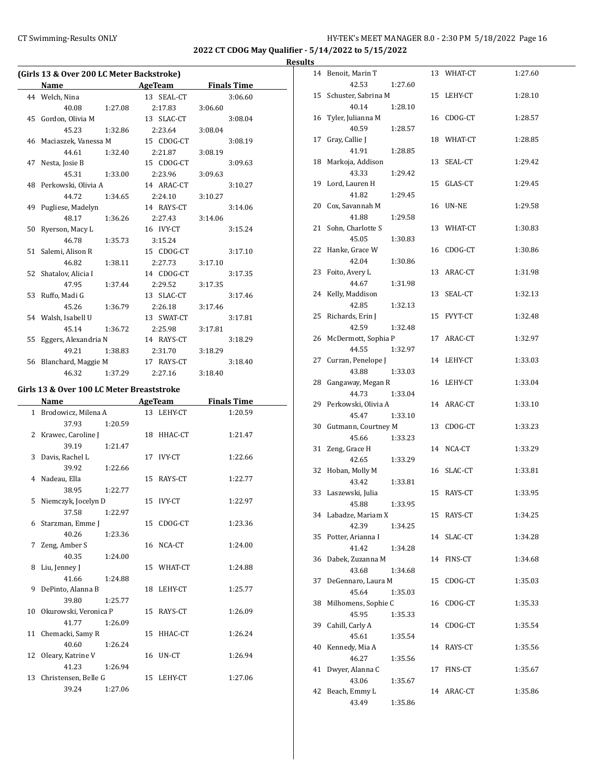## CT Swimming-Results ONLY **CT Swimming-Results ONLY** 16 and the MANAGER 8.0 - 2:30 PM 5/18/2022 Page 16

**2022 CT CDOG May Qualifier - 5/14/2022 to 5/15/2022**

|    | (Girls 13 & Over 200 LC Meter Backstroke) |         |            |                    |
|----|-------------------------------------------|---------|------------|--------------------|
|    | Name                                      |         | AgeTeam    | <b>Finals Time</b> |
|    | 44 Welch, Nina                            |         | 13 SEAL-CT | 3:06.60            |
|    | 40.08                                     | 1:27.08 | 2:17.83    | 3:06.60            |
|    | 45 Gordon, Olivia M                       |         | 13 SLAC-CT | 3:08.04            |
|    | 45.23                                     | 1:32.86 | 2:23.64    | 3:08.04            |
|    | 46 Maciaszek, Vanessa M                   |         | 15 CDOG-CT | 3:08.19            |
|    | 44.61                                     | 1:32.40 | 2:21.87    | 3:08.19            |
|    | 47 Nesta, Josie B                         |         | 15 CDOG-CT | 3:09.63            |
|    | 45.31                                     | 1:33.00 | 2:23.96    | 3:09.63            |
|    | 48 Perkowski, Olivia A                    |         | 14 ARAC-CT | 3:10.27            |
|    | 44.72                                     | 1:34.65 | 2:24.10    | 3:10.27            |
|    | 49 Pugliese, Madelyn                      |         | 14 RAYS-CT | 3:14.06            |
|    | 48.17                                     | 1:36.26 | 2:27.43    | 3:14.06            |
|    | 50 Ryerson, Macy L                        |         | 16 IVY-CT  | 3:15.24            |
|    | 46.78                                     | 1:35.73 | 3:15.24    |                    |
| 51 | Salemi, Alison R                          |         | 15 CDOG-CT | 3:17.10            |
|    | 46.82                                     | 1:38.11 | 2:27.73    | 3:17.10            |
| 52 | Shatalov, Alicia I                        |         | 14 CDOG-CT | 3:17.35            |
|    | 47.95                                     | 1:37.44 | 2:29.52    | 3:17.35            |
|    | 53 Ruffo, Madi G                          |         | 13 SLAC-CT | 3:17.46            |
|    | 45.26                                     | 1:36.79 | 2:26.18    | 3:17.46            |
|    | 54 Walsh, Isabell U                       |         | 13 SWAT-CT | 3:17.81            |
|    | 45.14                                     | 1:36.72 | 2:25.98    | 3:17.81            |
| 55 | Eggers, Alexandria N                      |         | 14 RAYS-CT | 3:18.29            |
|    | 49.21                                     | 1:38.83 | 2:31.70    | 3:18.29            |
|    | 56 Blanchard, Maggie M                    |         | 17 RAYS-CT | 3:18.40            |
|    | 46.32                                     | 1:37.29 | 2:27.16    | 3:18.40            |
|    | Girls 13 & Over 100 LC Meter Breaststroke |         |            |                    |
|    | Name                                      |         | AgeTeam    | <b>Finals Time</b> |
|    | 1 Brodowicz, Milena A                     |         | 13 LEHY-CT | 1:20.59            |
|    | $27.02$ 1.20 FO                           |         |            |                    |

| 1 - Brodowicz, Milena A    |         | 13 LEHY-CT | 1:20.59 |
|----------------------------|---------|------------|---------|
| 37.93                      | 1:20.59 |            |         |
| 2 Krawec, Caroline J       |         | 18 HHAC-CT | 1:21.47 |
| 39.19                      | 1:21.47 |            |         |
| 3 Davis, Rachel L          |         | 17 IVY-CT  | 1:22.66 |
| 39.92                      | 1:22.66 |            |         |
| 4 Nadeau, Ella             |         | 15 RAYS-CT | 1:22.77 |
| 38.95                      | 1:22.77 |            |         |
| 5 Niemczyk, Jocelyn D      |         | 15 IVY-CT  | 1:22.97 |
| 37.58                      | 1:22.97 |            |         |
| 6 Starzman, Emme J         |         | 15 CDOG-CT | 1:23.36 |
| 40.26                      | 1:23.36 |            |         |
| 7 Zeng, Amber S            |         | 16 NCA-CT  | 1:24.00 |
| 40.35                      | 1:24.00 |            |         |
| 8 Liu, Jenney J            |         | 15 WHAT-CT | 1:24.88 |
| 41.66                      | 1:24.88 |            |         |
| 9 DePinto, Alanna B        |         | 18 LEHY-CT | 1:25.77 |
| 39.80                      | 1:25.77 |            |         |
| 10   Okurowski, Veronica P |         | 15 RAYS-CT | 1:26.09 |
| 41.77                      | 1:26.09 |            |         |
| 11 Chemacki, Samy R        |         | 15 HHAC-CT | 1:26.24 |
| 40.60                      | 1:26.24 |            |         |
| 12 Oleary, Katrine V       |         | 16 UN-CT   | 1:26.94 |
| 41.23                      | 1:26.94 |            |         |
| 13 Christensen, Belle G    |         | 15 LEHY-CT | 1:27.06 |
| 39.24                      | 1:27.06 |            |         |
|                            |         |            |         |

| s  |                            |         |    |            |         |
|----|----------------------------|---------|----|------------|---------|
| 14 | Benoit, Marin T            |         |    | 13 WHAT-CT | 1:27.60 |
|    | 42.53                      | 1:27.60 |    |            |         |
| 15 | Schuster, Sabrina M        |         |    | 15 LEHY-CT | 1:28.10 |
|    | 40.14                      | 1:28.10 |    |            |         |
| 16 | Tyler, Julianna M          |         |    | 16 CDOG-CT | 1:28.57 |
|    | 40.59                      | 1:28.57 |    |            |         |
| 17 | Gray, Callie J             |         |    | 18 WHAT-CT | 1:28.85 |
|    | 41.91                      | 1:28.85 |    |            |         |
| 18 | Markoja, Addison           |         |    | 13 SEAL-CT | 1:29.42 |
|    | 43.33                      | 1:29.42 |    |            |         |
| 19 | Lord, Lauren H             |         | 15 | GLAS-CT    | 1:29.45 |
|    | 41.82                      | 1:29.45 |    |            |         |
| 20 | Cox, Savannah M            |         |    | 16 UN-NE   | 1:29.58 |
|    | 41.88                      | 1:29.58 |    |            |         |
| 21 | Sohn, Charlotte S          |         |    | 13 WHAT-CT | 1:30.83 |
|    | 45.05                      | 1:30.83 |    |            |         |
| 22 | Hanke, Grace W             |         |    | 16 CDOG-CT | 1:30.86 |
|    | 42.04                      | 1:30.86 |    |            |         |
| 23 | Foito, Avery L             |         |    | 13 ARAC-CT | 1:31.98 |
|    | 44.67                      | 1:31.98 |    |            |         |
| 24 | Kelly, Maddison            |         | 13 | SEAL-CT    | 1:32.13 |
|    | 42.85                      | 1:32.13 |    |            |         |
| 25 | Richards, Erin J           |         |    | 15 FVYT-CT | 1:32.48 |
|    | 42.59                      | 1:32.48 |    |            |         |
| 26 | McDermott, Sophia P        |         |    | 17 ARAC-CT | 1:32.97 |
|    | 44.55                      | 1:32.97 |    |            |         |
| 27 | Curran, Penelope J         |         |    | 14 LEHY-CT | 1:33.03 |
|    | 43.88                      | 1:33.03 |    |            |         |
| 28 | Gangaway, Megan R<br>44.73 | 1:33.04 |    | 16 LEHY-CT | 1:33.04 |
|    | 29 Perkowski, Olivia A     |         |    | 14 ARAC-CT | 1:33.10 |
|    | 45.47                      | 1:33.10 |    |            |         |
| 30 | Gutmann, Courtney M        |         |    | 13 CDOG-CT | 1:33.23 |
|    | 45.66                      | 1:33.23 |    |            |         |
| 31 | Zeng, Grace H              |         |    | 14 NCA-CT  | 1:33.29 |
|    | 42.65                      | 1:33.29 |    |            |         |
| 32 | Hoban, Molly M             |         |    | 16 SLAC-CT | 1:33.81 |
|    | 43.42                      | 1:33.81 |    |            |         |
| 33 | Laszewski, Julia           |         |    | 15 RAYS-CT | 1:33.95 |
|    | 45.88                      | 1:33.95 |    |            |         |
|    | 34 Labadze, Mariam X       |         |    | 15 RAYS-CT | 1:34.25 |
|    | 42.39                      | 1:34.25 |    |            |         |
| 35 | Potter, Arianna I          |         |    | 14 SLAC-CT | 1:34.28 |
|    | 41.42                      | 1:34.28 |    |            |         |
| 36 | Dabek, Zuzanna M           |         |    | 14 FINS-CT | 1:34.68 |
|    | 43.68                      | 1:34.68 |    |            |         |
| 37 | DeGennaro, Laura M         |         |    | 15 CDOG-CT | 1:35.03 |
|    | 45.64                      | 1:35.03 |    |            |         |
| 38 | Milhomens, Sophie C        |         |    | 16 CDOG-CT | 1:35.33 |
|    | 45.95                      | 1:35.33 |    |            |         |
| 39 | Cahill, Carly A            |         |    | 14 CDOG-CT | 1:35.54 |
|    | 45.61                      | 1:35.54 |    |            |         |
| 40 | Kennedy, Mia A             |         |    | 14 RAYS-CT | 1:35.56 |
|    | 46.27                      | 1:35.56 |    |            |         |
| 41 | Dwyer, Alanna C            |         | 17 | FINS-CT    | 1:35.67 |
|    | 43.06                      | 1:35.67 |    |            |         |
| 42 | Beach, Emmy L              |         |    | 14 ARAC-CT | 1:35.86 |
|    | 43.49                      | 1:35.86 |    |            |         |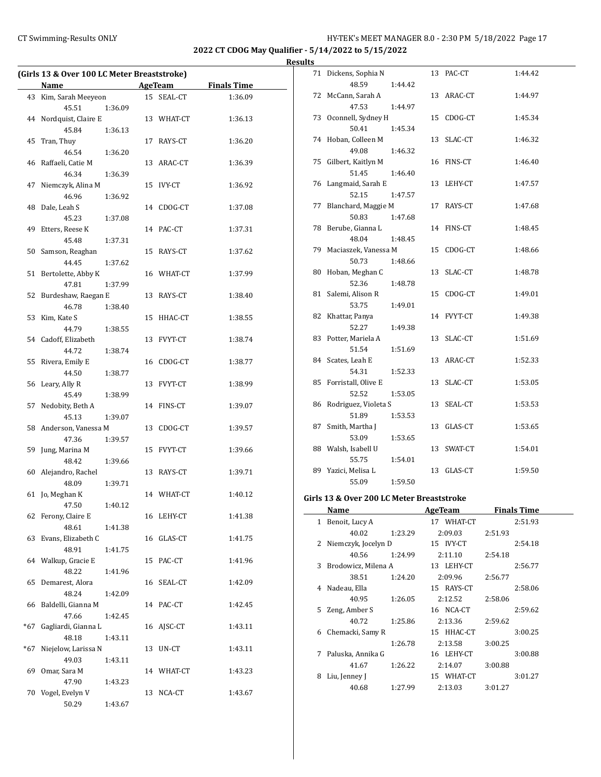## CT Swimming-Results ONLY **EXAMPLE 12 CONCRET MANAGER 8.0 - 2:30 PM 5/18/2022** Page 17

**2022 CT CDOG May Qualifier - 5/14/2022 to 5/15/2022**

## **Results**

|     | (Girls 13 & Over 100 LC Meter Breaststroke) |         |    |                |                    |  |  |
|-----|---------------------------------------------|---------|----|----------------|--------------------|--|--|
|     | Name                                        |         |    | <b>AgeTeam</b> | <b>Finals Time</b> |  |  |
| 43  | Kim, Sarah Meeyeon                          |         |    | 15 SEAL-CT     | 1:36.09            |  |  |
|     | 45.51                                       | 1:36.09 |    |                |                    |  |  |
| 44  | Nordquist, Claire E                         |         |    | 13 WHAT-CT     | 1:36.13            |  |  |
|     | 45.84                                       | 1:36.13 |    |                |                    |  |  |
| 45  | Tran, Thuy                                  |         |    | 17 RAYS-CT     | 1:36.20            |  |  |
|     | 46.54                                       | 1:36.20 |    |                |                    |  |  |
|     | 46 Raffaeli, Catie M                        |         |    | 13 ARAC-CT     | 1:36.39            |  |  |
|     | 46.34                                       | 1:36.39 |    |                |                    |  |  |
| 47  | Niemczyk, Alina M                           |         | 15 | <b>IVY-CT</b>  | 1:36.92            |  |  |
|     | 46.96                                       | 1:36.92 |    |                |                    |  |  |
| 48  | Dale, Leah S                                |         |    | 14 CDOG-CT     | 1:37.08            |  |  |
|     | 45.23                                       | 1:37.08 |    |                |                    |  |  |
| 49  | Etters, Reese K                             |         | 14 | PAC-CT         | 1:37.31            |  |  |
|     | 45.48                                       | 1:37.31 |    |                |                    |  |  |
| 50  | Samson, Reaghan                             |         | 15 | RAYS-CT        | 1:37.62            |  |  |
|     | 44.45                                       | 1:37.62 |    |                |                    |  |  |
| 51  | Bertolette, Abby K                          |         |    | 16 WHAT-CT     | 1:37.99            |  |  |
|     | 47.81                                       | 1:37.99 |    |                |                    |  |  |
|     |                                             |         |    |                |                    |  |  |
| 52  | Burdeshaw, Raegan E                         |         |    | 13 RAYS-CT     | 1:38.40            |  |  |
|     | 46.78                                       | 1:38.40 |    |                |                    |  |  |
| 53  | Kim, Kate S                                 |         |    | 15 HHAC-CT     | 1:38.55            |  |  |
|     | 44.79                                       | 1:38.55 |    |                |                    |  |  |
|     | 54 Cadoff, Elizabeth                        |         |    | 13 FVYT-CT     | 1:38.74            |  |  |
|     | 44.72                                       | 1:38.74 |    |                |                    |  |  |
| 55  | Rivera, Emily E                             |         | 16 | CDOG-CT        | 1:38.77            |  |  |
|     | 44.50                                       | 1:38.77 |    |                |                    |  |  |
| 56  | Leary, Ally R                               |         |    | 13 FVYT-CT     | 1:38.99            |  |  |
|     | 45.49                                       | 1:38.99 |    |                |                    |  |  |
| 57  | Nedobity, Beth A                            |         |    | 14 FINS-CT     | 1:39.07            |  |  |
|     | 45.13                                       | 1:39.07 |    |                |                    |  |  |
|     | 58 Anderson, Vanessa M                      |         | 13 | CDOG-CT        | 1:39.57            |  |  |
|     | 47.36                                       | 1:39.57 |    |                |                    |  |  |
| 59  | Jung, Marina M                              |         |    | 15 FVYT-CT     | 1:39.66            |  |  |
|     | 48.42                                       | 1:39.66 |    |                |                    |  |  |
| 60  | Alejandro, Rachel                           |         |    | 13 RAYS-CT     | 1:39.71            |  |  |
|     | 48.09                                       | 1:39.71 |    |                |                    |  |  |
| 61  | Jo, Meghan K                                |         |    | 14 WHAT-CT     | 1:40.12            |  |  |
|     | 47.50                                       | 1:40.12 |    |                |                    |  |  |
| 62  | Ferony, Claire E                            |         |    | 16 LEHY-CT     | 1:41.38            |  |  |
|     | 48.61                                       | 1:41.38 |    |                |                    |  |  |
| 63  | Evans, Elizabeth C                          |         |    | 16 GLAS-CT     | 1:41.75            |  |  |
|     | 48.91                                       | 1:41.75 |    |                |                    |  |  |
| 64  | Walkup, Gracie E                            |         | 15 | PAC-CT         | 1:41.96            |  |  |
|     | 48.22                                       | 1:41.96 |    |                |                    |  |  |
| 65  | Demarest, Alora                             |         | 16 | SEAL-CT        | 1:42.09            |  |  |
|     | 48.24                                       | 1:42.09 |    |                |                    |  |  |
| 66  | Baldelli, Gianna M                          |         |    | 14 PAC-CT      | 1:42.45            |  |  |
|     | 47.66                                       |         |    |                |                    |  |  |
|     |                                             | 1:42.45 |    |                |                    |  |  |
| *67 | Gagliardi, Gianna L                         |         | 16 | AJSC-CT        | 1:43.11            |  |  |
|     | 48.18                                       | 1:43.11 |    |                |                    |  |  |
| *67 | Niejelow, Larissa N                         |         | 13 | UN-CT          | 1:43.11            |  |  |
|     | 49.03                                       | 1:43.11 |    |                |                    |  |  |
| 69  | Omar, Sara M                                |         |    | 14 WHAT-CT     | 1:43.23            |  |  |
|     | 47.90                                       | 1:43.23 |    |                |                    |  |  |
| 70  | Vogel, Evelyn V                             |         | 13 | NCA-CT         | 1:43.67            |  |  |
|     | 50.29                                       | 1:43.67 |    |                |                    |  |  |

|    | 71 Dickens, Sophia N<br>48.59  | 1:44.42 |    | 13 PAC-CT  | 1:44.42 |
|----|--------------------------------|---------|----|------------|---------|
| 72 | McCann, Sarah A<br>47.53       | 1:44.97 |    | 13 ARAC-CT | 1:44.97 |
|    | 73 Oconnell, Sydney H<br>50.41 | 1:45.34 |    | 15 CDOG-CT | 1:45.34 |
|    | 74 Hoban, Colleen M            |         |    | 13 SLAC-CT | 1:46.32 |
| 75 | 49.08<br>Gilbert, Kaitlyn M    | 1:46.32 |    | 16 FINS-CT | 1:46.40 |
| 76 | 51.45<br>Langmaid, Sarah E     | 1:46.40 |    | 13 LEHY-CT | 1:47.57 |
| 77 | 52.15<br>Blanchard, Maggie M   | 1:47.57 |    | 17 RAYS-CT | 1:47.68 |
| 78 | 50.83<br>Berube, Gianna L      | 1:47.68 |    | 14 FINS-CT | 1:48.45 |
| 79 | 48.04<br>Maciaszek, Vanessa M  | 1:48.45 |    | 15 CDOG-CT | 1:48.66 |
| 80 | 50.73<br>Hoban, Meghan C       | 1:48.66 | 13 | SLAC-CT    | 1:48.78 |
| 81 | 52.36<br>Salemi, Alison R      | 1:48.78 | 15 | CDOG-CT    | 1:49.01 |
| 82 | 53.75<br>Khattar, Panya        | 1:49.01 |    | 14 FVYT-CT | 1:49.38 |
| 83 | 52.27<br>Potter, Mariela A     | 1:49.38 | 13 | SLAC-CT    | 1:51.69 |
|    | 51.54                          | 1:51.69 |    |            |         |
| 84 | Scates, Leah E<br>54.31        | 1:52.33 |    | 13 ARAC-CT | 1:52.33 |
| 85 | Forristall, Olive E<br>52.52   | 1:53.05 |    | 13 SLAC-CT | 1:53.05 |
| 86 | Rodriguez, Violeta S<br>51.89  | 1:53.53 |    | 13 SEAL-CT | 1:53.53 |
| 87 | Smith, Martha J<br>53.09       | 1:53.65 |    | 13 GLAS-CT | 1:53.65 |
| 88 | Walsh, Isabell U<br>55.75      | 1:54.01 |    | 13 SWAT-CT | 1:54.01 |
| 89 | Yazici, Melisa L<br>55.09      | 1:59.50 | 13 | GLAS-CT    | 1:59.50 |
|    |                                |         |    |            |         |

## **Girls 13 & Over 200 LC Meter Breaststroke**

|              | Name                  |         | AgeTeam    | <b>Finals Time</b> |
|--------------|-----------------------|---------|------------|--------------------|
| $\mathbf{1}$ | Benoit, Lucy A        |         | 17 WHAT-CT | 2:51.93            |
|              | 40.02                 | 1:23.29 | 2:09.03    | 2:51.93            |
|              | 2 Niemczyk, Jocelyn D |         | 15 IVY-CT  | 2:54.18            |
|              | 40.56                 | 1:24.99 | 2:11.10    | 2:54.18            |
| 3            | Brodowicz, Milena A   |         | 13 LEHY-CT | 2:56.77            |
|              | 38.51                 | 1:24.20 | 2:09.96    | 2:56.77            |
| 4            | Nadeau, Ella          |         | 15 RAYS-CT | 2:58.06            |
|              | 40.95                 | 1:26.05 | 2:12.52    | 2:58.06            |
| 5.           | Zeng, Amber S         |         | 16 NCA-CT  | 2:59.62            |
|              | 40.72                 | 1:25.86 | 2:13.36    | 2:59.62            |
| 6            | Chemacki, Samy R      |         | 15 HHAC-CT | 3:00.25            |
|              |                       | 1:26.78 | 2:13.58    | 3:00.25            |
| 7            | Paluska, Annika G     |         | 16 LEHY-CT | 3:00.88            |
|              | 41.67                 | 1:26.22 | 2:14.07    | 3:00.88            |
| 8            | Liu, Jenney J         |         | 15 WHAT-CT | 3:01.27            |
|              | 40.68                 | 1:27.99 | 2:13.03    | 3:01.27            |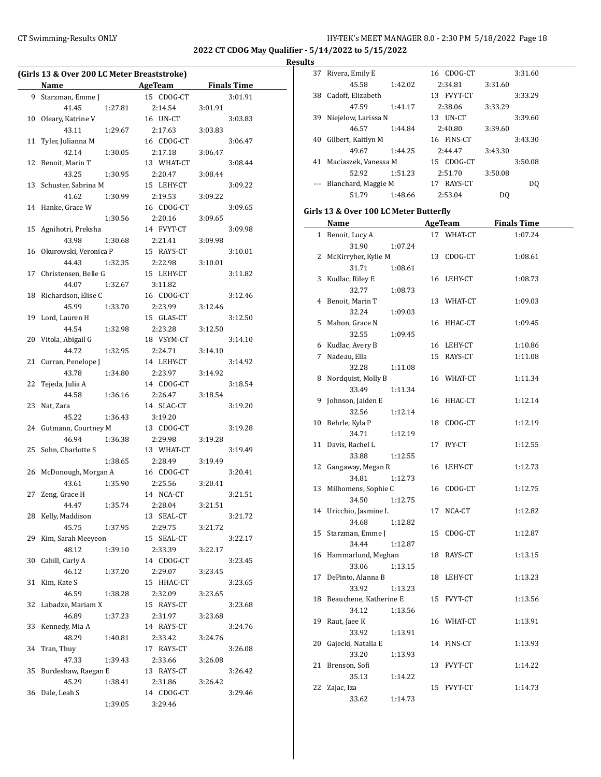## CT Swimming-Results ONLY **CT Swimming-Results ONLY** 18 18

**2022 CT CDOG May Qualifier - 5/14/2022 to 5/15/2022**

**Results**

 $\frac{1}{2}$ 

| (Girls 13 & Over 200 LC Meter Breaststroke) |                             |         |                       |         |                    |
|---------------------------------------------|-----------------------------|---------|-----------------------|---------|--------------------|
|                                             |                             |         |                       |         |                    |
|                                             | Name                        |         | AgeTeam               |         | <b>Finals Time</b> |
|                                             | 9 Starzman, Emme J          |         | 15 CDOG-CT            |         | 3:01.91            |
|                                             | 41.45                       | 1:27.81 | 2:14.54               | 3:01.91 |                    |
| 10                                          | Oleary, Katrine V           |         | 16 UN-CT              |         | 3:03.83            |
|                                             | 43.11                       | 1:29.67 | 2:17.63               | 3:03.83 |                    |
| 11                                          | Tyler, Julianna M           |         | 16 CDOG-CT            |         | 3:06.47            |
|                                             | 42.14                       | 1:30.05 | 2:17.18               | 3:06.47 |                    |
| 12                                          | Benoit, Marin T             |         | 13 WHAT-CT            |         | 3:08.44            |
|                                             | 43.25                       | 1:30.95 | 2:20.47               | 3:08.44 |                    |
| 13                                          | Schuster, Sabrina M         |         | 15 LEHY-CT            |         | 3:09.22            |
|                                             | 41.62                       | 1:30.99 | 2:19.53               | 3:09.22 |                    |
| 14                                          | Hanke, Grace W              |         | 16 CDOG-CT            |         | 3:09.65            |
|                                             |                             | 1:30.56 | 2:20.16               | 3:09.65 |                    |
|                                             | 15 Agnihotri, Preksha       |         | 14 FVYT-CT            |         | 3:09.98            |
|                                             | 43.98                       | 1:30.68 | 2:21.41               | 3:09.98 |                    |
| 16                                          | Okurowski, Veronica P       |         | 15 RAYS-CT            |         | 3:10.01            |
|                                             | 44.43                       | 1:32.35 | 2:22.98               | 3:10.01 |                    |
| 17                                          | Christensen, Belle G        |         | 15 LEHY-CT            |         | 3:11.82            |
|                                             | 44.07                       | 1:32.67 | 3:11.82               |         |                    |
| 18                                          | Richardson, Elise C         |         | 16 CDOG-CT            |         | 3:12.46            |
|                                             | 45.99                       | 1:33.70 | 2:23.99               | 3:12.46 |                    |
| 19                                          | Lord, Lauren H              |         | 15 GLAS-CT            |         | 3:12.50            |
|                                             | 44.54                       | 1:32.98 | 2:23.28               | 3:12.50 |                    |
| 20                                          | Vitola, Abigail G           |         | 18 VSYM-CT            |         | 3:14.10            |
|                                             | 44.72                       | 1:32.95 | 2:24.71               | 3:14.10 |                    |
| 21                                          | Curran, Penelope J          |         | 14 LEHY-CT            |         | 3:14.92            |
|                                             | 43.78                       | 1:34.80 | 2:23.97               | 3:14.92 |                    |
| 22                                          | Tejeda, Julia A             |         | 14 CDOG-CT            |         | 3:18.54            |
|                                             | 44.58                       | 1:36.16 | 2:26.47               | 3:18.54 |                    |
|                                             | 23 Nat, Zara                |         | 14 SLAC-CT            |         | 3:19.20            |
|                                             | 45.22                       | 1:36.43 | 3:19.20               |         |                    |
| 24                                          | Gutmann, Courtney M         |         | 13 CDOG-CT            |         | 3:19.28            |
|                                             | 46.94                       | 1:36.38 | 2:29.98               | 3:19.28 |                    |
| 25                                          | Sohn, Charlotte S           |         | 13 WHAT-CT            |         | 3:19.49            |
|                                             |                             | 1:38.65 | 2:28.49               | 3:19.49 |                    |
| 26                                          | McDonough, Morgan A         |         | 16 CDOG-CT            |         | 3:20.41            |
|                                             | 43.61                       | 1:35.90 | 2:25.56               | 3:20.41 |                    |
| 27                                          | Zeng, Grace H               |         | 14 NCA-CT             |         | 3:21.51            |
|                                             |                             |         |                       |         |                    |
|                                             | 44.47                       | 1:35.74 | 2:28.04               | 3:21.51 |                    |
|                                             | 28 Kelly, Maddison<br>45.75 | 1:37.95 | 13 SEAL-CT<br>2:29.75 |         | 3:21.72            |
|                                             |                             |         |                       | 3:21.72 |                    |
| 29                                          | Kim, Sarah Meeyeon          |         | 15 SEAL-CT            |         | 3:22.17            |
|                                             | 48.12                       | 1:39.10 | 2:33.39               | 3:22.17 |                    |
| 30                                          | Cahill, Carly A             |         | 14 CDOG-CT            |         | 3:23.45            |
|                                             | 46.12                       | 1:37.20 | 2:29.07               | 3:23.45 |                    |
| 31                                          | Kim, Kate S                 |         | 15 HHAC-CT            |         | 3:23.65            |
|                                             | 46.59                       | 1:38.28 | 2:32.09               | 3:23.65 |                    |
| 32                                          | Labadze, Mariam X           |         | 15 RAYS-CT            |         | 3:23.68            |
|                                             | 46.89                       | 1:37.23 | 2:31.97               | 3:23.68 |                    |
| 33                                          | Kennedy, Mia A              |         | 14 RAYS-CT            |         | 3:24.76            |
|                                             | 48.29                       | 1:40.81 | 2:33.42               | 3:24.76 |                    |
| 34                                          | Tran, Thuy                  |         | 17 RAYS-CT            |         | 3:26.08            |
|                                             | 47.33                       | 1:39.43 | 2:33.66               | 3:26.08 |                    |
| 35                                          | Burdeshaw, Raegan E         |         | 13 RAYS-CT            |         | 3:26.42            |
|                                             | 45.29                       | 1:38.41 | 2:31.86               | 3:26.42 |                    |
| 36                                          | Dale, Leah S                |         | 14 CDOG-CT            |         | 3:29.46            |
|                                             |                             | 1:39.05 | 3:29.46               |         |                    |

| 37  | Rivera, Emily E                        | 16 CDOG-CT     | 3:31.60            |
|-----|----------------------------------------|----------------|--------------------|
|     | 45.58<br>1:42.02                       | 2:34.81        | 3:31.60            |
| 38  | Cadoff, Elizabeth                      | 13 FVYT-CT     | 3:33.29            |
|     | 47.59<br>1:41.17                       | 2:38.06        | 3:33.29            |
| 39  | Niejelow, Larissa N                    | 13 UN-CT       | 3:39.60            |
|     | 46.57<br>1:44.84                       | 2:40.80        | 3:39.60            |
| 40  | Gilbert, Kaitlyn M                     | 16 FINS-CT     | 3:43.30            |
|     | 49.67<br>1:44.25                       | 2:44.47        | 3:43.30            |
| 41  | Maciaszek, Vanessa M                   | 15 CDOG-CT     | 3:50.08            |
|     | 52.92<br>1:51.23                       | 2:51.70        | 3:50.08            |
| --- | Blanchard, Maggie M                    | 17 RAYS-CT     | D <sub>0</sub>     |
|     | 51.79<br>1:48.66                       | 2:53.04        | DQ                 |
|     |                                        |                |                    |
|     | Girls 13 & Over 100 LC Meter Butterfly |                |                    |
|     | Name                                   | <b>AgeTeam</b> | <b>Finals Time</b> |
|     | 1 Benoit, Lucy A                       | 17 WHAT-CT     | 1:07.24            |
|     | 31.90<br>1:07.24                       |                |                    |
| 2   | McKirryher, Kylie M                    | 13 CDOG-CT     | 1:08.61            |
|     | 31.71<br>1:08.61                       |                |                    |
| 3   | Kudlac, Riley E                        | LEHY-CT<br>16  | 1:08.73            |
|     | 32.77<br>1:08.73                       |                |                    |
| 4   | Benoit, Marin T                        | WHAT-CT<br>13  | 1:09.03            |
|     | 32.24<br>1:09.03                       |                |                    |
| 5   | Mahon, Grace N                         | HHAC-CT<br>16  | 1:09.45            |
|     | 32.55<br>1:09.45                       |                |                    |
|     | 6 Kudlac, Avery B                      | 16 LEHY-CT     | 1:10.86            |
|     | Nadeau, Ella<br>7                      | 15<br>RAYS-CT  | 1:11.08            |
|     | 32.28<br>1:11.08                       |                |                    |
| 8   | Nordquist, Molly B                     | 16 WHAT-CT     | 1:11.34            |
|     | 33.49<br>1:11.34                       |                |                    |
| 9   | Johnson, Jaiden E                      | 16<br>HHAC-CT  | 1:12.14            |
|     | 32.56<br>1:12.14                       |                |                    |
| 10  | Behrle, Kyla P                         | 18<br>CDOG-CT  | 1:12.19            |
|     | 34.71<br>1:12.19                       |                |                    |
| 11  | Davis, Rachel L                        | 17<br>IVY-CT   | 1:12.55            |
|     | 33.88<br>1:12.55                       |                |                    |
| 12  | Gangaway, Megan R                      | 16<br>LEHY-CT  | 1:12.73            |
|     | 34.81<br>1:12.73                       |                |                    |
| 13  | Milhomens, Sophie C                    | 16<br>CDOG-CT  | 1:12.75            |
|     | 34.50<br>1:12.75                       |                |                    |
|     | 14 Uricchio, Jasmine L                 | 17 NCA-CT      | 1:12.82            |
|     | 34.68<br>1:12.82                       |                |                    |
| 15  | Starzman, Emme J                       | 15<br>CDOG-CT  | 1:12.87            |
|     | 34.44<br>1:12.87                       |                |                    |
| 16  | Hammarlund, Meghan                     | 18<br>RAYS-CT  | 1:13.15            |
|     | 33.06<br>1:13.15                       |                |                    |
| 17  | DePinto, Alanna B                      | 18<br>LEHY-CT  | 1:13.23            |
|     | 33.92<br>1:13.23                       |                |                    |
| 18  | Beauchene, Katherine E                 | FVYT-CT<br>15  | 1:13.56            |
|     | 34.12<br>1:13.56                       |                |                    |
| 19  | Raut, Jaee K                           | 16<br>WHAT-CT  | 1:13.91            |
|     | 33.92<br>1:13.91                       |                |                    |
| 20  | Gajecki, Natalia E                     | 14 FINS-CT     | 1:13.93            |
|     | 33.20<br>1:13.93                       |                |                    |
| 21  | Brenson, Sofi                          | 13<br>FVYT-CT  | 1:14.22            |
|     | 35.13<br>1:14.22                       |                |                    |
| 22  | Zajac, Iza                             | 15<br>FVYT-CT  | 1:14.73            |
|     | 33.62<br>1:14.73                       |                |                    |
|     |                                        |                |                    |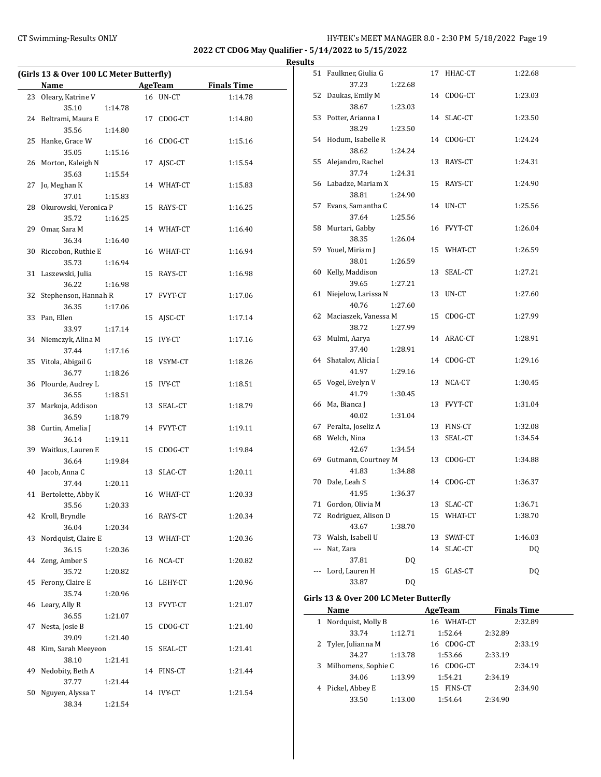## CT Swimming-Results ONLY **CT Swimming-Results ONLY** 19

**2022 CT CDOG May Qualifier - 5/14/2022 to 5/15/2022**

## **Results**

| (Girls 13 & Over 100 LC Meter Butterfly) |                          |         |    |            |                    |
|------------------------------------------|--------------------------|---------|----|------------|--------------------|
|                                          | Name                     |         |    | AgeTeam    | <b>Finals Time</b> |
| 23                                       | Oleary, Katrine V        |         |    | 16 UN-CT   | 1:14.78            |
|                                          | 35.10                    | 1:14.78 |    |            |                    |
| 24                                       | Beltrami, Maura E        |         |    | 17 CDOG-CT | 1:14.80            |
|                                          | 35.56                    | 1:14.80 |    |            |                    |
| 25                                       | Hanke, Grace W           |         |    | 16 CDOG-CT | 1:15.16            |
|                                          | 35.05                    | 1:15.16 |    |            |                    |
| 26                                       | Morton, Kaleigh N        |         |    | 17 AJSC-CT | 1:15.54            |
|                                          | 35.63                    | 1:15.54 |    |            |                    |
| 27                                       | Jo, Meghan K             |         |    | 14 WHAT-CT | 1:15.83            |
|                                          | 37.01                    | 1:15.83 |    |            |                    |
|                                          | 28 Okurowski, Veronica P |         |    | 15 RAYS-CT | 1:16.25            |
|                                          | 35.72                    | 1:16.25 |    |            |                    |
| 29                                       | Omar, Sara M             |         |    | 14 WHAT-CT | 1:16.40            |
|                                          | 36.34                    | 1:16.40 |    |            |                    |
| 30                                       | Riccobon, Ruthie E       |         |    | 16 WHAT-CT | 1:16.94            |
|                                          | 35.73                    | 1:16.94 |    |            |                    |
| 31                                       | Laszewski, Julia         |         |    | 15 RAYS-CT | 1:16.98            |
|                                          | 36.22                    | 1:16.98 |    |            |                    |
| 32                                       | Stephenson, Hannah R     |         | 17 | FVYT-CT    | 1:17.06            |
|                                          | 36.35                    | 1:17.06 |    |            |                    |
| 33                                       | Pan, Ellen               |         |    | 15 AISC-CT | 1:17.14            |
|                                          | 33.97                    | 1:17.14 |    |            |                    |
|                                          | 34 Niemczyk, Alina M     |         |    | 15 IVY-CT  | 1:17.16            |
|                                          | 37.44                    | 1:17.16 |    |            |                    |
| 35                                       | Vitola, Abigail G        |         |    | 18 VSYM-CT | 1:18.26            |
|                                          | 36.77                    | 1:18.26 |    |            |                    |
|                                          | 36 Plourde, Audrey L     |         |    | 15 IVY-CT  | 1:18.51            |
|                                          | 36.55                    | 1:18.51 |    |            |                    |
| 37                                       | Markoja, Addison         |         | 13 | SEAL-CT    | 1:18.79            |
|                                          | 36.59                    | 1:18.79 |    |            |                    |
|                                          | 38 Curtin, Amelia J      |         |    | 14 FVYT-CT | 1:19.11            |
|                                          | 36.14                    | 1:19.11 |    |            |                    |
|                                          | 39 Waitkus, Lauren E     |         | 15 | CDOG-CT    | 1:19.84            |
|                                          | 36.64                    | 1:19.84 |    |            |                    |
| 40                                       | Jacob, Anna C            |         | 13 | SLAC-CT    | 1:20.11            |
|                                          | 37.44                    | 1:20.11 |    |            |                    |
| 41                                       | Bertolette, Abby K       |         |    | 16 WHAT-CT | 1:20.33            |
|                                          | 35.56                    | 1:20.33 |    |            |                    |
|                                          | 42 Kroll, Bryndle        |         |    | 16 RAYS-CT | 1:20.34            |
|                                          | 36.04                    | 1:20.34 |    |            |                    |
| 43                                       | Nordquist, Claire E      |         | 13 | WHAT-CT    | 1:20.36            |
|                                          | 36.15                    | 1:20.36 |    |            |                    |
| 44                                       | Zeng, Amber S            |         | 16 | NCA-CT     | 1:20.82            |
|                                          | 35.72                    | 1:20.82 |    |            |                    |
| 45                                       | Ferony, Claire E         |         | 16 | LEHY-CT    | 1:20.96            |
|                                          | 35.74                    | 1:20.96 |    |            |                    |
| 46                                       | Leary, Ally R            |         | 13 | FVYT-CT    | 1:21.07            |
|                                          | 36.55                    | 1:21.07 |    |            |                    |
| 47                                       | Nesta, Josie B           |         | 15 | CDOG-CT    | 1:21.40            |
|                                          | 39.09                    | 1:21.40 |    |            |                    |
| 48                                       | Kim, Sarah Meeyeon       |         | 15 | SEAL-CT    | 1:21.41            |
|                                          | 38.10                    | 1:21.41 |    |            |                    |
| 49                                       | Nedobity, Beth A         |         |    | 14 FINS-CT | 1:21.44            |
|                                          | 37.77                    | 1:21.44 |    |            |                    |
| 50                                       | Nguyen, Alyssa T         |         |    | 14 IVY-CT  | 1:21.54            |
|                                          | 38.34                    | 1:21.54 |    |            |                    |

|                          | 51 Faulkner, Giulia G    |         |    | 17 HHAC-CT | 1:22.68 |
|--------------------------|--------------------------|---------|----|------------|---------|
|                          | 37.23                    | 1:22.68 |    |            |         |
| 52                       | Daukas, Emily M<br>38.67 | 1:23.03 |    | 14 CDOG-CT | 1:23.03 |
|                          | 53 Potter, Arianna I     |         |    | 14 SLAC-CT | 1:23.50 |
|                          | 38.29                    | 1:23.50 |    |            |         |
|                          | 54 Hodum, Isabelle R     |         |    | 14 CDOG-CT | 1:24.24 |
|                          | 38.62                    | 1:24.24 |    |            |         |
| 55                       | Alejandro, Rachel        |         |    | 13 RAYS-CT | 1:24.31 |
|                          | 37.74                    | 1:24.31 |    |            |         |
|                          | 56 Labadze, Mariam X     |         |    | 15 RAYS-CT | 1:24.90 |
|                          | 38.81                    | 1:24.90 |    |            |         |
| 57                       | Evans, Samantha C        |         |    | 14 UN-CT   | 1:25.56 |
|                          | 37.64                    | 1:25.56 |    |            |         |
| 58                       | Murtari, Gabby           |         |    | 16 FVYT-CT | 1:26.04 |
|                          | 38.35                    | 1:26.04 |    |            |         |
| 59                       | Youel, Miriam J          |         |    | 15 WHAT-CT | 1:26.59 |
|                          | 38.01                    | 1:26.59 |    |            |         |
| 60                       | Kelly, Maddison          |         |    | 13 SEAL-CT | 1:27.21 |
|                          | 39.65                    | 1:27.21 |    |            |         |
| 61                       | Niejelow, Larissa N      |         | 13 | UN-CT      | 1:27.60 |
|                          | 40.76                    | 1:27.60 |    |            |         |
|                          | 62 Maciaszek, Vanessa M  |         | 15 | CDOG-CT    | 1:27.99 |
|                          | 38.72                    | 1:27.99 |    |            |         |
| 63                       | Mulmi, Aarya             |         |    | 14 ARAC-CT | 1:28.91 |
|                          | 37.40                    | 1:28.91 |    |            |         |
| 64                       | Shatalov, Alicia I       |         |    | 14 CDOG-CT | 1:29.16 |
|                          | 41.97                    | 1:29.16 |    |            |         |
| 65                       | Vogel, Evelyn V          |         | 13 | NCA-CT     | 1:30.45 |
|                          | 41.79                    | 1:30.45 |    |            |         |
| 66                       | Ma, Bianca J             |         |    | 13 FVYT-CT | 1:31.04 |
|                          | 40.02                    | 1:31.04 |    |            |         |
|                          | 67 Peralta, Joseliz A    |         |    | 13 FINS-CT | 1:32.08 |
|                          | 68 Welch, Nina           |         |    | 13 SEAL-CT | 1:34.54 |
|                          | 42.67                    | 1:34.54 |    |            |         |
|                          | 69 Gutmann, Courtney M   |         |    | 13 CDOG-CT | 1:34.88 |
|                          | 41.83                    | 1:34.88 |    |            |         |
| 70                       | Dale, Leah S             |         |    | 14 CDOG-CT | 1:36.37 |
|                          | 41.95                    | 1:36.37 |    |            |         |
| 71                       | Gordon, Olivia M         |         | 13 | SLAC-CT    | 1:36.71 |
| 72                       | Rodriguez, Alison D      |         | 15 | WHAT-CT    | 1:38.70 |
|                          | 43.67                    | 1:38.70 |    |            |         |
| 73                       | Walsh, Isabell U         |         | 13 | SWAT-CT    | 1:46.03 |
| $\overline{\phantom{a}}$ | Nat, Zara                |         | 14 | SLAC-CT    | DQ      |
|                          | 37.81                    | DQ      |    |            |         |
| $\overline{\phantom{a}}$ | Lord, Lauren H           |         | 15 | GLAS-CT    | DQ      |
|                          | 33.87                    | DQ      |    |            |         |

## **Girls 13 & Over 200 LC Meter Butterfly**

|   | Name                | AgeTeam |                      | <b>Finals Time</b> |         |
|---|---------------------|---------|----------------------|--------------------|---------|
| 1 | Nordquist, Molly B  |         | WHAT-CT<br>16        |                    | 2:32.89 |
|   | 33.74               | 1:12.71 | 1:52.64              | 2:32.89            |         |
|   | 2 Tyler, Julianna M |         | CDOG-CT<br>16        |                    | 2:33.19 |
|   | 34.27               | 1:13.78 | 1:53.66              | 2:33.19            |         |
| 3 | Milhomens, Sophie C |         | CDOG-CT<br>16        |                    | 2:34.19 |
|   | 34.06               | 1:13.99 | 1:54.21              | 2:34.19            |         |
|   | 4 Pickel, Abbey E   |         | <b>FINS-CT</b><br>15 |                    | 2:34.90 |
|   | 33.50               | 1:13.00 | 1:54.64              | 2:34.90            |         |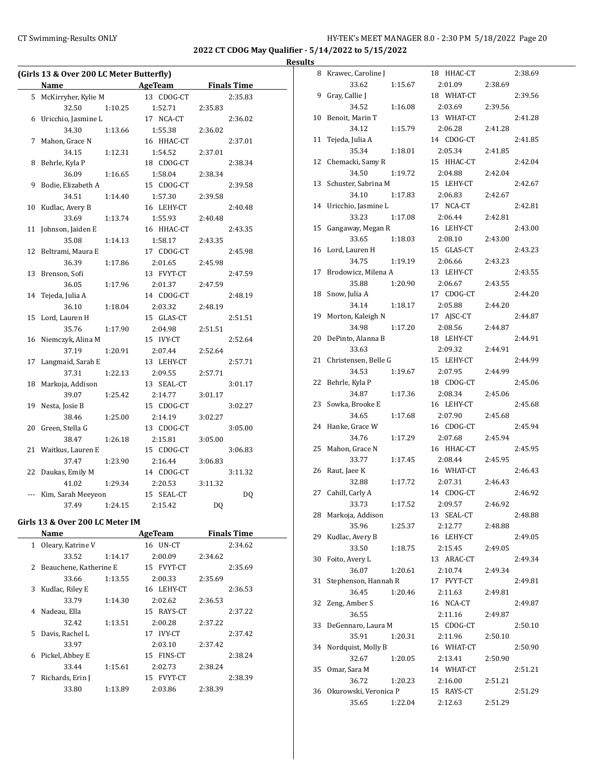#### CT Swimming-Results ONLY HY-TEK's MEET MANAGER 8.0 - 2:30 PM 5/18/2022 Page 20

**2022 CT CDOG May Qualifier - 5/14/2022 to 5/15/2022**

#### **Results**

|     | (Girls 13 & Over 200 LC Meter Butterfly) |               |                    |
|-----|------------------------------------------|---------------|--------------------|
|     | Name                                     | AgeTeam       | <b>Finals Time</b> |
| 5   | McKirryher, Kylie M                      | 13 CDOG-CT    | 2:35.83            |
|     | 32.50<br>1:10.25                         | 1:52.71       | 2:35.83            |
| 6   | Uricchio, Jasmine L                      | 17 NCA-CT     | 2:36.02            |
|     | 34.30<br>1:13.66                         | 1:55.38       | 2:36.02            |
| 7   | Mahon, Grace N                           | 16 HHAC-CT    | 2:37.01            |
|     | 34.15<br>1:12.31                         | 1:54.52       | 2:37.01            |
| 8   | Behrle, Kyla P                           | 18 CDOG-CT    | 2:38.34            |
|     | 36.09<br>1:16.65                         | 1:58.04       | 2:38.34            |
| 9   | Bodie, Elizabeth A                       | 15 CDOG-CT    | 2:39.58            |
|     | 34.51<br>1:14.40                         | 1:57.30       | 2:39.58            |
| 10  | Kudlac, Avery B                          | 16 LEHY-CT    | 2:40.48            |
|     | 33.69<br>1:13.74                         | 1:55.93       | 2:40.48            |
| 11  | Johnson, Jaiden E                        | 16 HHAC-CT    | 2:43.35            |
|     | 35.08<br>1:14.13                         | 1:58.17       | 2:43.35            |
| 12  | Beltrami, Maura E                        | 17 CDOG-CT    | 2:45.98            |
|     | 36.39<br>1:17.86                         | 2:01.65       | 2:45.98            |
| 13  | Brenson, Sofi                            | 13 FVYT-CT    | 2:47.59            |
|     | 36.05<br>1:17.96                         | 2:01.37       | 2:47.59            |
| 14  | Tejeda, Julia A                          | 14 CDOG-CT    | 2:48.19            |
|     | 36.10<br>1:18.04                         | 2:03.32       | 2:48.19            |
| 15  | Lord, Lauren H                           | 15 GLAS-CT    | 2:51.51            |
|     | 35.76<br>1:17.90                         | 2:04.98       | 2:51.51            |
| 16  | Niemczyk, Alina M                        | 15 IVY-CT     | 2:52.64            |
|     | 37.19<br>1:20.91                         | 2:07.44       | 2:52.64            |
| 17  | Langmaid, Sarah E                        | 13 LEHY-CT    | 2:57.71            |
|     | 37.31<br>1:22.13                         | 2:09.55       | 2:57.71            |
| 18  | Markoja, Addison                         | 13 SEAL-CT    | 3:01.17            |
|     | 39.07<br>1:25.42                         | 2:14.77       | 3:01.17            |
| 19  | Nesta, Josie B                           | 15 CDOG-CT    | 3:02.27            |
|     | 38.46<br>1:25.00                         | 2:14.19       | 3:02.27            |
| 20  | Green, Stella G                          | 13 CDOG-CT    | 3:05.00            |
|     | 38.47<br>1:26.18                         | 2:15.81       | 3:05.00            |
| 21  | Waitkus, Lauren E                        | 15 CDOG-CT    | 3:06.83            |
|     | 37.47<br>1:23.90                         | 2:16.44       | 3:06.83            |
| 22  | Daukas, Emily M                          | 14 CDOG-CT    | 3:11.32            |
|     | 41.02<br>1:29.34                         | 2:20.53       | 3:11.32            |
| --- | Kim, Sarah Meeyeon                       | SEAL-CT<br>15 | DQ                 |
|     | 37.49<br>1:24.15                         | 2:15.42       | <b>DQ</b>          |

#### **Girls 13 & Over 200 LC Meter IM**

| Name |                        | AgeTeam | <b>Finals Time</b> |         |  |
|------|------------------------|---------|--------------------|---------|--|
| 1    | Oleary, Katrine V      |         | 16 UN-CT           | 2:34.62 |  |
|      | 33.52                  | 1:14.17 | 2:00.09            | 2:34.62 |  |
| 2    | Beauchene, Katherine E |         | 15 FVYT-CT         | 2:35.69 |  |
|      | 33.66                  | 1:13.55 | 2:00.33            | 2:35.69 |  |
| 3    | Kudlac, Riley E        |         | 16 LEHY-CT         | 2:36.53 |  |
|      | 33.79                  | 1:14.30 | 2:02.62            | 2:36.53 |  |
| 4    | Nadeau, Ella           |         | 15 RAYS-CT         | 2:37.22 |  |
|      | 32.42                  | 1:13.51 | 2:00.28            | 2:37.22 |  |
| 5    | Davis, Rachel L        |         | 17 IVY-CT          | 2:37.42 |  |
|      | 33.97                  |         | 2:03.10            | 2:37.42 |  |
| 6    | Pickel, Abbey E        |         | 15 FINS-CT         | 2:38.24 |  |
|      | 33.44                  | 1:15.61 | 2:02.73            | 2:38.24 |  |
| 7    | Richards, Erin J       |         | 15 FVYT-CT         | 2:38.39 |  |
|      | 33.80                  | 1:13.89 | 2:03.86            | 2:38.39 |  |
|      |                        |         |                    |         |  |

| 8  | Krawec, Caroline J    |         | 18 HHAC-CT |         | 2:38.69 |
|----|-----------------------|---------|------------|---------|---------|
|    | 33.62                 | 1:15.67 | 2:01.09    | 2:38.69 |         |
| 9  | Gray, Callie J        |         | 18 WHAT-CT |         | 2:39.56 |
|    | 34.52                 | 1:16.08 | 2:03.69    | 2:39.56 |         |
| 10 | Benoit, Marin T       |         | 13 WHAT-CT |         | 2:41.28 |
|    | 34.12                 | 1:15.79 | 2:06.28    | 2:41.28 |         |
| 11 | Tejeda, Julia A       |         | 14 CDOG-CT |         | 2:41.85 |
|    | 35.34                 | 1:18.01 | 2:05.34    | 2:41.85 |         |
| 12 | Chemacki, Samy R      |         | 15 HHAC-CT |         | 2:42.04 |
|    | 34.50                 | 1:19.72 | 2:04.88    | 2:42.04 |         |
| 13 | Schuster, Sabrina M   |         | 15 LEHY-CT |         | 2:42.67 |
|    | 34.10                 | 1:17.83 | 2:06.83    | 2:42.67 |         |
| 14 | Uricchio, Jasmine L   |         | 17 NCA-CT  |         | 2:42.81 |
|    | 33.23                 | 1:17.08 | 2:06.44    | 2:42.81 |         |
| 15 | Gangaway, Megan R     |         | 16 LEHY-CT |         | 2:43.00 |
|    | 33.65                 | 1:18.03 | 2:08.10    | 2:43.00 |         |
| 16 | Lord, Lauren H        |         | 15 GLAS-CT |         | 2:43.23 |
|    | 34.75                 | 1:19.19 | 2:06.66    | 2:43.23 |         |
| 17 | Brodowicz, Milena A   |         | 13 LEHY-CT |         | 2:43.55 |
|    | 35.88                 | 1:20.90 | 2:06.67    | 2:43.55 |         |
| 18 | Snow, Julia A         |         | 17 CDOG-CT |         | 2:44.20 |
|    | 34.14                 | 1:18.17 | 2:05.88    | 2:44.20 |         |
| 19 | Morton, Kaleigh N     |         | 17 AJSC-CT |         | 2:44.87 |
|    | 34.98                 | 1:17.20 | 2:08.56    | 2:44.87 |         |
| 20 | DePinto, Alanna B     |         | 18 LEHY-CT |         | 2:44.91 |
|    | 33.63                 |         | 2:09.32    | 2:44.91 |         |
| 21 | Christensen, Belle G  |         | 15 LEHY-CT |         | 2:44.99 |
|    | 34.53                 | 1:19.67 | 2:07.95    | 2:44.99 |         |
| 22 | Behrle, Kyla P        |         | 18 CDOG-CT |         | 2:45.06 |
|    | 34.87                 | 1:17.36 | 2:08.34    | 2:45.06 |         |
| 23 | Sowka, Brooke E       |         | 16 LEHY-CT |         | 2:45.68 |
|    | 34.65                 | 1:17.68 | 2:07.90    | 2:45.68 |         |
| 24 | Hanke, Grace W        |         | 16 CDOG-CT |         | 2:45.94 |
|    | 34.76                 | 1:17.29 | 2:07.68    | 2:45.94 |         |
| 25 | Mahon, Grace N        |         | 16 HHAC-CT |         | 2:45.95 |
|    | 33.77                 | 1:17.45 | 2:08.44    | 2:45.95 |         |
| 26 | Raut, Jaee K          |         | 16 WHAT-CT |         | 2:46.43 |
|    | 32.88                 | 1:17.72 | 2:07.31    | 2:46.43 |         |
| 27 | Cahill, Carly A       |         | 14 CDOG-CT |         | 2:46.92 |
|    | 33.73                 | 1:17.52 | 2:09.57    | 2:46.92 |         |
| 28 | Markoja, Addison      |         | 13 SEAL-CT |         | 2:48.88 |
|    | 35.96                 | 1:25.37 | 2:12.77    | 2:48.88 |         |
| 29 | Kudlac, Avery B       |         | 16 LEHY-CT |         | 2:49.05 |
|    | 33.50                 | 1:18.75 | 2:15.45    | 2:49.05 |         |
| 30 | Foito, Avery L        |         | 13 ARAC-CT |         | 2:49.34 |
|    | 36.07                 | 1:20.61 | 2:10.74    | 2:49.34 |         |
| 31 | Stephenson, Hannah R  |         | 17 FVYT-CT |         | 2:49.81 |
|    | 36.45                 | 1:20.46 | 2:11.63    | 2:49.81 |         |
| 32 | Zeng, Amber S         |         | 16 NCA-CT  |         | 2:49.87 |
|    | 36.55                 |         | 2:11.16    | 2:49.87 |         |
| 33 | DeGennaro, Laura M    |         | 15 CDOG-CT |         | 2:50.10 |
|    | 35.91                 | 1:20.31 | 2:11.96    | 2:50.10 |         |
| 34 | Nordquist, Molly B    |         | 16 WHAT-CT |         | 2:50.90 |
|    | 32.67                 | 1:20.05 | 2:13.41    | 2:50.90 |         |
| 35 | Omar, Sara M          |         | 14 WHAT-CT |         | 2:51.21 |
|    | 36.72                 | 1:20.23 | 2:16.00    | 2:51.21 |         |
| 36 | Okurowski, Veronica P |         | 15 RAYS-CT |         | 2:51.29 |
|    | 35.65                 | 1:22.04 | 2:12.63    | 2:51.29 |         |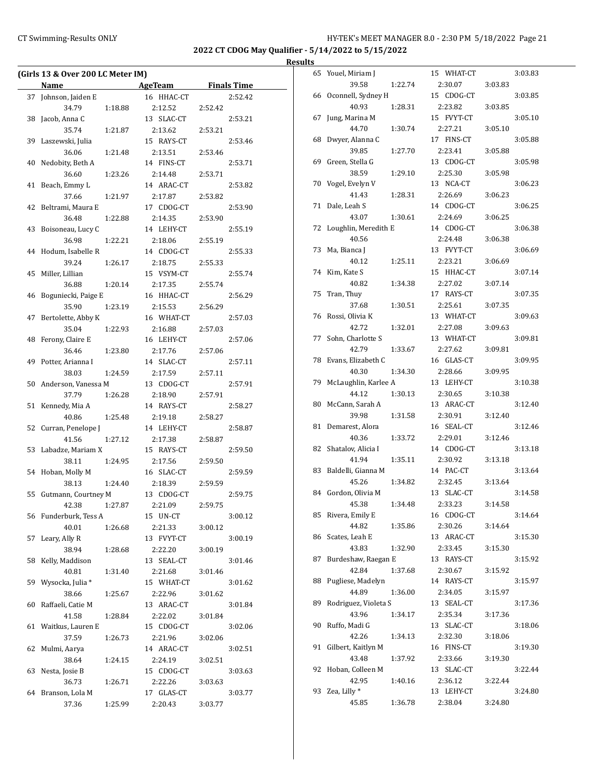## CT Swimming-Results ONLY **CT Swimming-Results ONLY** 12:30 PM 5/18/2022 Page 21

**2022 CT CDOG May Qualifier - 5/14/2022 to 5/15/2022**

|    | (Girls 13 & Over 200 LC Meter IM) |         |                     |         |         |
|----|-----------------------------------|---------|---------------------|---------|---------|
|    | <b>Name</b>                       |         | AgeTeam Finals Time |         |         |
|    | 37 Johnson, Jaiden E              |         | 16 HHAC-CT          |         | 2:52.42 |
|    | 34.79                             | 1:18.88 | 2:12.52             | 2:52.42 |         |
|    | 38 Jacob, Anna C                  |         | 13 SLAC-CT          |         | 2:53.21 |
|    | 35.74                             | 1:21.87 | 2:13.62             | 2:53.21 |         |
|    | 39 Laszewski, Julia               |         | 15 RAYS-CT          |         | 2:53.46 |
|    | 36.06                             | 1:21.48 | 2:13.51             | 2:53.46 |         |
|    | 40 Nedobity, Beth A               |         | 14 FINS-CT          |         | 2:53.71 |
|    | 36.60                             | 1:23.26 | 2:14.48             | 2:53.71 |         |
|    | 41 Beach, Emmy L                  |         | 14 ARAC-CT          |         | 2:53.82 |
|    | 37.66                             | 1:21.97 | 2:17.87             | 2:53.82 |         |
| 42 | Beltrami, Maura E                 |         | 17 CDOG-CT          |         | 2:53.90 |
|    | 36.48                             | 1:22.88 | 2:14.35             | 2:53.90 |         |
|    | 43 Boisoneau, Lucy C              |         | 14 LEHY-CT          |         | 2:55.19 |
|    | 36.98                             | 1:22.21 | 2:18.06             | 2:55.19 |         |
|    | 44 Hodum, Isabelle R              |         | 14 CDOG-CT          |         | 2:55.33 |
|    | 39.24                             | 1:26.17 | 2:18.75             | 2:55.33 |         |
|    |                                   |         |                     |         |         |
|    | 45 Miller, Lillian                |         | 15 VSYM-CT          |         | 2:55.74 |
|    | 36.88                             | 1:20.14 | 2:17.35             | 2:55.74 |         |
|    | 46 Boguniecki, Paige E            |         | 16 HHAC-CT          |         | 2:56.29 |
|    | 35.90                             | 1:23.19 | 2:15.53             | 2:56.29 |         |
| 47 | Bertolette, Abby K                |         | 16 WHAT-CT          |         | 2:57.03 |
|    | 35.04                             | 1:22.93 | 2:16.88             | 2:57.03 |         |
|    | 48 Ferony, Claire E               |         | 16 LEHY-CT          |         | 2:57.06 |
|    | 36.46                             | 1:23.80 | 2:17.76             | 2:57.06 |         |
|    | 49 Potter, Arianna I              |         | 14 SLAC-CT          |         | 2:57.11 |
|    | 38.03                             | 1:24.59 | 2:17.59             | 2:57.11 |         |
|    | 50 Anderson, Vanessa M            |         | 13 CDOG-CT          |         | 2:57.91 |
|    | 37.79                             | 1:26.28 | 2:18.90             | 2:57.91 |         |
|    | 51 Kennedy, Mia A                 |         | 14 RAYS-CT          |         | 2:58.27 |
|    | 40.86                             | 1:25.48 | 2:19.18             | 2:58.27 |         |
|    | 52 Curran, Penelope J             |         | 14 LEHY-CT          |         | 2:58.87 |
|    | 41.56                             | 1:27.12 | 2:17.38             | 2:58.87 |         |
|    | 53 Labadze, Mariam X              |         | 15 RAYS-CT          |         | 2:59.50 |
|    | 38.11                             | 1:24.95 | 2:17.56             | 2:59.50 |         |
|    | 54 Hoban, Molly M                 |         | 16 SLAC-CT          |         | 2:59.59 |
|    | 38.13                             | 1:24.40 | 2:18.39             | 2:59.59 |         |
|    | 55 Gutmann, Courtney M            |         | 13 CDOG-CT          |         | 2:59.75 |
|    | 42.38                             | 1:27.87 | 2:21.09             | 2:59.75 |         |
|    | 56 Funderburk, Tess A             |         | 15 UN-CT            |         | 3:00.12 |
|    | 40.01                             | 1:26.68 | 2:21.33             | 3:00.12 |         |
| 57 | Leary, Ally R                     |         | 13 FVYT-CT          |         | 3:00.19 |
|    | 38.94                             | 1:28.68 | 2:22.20             | 3:00.19 |         |
| 58 | Kelly, Maddison                   |         | 13 SEAL-CT          |         | 3:01.46 |
|    | 40.81                             | 1:31.40 | 2:21.68             | 3:01.46 |         |
| 59 | Wysocka, Julia *                  |         | 15 WHAT-CT          |         | 3:01.62 |
|    | 38.66                             | 1:25.67 | 2:22.96             | 3:01.62 |         |
| 60 | Raffaeli, Catie M                 |         | 13 ARAC-CT          |         | 3:01.84 |
|    | 41.58                             | 1:28.84 | 2:22.02             | 3:01.84 |         |
|    | 61 Waitkus, Lauren E              |         | 15 CDOG-CT          |         | 3:02.06 |
|    | 37.59                             | 1:26.73 | 2:21.96             | 3:02.06 |         |
|    |                                   |         |                     |         |         |
| 62 | Mulmi, Aarya                      |         | 14 ARAC-CT          |         | 3:02.51 |
|    | 38.64                             | 1:24.15 | 2:24.19             | 3:02.51 |         |
| 63 | Nesta, Josie B                    |         | 15 CDOG-CT          |         | 3:03.63 |
|    | 36.73                             | 1:26.71 | 2:22.26             | 3:03.63 |         |
| 64 | Branson, Lola M                   |         | 17 GLAS-CT          |         | 3:03.77 |
|    | 37.36                             | 1:25.99 | 2:20.43             | 3:03.77 |         |

| 65 | Youel, Miriam J      |         | 15 WHAT-CT    |         | 3:03.83 |
|----|----------------------|---------|---------------|---------|---------|
|    | 39.58                | 1:22.74 | 2:30.07       | 3:03.83 |         |
| 66 | Oconnell, Sydney H   |         | 15 CDOG-CT    |         | 3:03.85 |
|    | 40.93                | 1:28.31 | 2:23.82       | 3:03.85 |         |
| 67 | Jung, Marina M       |         | 15 FVYT-CT    |         | 3:05.10 |
|    | 44.70                | 1:30.74 | 2:27.21       | 3:05.10 |         |
| 68 | Dwyer, Alanna C      |         | 17 FINS-CT    |         | 3:05.88 |
|    | 39.85                | 1:27.70 | 2:23.41       | 3:05.88 |         |
| 69 | Green, Stella G      |         | 13 CDOG-CT    |         | 3:05.98 |
|    | 38.59                | 1:29.10 | 2:25.30       | 3:05.98 |         |
| 70 | Vogel, Evelyn V      |         | 13 NCA-CT     |         | 3:06.23 |
|    | 41.43                | 1:28.31 | 2:26.69       | 3:06.23 |         |
| 71 | Dale, Leah S         |         | 14 CDOG-CT    |         | 3:06.25 |
|    | 43.07                | 1:30.61 | 2:24.69       | 3:06.25 |         |
| 72 | Loughlin, Meredith E |         | 14 CDOG-CT    |         | 3:06.38 |
|    | 40.56                |         | 2:24.48       | 3:06.38 |         |
| 73 | Ma, Bianca J         |         | 13 FVYT-CT    |         | 3:06.69 |
|    | 40.12                | 1:25.11 | 2:23.21       | 3:06.69 |         |
| 74 | Kim, Kate S          |         | 15 HHAC-CT    |         | 3:07.14 |
|    | 40.82                | 1:34.38 | 2:27.02       | 3:07.14 |         |
| 75 | Tran, Thuy           |         | 17 RAYS-CT    |         | 3:07.35 |
|    | 37.68                | 1:30.51 | 2:25.61       | 3:07.35 |         |
| 76 | Rossi, Olivia K      |         | 13 WHAT-CT    |         | 3:09.63 |
|    | 42.72                | 1:32.01 | 2:27.08       | 3:09.63 |         |
| 77 | Sohn, Charlotte S    |         | 13 WHAT-CT    |         | 3:09.81 |
|    | 42.79                | 1:33.67 | 2:27.62       | 3:09.81 |         |
| 78 | Evans, Elizabeth C   |         | 16 GLAS-CT    |         | 3:09.95 |
|    | 40.30                | 1:34.30 | 2:28.66       | 3:09.95 |         |
| 79 | McLaughlin, Karlee A |         | 13 LEHY-CT    |         | 3:10.38 |
|    | 44.12                | 1:30.13 | 2:30.65       | 3:10.38 |         |
| 80 | McCann, Sarah A      |         | 13 ARAC-CT    |         | 3:12.40 |
|    | 39.98                | 1:31.58 | 2:30.91       | 3:12.40 |         |
| 81 | Demarest, Alora      |         | 16 SEAL-CT    |         | 3:12.46 |
|    | 40.36                | 1:33.72 | 2:29.01       | 3:12.46 |         |
| 82 | Shatalov, Alicia I   |         | 14 CDOG-CT    |         | 3:13.18 |
|    | 41.94                | 1:35.11 | 2:30.92       | 3:13.18 |         |
| 83 | Baldelli, Gianna M   |         | 14 PAC-CT     |         | 3:13.64 |
|    | 45.26                | 1:34.82 | 2:32.45       | 3:13.64 |         |
| 84 | Gordon, Olivia M     |         | 13 SLAC-CT    |         | 3:14.58 |
|    | 45.38                | 1:34.48 | 2:33.23       | 3:14.58 |         |
| 85 | Rivera, Emily E      |         | 16 CDOG-CT    |         | 3:14.64 |
|    | 44.82                | 1:35.86 | 2:30.26       | 3:14.64 |         |
| 86 | Scates, Leah E       |         | 13 ARAC-CT    |         | 3:15.30 |
|    | 43.83                | 1:32.90 | 2:33.45       | 3:15.30 |         |
| 87 | Burdeshaw, Raegan E  |         | 13 RAYS-CT    |         | 3:15.92 |
|    | 42.84                | 1:37.68 | 2:30.67       | 3:15.92 |         |
| 88 | Pugliese, Madelyn    |         | 14 RAYS-CT    |         | 3:15.97 |
|    | 44.89                | 1:36.00 | 2:34.05       | 3:15.97 |         |
| 89 | Rodriguez, Violeta S |         | SEAL-CT<br>13 |         | 3:17.36 |
|    | 43.96                | 1:34.17 | 2:35.34       | 3:17.36 |         |
| 90 | Ruffo, Madi G        |         | 13 SLAC-CT    |         | 3:18.06 |
|    | 42.26                | 1:34.13 | 2:32.30       | 3:18.06 |         |
| 91 | Gilbert, Kaitlyn M   |         | 16 FINS-CT    |         | 3:19.30 |
|    | 43.48                | 1:37.92 | 2:33.66       | 3:19.30 |         |
| 92 | Hoban, Colleen M     |         | 13 SLAC-CT    |         | 3:22.44 |
|    | 42.95                | 1:40.16 | 2:36.12       | 3:22.44 |         |
| 93 | Zea, Lilly *         |         | 13 LEHY-CT    |         | 3:24.80 |
|    | 45.85                | 1:36.78 | 2:38.04       | 3:24.80 |         |
|    |                      |         |               |         |         |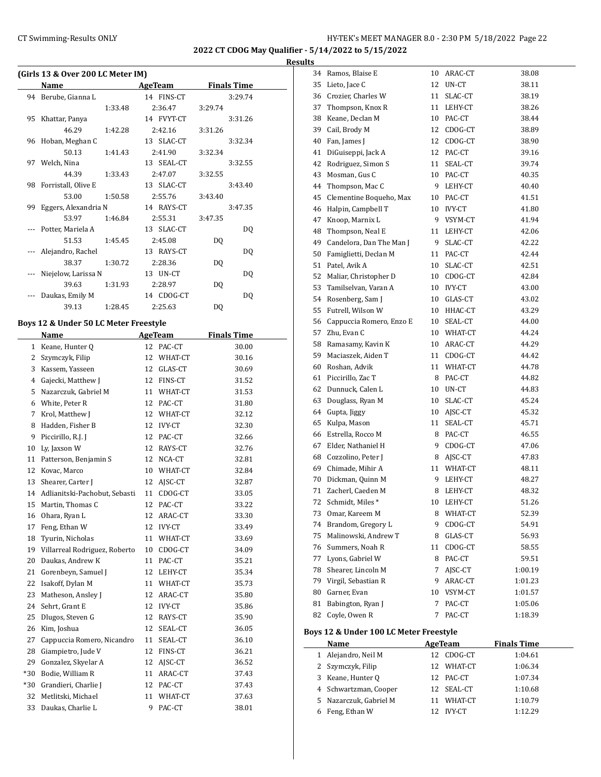**2022 CT CDOG May Qualifier - 5/14/2022 to 5/15/2022**

|       | (Girls 13 & Over 200 LC Meter IM)       |                             |                    |  |
|-------|-----------------------------------------|-----------------------------|--------------------|--|
|       | Name                                    | <b>AgeTeam</b>              | <b>Finals Time</b> |  |
| 94    | Berube, Gianna L                        | 14 FINS-CT                  | 3:29.74            |  |
|       | 1:33.48                                 | 2:36.47                     | 3:29.74            |  |
| 95    | Khattar, Panya                          | 14 FVYT-CT                  | 3:31.26            |  |
|       | 46.29<br>1:42.28                        | 2:42.16                     | 3:31.26            |  |
| 96    | Hoban, Meghan C                         | 13 SLAC-CT                  | 3:32.34            |  |
|       | 50.13<br>1:41.43                        | 2:41.90                     | 3:32.34            |  |
| 97    | Welch, Nina                             | 13 SEAL-CT                  | 3:32.55            |  |
| 98    | 44.39<br>1:33.43<br>Forristall, Olive E | 2:47.07<br>13 SLAC-CT       | 3:32.55<br>3:43.40 |  |
|       | 53.00<br>1:50.58                        | 2:55.76                     | 3:43.40            |  |
| 99    | Eggers, Alexandria N                    | 14 RAYS-CT                  | 3:47.35            |  |
|       | 53.97<br>1:46.84                        | 2:55.31                     | 3:47.35            |  |
|       | Potter, Mariela A                       | 13 SLAC-CT                  | DQ                 |  |
|       | 51.53<br>1:45.45                        | 2:45.08                     | DQ                 |  |
|       | Alejandro, Rachel                       | 13 RAYS-CT                  | DQ                 |  |
|       | 38.37<br>1:30.72                        | 2:28.36                     | DQ                 |  |
|       | Niejelow, Larissa N                     | 13 UN-CT                    | DQ                 |  |
|       | 39.63<br>1:31.93                        | 2:28.97                     | DQ                 |  |
|       | Daukas, Emily M                         | 14 CDOG-CT                  | DQ                 |  |
|       | 39.13<br>1:28.45                        | 2:25.63                     | DQ                 |  |
|       |                                         |                             |                    |  |
|       | Boys 12 & Under 50 LC Meter Freestyle   |                             | <b>Finals Time</b> |  |
|       | Name<br>1 Keane, Hunter Q               | <b>AgeTeam</b><br>12 PAC-CT | 30.00              |  |
|       | 2 Szymczyk, Filip                       | 12 WHAT-CT                  | 30.16              |  |
| 3     | Kassem, Yasseen                         | 12 GLAS-CT                  | 30.69              |  |
| 4     | Gajecki, Matthew J                      | 12 FINS-CT                  | 31.52              |  |
| 5     |                                         |                             |                    |  |
|       | Nazarczuk, Gabriel M                    | 11 WHAT-CT                  | 31.53              |  |
| 6     | White, Peter R                          | 12 PAC-CT                   | 31.80              |  |
| 7     | Krol, Matthew J                         | 12 WHAT-CT                  | 32.12              |  |
| 8     | Hadden, Fisher B                        | 12 IVY-CT                   | 32.30              |  |
| 9     | Piccirillo, R.J. J                      | 12 PAC-CT                   | 32.66              |  |
| 10    | Ly, Jaxson W                            | 12 RAYS-CT                  | 32.76              |  |
|       | 11 Patterson, Benjamin S                | 12 NCA-CT                   | 32.81              |  |
| 12    | Kovac, Marco                            | 10 WHAT-CT                  | 32.84              |  |
| 13    | Shearer, Carter J                       | AJSC-CT<br>12               | 32.87              |  |
|       | 14 Adlianitski-Pachobut, Sebasti        | 11 CDOG-CT                  | 33.05              |  |
| 15    | Martin, Thomas C                        | 12<br>PAC-CT                | 33.22              |  |
| 16    | Ohara, Ryan L                           | 12<br>ARAC-CT               | 33.30              |  |
| 17    | Feng, Ethan W                           | 12<br><b>IVY-CT</b>         | 33.49              |  |
| 18    | Tyurin, Nicholas                        | 11<br>WHAT-CT               | 33.69              |  |
| 19    | Villarreal Rodriguez, Roberto           | 10<br>CDOG-CT               | 34.09              |  |
| 20    | Daukas, Andrew K                        | 11<br>PAC-CT                | 35.21              |  |
| 21    | Gorenbeyn, Samuel J                     | 12<br>LEHY-CT               | 35.34              |  |
| 22    | Isakoff, Dylan M                        | 11<br>WHAT-CT               | 35.73              |  |
| 23    | Matheson, Ansley J                      | 12<br>ARAC-CT               | 35.80              |  |
| 24    | Sehrt, Grant E                          | 12<br><b>IVY-CT</b>         | 35.86              |  |
| 25    | Dlugos, Steven G                        | 12<br>RAYS-CT               | 35.90              |  |
| 26    | Kim, Joshua                             | 12<br>SEAL-CT               | 36.05              |  |
| 27    | Cappuccia Romero, Nicandro              | 11<br>SEAL-CT               | 36.10              |  |
| 28    | Giampietro, Jude V                      | 12<br>FINS-CT               | 36.21              |  |
| 29    | Gonzalez, Skyelar A                     | 12<br>AJSC-CT               | 36.52              |  |
| $*30$ | Bodie, William R                        | 11<br>ARAC-CT               | 37.43              |  |
| $*30$ | Grandieri, Charlie J                    | 12<br>PAC-CT                | 37.43              |  |
| 32    | Metlitski, Michael                      | 11<br>WHAT-CT               | 37.63              |  |
| 33    | Daukas, Charlie L                       | 9<br>PAC-CT                 | 38.01              |  |

| 34 | Ramos, Blaise E                        | 10       | ARAC-CT           | 38.08              |  |  |  |  |  |  |
|----|----------------------------------------|----------|-------------------|--------------------|--|--|--|--|--|--|
| 35 | Lieto, Jace C                          | 12       | UN-CT             | 38.11              |  |  |  |  |  |  |
|    | 36 Crozier, Charles W                  | 11       | SLAC-CT           | 38.19              |  |  |  |  |  |  |
| 37 | Thompson, Knox R                       | 11       | LEHY-CT           | 38.26              |  |  |  |  |  |  |
|    | 38 Keane, Declan M                     | 10       | PAC-CT            | 38.44              |  |  |  |  |  |  |
|    | 39 Cail, Brody M                       | 12       | CDOG-CT           | 38.89              |  |  |  |  |  |  |
| 40 | Fan, James J                           | 12       | CDOG-CT           | 38.90              |  |  |  |  |  |  |
| 41 | DiGuiseppi, Jack A                     | 12       | PAC-CT            | 39.16              |  |  |  |  |  |  |
| 42 | Rodriguez, Simon S                     | 11       | SEAL-CT           | 39.74              |  |  |  |  |  |  |
| 43 | Mosman, Gus C                          | 10       | PAC-CT            | 40.35              |  |  |  |  |  |  |
|    | 44 Thompson, Mac C                     | 9        | LEHY-CT           | 40.40              |  |  |  |  |  |  |
| 45 | Clementine Boqueho, Max                | 10       | PAC-CT            | 41.51              |  |  |  |  |  |  |
| 46 | Halpin, Campbell T                     | 10       | <b>IVY-CT</b>     | 41.80              |  |  |  |  |  |  |
| 47 | Knoop, Marnix L                        | 9        | VSYM-CT           | 41.94              |  |  |  |  |  |  |
| 48 | Thompson, Neal E                       | 11       | LEHY-CT           | 42.06              |  |  |  |  |  |  |
|    | 49 Candelora, Dan The Man J            | 9        | SLAC-CT           | 42.22              |  |  |  |  |  |  |
|    | 50 Famiglietti, Declan M               | 11       | PAC-CT            | 42.44              |  |  |  |  |  |  |
| 51 | Patel, Avik A                          | 10       | SLAC-CT           | 42.51              |  |  |  |  |  |  |
| 52 | Maliar, Christopher D                  | 10       | CDOG-CT           | 42.84              |  |  |  |  |  |  |
|    | 53 Tamilselvan, Varan A                | 10       | <b>IVY-CT</b>     | 43.00              |  |  |  |  |  |  |
|    | 54 Rosenberg, Sam J                    | 10       | GLAS-CT           | 43.02              |  |  |  |  |  |  |
| 55 | Futrell, Wilson W                      | 10       | HHAC-CT           | 43.29              |  |  |  |  |  |  |
|    | 56 Cappuccia Romero, Enzo E            | 10       | SEAL-CT           | 44.00              |  |  |  |  |  |  |
|    | 57 Zhu, Evan C                         | 10       | WHAT-CT           | 44.24              |  |  |  |  |  |  |
| 58 | Ramasamy, Kavin K                      | 10       | ARAC-CT           | 44.29              |  |  |  |  |  |  |
|    | 59 Maciaszek, Aiden T                  | 11       | CDOG-CT           | 44.42              |  |  |  |  |  |  |
|    | 60 Roshan, Advik                       | 11       | WHAT-CT           | 44.78              |  |  |  |  |  |  |
| 61 | Piccirillo, Zac T                      | 8        | PAC-CT            | 44.82              |  |  |  |  |  |  |
|    | 62 Dunnuck, Calen L                    | 10       | UN-CT             | 44.83              |  |  |  |  |  |  |
| 63 | Douglass, Ryan M                       | 10       |                   |                    |  |  |  |  |  |  |
|    |                                        |          | SLAC-CT           | 45.24<br>45.32     |  |  |  |  |  |  |
|    | 64 Gupta, Jiggy                        | 10<br>11 | AJSC-CT           |                    |  |  |  |  |  |  |
| 65 | Kulpa, Mason                           | 8        | SEAL-CT<br>PAC-CT | 45.71              |  |  |  |  |  |  |
|    | 66 Estrella, Rocco M                   | 9        |                   | 46.55              |  |  |  |  |  |  |
| 67 | Elder, Nathaniel H                     |          | CDOG-CT           | 47.06              |  |  |  |  |  |  |
|    | 68 Cozzolino, Peter J                  | 8        | AJSC-CT           | 47.83              |  |  |  |  |  |  |
| 69 | Chimade, Mihir A                       | 11       | WHAT-CT           | 48.11              |  |  |  |  |  |  |
| 70 | Dickman, Quinn M<br>Zacherl, Caeden M  | 9        | LEHY-CT           | 48.27<br>48.32     |  |  |  |  |  |  |
| 71 |                                        | 8        | LEHY-CT           |                    |  |  |  |  |  |  |
|    | 72 Schmidt, Miles *                    | 10       | LEHY-CT           | 51.26              |  |  |  |  |  |  |
| 73 | Omar, Kareem M                         | 8        | WHAT-CT           | 52.39              |  |  |  |  |  |  |
| 74 | Brandom, Gregory L                     | 9        | CDOG-CT           | 54.91              |  |  |  |  |  |  |
| 75 | Malinowski, Andrew T                   | 8        | GLAS-CT           | 56.93              |  |  |  |  |  |  |
| 76 | Summers, Noah R                        | 11       | CDOG-CT           | 58.55              |  |  |  |  |  |  |
| 77 | Lyons, Gabriel W                       | 8        | PAC-CT            | 59.51              |  |  |  |  |  |  |
| 78 | Shearer, Lincoln M                     | 7        | AJSC-CT           | 1:00.19            |  |  |  |  |  |  |
| 79 | Virgil, Sebastian R                    | 9        | ARAC-CT           | 1:01.23            |  |  |  |  |  |  |
| 80 | Garner, Evan                           | 10       | VSYM-CT           | 1:01.57            |  |  |  |  |  |  |
| 81 | Babington, Ryan J                      | 7        | PAC-CT            | 1:05.06            |  |  |  |  |  |  |
| 82 | Coyle, Owen R                          | 7        | PAC-CT            | 1:18.39            |  |  |  |  |  |  |
|    | Boys 12 & Under 100 LC Meter Freestyle |          |                   |                    |  |  |  |  |  |  |
|    | Name                                   |          | AgeTeam           | <b>Finals Time</b> |  |  |  |  |  |  |
| 1  | Alejandro, Neil M                      | 12       | CDOG-CT           | 1:04.61            |  |  |  |  |  |  |
| 2  | Szymczyk, Filip                        | 12       | WHAT-CT           | 1:06.34            |  |  |  |  |  |  |
|    | 3 Keane, Hunter Q                      | 12       | PAC-CT            | 1:07.34            |  |  |  |  |  |  |
|    | 4 Schwartzman, Cooper                  | 12       | SEAL-CT           | 1:10.68            |  |  |  |  |  |  |
| 5  | Nazarczuk, Gabriel M                   | 11       | WHAT-CT           | 1:10.79            |  |  |  |  |  |  |
|    | 6 Feng, Ethan W                        |          | 12 IVY-CT         | 1:12.29            |  |  |  |  |  |  |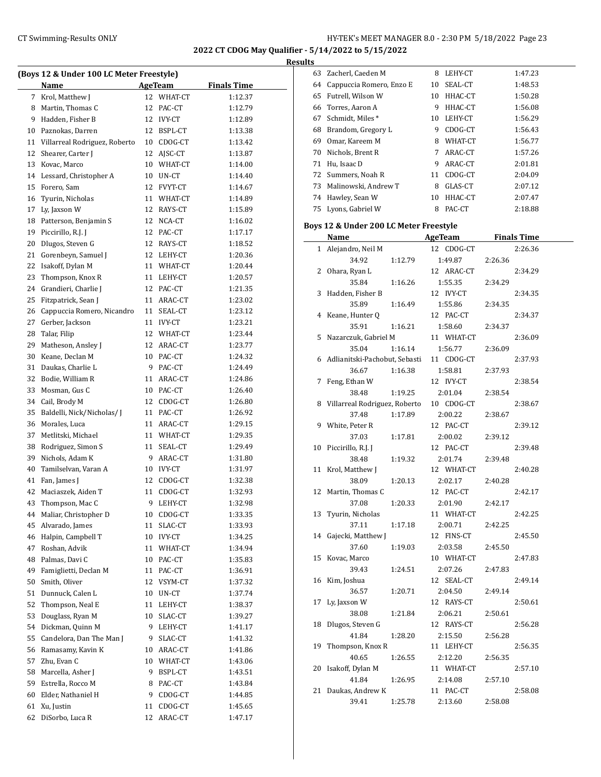**2022 CT CDOG May Qualifier - 5/14/2022 to 5/15/2022**

**Results**

|    | (Boys 12 & Under 100 LC Meter Freestyle) |    |            |                    |  |  |  |  |
|----|------------------------------------------|----|------------|--------------------|--|--|--|--|
|    | Name                                     |    | AgeTeam    | <b>Finals Time</b> |  |  |  |  |
| 7  | Krol, Matthew J                          | 12 | WHAT-CT    | 1:12.37            |  |  |  |  |
|    | 8 Martin, Thomas C                       | 12 | PAC-CT     | 1:12.79            |  |  |  |  |
|    | 9 Hadden, Fisher B                       |    | 12 IVY-CT  | 1:12.89            |  |  |  |  |
|    | 10 Paznokas, Darren                      |    | 12 BSPL-CT | 1:13.38            |  |  |  |  |
| 11 | Villarreal Rodriguez, Roberto            |    | 10 CDOG-CT | 1:13.42            |  |  |  |  |
| 12 | Shearer, Carter J                        |    | 12 AJSC-CT | 1:13.87            |  |  |  |  |
|    | 13 Kovac, Marco                          |    | 10 WHAT-CT | 1:14.00            |  |  |  |  |
|    | 14 Lessard, Christopher A                |    | 10 UN-CT   | 1:14.40            |  |  |  |  |
|    | 15 Forero, Sam                           |    | 12 FVYT-CT | 1:14.67            |  |  |  |  |
|    | 16 Tyurin, Nicholas                      |    | 11 WHAT-CT | 1:14.89            |  |  |  |  |
| 17 | Ly, Jaxson W                             |    | 12 RAYS-CT | 1:15.89            |  |  |  |  |
| 18 | Patterson, Benjamin S                    |    | 12 NCA-CT  | 1:16.02            |  |  |  |  |
| 19 | Piccirillo, R.J. J                       |    | 12 PAC-CT  | 1:17.17            |  |  |  |  |
| 20 | Dlugos, Steven G                         |    | 12 RAYS-CT | 1:18.52            |  |  |  |  |
| 21 | Gorenbeyn, Samuel J                      |    | 12 LEHY-CT | 1:20.36            |  |  |  |  |
| 22 | Isakoff, Dylan M                         |    | 11 WHAT-CT | 1:20.44            |  |  |  |  |
| 23 | Thompson, Knox R                         |    | 11 LEHY-CT | 1:20.57            |  |  |  |  |
| 24 | Grandieri, Charlie J                     |    | 12 PAC-CT  | 1:21.35            |  |  |  |  |
| 25 | Fitzpatrick, Sean J                      |    | 11 ARAC-CT | 1:23.02            |  |  |  |  |
| 26 | Cappuccia Romero, Nicandro               | 11 | SEAL-CT    | 1:23.12            |  |  |  |  |
| 27 | Gerber, Jackson                          |    | 11 IVY-CT  | 1:23.21            |  |  |  |  |
| 28 | Talar, Filip                             |    | 12 WHAT-CT | 1:23.44            |  |  |  |  |
| 29 | Matheson, Ansley J                       |    | 12 ARAC-CT | 1:23.77            |  |  |  |  |
| 30 | Keane, Declan M                          |    | 10 PAC-CT  | 1:24.32            |  |  |  |  |
| 31 | Daukas, Charlie L                        | 9. | PAC-CT     | 1:24.49            |  |  |  |  |
|    | 32 Bodie, William R                      |    | 11 ARAC-CT | 1:24.86            |  |  |  |  |
| 33 | Mosman, Gus C                            |    | 10 PAC-CT  | 1:26.40            |  |  |  |  |
|    |                                          |    |            |                    |  |  |  |  |
| 34 | Cail, Brody M                            |    | 12 CDOG-CT | 1:26.80            |  |  |  |  |
| 35 | Baldelli, Nick/Nicholas/J                |    | 11 PAC-CT  | 1:26.92            |  |  |  |  |
| 36 | Morales, Luca                            |    | 11 ARAC-CT | 1:29.15            |  |  |  |  |
| 37 | Metlitski, Michael                       |    | 11 WHAT-CT | 1:29.35            |  |  |  |  |
|    | 38 Rodriguez, Simon S                    | 11 | SEAL-CT    | 1:29.49            |  |  |  |  |
| 39 | Nichols, Adam K                          |    | 9 ARAC-CT  | 1:31.80            |  |  |  |  |
| 40 | Tamilselvan, Varan A                     |    | 10 IVY-CT  | 1:31.97            |  |  |  |  |
| 41 | Fan, James J                             | 12 | CDOG-CT    | 1:32.38            |  |  |  |  |
| 42 | Maciaszek, Aiden T                       | 11 | CDOG-CT    | 1:32.93            |  |  |  |  |
| 43 | Thompson, Mac C                          | 9  | LEHY-CT    | 1:32.98            |  |  |  |  |
| 44 | Maliar, Christopher D                    | 10 | CDOG-CT    | 1:33.35            |  |  |  |  |
| 45 | Alvarado, James                          | 11 | SLAC-CT    | 1:33.93            |  |  |  |  |
| 46 | Halpin, Campbell T                       | 10 | IVY-CT     | 1:34.25            |  |  |  |  |
| 47 | Roshan, Advik                            | 11 | WHAT-CT    | 1:34.94            |  |  |  |  |
| 48 | Palmas, Davi C                           | 10 | PAC-CT     | 1:35.83            |  |  |  |  |
| 49 | Famiglietti, Declan M                    | 11 | PAC-CT     | 1:36.91            |  |  |  |  |
| 50 | Smith, Oliver                            | 12 | VSYM-CT    | 1:37.32            |  |  |  |  |
| 51 | Dunnuck, Calen L                         | 10 | $UN-CT$    | 1:37.74            |  |  |  |  |
| 52 | Thompson, Neal E                         | 11 | LEHY-CT    | 1:38.37            |  |  |  |  |
| 53 | Douglass, Ryan M                         | 10 | SLAC-CT    | 1:39.27            |  |  |  |  |
| 54 | Dickman, Quinn M                         | 9  | LEHY-CT    | 1:41.17            |  |  |  |  |
| 55 | Candelora, Dan The Man J                 | 9  | SLAC-CT    | 1:41.32            |  |  |  |  |
| 56 | Ramasamy, Kavin K                        | 10 | ARAC-CT    | 1:41.86            |  |  |  |  |
| 57 | Zhu, Evan C                              | 10 | WHAT-CT    | 1:43.06            |  |  |  |  |
| 58 | Marcella, Asher J                        | 9  | BSPL-CT    | 1:43.51            |  |  |  |  |
| 59 | Estrella, Rocco M                        | 8  | PAC-CT     | 1:43.84            |  |  |  |  |
| 60 | Elder, Nathaniel H                       | 9  | CDOG-CT    | 1:44.85            |  |  |  |  |
| 61 | Xu, Justin                               | 11 | CDOG-CT    | 1:45.65            |  |  |  |  |
| 62 | DiSorbo, Luca R                          | 12 | ARAC-CT    | 1:47.17            |  |  |  |  |
|    |                                          |    |            |                    |  |  |  |  |

| 63           | Zacherl, Caeden M                      | 8       | LEHY-CT        |         | 1:47.23            |
|--------------|----------------------------------------|---------|----------------|---------|--------------------|
| 64           | Cappuccia Romero, Enzo E               | 10      | SEAL-CT        |         | 1:48.53            |
| 65           | Futrell, Wilson W                      | 10      | HHAC-CT        |         | 1:50.28            |
| 66           | Torres, Aaron A                        |         | 9 HHAC-CT      |         | 1:56.08            |
| 67           | Schmidt, Miles*                        |         | 10 LEHY-CT     |         | 1:56.29            |
|              | 68 Brandom, Gregory L                  |         | 9 CDOG-CT      |         | 1:56.43            |
|              |                                        |         |                |         |                    |
|              | 69 Omar, Kareem M                      |         | 8 WHAT-CT      |         | 1:56.77            |
|              | 70 Nichols, Brent R                    |         | 7 ARAC-CT      |         | 1:57.26            |
|              | 71 Hu, Isaac D                         |         | 9 ARAC-CT      |         | 2:01.81            |
|              | 72 Summers, Noah R                     |         | 11 CDOG-CT     |         | 2:04.09            |
|              | 73 Malinowski, Andrew T                |         | 8 GLAS-CT      |         | 2:07.12            |
|              | 74 Hawley, Sean W                      | 10      | HHAC-CT        |         | 2:07.47            |
| 75           | Lyons, Gabriel W                       |         | 8 PAC-CT       |         | 2:18.88            |
|              | Boys 12 & Under 200 LC Meter Freestyle |         |                |         |                    |
|              | Name                                   |         | <b>AgeTeam</b> |         | <b>Finals Time</b> |
| $\mathbf{1}$ | Alejandro, Neil M                      |         | 12 CDOG-CT     |         | 2:26.36            |
|              | 34.92                                  | 1:12.79 | 1:49.87        | 2:26.36 |                    |
| 2            | Ohara, Ryan L                          |         | 12 ARAC-CT     |         | 2:34.29            |
|              | 35.84                                  | 1:16.26 | 1:55.35        | 2:34.29 |                    |
| 3            | Hadden, Fisher B                       |         | 12 IVY-CT      |         | 2:34.35            |
|              | 35.89                                  | 1:16.49 | 1:55.86        | 2:34.35 |                    |
| 4            | Keane, Hunter Q                        |         | 12 PAC-CT      |         | 2:34.37            |
|              | 35.91                                  | 1:16.21 | 1:58.60        | 2:34.37 |                    |
| 5            | Nazarczuk, Gabriel M                   |         | 11 WHAT-CT     |         | 2:36.09            |
|              | 35.04                                  | 1:16.14 | 1:56.77        | 2:36.09 |                    |
| 6            | Adlianitski-Pachobut, Sebasti          |         | 11 CDOG-CT     |         | 2:37.93            |
|              | 36.67                                  | 1:16.38 | 1:58.81        | 2:37.93 |                    |
| 7            | Feng, Ethan W                          |         | 12 IVY-CT      |         | 2:38.54            |
|              |                                        |         |                |         |                    |
|              | 38.48                                  | 1:19.25 | 2:01.04        | 2:38.54 |                    |
| 8            | Villarreal Rodriguez, Roberto          |         | 10 CDOG-CT     |         | 2:38.67            |
|              | 37.48                                  | 1:17.89 | 2:00.22        | 2:38.67 |                    |
|              | 9 White, Peter R                       |         | 12 PAC-CT      |         | 2:39.12            |
|              | 37.03                                  | 1:17.81 | 2:00.02        | 2:39.12 |                    |
| 10           | Piccirillo, R.J. J                     |         | 12 PAC-CT      |         | 2:39.48            |
|              | 38.48                                  | 1:19.32 | 2:01.74        | 2:39.48 |                    |
| 11           | Krol, Matthew J                        |         | 12 WHAT-CT     |         | 2:40.28            |
|              | 38.09                                  | 1:20.13 | 2:02.17        | 2:40.28 |                    |
| 12           | Martin, Thomas C                       |         | 12 PAC-CT      |         | 2:42.17            |
|              | 37.08                                  | 1:20.33 | 2:01.90        | 2:42.17 |                    |
| 13           | Tyurin, Nicholas                       |         | 11 WHAT-CT     |         | 2:42.25            |
|              | 37.11                                  | 1:17.18 | 2:00.71        | 2:42.25 |                    |
| 14           | Gajecki, Matthew J                     |         | 12 FINS-CT     |         | 2:45.50            |
|              | 37.60                                  | 1:19.03 | 2:03.58        | 2:45.50 |                    |
| 15           | Kovac, Marco                           |         | 10 WHAT-CT     |         | 2:47.83            |
|              | 39.43                                  | 1:24.51 | 2:07.26        | 2:47.83 |                    |
| 16           | Kim, Joshua                            |         | 12 SEAL-CT     |         | 2:49.14            |
|              | 36.57                                  | 1:20.71 | 2:04.50        | 2:49.14 |                    |
| 17           | Ly, Jaxson W                           |         | 12 RAYS-CT     |         | 2:50.61            |
|              | 38.08                                  | 1:21.84 | 2:06.21        | 2:50.61 |                    |
| 18           | Dlugos, Steven G                       |         | 12 RAYS-CT     |         | 2:56.28            |
|              | 41.84                                  | 1:28.20 | 2:15.50        | 2:56.28 |                    |
| 19           | Thompson, Knox R                       |         | 11 LEHY-CT     |         | 2:56.35            |
|              | 40.65                                  | 1:26.55 | 2:12.20        | 2:56.35 |                    |
| 20           | Isakoff, Dylan M                       |         | 11 WHAT-CT     |         | 2:57.10            |
|              | 41.84                                  | 1:26.95 | 2:14.08        | 2:57.10 |                    |
| 21           | Daukas, Andrew K                       |         | 11 PAC-CT      |         | 2:58.08            |
|              | 39.41                                  | 1:25.78 | 2:13.60        | 2:58.08 |                    |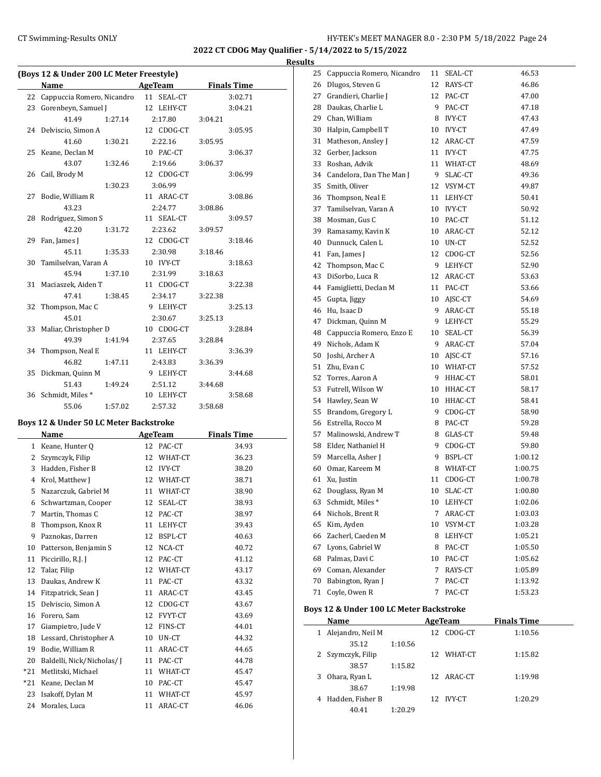l.

**2022 CT CDOG May Qualifier - 5/14/2022 to 5/15/2022**

#### **Results**

| (Boys 12 & Under 200 LC Meter Freestyle) |                            |         |  |            |         |                    |
|------------------------------------------|----------------------------|---------|--|------------|---------|--------------------|
|                                          | Name                       |         |  | AgeTeam    |         | <b>Finals Time</b> |
| 22                                       | Cappuccia Romero, Nicandro |         |  | 11 SEAL-CT |         | 3:02.71            |
| 23                                       | Gorenbeyn, Samuel J        |         |  | 12 LEHY-CT |         | 3:04.21            |
|                                          | 41.49                      | 1:27.14 |  | 2:17.80    | 3:04.21 |                    |
| 24                                       | Delviscio, Simon A         |         |  | 12 CDOG-CT |         | 3:05.95            |
|                                          | 41.60                      | 1:30.21 |  | 2:22.16    | 3:05.95 |                    |
| 25                                       | Keane, Declan M            |         |  | 10 PAC-CT  |         | 3:06.37            |
|                                          | 43.07                      | 1:32.46 |  | 2:19.66    | 3:06.37 |                    |
| 26                                       | Cail, Brody M              |         |  | 12 CDOG-CT |         | 3:06.99            |
|                                          |                            | 1:30.23 |  | 3:06.99    |         |                    |
| 27                                       | Bodie, William R           |         |  | 11 ARAC-CT |         | 3:08.86            |
|                                          | 43.23                      |         |  | 2:24.77    | 3:08.86 |                    |
| 28                                       | Rodriguez, Simon S         |         |  | 11 SEAL-CT |         | 3:09.57            |
|                                          | 42.20                      | 1:31.72 |  | 2:23.62    | 3:09.57 |                    |
| 29                                       | Fan, James J               |         |  | 12 CDOG-CT |         | 3:18.46            |
|                                          | 45.11                      | 1:35.33 |  | 2:30.98    | 3:18.46 |                    |
|                                          | 30 Tamilselvan, Varan A    |         |  | 10 IVY-CT  |         | 3:18.63            |
|                                          | 45.94                      | 1:37.10 |  | 2:31.99    | 3:18.63 |                    |
|                                          | 31 Maciaszek, Aiden T      |         |  | 11 CDOG-CT |         | 3:22.38            |
|                                          | 47.41                      | 1:38.45 |  | 2:34.17    | 3:22.38 |                    |
| 32                                       | Thompson, Mac C            |         |  | 9 LEHY-CT  |         | 3:25.13            |
|                                          | 45.01                      |         |  | 2:30.67    | 3:25.13 |                    |
| 33                                       | Maliar, Christopher D      |         |  | 10 CDOG-CT |         | 3:28.84            |
|                                          | 49.39                      | 1:41.94 |  | 2:37.65    | 3:28.84 |                    |
| 34                                       | Thompson, Neal E           |         |  | 11 LEHY-CT |         | 3:36.39            |
|                                          | 46.82                      | 1:47.11 |  | 2:43.83    | 3:36.39 |                    |
| 35                                       | Dickman, Quinn M           |         |  | 9 LEHY-CT  |         | 3:44.68            |
|                                          | 51.43                      | 1:49.24 |  | 2:51.12    | 3:44.68 |                    |
| 36                                       | Schmidt, Miles*            |         |  | 10 LEHY-CT |         | 3:58.68            |
|                                          | 55.06                      | 1:57.02 |  | 2:57.32    | 3:58.68 |                    |

## **Boys 12 & Under 50 LC Meter Backstroke**

|                | Name                      |    | AgeTeam        | <b>Finals Time</b> |
|----------------|---------------------------|----|----------------|--------------------|
| $\mathbf{1}$   | Keane, Hunter Q           | 12 | PAC-CT         | 34.93              |
| 2              | Szymczyk, Filip           | 12 | WHAT-CT        | 36.23              |
| 3              | Hadden, Fisher B          | 12 | <b>IVY-CT</b>  | 38.20              |
| $\overline{4}$ | Krol, Matthew J           | 12 | WHAT-CT        | 38.71              |
| 5              | Nazarczuk, Gabriel M      | 11 | WHAT-CT        | 38.90              |
| 6              | Schwartzman, Cooper       | 12 | SEAL-CT        | 38.93              |
| 7              | Martin, Thomas C          | 12 | PAC-CT         | 38.97              |
| 8              | Thompson, Knox R          | 11 | LEHY-CT        | 39.43              |
| 9              | Paznokas, Darren          | 12 | BSPL-CT        | 40.63              |
| 10             | Patterson, Benjamin S     | 12 | NCA-CT         | 40.72              |
| 11             | Piccirillo, R.J. J        | 12 | PAC-CT         | 41.12              |
| 12             | Talar, Filip              | 12 | WHAT-CT        | 43.17              |
| 13             | Daukas, Andrew K          | 11 | PAC-CT         | 43.32              |
| 14             | Fitzpatrick, Sean J       | 11 | ARAC-CT        | 43.45              |
| 15             | Delviscio, Simon A        | 12 | CDOG-CT        | 43.67              |
| 16             | Forero, Sam               | 12 | <b>FVYT-CT</b> | 43.69              |
| 17             | Giampietro, Jude V        | 12 | FINS-CT        | 44.01              |
| 18             | Lessard, Christopher A    | 10 | UN-CT          | 44.32              |
| 19             | Bodie, William R          | 11 | ARAC-CT        | 44.65              |
| 20             | Baldelli, Nick/Nicholas/I | 11 | PAC-CT         | 44.78              |
| $*21$          | Metlitski, Michael        | 11 | WHAT-CT        | 45.47              |
| $*21$          | Keane, Declan M           | 10 | PAC-CT         | 45.47              |
| 23             | Isakoff, Dylan M          | 11 | WHAT-CT        | 45.97              |
| 24             | Morales, Luca             | 11 | ARAC-CT        | 46.06              |

| 25 | Cappuccia Romero, Nicandro | 11 | SEAL-CT    | 46.53   |
|----|----------------------------|----|------------|---------|
| 26 | Dlugos, Steven G           |    | 12 RAYS-CT | 46.86   |
| 27 | Grandieri, Charlie J       |    | 12 PAC-CT  | 47.00   |
| 28 | Daukas, Charlie L          |    | 9 PAC-CT   | 47.18   |
| 29 | Chan, William              |    | 8 IVY-CT   | 47.43   |
| 30 | Halpin, Campbell T         |    | 10 IVY-CT  | 47.49   |
| 31 | Matheson, Ansley J         |    | 12 ARAC-CT | 47.59   |
| 32 | Gerber, Jackson            |    | 11 IVY-CT  | 47.75   |
| 33 | Roshan, Advik              |    | 11 WHAT-CT | 48.69   |
| 34 | Candelora, Dan The Man J   |    | 9 SLAC-CT  | 49.36   |
| 35 | Smith, Oliver              |    | 12 VSYM-CT | 49.87   |
| 36 | Thompson, Neal E           |    | 11 LEHY-CT | 50.41   |
| 37 | Tamilselvan, Varan A       |    | 10 IVY-CT  | 50.92   |
| 38 | Mosman, Gus C              |    | 10 PAC-CT  | 51.12   |
| 39 | Ramasamy, Kavin K          |    | 10 ARAC-CT | 52.12   |
| 40 | Dunnuck, Calen L           |    | 10 UN-CT   | 52.52   |
| 41 | Fan, James J               |    | 12 CDOG-CT | 52.56   |
| 42 | Thompson, Mac C            |    | 9 LEHY-CT  | 52.90   |
| 43 | DiSorbo, Luca R            |    | 12 ARAC-CT | 53.63   |
| 44 | Famiglietti, Declan M      |    | 11 PAC-CT  | 53.66   |
| 45 | Gupta, Jiggy               | 10 | AJSC-CT    | 54.69   |
| 46 | Hu, Isaac D                | 9  | ARAC-CT    | 55.18   |
| 47 | Dickman, Quinn M           |    | 9 LEHY-CT  | 55.29   |
| 48 | Cappuccia Romero, Enzo E   | 10 | SEAL-CT    | 56.39   |
| 49 | Nichols, Adam K            |    | 9 ARAC-CT  | 57.04   |
| 50 | Joshi, Archer A            |    | 10 AJSC-CT | 57.16   |
| 51 | Zhu, Evan C                |    | 10 WHAT-CT | 57.52   |
| 52 | Torres, Aaron A            |    | 9 HHAC-CT  | 58.01   |
| 53 | Futrell, Wilson W          |    | 10 HHAC-CT | 58.17   |
| 54 | Hawley, Sean W             |    | 10 HHAC-CT | 58.41   |
| 55 | Brandom, Gregory L         | 9  | CDOG-CT    | 58.90   |
| 56 | Estrella, Rocco M          |    | 8 PAC-CT   | 59.28   |
| 57 | Malinowski, Andrew T       |    | 8 GLAS-CT  | 59.48   |
| 58 | Elder, Nathaniel H         | 9  | CDOG-CT    | 59.80   |
| 59 | Marcella, Asher J          |    | 9 BSPL-CT  | 1:00.12 |
| 60 | Omar, Kareem M             |    | 8 WHAT-CT  | 1:00.75 |
| 61 | Xu, Justin                 | 11 | CDOG-CT    | 1:00.78 |
| 62 | Douglass, Ryan M           | 10 | SLAC-CT    | 1:00.80 |
| 63 | Schmidt, Miles*            | 10 | LEHY-CT    | 1:02.06 |
| 64 | Nichols, Brent R           | 7  | ARAC-CT    | 1:03.03 |
| 65 | Kim, Ayden                 | 10 | VSYM-CT    | 1:03.28 |
| 66 | Zacherl, Caeden M          | 8  | LEHY-CT    | 1:05.21 |
| 67 | Lyons, Gabriel W           | 8  | PAC-CT     | 1:05.50 |
| 68 | Palmas, Davi C             | 10 | PAC-CT     | 1:05.62 |
| 69 | Coman, Alexander           | 7  | RAYS-CT    | 1:05.89 |
| 70 | Babington, Ryan J          | 7  | PAC-CT     | 1:13.92 |
| 71 | Coyle, Owen R              | 7  | PAC-CT     | 1:53.23 |

## **Boys 12 & Under 100 LC Meter Backstroke**

| Name                              |         | AgeTeam    | <b>Finals Time</b> |  |
|-----------------------------------|---------|------------|--------------------|--|
| Alejandro, Neil M<br>$\mathbf{1}$ |         | 12 CDOG-CT | 1:10.56            |  |
| 35.12                             | 1:10.56 |            |                    |  |
| 2 Szymczyk, Filip                 |         | 12 WHAT-CT | 1:15.82            |  |
| 38.57                             | 1:15.82 |            |                    |  |
| 3 Ohara, Ryan L                   |         | 12 ARAC-CT | 1:19.98            |  |
| 38.67                             | 1:19.98 |            |                    |  |
| Hadden, Fisher B<br>4             |         | 12 IVY-CT  | 1:20.29            |  |
| 40.41                             | 1:20.29 |            |                    |  |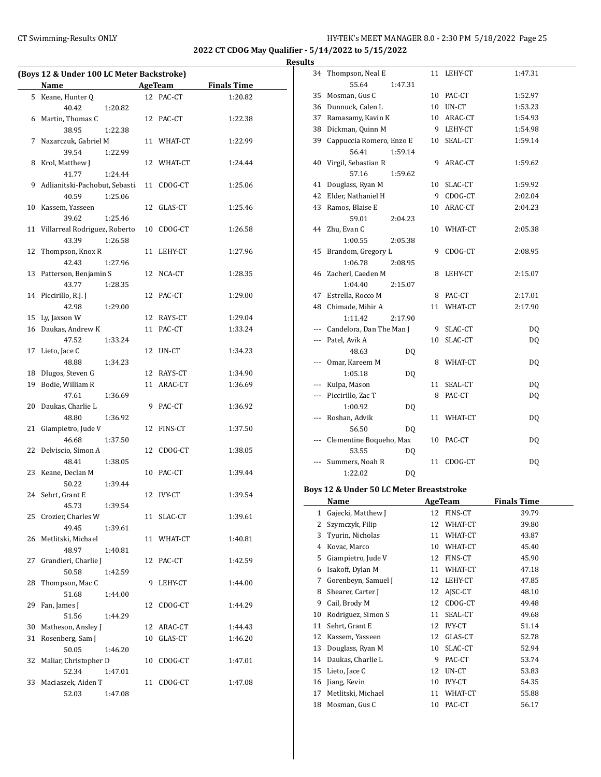**2022 CT CDOG May Qualifier - 5/14/2022 to 5/15/2022**

#### **Results**

| <b>Name</b><br>Keane, Hunter Q<br>5<br>40.42<br>1:20.82<br>Martin, Thomas C<br>6<br>38.95<br>1:22.38<br>7 Nazarczuk, Gabriel M<br>39.54<br>1:22.99<br>Krol, Matthew J<br>8<br>41.77<br>1:24.44<br>9<br>Adlianitski-Pachobut, Sebasti<br>40.59<br>1:25.06<br>10<br>Kassem, Yasseen<br>12<br>39.62<br>1:25.46<br>11 Villarreal Rodriguez, Roberto<br>43.39<br>1:26.58<br>12<br>Thompson, Knox R<br>11<br>42.43<br>1:27.96<br>Patterson, Benjamin S<br>13<br>43.77<br>1:28.35<br>14<br>Piccirillo, R.J. J<br>12<br>42.98<br>1:29.00<br>Ly, Jaxson W<br>15<br>16 Daukas, Andrew K<br>47.52<br>1:33.24<br>Lieto, Jace C<br>17<br>12<br>48.88<br>1:34.23<br>Dlugos, Steven G<br>18 | AgeTeam<br><b>Finals Time</b><br>12 PAC-CT<br>1:20.82<br>12 PAC-CT<br>1:22.38<br>11 WHAT-CT<br>1:22.99<br>12 WHAT-CT<br>1:24.44 |
|------------------------------------------------------------------------------------------------------------------------------------------------------------------------------------------------------------------------------------------------------------------------------------------------------------------------------------------------------------------------------------------------------------------------------------------------------------------------------------------------------------------------------------------------------------------------------------------------------------------------------------------------------------------------------|---------------------------------------------------------------------------------------------------------------------------------|
|                                                                                                                                                                                                                                                                                                                                                                                                                                                                                                                                                                                                                                                                              |                                                                                                                                 |
|                                                                                                                                                                                                                                                                                                                                                                                                                                                                                                                                                                                                                                                                              |                                                                                                                                 |
|                                                                                                                                                                                                                                                                                                                                                                                                                                                                                                                                                                                                                                                                              |                                                                                                                                 |
|                                                                                                                                                                                                                                                                                                                                                                                                                                                                                                                                                                                                                                                                              |                                                                                                                                 |
|                                                                                                                                                                                                                                                                                                                                                                                                                                                                                                                                                                                                                                                                              |                                                                                                                                 |
|                                                                                                                                                                                                                                                                                                                                                                                                                                                                                                                                                                                                                                                                              |                                                                                                                                 |
|                                                                                                                                                                                                                                                                                                                                                                                                                                                                                                                                                                                                                                                                              |                                                                                                                                 |
|                                                                                                                                                                                                                                                                                                                                                                                                                                                                                                                                                                                                                                                                              |                                                                                                                                 |
|                                                                                                                                                                                                                                                                                                                                                                                                                                                                                                                                                                                                                                                                              |                                                                                                                                 |
|                                                                                                                                                                                                                                                                                                                                                                                                                                                                                                                                                                                                                                                                              | 11 CDOG-CT<br>1:25.06                                                                                                           |
|                                                                                                                                                                                                                                                                                                                                                                                                                                                                                                                                                                                                                                                                              |                                                                                                                                 |
|                                                                                                                                                                                                                                                                                                                                                                                                                                                                                                                                                                                                                                                                              | GLAS-CT<br>1:25.46                                                                                                              |
|                                                                                                                                                                                                                                                                                                                                                                                                                                                                                                                                                                                                                                                                              |                                                                                                                                 |
|                                                                                                                                                                                                                                                                                                                                                                                                                                                                                                                                                                                                                                                                              | 10 CDOG-CT<br>1:26.58                                                                                                           |
|                                                                                                                                                                                                                                                                                                                                                                                                                                                                                                                                                                                                                                                                              |                                                                                                                                 |
|                                                                                                                                                                                                                                                                                                                                                                                                                                                                                                                                                                                                                                                                              | LEHY-CT<br>1:27.96                                                                                                              |
|                                                                                                                                                                                                                                                                                                                                                                                                                                                                                                                                                                                                                                                                              |                                                                                                                                 |
|                                                                                                                                                                                                                                                                                                                                                                                                                                                                                                                                                                                                                                                                              | 12 NCA-CT<br>1:28.35                                                                                                            |
|                                                                                                                                                                                                                                                                                                                                                                                                                                                                                                                                                                                                                                                                              |                                                                                                                                 |
|                                                                                                                                                                                                                                                                                                                                                                                                                                                                                                                                                                                                                                                                              |                                                                                                                                 |
|                                                                                                                                                                                                                                                                                                                                                                                                                                                                                                                                                                                                                                                                              | PAC-CT<br>1:29.00                                                                                                               |
|                                                                                                                                                                                                                                                                                                                                                                                                                                                                                                                                                                                                                                                                              |                                                                                                                                 |
|                                                                                                                                                                                                                                                                                                                                                                                                                                                                                                                                                                                                                                                                              | 12 RAYS-CT<br>1:29.04                                                                                                           |
|                                                                                                                                                                                                                                                                                                                                                                                                                                                                                                                                                                                                                                                                              | 11 PAC-CT<br>1:33.24                                                                                                            |
|                                                                                                                                                                                                                                                                                                                                                                                                                                                                                                                                                                                                                                                                              |                                                                                                                                 |
|                                                                                                                                                                                                                                                                                                                                                                                                                                                                                                                                                                                                                                                                              | UN-CT<br>1:34.23                                                                                                                |
|                                                                                                                                                                                                                                                                                                                                                                                                                                                                                                                                                                                                                                                                              |                                                                                                                                 |
|                                                                                                                                                                                                                                                                                                                                                                                                                                                                                                                                                                                                                                                                              | 12 RAYS-CT<br>1:34.90                                                                                                           |
| Bodie, William R<br>19                                                                                                                                                                                                                                                                                                                                                                                                                                                                                                                                                                                                                                                       | 11 ARAC-CT<br>1:36.69                                                                                                           |
| 47.61<br>1:36.69                                                                                                                                                                                                                                                                                                                                                                                                                                                                                                                                                                                                                                                             |                                                                                                                                 |
| Daukas, Charlie L<br>20<br>9                                                                                                                                                                                                                                                                                                                                                                                                                                                                                                                                                                                                                                                 | PAC-CT<br>1:36.92                                                                                                               |
| 48.80<br>1:36.92                                                                                                                                                                                                                                                                                                                                                                                                                                                                                                                                                                                                                                                             |                                                                                                                                 |
| 21<br>Giampietro, Jude V                                                                                                                                                                                                                                                                                                                                                                                                                                                                                                                                                                                                                                                     | 12 FINS-CT<br>1:37.50                                                                                                           |
| 46.68<br>1:37.50                                                                                                                                                                                                                                                                                                                                                                                                                                                                                                                                                                                                                                                             |                                                                                                                                 |
| 22<br>Delviscio, Simon A<br>12                                                                                                                                                                                                                                                                                                                                                                                                                                                                                                                                                                                                                                               | CDOG-CT<br>1:38.05                                                                                                              |
| 48.41<br>1:38.05                                                                                                                                                                                                                                                                                                                                                                                                                                                                                                                                                                                                                                                             |                                                                                                                                 |
| 23<br>Keane, Declan M<br>10                                                                                                                                                                                                                                                                                                                                                                                                                                                                                                                                                                                                                                                  | 1:39.44<br>PAC-CT                                                                                                               |
| 50.22<br>1:39.44                                                                                                                                                                                                                                                                                                                                                                                                                                                                                                                                                                                                                                                             |                                                                                                                                 |
| Sehrt, Grant E<br>12<br>24                                                                                                                                                                                                                                                                                                                                                                                                                                                                                                                                                                                                                                                   | <b>IVY-CT</b><br>1:39.54                                                                                                        |
| 45.73<br>1:39.54                                                                                                                                                                                                                                                                                                                                                                                                                                                                                                                                                                                                                                                             |                                                                                                                                 |
| 25<br>Crozier, Charles W<br>11                                                                                                                                                                                                                                                                                                                                                                                                                                                                                                                                                                                                                                               | SLAC-CT<br>1:39.61                                                                                                              |
| 49.45<br>1:39.61                                                                                                                                                                                                                                                                                                                                                                                                                                                                                                                                                                                                                                                             |                                                                                                                                 |
| Metlitski, Michael<br>26<br>11                                                                                                                                                                                                                                                                                                                                                                                                                                                                                                                                                                                                                                               | WHAT-CT<br>1:40.81                                                                                                              |
| 48.97<br>1:40.81                                                                                                                                                                                                                                                                                                                                                                                                                                                                                                                                                                                                                                                             |                                                                                                                                 |
| Grandieri, Charlie J<br>27<br>12                                                                                                                                                                                                                                                                                                                                                                                                                                                                                                                                                                                                                                             | PAC-CT<br>1:42.59                                                                                                               |
| 50.58<br>1:42.59                                                                                                                                                                                                                                                                                                                                                                                                                                                                                                                                                                                                                                                             |                                                                                                                                 |
| Thompson, Mac C<br>9<br>28                                                                                                                                                                                                                                                                                                                                                                                                                                                                                                                                                                                                                                                   | LEHY-CT<br>1:44.00                                                                                                              |
| 51.68<br>1:44.00                                                                                                                                                                                                                                                                                                                                                                                                                                                                                                                                                                                                                                                             |                                                                                                                                 |
| 29<br>Fan, James J<br>12                                                                                                                                                                                                                                                                                                                                                                                                                                                                                                                                                                                                                                                     | CDOG-CT<br>1:44.29                                                                                                              |
| 51.56<br>1:44.29                                                                                                                                                                                                                                                                                                                                                                                                                                                                                                                                                                                                                                                             |                                                                                                                                 |
| Matheson, Ansley J<br>30                                                                                                                                                                                                                                                                                                                                                                                                                                                                                                                                                                                                                                                     | 12 ARAC-CT<br>1:44.43                                                                                                           |
| Rosenberg, Sam J<br>31<br>10                                                                                                                                                                                                                                                                                                                                                                                                                                                                                                                                                                                                                                                 | GLAS-CT<br>1:46.20                                                                                                              |
| 50.05<br>1:46.20                                                                                                                                                                                                                                                                                                                                                                                                                                                                                                                                                                                                                                                             |                                                                                                                                 |
| 32<br>Maliar, Christopher D<br>10                                                                                                                                                                                                                                                                                                                                                                                                                                                                                                                                                                                                                                            |                                                                                                                                 |
| 52.34<br>1:47.01                                                                                                                                                                                                                                                                                                                                                                                                                                                                                                                                                                                                                                                             | CDOG-CT<br>1:47.01                                                                                                              |
| Maciaszek, Aiden T<br>33<br>11                                                                                                                                                                                                                                                                                                                                                                                                                                                                                                                                                                                                                                               |                                                                                                                                 |
| 52.03<br>1:47.08                                                                                                                                                                                                                                                                                                                                                                                                                                                                                                                                                                                                                                                             | CDOG-CT<br>1:47.08                                                                                                              |

| 34  | Thompson, Neal E                         |         |    | 11 LEHY-CT | 1:47.31 |
|-----|------------------------------------------|---------|----|------------|---------|
|     | 55.64                                    | 1:47.31 |    |            |         |
| 35  | Mosman, Gus C                            |         |    | 10 PAC-CT  | 1:52.97 |
| 36  | Dunnuck, Calen L                         |         |    | 10 UN-CT   | 1:53.23 |
| 37  | Ramasamy, Kavin K                        |         |    | 10 ARAC-CT | 1:54.93 |
| 38  | Dickman, Quinn M                         |         |    | 9 LEHY-CT  | 1:54.98 |
| 39  | Cappuccia Romero, Enzo E                 |         |    | 10 SEAL-CT | 1:59.14 |
|     | 56.41                                    | 1:59.14 |    |            |         |
| 40  | Virgil, Sebastian R                      |         | 9  | ARAC-CT    | 1:59.62 |
|     | 57.16                                    | 1:59.62 |    |            |         |
| 41  | Douglass, Ryan M                         |         |    | 10 SLAC-CT | 1:59.92 |
| 42  | Elder, Nathaniel H                       |         |    | 9 CDOG-CT  | 2:02.04 |
| 43  | Ramos, Blaise E                          |         |    | 10 ARAC-CT | 2:04.23 |
|     | 59.01                                    | 2:04.23 |    |            |         |
| 44  | Zhu, Evan C                              |         | 10 | WHAT-CT    | 2:05.38 |
|     | 1:00.55                                  | 2:05.38 |    |            |         |
| 45  | Brandom, Gregory L                       |         | 9  | CDOG-CT    | 2:08.95 |
|     | 1:06.78                                  | 2:08.95 |    |            |         |
| 46  | Zacherl, Caeden M                        |         | 8  | LEHY-CT    | 2:15.07 |
|     | 1:04.40                                  | 2:15.07 |    |            |         |
| 47  | Estrella, Rocco M                        |         |    | 8 PAC-CT   | 2:17.01 |
| 48  | Chimade, Mihir A                         |         | 11 | WHAT-CT    | 2:17.90 |
|     | 1:11.42                                  | 2:17.90 |    |            |         |
|     | Candelora, Dan The Man J                 |         |    | 9 SLAC-CT  | DQ      |
|     | --- Patel, Avik A                        |         | 10 | SLAC-CT    | DQ      |
|     | 48.63                                    | DQ      |    |            |         |
| --- | Omar, Kareem M                           |         | 8  | WHAT-CT    | DQ      |
|     | 1:05.18                                  | DQ      |    |            |         |
| --- | Kulpa, Mason                             |         | 11 | SEAL-CT    | DQ      |
| --- | Piccirillo, Zac T                        |         | 8  | PAC-CT     | DQ      |
|     | 1:00.92                                  | DQ      |    |            |         |
| --- | Roshan, Advik                            |         |    | 11 WHAT-CT | DQ      |
|     | 56.50                                    | DQ      |    |            |         |
| --- | Clementine Boqueho, Max                  |         | 10 | PAC-CT     | DQ      |
|     | 53.55                                    | DQ      |    |            |         |
|     | Summers, Noah R                          |         |    | 11 CDOG-CT | DQ      |
|     | 1:22.02                                  | DQ      |    |            |         |
|     | Boys 12 & Under 50 LC Meter Breaststroke |         |    |            |         |

## **Name Age Team Finals Time** 1 Gajecki, Matthew J 12 FINS-CT 39.79 2 Szymczyk, Filip 12 WHAT-CT 39.80 3 Tyurin, Nicholas 11 WHAT-CT 43.87 4 Kovac, Marco 10 WHAT-CT 45.40 5 Giampietro, Jude V 12 FINS-CT 45.90 6 Isakoff, Dylan M 11 WHAT-CT 47.18 7 Gorenbeyn, Samuel J 12 LEHY-CT 47.85 8 Shearer, Carter J 12 AJSC-CT 48.10 9 Cail, Brody M 12 CDOG-CT 49.48 10 Rodriguez, Simon S 11 SEAL-CT 49.68 11 Sehrt, Grant E 12 IVY-CT 51.14 12 Kassem, Yasseen 12 GLAS-CT 52.78 13 Douglass, Ryan M 10 SLAC-CT 52.94 14 Daukas, Charlie L 9 PAC-CT 53.74 15 Lieto, Jace C 12 UN-CT 53.83 16 Jiang, Kevin 10 IVY-CT 54.35 17 Metlitski, Michael 11 WHAT-CT 55.88 18 Mosman, Gus C 10 PAC-CT 56.17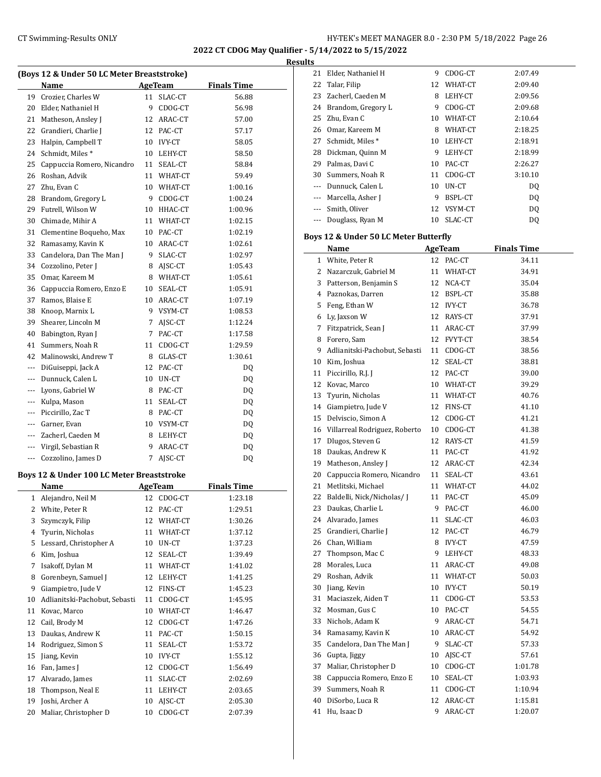**2022 CT CDOG May Qualifier - 5/14/2022 to 5/15/2022**

**Results**

|          |                                                   |    |                |                    | ĸt |
|----------|---------------------------------------------------|----|----------------|--------------------|----|
|          | (Boys 12 & Under 50 LC Meter Breaststroke)        |    |                |                    |    |
|          | Name                                              | 11 | <b>AgeTeam</b> | <b>Finals Time</b> |    |
| 19       | Crozier, Charles W                                | 9  | SLAC-CT        | 56.88              |    |
|          | 20 Elder, Nathaniel H                             |    | CDOG-CT        | 56.98              |    |
|          | 21 Matheson, Ansley J                             | 12 | ARAC-CT        | 57.00              |    |
|          | 22 Grandieri, Charlie J                           |    | 12 PAC-CT      | 57.17              |    |
| 23       | Halpin, Campbell T                                | 10 | IVY-CT         | 58.05              |    |
| 24       | Schmidt, Miles*                                   | 10 | LEHY-CT        | 58.50              |    |
| 25       | Cappuccia Romero, Nicandro                        | 11 | SEAL-CT        | 58.84              |    |
| 26       | Roshan, Advik                                     | 11 | WHAT-CT        | 59.49              |    |
| 27       | Zhu, Evan C                                       | 10 | WHAT-CT        | 1:00.16            |    |
|          | 28 Brandom, Gregory L                             | 9  | CDOG-CT        | 1:00.24            |    |
| 29       | Futrell, Wilson W                                 | 10 | HHAC-CT        | 1:00.96            |    |
| 30       | Chimade, Mihir A                                  | 11 | WHAT-CT        | 1:02.15            |    |
| 31       | Clementine Boqueho, Max                           | 10 | PAC-CT         | 1:02.19            |    |
| 32       | Ramasamy, Kavin K                                 | 10 | ARAC-CT        | 1:02.61            |    |
|          | 33 Candelora, Dan The Man J                       | 9  | SLAC-CT        | 1:02.97            |    |
|          | 34 Cozzolino, Peter J                             | 8  | AJSC-CT        | 1:05.43            |    |
| 35       | Omar, Kareem M                                    | 8  | WHAT-CT        | 1:05.61            |    |
| 36       | Cappuccia Romero, Enzo E                          | 10 | SEAL-CT        | 1:05.91            |    |
| 37       | Ramos, Blaise E                                   | 10 | ARAC-CT        | 1:07.19            |    |
|          | 38 Knoop, Marnix L                                | 9  | VSYM-CT        | 1:08.53            |    |
| 39       | Shearer, Lincoln M                                | 7  | AJSC-CT        | 1:12.24            |    |
| 40       | Babington, Ryan J                                 | 7  | PAC-CT         | 1:17.58            |    |
| 41       | Summers, Noah R                                   | 11 | CDOG-CT        | 1:29.59            |    |
| 42       | Malinowski, Andrew T                              | 8  | GLAS-CT        | 1:30.61            |    |
| ---      | DiGuiseppi, Jack A                                | 12 | PAC-CT         | DQ                 |    |
| $\cdots$ | Dunnuck, Calen L                                  | 10 | UN-CT          | DQ                 |    |
| ---      | Lyons, Gabriel W                                  | 8  | PAC-CT         | DQ                 |    |
| $\cdots$ | Kulpa, Mason                                      | 11 | SEAL-CT        | DQ                 |    |
| ---      | Piccirillo, Zac T                                 | 8  | PAC-CT         | DQ                 |    |
|          | --- Garner, Evan                                  | 10 | VSYM-CT        | DQ                 |    |
| $\cdots$ | Zacherl, Caeden M                                 | 8  | LEHY-CT        | DQ                 |    |
| $\cdots$ | Virgil, Sebastian R                               | 9  | ARAC-CT        | DQ                 |    |
| ---      | Cozzolino, James D                                | 7  | AJSC-CT        | DQ                 |    |
|          |                                                   |    |                |                    |    |
|          | Boys 12 & Under 100 LC Meter Breaststroke<br>Name |    | <b>AgeTeam</b> | <b>Finals Time</b> |    |
|          |                                                   |    |                |                    |    |
| 1        | Alejandro, Neil M                                 | 12 | CDOG-CT        | 1:23.18            |    |
| 2        | White, Peter R                                    | 12 | PAC-CT         | 1:29.51            |    |
| 3        | Szymczyk, Filip                                   | 12 | WHAT-CT        | 1:30.26            |    |
| 4        | Tyurin, Nicholas                                  | 11 | WHAT-CT        | 1:37.12            |    |
| 5        | Lessard, Christopher A                            | 10 | UN-CT          | 1:37.23            |    |
| 6        | Kim, Joshua                                       | 12 | SEAL-CT        | 1:39.49            |    |
| 7        | Isakoff, Dylan M                                  | 11 | WHAT-CT        | 1:41.02            |    |
| 8        | Gorenbeyn, Samuel J                               | 12 | LEHY-CT        | 1:41.25            |    |
| 9        | Giampietro, Jude V                                | 12 | FINS-CT        | 1:45.23            |    |
| 10       | Adlianitski-Pachobut, Sebasti                     | 11 | CDOG-CT        | 1:45.95            |    |
| 11       | Kovac, Marco                                      | 10 | WHAT-CT        | 1:46.47            |    |
| 12       | Cail, Brody M                                     | 12 | CDOG-CT        | 1:47.26            |    |
| 13       | Daukas, Andrew K                                  | 11 | PAC-CT         | 1:50.15            |    |
| 14       | Rodriguez, Simon S                                | 11 | SEAL-CT        | 1:53.72            |    |
| 15       | Jiang, Kevin                                      | 10 | <b>IVY-CT</b>  | 1:55.12            |    |
| 16       | Fan, James J                                      | 12 | CDOG-CT        | 1:56.49            |    |
| 17       | Alvarado, James                                   | 11 | SLAC-CT        | 2:02.69            |    |
| 18       | Thompson, Neal E                                  | 11 | LEHY-CT        | 2:03.65            |    |
| 19       | Joshi, Archer A                                   | 10 | AJSC-CT        | 2:05.30            |    |
| 20       | Maliar, Christopher D                             | 10 | CDOG-CT        | 2:07.39            |    |

| เ๖    |                    |    |         |         |
|-------|--------------------|----|---------|---------|
| 21    | Elder, Nathaniel H | 9  | CDOG-CT | 2:07.49 |
| 22    | Talar, Filip       | 12 | WHAT-CT | 2:09.40 |
| 23    | Zacherl, Caeden M  | 8  | LEHY-CT | 2:09.56 |
| 24    | Brandom, Gregory L | 9  | CDOG-CT | 2:09.68 |
| 25    | Zhu, Evan C        | 10 | WHAT-CT | 2:10.64 |
| 26    | Omar, Kareem M     | 8  | WHAT-CT | 2:18.25 |
| 27    | Schmidt, Miles*    | 10 | LEHY-CT | 2:18.91 |
| 28    | Dickman, Quinn M   | 9  | LEHY-CT | 2:18.99 |
| 29    | Palmas, Davi C     | 10 | PAC-CT  | 2:26.27 |
| 30    | Summers, Noah R    | 11 | CDOG-CT | 3:10.10 |
|       | Dunnuck, Calen L   | 10 | UN-CT   | DQ      |
|       | Marcella, Asher J  | 9  | BSPL-CT | DQ      |
| $---$ | Smith, Oliver      | 12 | VSYM-CT | DQ      |
|       | Douglass, Ryan M   | 10 | SLAC-CT | DQ      |

## **Boys 12 & Under 50 LC Meter Butterfly**

|    | Name                          |    | <b>AgeTeam</b> | <b>Finals Time</b> |
|----|-------------------------------|----|----------------|--------------------|
|    | 1 White, Peter R              |    | 12 PAC-CT      | 34.11              |
| 2  | Nazarczuk, Gabriel M          | 11 | WHAT-CT        | 34.91              |
| 3  | Patterson, Benjamin S         |    | 12 NCA-CT      | 35.04              |
|    | 4 Paznokas, Darren            |    | 12 BSPL-CT     | 35.88              |
| 5  | Feng, Ethan W                 |    | 12 IVY-CT      | 36.78              |
| 6  | Ly, Jaxson W                  | 12 | RAYS-CT        | 37.91              |
| 7  | Fitzpatrick, Sean J           | 11 | ARAC-CT        | 37.99              |
| 8  | Forero, Sam                   | 12 | FVYT-CT        | 38.54              |
| 9  | Adlianitski-Pachobut, Sebasti |    | 11 CDOG-CT     | 38.56              |
| 10 | Kim, Joshua                   | 12 | SEAL-CT        | 38.81              |
| 11 | Piccirillo, R.J. J            |    | 12 PAC-CT      | 39.00              |
|    | 12 Kovac, Marco               |    | 10 WHAT-CT     | 39.29              |
| 13 | Tyurin, Nicholas              |    | 11 WHAT-CT     | 40.76              |
| 14 | Giampietro, Jude V            |    | 12 FINS-CT     | 41.10              |
| 15 | Delviscio, Simon A            | 12 | CDOG-CT        | 41.21              |
| 16 | Villarreal Rodriguez, Roberto |    | 10 CDOG-CT     | 41.38              |
| 17 | Dlugos, Steven G              |    | 12 RAYS-CT     | 41.59              |
| 18 | Daukas, Andrew K              |    | 11 PAC-CT      | 41.92              |
| 19 | Matheson, Ansley J            |    | 12 ARAC-CT     | 42.34              |
| 20 | Cappuccia Romero, Nicandro    |    | 11 SEAL-CT     | 43.61              |
| 21 | Metlitski, Michael            |    | 11 WHAT-CT     | 44.02              |
| 22 | Baldelli, Nick/Nicholas/ J    |    | 11 PAC-CT      | 45.09              |
| 23 | Daukas, Charlie L             | 9  | PAC-CT         | 46.00              |
| 24 | Alvarado, James               | 11 | SLAC-CT        | 46.03              |
| 25 | Grandieri, Charlie J          | 12 | PAC-CT         | 46.79              |
|    | 26 Chan, William              | 8  | IVY-CT         | 47.59              |
| 27 | Thompson, Mac C               |    | 9 LEHY-CT      | 48.33              |
| 28 | Morales, Luca                 |    | 11 ARAC-CT     | 49.08              |
| 29 | Roshan, Advik                 |    | 11 WHAT-CT     | 50.03              |
| 30 | Jiang, Kevin                  |    | 10 IVY-CT      | 50.19              |
| 31 | Maciaszek, Aiden T            |    | 11 CDOG-CT     | 53.53              |
| 32 | Mosman, Gus C                 | 10 | PAC-CT         | 54.55              |
| 33 | Nichols, Adam K               | 9  | ARAC-CT        | 54.71              |
| 34 | Ramasamy, Kavin K             |    | 10 ARAC-CT     | 54.92              |
| 35 | Candelora, Dan The Man J      |    | 9 SLAC-CT      | 57.33              |
| 36 | Gupta, Jiggy                  |    | 10 AJSC-CT     | 57.61              |
| 37 | Maliar, Christopher D         |    | 10 CDOG-CT     | 1:01.78            |
| 38 | Cappuccia Romero, Enzo E      |    | 10 SEAL-CT     | 1:03.93            |
| 39 | Summers, Noah R               |    | 11 CDOG-CT     | 1:10.94            |
| 40 | DiSorbo, Luca R               | 12 | ARAC-CT        | 1:15.81            |
| 41 | Hu, Isaac D                   | 9  | ARAC-CT        | 1:20.07            |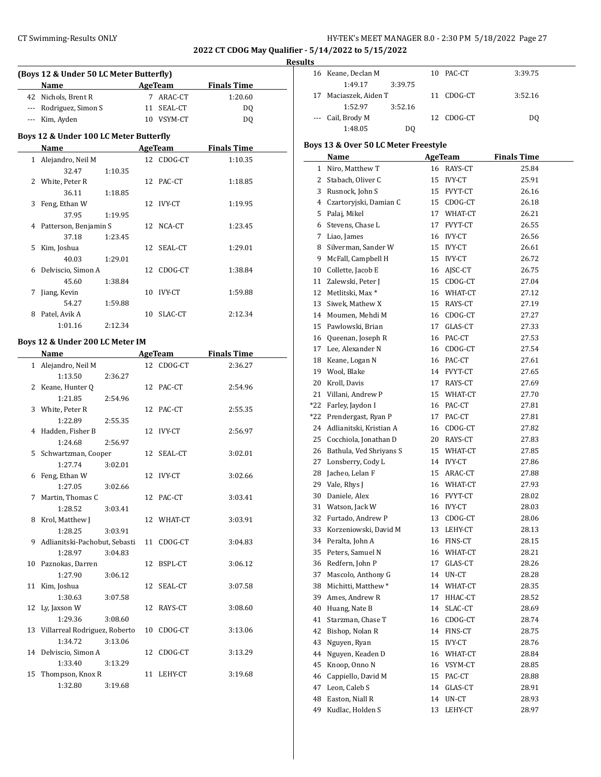## CT Swimming-Results ONLY **CT Swimming-Results ONLY** 127 EX's MEET MANAGER 8.0 - 2:30 PM 5/18/2022 Page 27

**2022 CT CDOG May Qualifier - 5/14/2022 to 5/15/2022**

**Results**

|               |                                         |         |    |            |                    | R |
|---------------|-----------------------------------------|---------|----|------------|--------------------|---|
|               | (Boys 12 & Under 50 LC Meter Butterfly) |         |    |            |                    |   |
|               | Name                                    |         |    | AgeTeam    | <b>Finals Time</b> |   |
| 42            | Nichols, Brent R                        |         | 7  | ARAC-CT    | 1:20.60            |   |
| $- - -$       | Rodriguez, Simon S                      |         | 11 | SEAL-CT    | DQ                 |   |
| ---           | Kim, Ayden                              |         |    | 10 VSYM-CT | DQ                 |   |
|               | Boys 12 & Under 100 LC Meter Butterfly  |         |    |            |                    |   |
|               | Name                                    |         |    | AgeTeam    | <b>Finals Time</b> |   |
|               | 1 Alejandro, Neil M                     |         |    | 12 CDOG-CT | 1:10.35            |   |
|               | 32.47                                   | 1:10.35 |    |            |                    |   |
| $\mathcal{L}$ | White, Peter R                          |         |    | 12 PAC-CT  | 1:18.85            |   |
|               | 36.11                                   | 1:18.85 |    |            |                    |   |
| 3             | Feng, Ethan W                           |         |    | 12 IVY-CT  | 1:19.95            |   |
|               | 37.95                                   | 1:19.95 |    |            |                    |   |
| 4             | Patterson, Benjamin S                   |         |    | 12 NCA-CT  | 1:23.45            |   |
|               | 37.18                                   | 1:23.45 |    |            |                    |   |
| 5             | Kim, Joshua                             |         |    | 12 SEAL-CT | 1:29.01            |   |
|               | 40.03                                   | 1:29.01 |    |            |                    |   |
| 6             | Delviscio, Simon A                      |         |    | 12 CDOG-CT | 1:38.84            |   |
|               | 45.60                                   | 1:38.84 |    |            |                    |   |
| 7             | Jiang, Kevin                            |         | 10 | IVY-CT     | 1:59.88            |   |
|               | 54.27                                   | 1:59.88 |    |            |                    |   |
| 8             | Patel, Avik A                           |         | 10 | SLAC-CT    | 2:12.34            |   |
|               | 1:01.16                                 | 2:12.34 |    |            |                    |   |

#### **Boys 12 & Under 200 LC Meter IM**

L

|    | Name                             |         |    | <b>AgeTeam</b> | <b>Finals Time</b> |
|----|----------------------------------|---------|----|----------------|--------------------|
|    | 1 Alejandro, Neil M              |         |    | 12 CDOG-CT     | 2:36.27            |
|    | 1:13.50                          | 2:36.27 |    |                |                    |
|    | 2 Keane, Hunter Q                |         |    | 12 PAC-CT      | 2:54.96            |
|    | 1:21.85                          | 2:54.96 |    |                |                    |
|    | 3 White, Peter R                 |         |    | 12 PAC-CT      | 2:55.35            |
|    | 1:22.89                          | 2:55.35 |    |                |                    |
|    | 4 Hadden, Fisher B               |         | 12 | <b>IVY-CT</b>  | 2:56.97            |
|    | 1:24.68                          | 2:56.97 |    |                |                    |
|    | 5 Schwartzman, Cooper            |         |    | 12 SEAL-CT     | 3:02.01            |
|    | 1:27.74                          | 3:02.01 |    |                |                    |
|    | 6 Feng, Ethan W                  |         |    | 12 IVY-CT      | 3:02.66            |
|    | 1:27.05                          | 3:02.66 |    |                |                    |
|    | 7 Martin, Thomas C               |         |    | 12 PAC-CT      | 3:03.41            |
|    | 1:28.52                          | 3:03.41 |    |                |                    |
|    | 8 Krol, Matthew J                |         |    | 12 WHAT-CT     | 3:03.91            |
|    | 1:28.25                          | 3:03.91 |    |                |                    |
|    | 9 Adlianitski-Pachobut, Sebasti  |         | 11 | CDOG-CT        | 3:04.83            |
|    | 1:28.97                          | 3:04.83 |    |                |                    |
|    | 10 Paznokas, Darren              |         | 12 | BSPL-CT        | 3:06.12            |
|    | 1:27.90                          | 3:06.12 |    |                |                    |
|    | 11 Kim, Joshua                   |         | 12 | SEAL-CT        | 3:07.58            |
|    | 1:30.63                          | 3:07.58 |    |                |                    |
|    | 12 Ly, Jaxson W                  |         |    | 12 RAYS-CT     | 3:08.60            |
|    | 1:29.36                          | 3:08.60 |    |                |                    |
|    | 13 Villarreal Rodriguez, Roberto |         |    | 10 CDOG-CT     | 3:13.06            |
|    | 1:34.72                          | 3:13.06 |    |                |                    |
|    | 14 Delviscio, Simon A            |         | 12 | CDOG-CT        | 3:13.29            |
|    | 1:33.40                          | 3:13.29 |    |                |                    |
| 15 | Thompson, Knox R                 |         | 11 | LEHY-CT        | 3:19.68            |
|    | 1:32.80                          | 3:19.68 |    |                |                    |

|     | 16 Keane, Declan M                   |    | 10 PAC-CT      | 3:39.75            |
|-----|--------------------------------------|----|----------------|--------------------|
|     | 1:49.17<br>3:39.75                   |    |                |                    |
| 17  | Maciaszek, Aiden T                   | 11 | CDOG-CT        | 3:52.16            |
|     | 1:52.97<br>3:52.16                   |    |                |                    |
|     | Cail, Brody M                        | 12 | CDOG-CT        | DQ                 |
|     | 1:48.05<br>DQ                        |    |                |                    |
|     | Boys 13 & Over 50 LC Meter Freestyle |    |                |                    |
|     | Name                                 |    | <b>AgeTeam</b> | <b>Finals Time</b> |
|     | 1 Niro, Matthew T                    |    | 16 RAYS-CT     | 25.84              |
|     | 2 Stabach, Oliver C                  | 15 | <b>IVY-CT</b>  | 25.91              |
|     | 3 Rusnock, John S                    | 15 | FVYT-CT        | 26.16              |
|     | 4 Czartoryjski, Damian C             |    | 15 CDOG-CT     | 26.18              |
|     | 5 Palaj, Mikel                       |    | 17 WHAT-CT     | 26.21              |
| 6   | Stevens, Chase L                     | 17 | FVYT-CT        | 26.55              |
|     | 7 Liao, James                        | 16 | IVY-CT         | 26.56              |
| 8   | Silverman, Sander W                  | 15 | IVY-CT         | 26.61              |
|     | 9 McFall, Campbell H                 | 15 | IVY-CT         | 26.72              |
|     | 10 Collette, Jacob E                 | 16 | AJSC-CT        | 26.75              |
|     | 11 Zalewski, Peter J                 | 15 | CDOG-CT        | 27.04              |
|     | 12 Metlitski, Max*                   | 16 | WHAT-CT        | 27.12              |
| 13  | Siwek, Mathew X                      | 15 | RAYS-CT        | 27.19              |
| 14  | Moumen, Mehdi M                      | 16 | CDOG-CT        | 27.27              |
|     | 15 Pawlowski, Brian                  | 17 | GLAS-CT        | 27.33              |
|     | 16 Queenan, Joseph R                 | 16 | PAC-CT         | 27.53              |
|     |                                      |    |                |                    |
|     | 17 Lee, Alexander N                  | 16 | CDOG-CT        | 27.54              |
|     | 18 Keane, Logan N                    | 16 | PAC-CT         | 27.61              |
|     | 19 Wool, Blake                       |    | 14 FVYT-CT     | 27.65              |
|     | 20 Kroll, Davis                      | 17 | RAYS-CT        | 27.69              |
|     | 21 Villani, Andrew P                 | 15 | WHAT-CT        | 27.70              |
|     | *22 Farley, Jaydon I                 | 16 | PAC-CT         | 27.81              |
| *22 | Prendergast, Ryan P                  | 17 | PAC-CT         | 27.81              |
|     | 24 Adlianitski, Kristian A           | 16 | CDOG-CT        | 27.82              |
| 25  | Cocchiola, Jonathan D                | 20 | RAYS-CT        | 27.83              |
| 26  | Bathula, Ved Shriyans S              | 15 | WHAT-CT        | 27.85              |
| 27  | Lonsberry, Cody L                    | 14 | IVY-CT         | 27.86              |
|     | 28 Jacheo, Lelan F                   | 15 | ARAC-CT        | 27.88              |
|     | 29 Vale, Rhys J                      | 16 | WHAT-CT        | 27.93              |
|     | 30 Daniele, Alex                     | 16 | FVYT-CT        | 28.02              |
|     | 31 Watson, Jack W                    |    | 16 IVY-CT      | 28.03              |
|     | 32 Furtado, Andrew P                 |    | 13 CDOG-CT     | 28.06              |
| 33  | Korzeniowski, David M                | 13 | LEHY-CT        | 28.13              |
| 34  | Peralta, John A                      | 16 | FINS-CT        | 28.15              |
| 35  | Peters, Samuel N                     | 16 | WHAT-CT        | 28.21              |
| 36  | Redfern, John P                      | 17 | GLAS-CT        | 28.26              |
| 37  | Mascolo, Anthony G                   | 14 | UN-CT          | 28.28              |
| 38  | Michitti, Matthew*                   | 14 | WHAT-CT        | 28.35              |
| 39  | Ames, Andrew R                       | 17 | HHAC-CT        | 28.52              |
| 40  | Huang, Nate B                        | 14 | SLAC-CT        | 28.69              |
| 41  | Starzman, Chase T                    | 16 | CDOG-CT        | 28.74              |
| 42  | Bishop, Nolan R                      | 14 | FINS-CT        | 28.75              |
| 43  | Nguyen, Ryan                         | 15 | IVY-CT         | 28.76              |
| 44  | Nguyen, Keaden D                     | 16 | WHAT-CT        | 28.84              |
| 45  | Knoop, Onno N                        | 16 | VSYM-CT        | 28.85              |
| 46  | Cappiello, David M                   | 15 | PAC-CT         | 28.88              |
| 47  | Leon, Caleb S                        | 14 | GLAS-CT        | 28.91              |
| 48  | Easton, Niall R                      | 14 | UN-CT          | 28.93              |
| 49  | Kudlac, Holden S                     | 13 | LEHY-CT        | 28.97              |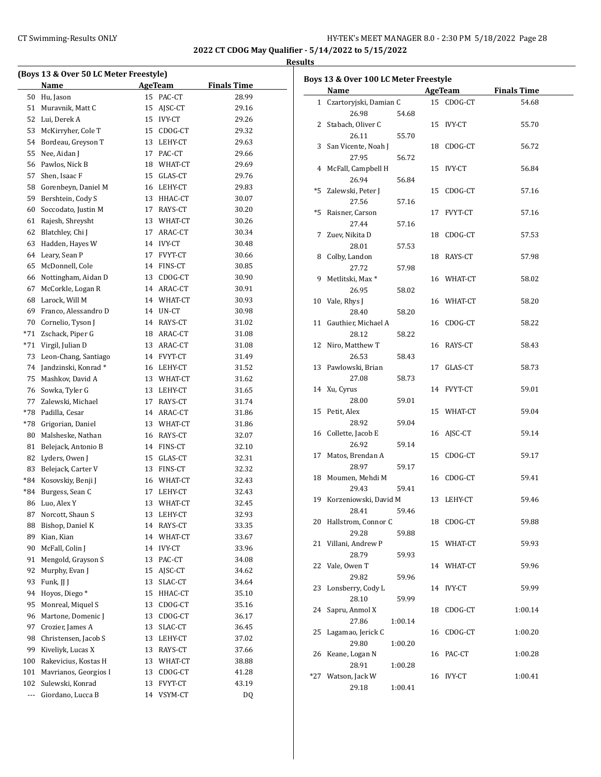**2022 CT CDOG May Qualifier - 5/14/2022 to 5/15/2022 Results**

| (Boys 13 & Over 50 LC Meter Freestyle) |                        |    |               |                    |  |  |  |
|----------------------------------------|------------------------|----|---------------|--------------------|--|--|--|
|                                        | Name                   |    | AgeTeam       | <b>Finals Time</b> |  |  |  |
| 50                                     | Hu, Jason              | 15 | PAC-CT        | 28.99              |  |  |  |
|                                        | 51 Muravnik, Matt C    | 15 | AJSC-CT       | 29.16              |  |  |  |
|                                        | 52 Lui. Derek A        | 15 | <b>IVY-CT</b> | 29.26              |  |  |  |
| 53                                     | McKirryher, Cole T     | 15 | CDOG-CT       | 29.32              |  |  |  |
|                                        | 54 Bordeau, Greyson T  |    | 13 LEHY-CT    | 29.63              |  |  |  |
| 55                                     | Nee, Aidan J           | 17 | PAC-CT        | 29.66              |  |  |  |
| 56                                     | Pawlos, Nick B         | 18 | WHAT-CT       | 29.69              |  |  |  |
| 57                                     | Shen, Isaac F          |    | 15 GLAS-CT    | 29.76              |  |  |  |
|                                        | 58 Gorenbeyn, Daniel M |    | 16 LEHY-CT    | 29.83              |  |  |  |
| 59                                     | Bershtein, Cody S      |    | 13 HHAC-CT    | 30.07              |  |  |  |
| 60                                     | Soccodato, Justin M    | 17 | RAYS-CT       | 30.20              |  |  |  |
| 61                                     | Rajesh, Shreysht       |    | 13 WHAT-CT    | 30.26              |  |  |  |
| 62                                     | Blatchley, Chi J       | 17 | ARAC-CT       | 30.34              |  |  |  |
| 63                                     | Hadden, Hayes W        |    | 14 IVY-CT     | 30.48              |  |  |  |
| 64                                     | Leary, Sean P          | 17 | FVYT-CT       | 30.66              |  |  |  |
| 65                                     | McDonnell, Cole        |    | 14 FINS-CT    | 30.85              |  |  |  |
| 66                                     | Nottingham, Aidan D    |    | 13 CDOG-CT    | 30.90              |  |  |  |
| 67                                     | McCorkle, Logan R      |    | 14 ARAC-CT    | 30.91              |  |  |  |
| 68                                     | Larock, Will M         |    | 14 WHAT-CT    | 30.93              |  |  |  |
| 69                                     | Franco, Alessandro D   |    | 14 UN-CT      | 30.98              |  |  |  |
| 70                                     | Cornelio, Tyson J      | 14 | RAYS-CT       | 31.02              |  |  |  |
| *71                                    | Zschack, Piper G       |    | 18 ARAC-CT    | 31.08              |  |  |  |
| *71                                    | Virgil, Julian D       |    | 13 ARAC-CT    | 31.08              |  |  |  |
| 73                                     | Leon-Chang, Santiago   |    | 14 FVYT-CT    | 31.49              |  |  |  |
| 74                                     | Jandzinski, Konrad*    |    | 16 LEHY-CT    | 31.52              |  |  |  |
| 75                                     | Mashkov, David A       |    | 13 WHAT-CT    | 31.62              |  |  |  |
|                                        | 76 Sowka, Tyler G      |    | 13 LEHY-CT    | 31.65              |  |  |  |
|                                        | 77 Zalewski, Michael   | 17 | RAYS-CT       | 31.74              |  |  |  |
| *78                                    | Padilla, Cesar         |    | 14 ARAC-CT    | 31.86              |  |  |  |
| *78                                    | Grigorian, Daniel      |    | 13 WHAT-CT    | 31.86              |  |  |  |
| 80                                     | Malsheske, Nathan      |    | 16 RAYS-CT    | 32.07              |  |  |  |
| 81                                     | Belejack, Antonio B    |    | 14 FINS-CT    | 32.10              |  |  |  |
| 82                                     | Lyders, Owen J         |    | 15 GLAS-CT    | 32.31              |  |  |  |
| 83                                     | Belejack, Carter V     |    | 13 FINS-CT    | 32.32              |  |  |  |
| *84                                    | Kosovskiy, Benji J     |    | 16 WHAT-CT    | 32.43              |  |  |  |
| $*84$                                  | Burgess, Sean C        | 17 | LEHY-CT       | 32.43              |  |  |  |
| 86                                     | Luo, Alex Y            | 13 | WHAT-CT       | 32.45              |  |  |  |
| 87                                     | Norcott, Shaun S       | 13 | LEHY-CT       | 32.93              |  |  |  |
| 88                                     | Bishop, Daniel K       | 14 | RAYS-CT       | 33.35              |  |  |  |
| 89                                     | Kian, Kian             | 14 | WHAT-CT       | 33.67              |  |  |  |
| 90                                     | McFall, Colin J        | 14 | IVY-CT        | 33.96              |  |  |  |
| 91                                     | Mengold, Grayson S     | 13 | PAC-CT        | 34.08              |  |  |  |
| 92                                     | Murphy, Evan J         | 15 | AJSC-CT       | 34.62              |  |  |  |
| 93                                     | Funk, II I             | 13 | SLAC-CT       | 34.64              |  |  |  |
| 94                                     | Hoyos, Diego*          | 15 | HHAC-CT       | 35.10              |  |  |  |
| 95                                     | Monreal, Miquel S      | 13 | CDOG-CT       | 35.16              |  |  |  |
| 96                                     | Martone, Domenic J     | 13 | CDOG-CT       | 36.17              |  |  |  |
| 97                                     | Crozier, James A       | 13 | SLAC-CT       | 36.45              |  |  |  |
| 98                                     | Christensen, Jacob S   | 13 | LEHY-CT       | 37.02              |  |  |  |
| 99                                     | Kiveliyk, Lucas X      | 13 | RAYS-CT       | 37.66              |  |  |  |
| 100                                    | Rakevicius, Kostas H   | 13 | WHAT-CT       | 38.88              |  |  |  |
| 101                                    | Mavrianos, Georgios I  | 13 | CDOG-CT       | 41.28              |  |  |  |
| 102                                    | Sulewski, Konrad       | 13 | FVYT-CT       | 43.19              |  |  |  |
| ---                                    | Giordano, Lucca B      | 14 | VSYM-CT       | DQ                 |  |  |  |

|     | <b>Name</b>                 |         |    | AgeTeam    | <b>Finals Time</b> |
|-----|-----------------------------|---------|----|------------|--------------------|
|     | 1 Czartoryjski, Damian C    |         |    | 15 CDOG-CT | 54.68              |
|     | 26.98                       | 54.68   |    |            |                    |
|     | 2 Stabach, Oliver C         |         |    | 15 IVY-CT  | 55.70              |
|     | 26.11                       | 55.70   |    |            |                    |
|     | 3 San Vicente, Noah J       |         |    | 18 CDOG-CT | 56.72              |
|     | 27.95                       | 56.72   |    |            |                    |
|     | 4 McFall, Campbell H        |         |    | 15 IVY-CT  | 56.84              |
|     | 26.94                       | 56.84   |    |            |                    |
|     | *5 Zalewski, Peter J        |         | 15 | CDOG-CT    | 57.16              |
|     | 27.56                       | 57.16   |    |            |                    |
|     | *5 Raisner, Carson          |         |    | 17 FVYT-CT | 57.16              |
|     | 27.44                       | 57.16   |    |            |                    |
| 7   | Zuev, Nikita D              |         |    | 18 CDOG-CT | 57.53              |
|     | 28.01                       | 57.53   |    |            |                    |
|     | 8 Colby, Landon             |         |    | 18 RAYS-CT | 57.98              |
|     | 27.72                       | 57.98   |    |            |                    |
| 9   | Metlitski, Max <sup>*</sup> |         |    | 16 WHAT-CT | 58.02              |
|     | 26.95                       | 58.02   |    |            |                    |
|     |                             |         |    |            |                    |
|     | 10 Vale, Rhys J             |         |    | 16 WHAT-CT | 58.20              |
|     | 28.40                       | 58.20   |    |            |                    |
|     | 11 Gauthier, Michael A      |         |    | 16 CDOG-CT | 58.22              |
|     | 28.12                       | 58.22   |    |            |                    |
|     | 12 Niro, Matthew T          |         |    | 16 RAYS-CT | 58.43              |
|     | 26.53                       | 58.43   |    |            |                    |
|     | 13 Pawlowski, Brian         |         | 17 | GLAS-CT    | 58.73              |
|     | 27.08                       | 58.73   |    |            |                    |
|     | 14 Xu, Cyrus                |         |    | 14 FVYT-CT | 59.01              |
|     | 28.00                       | 59.01   |    |            |                    |
|     | 15 Petit, Alex              |         |    | 15 WHAT-CT | 59.04              |
|     | 28.92                       | 59.04   |    |            |                    |
|     | 16 Collette, Jacob E        |         |    | 16 AJSC-CT | 59.14              |
|     | 26.92                       | 59.14   |    |            |                    |
| 17  | Matos, Brendan A            |         |    | 15 CDOG-CT | 59.17              |
|     | 28.97                       | 59.17   |    |            |                    |
| 18  | Moumen, Mehdi M             |         |    | 16 CDOG-CT | 59.41              |
|     | 29.43                       | 59.41   |    |            |                    |
| 19  | Korzeniowski, David M       |         |    | 13 LEHY-CT | 59.46              |
|     | 28.41                       | 59.46   |    |            |                    |
|     | 20 Hallstrom, Connor C      |         |    | 18 CDOG-CT | 59.88              |
|     | 29.28                       | 59.88   |    |            |                    |
| 21  | Villani, Andrew P           |         | 15 | WHAT-CT    | 59.93              |
|     | 28.79                       | 59.93   |    |            |                    |
| 22  | Vale, Owen T                |         |    | 14 WHAT-CT | 59.96              |
|     | 29.82                       | 59.96   |    |            |                    |
| 23  | Lonsberry, Cody L           |         |    | 14 IVY-CT  | 59.99              |
|     | 28.10                       | 59.99   |    |            |                    |
| 24  | Sapru, Anmol X              |         | 18 | CDOG-CT    | 1:00.14            |
|     | 27.86                       | 1:00.14 |    |            |                    |
| 25  | Lagamao, Jerick C           |         | 16 | CDOG-CT    | 1:00.20            |
|     | 29.80                       | 1:00.20 |    |            |                    |
| 26  | Keane, Logan N              |         |    | 16 PAC-CT  | 1:00.28            |
|     | 28.91                       | 1:00.28 |    |            |                    |
| *27 | Watson, Jack W              |         |    | 16 IVY-CT  | 1:00.41            |
|     |                             |         |    |            |                    |
|     | 29.18                       | 1:00.41 |    |            |                    |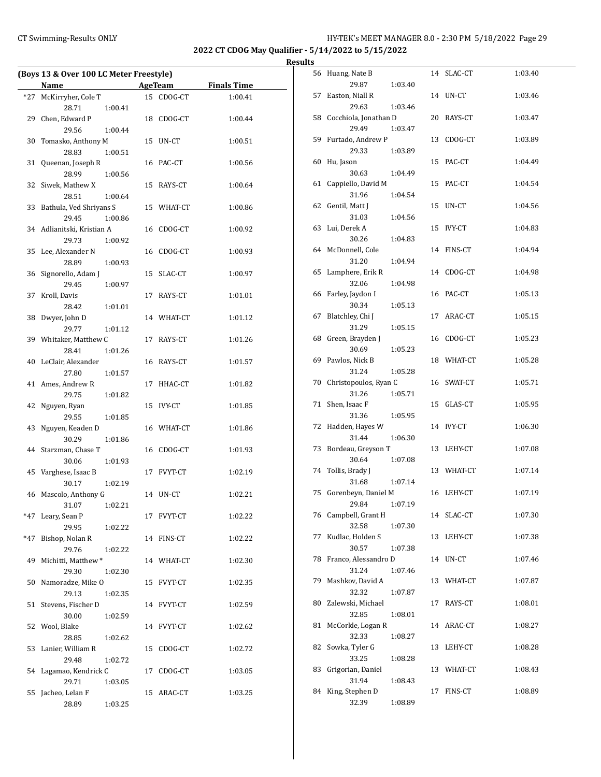## CT Swimming-Results ONLY **CT Swimming-Results ONLY** 1999 1999 1999 HY-TEK's MEET MANAGER 8.0 - 2:30 PM 5/18/2022 Page 29

**2022 CT CDOG May Qualifier - 5/14/2022 to 5/15/2022**

| (Boys 13 & Over 100 LC Meter Freestyle) |                            |    |            |                    |  |  |
|-----------------------------------------|----------------------------|----|------------|--------------------|--|--|
|                                         |                            |    |            |                    |  |  |
|                                         | Name                       |    | AgeTeam    | <b>Finals Time</b> |  |  |
| $*27$                                   | McKirryher, Cole T         |    | 15 CDOG-CT | 1:00.41            |  |  |
|                                         | 28.71<br>1:00.41           |    |            |                    |  |  |
| 29                                      | Chen, Edward P             |    | 18 CDOG-CT | 1:00.44            |  |  |
|                                         | 29.56<br>1:00.44           |    |            |                    |  |  |
| 30                                      | Tomasko, Anthony M         |    | 15 UN-CT   | 1:00.51            |  |  |
|                                         | 28.83<br>1:00.51           |    |            |                    |  |  |
| 31                                      | Queenan, Joseph R          |    | 16 PAC-CT  | 1:00.56            |  |  |
|                                         | 28.99<br>1:00.56           |    |            |                    |  |  |
| 32                                      | Siwek, Mathew X            |    | 15 RAYS-CT | 1:00.64            |  |  |
|                                         | 28.51<br>1:00.64           |    |            |                    |  |  |
| 33                                      | Bathula, Ved Shriyans S    |    | 15 WHAT-CT | 1:00.86            |  |  |
|                                         | 29.45<br>1:00.86           |    |            |                    |  |  |
|                                         | 34 Adlianitski, Kristian A | 16 | CDOG-CT    | 1:00.92            |  |  |
|                                         | 29.73<br>1:00.92           |    |            |                    |  |  |
|                                         | 35 Lee, Alexander N        |    | 16 CDOG-CT | 1:00.93            |  |  |
|                                         | 28.89<br>1:00.93           |    |            |                    |  |  |
| 36                                      | Signorello, Adam J         |    | 15 SLAC-CT | 1:00.97            |  |  |
|                                         | 29.45<br>1:00.97           |    |            |                    |  |  |
| 37                                      | Kroll, Davis               |    | 17 RAYS-CT | 1:01.01            |  |  |
|                                         | 28.42<br>1:01.01           |    |            |                    |  |  |
| 38                                      | Dwyer, John D              |    | 14 WHAT-CT | 1:01.12            |  |  |
|                                         | 29.77<br>1:01.12           |    |            |                    |  |  |
|                                         | 39 Whitaker, Matthew C     |    | 17 RAYS-CT | 1:01.26            |  |  |
|                                         | 28.41<br>1:01.26           |    |            |                    |  |  |
|                                         | 40 LeClair, Alexander      |    | 16 RAYS-CT | 1:01.57            |  |  |
|                                         | 27.80<br>1:01.57           |    |            |                    |  |  |
|                                         | 41 Ames, Andrew R          | 17 | HHAC-CT    | 1:01.82            |  |  |
|                                         | 29.75<br>1:01.82           |    |            |                    |  |  |
| 42                                      | Nguyen, Ryan               |    | 15 IVY-CT  | 1:01.85            |  |  |
|                                         | 29.55<br>1:01.85           |    |            |                    |  |  |
| 43                                      | Nguyen, Keaden D           |    | 16 WHAT-CT | 1:01.86            |  |  |
|                                         | 30.29<br>1:01.86           |    |            |                    |  |  |
| 44                                      | Starzman, Chase T          |    | 16 CDOG-CT | 1:01.93            |  |  |
|                                         | 30.06<br>1:01.93           |    |            |                    |  |  |
| 45                                      | Varghese, Isaac B          |    | 17 FVYT-CT | 1:02.19            |  |  |
|                                         | 30.17<br>1:02.19           |    |            |                    |  |  |
|                                         | 46 Mascolo, Anthony G      |    | 14 UN-CT   | 1:02.21            |  |  |
|                                         | 31.07<br>1:02.21           |    |            |                    |  |  |
| $*47$                                   | Leary, Sean P              |    | 17 FVYT-CT | 1:02.22            |  |  |
|                                         | 29.95<br>1:02.22           |    |            |                    |  |  |
| *47                                     | Bishop, Nolan R            |    | 14 FINS-CT | 1:02.22            |  |  |
|                                         | 29.76<br>1:02.22           |    |            |                    |  |  |
| 49                                      | Michitti, Matthew*         |    | 14 WHAT-CT | 1:02.30            |  |  |
|                                         | 29.30<br>1:02.30           |    |            |                    |  |  |
|                                         | 50 Namoradze, Mike O       |    | 15 FVYT-CT | 1:02.35            |  |  |
|                                         | 29.13<br>1:02.35           |    |            |                    |  |  |
| 51                                      | Stevens, Fischer D         |    | 14 FVYT-CT | 1:02.59            |  |  |
|                                         | 30.00<br>1:02.59           |    |            |                    |  |  |
| 52                                      | Wool, Blake                |    | 14 FVYT-CT | 1:02.62            |  |  |
|                                         | 28.85<br>1:02.62           |    |            |                    |  |  |
| 53                                      | Lanier, William R          |    | 15 CDOG-CT | 1:02.72            |  |  |
|                                         | 29.48<br>1:02.72           |    |            |                    |  |  |
|                                         | 54 Lagamao, Kendrick C     |    | 17 CDOG-CT | 1:03.05            |  |  |
|                                         | 29.71<br>1:03.05           |    |            |                    |  |  |
|                                         | 55 Jacheo, Lelan F         |    | 15 ARAC-CT | 1:03.25            |  |  |
|                                         | 28.89<br>1:03.25           |    |            |                    |  |  |
|                                         |                            |    |            |                    |  |  |

|    | 56 Huang, Nate B                      |         |    | 14 SLAC-CT | 1:03.40 |
|----|---------------------------------------|---------|----|------------|---------|
|    | 29.87                                 | 1:03.40 |    |            |         |
| 57 | Easton, Niall R<br>29.63              | 1:03.46 |    | 14 UN-CT   | 1:03.46 |
|    | 58 Cocchiola, Jonathan D              |         |    | 20 RAYS-CT | 1:03.47 |
|    | 29.49                                 | 1:03.47 |    |            |         |
|    | 59 Furtado, Andrew P                  |         |    | 13 CDOG-CT | 1:03.89 |
|    | 29.33                                 | 1:03.89 |    |            |         |
|    | 60 Hu, Jason                          |         |    | 15 PAC-CT  | 1:04.49 |
|    | 30.63<br>61 Cappiello, David M        | 1:04.49 |    | 15 PAC-CT  | 1:04.54 |
|    | 31.96                                 | 1:04.54 |    |            |         |
|    | 62 Gentil, Matt J                     |         |    | 15 UN-CT   | 1:04.56 |
|    | 31.03                                 | 1:04.56 |    |            |         |
|    | 63 Lui, Derek A                       |         |    | 15 IVY-CT  | 1:04.83 |
|    | 30.26                                 | 1:04.83 |    |            |         |
|    | 64 McDonnell, Cole                    |         |    | 14 FINS-CT | 1:04.94 |
|    | 31.20<br>65 Lamphere, Erik R          | 1:04.94 | 14 | CDOG-CT    | 1:04.98 |
|    | 32.06                                 | 1:04.98 |    |            |         |
|    | 66 Farley, Jaydon I                   |         |    | 16 PAC-CT  | 1:05.13 |
|    | 30.34                                 | 1:05.13 |    |            |         |
| 67 | Blatchley, Chi J                      |         |    | 17 ARAC-CT | 1:05.15 |
|    | 31.29                                 | 1:05.15 |    |            |         |
|    | 68 Green, Brayden J<br>30.69          | 1:05.23 |    | 16 CDOG-CT | 1:05.23 |
|    | 69 Pawlos, Nick B                     |         |    | 18 WHAT-CT | 1:05.28 |
|    | 31.24                                 | 1:05.28 |    |            |         |
|    | 70 Christopoulos, Ryan C              |         |    | 16 SWAT-CT | 1:05.71 |
|    | 31.26                                 | 1:05.71 |    |            |         |
| 71 | Shen, Isaac F                         |         |    | 15 GLAS-CT | 1:05.95 |
|    | 31.36                                 | 1:05.95 |    |            |         |
|    | 72 Hadden, Hayes W<br>31.44           | 1:06.30 |    | 14 IVY-CT  | 1:06.30 |
|    | 73 Bordeau, Greyson T                 |         |    | 13 LEHY-CT | 1:07.08 |
|    | 30.64                                 | 1:07.08 |    |            |         |
|    | 74 Tollis, Brady J                    |         |    | 13 WHAT-CT | 1:07.14 |
|    | 31.68                                 | 1:07.14 |    |            |         |
|    | 75 Gorenbeyn, Daniel M                |         |    | 16 LEHY-CT | 1:07.19 |
|    | 29.84 1:07.19<br>76 Campbell, Grant H |         |    | 14 SLAC-CT | 1:07.30 |
|    | 32.58                                 | 1:07.30 |    |            |         |
| 77 | Kudlac, Holden S                      |         | 13 | LEHY-CT    | 1:07.38 |
|    | 30.57                                 | 1:07.38 |    |            |         |
| 78 | Franco, Alessandro D                  |         |    | 14 UN-CT   | 1:07.46 |
|    | 31.24                                 | 1:07.46 |    |            |         |
| 79 | Mashkov, David A                      |         |    | 13 WHAT-CT | 1:07.87 |
| 80 | 32.32<br>Zalewski, Michael            | 1:07.87 | 17 | RAYS-CT    | 1:08.01 |
|    | 32.85                                 | 1:08.01 |    |            |         |
| 81 | McCorkle, Logan R                     |         |    | 14 ARAC-CT | 1:08.27 |
|    | 32.33                                 | 1:08.27 |    |            |         |
| 82 | Sowka, Tyler G                        |         | 13 | LEHY-CT    | 1:08.28 |
|    | 33.25                                 | 1:08.28 |    |            |         |
| 83 | Grigorian, Daniel                     |         |    | 13 WHAT-CT | 1:08.43 |
| 84 | 31.94<br>King, Stephen D              | 1:08.43 | 17 | FINS-CT    | 1:08.89 |
|    | 32.39                                 | 1:08.89 |    |            |         |
|    |                                       |         |    |            |         |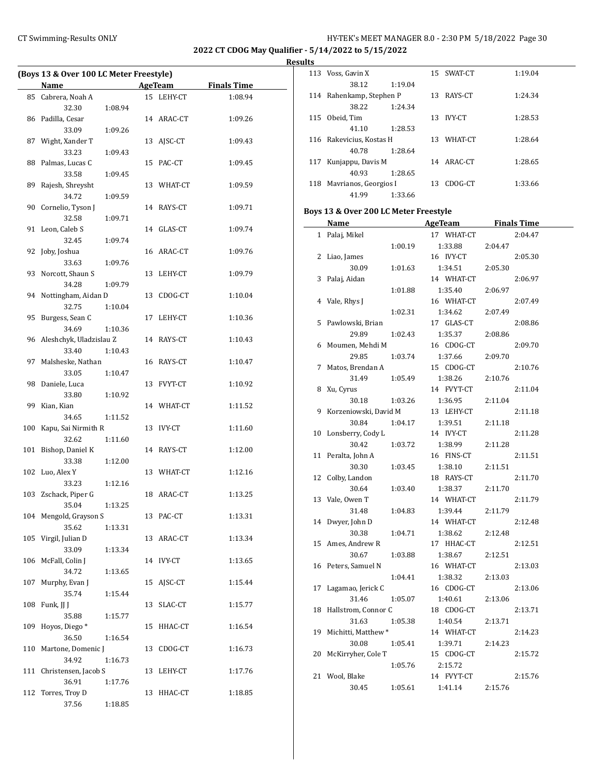**2022 CT CDOG May Qualifier - 5/14/2022 to 5/15/2022**

 $\overline{a}$ 

**Results** 

|     | (Boys 13 & Over 100 LC Meter Freestyle) |         |    |                |                    |
|-----|-----------------------------------------|---------|----|----------------|--------------------|
|     | Name                                    |         |    | <b>AgeTeam</b> | <b>Finals Time</b> |
|     | 85 Cabrera, Noah A                      |         |    | 15 LEHY-CT     | 1:08.94            |
|     | 32.30                                   | 1:08.94 |    |                |                    |
| 86  | Padilla, Cesar                          |         |    | 14 ARAC-CT     | 1:09.26            |
|     | 33.09                                   | 1:09.26 |    |                |                    |
| 87  | Wight, Xander T                         |         | 13 | AJSC-CT        | 1:09.43            |
|     | 33.23                                   | 1:09.43 |    |                |                    |
| 88  | Palmas, Lucas C                         |         | 15 | PAC-CT         | 1:09.45            |
|     | 33.58                                   | 1:09.45 |    |                |                    |
| 89  | Rajesh, Shreysht<br>34.72               | 1:09.59 | 13 | WHAT-CT        | 1:09.59            |
| 90  | Cornelio, Tyson J                       |         |    | 14 RAYS-CT     | 1:09.71            |
|     | 32.58                                   | 1:09.71 |    |                |                    |
| 91  | Leon, Caleb S                           |         | 14 | GLAS-CT        | 1:09.74            |
|     | 32.45                                   | 1:09.74 |    |                |                    |
| 92  | Joby, Joshua                            |         |    | 16 ARAC-CT     | 1:09.76            |
|     | 33.63                                   | 1:09.76 |    |                |                    |
| 93  | Norcott, Shaun S                        |         | 13 | LEHY-CT        | 1:09.79            |
|     | 34.28                                   | 1:09.79 |    |                |                    |
| 94  | Nottingham, Aidan D                     |         |    | 13 CDOG-CT     | 1:10.04            |
|     | 32.75                                   | 1:10.04 |    |                |                    |
| 95  | Burgess, Sean C                         |         | 17 | LEHY-CT        | 1:10.36            |
|     | 34.69                                   | 1:10.36 |    |                |                    |
| 96  | Aleshchyk, Uladzislau Z                 |         |    | 14 RAYS-CT     | 1:10.43            |
|     | 33.40                                   | 1:10.43 |    |                |                    |
| 97  | Malsheske, Nathan                       |         |    | 16 RAYS-CT     | 1:10.47            |
| 98  | 33.05<br>Daniele, Luca                  | 1:10.47 |    | 13 FVYT-CT     | 1:10.92            |
|     | 33.80                                   | 1:10.92 |    |                |                    |
| 99  | Kian, Kian                              |         |    | 14 WHAT-CT     | 1:11.52            |
|     | 34.65                                   | 1:11.52 |    |                |                    |
| 100 | Kapu, Sai Nirmith R                     |         | 13 | IVY-CT         | 1:11.60            |
|     | 32.62                                   | 1:11.60 |    |                |                    |
| 101 | Bishop, Daniel K                        |         |    | 14 RAYS-CT     | 1:12.00            |
|     | 33.38                                   | 1:12.00 |    |                |                    |
| 102 | Luo, Alex Y                             |         |    | 13 WHAT-CT     | 1:12.16            |
|     | 33.23                                   | 1:12.16 |    |                |                    |
| 103 | Zschack, Piper G                        |         |    | 18 ARAC-CT     | 1:13.25            |
|     | 35.04                                   | 1:13.25 |    |                |                    |
|     | 104 Mengold, Grayson S                  |         |    | 13 PAC-CT      | 1:13.31            |
|     | 35.62<br>Virgil, Julian D               | 1:13.31 |    |                |                    |
| 105 | 33.09                                   | 1:13.34 | 13 | ARAC-CT        | 1:13.34            |
| 106 | McFall, Colin J                         |         | 14 | IVY-CT         | 1:13.65            |
|     | 34.72                                   | 1:13.65 |    |                |                    |
| 107 | Murphy, Evan J                          |         | 15 | AJSC-CT        | 1:15.44            |
|     | 35.74                                   | 1:15.44 |    |                |                    |
| 108 | Funk, JJ J                              |         | 13 | SLAC-CT        | 1:15.77            |
|     | 35.88                                   | 1:15.77 |    |                |                    |
| 109 | Hoyos, Diego*                           |         | 15 | HHAC-CT        | 1:16.54            |
|     | 36.50                                   | 1:16.54 |    |                |                    |
| 110 | Martone, Domenic J                      |         | 13 | CDOG-CT        | 1:16.73            |
|     | 34.92                                   | 1:16.73 |    |                |                    |
| 111 | Christensen, Jacob S                    |         | 13 | LEHY-CT        | 1:17.76            |
|     | 36.91                                   | 1:17.76 |    |                |                    |
| 112 | Torres, Troy D<br>37.56                 | 1:18.85 | 13 | HHAC-CT        | 1:18.85            |
|     |                                         |         |    |                |                    |

|                | $-$ 3/17/4044 to 3/13/4044            |            |                    |
|----------------|---------------------------------------|------------|--------------------|
| lts            |                                       |            |                    |
|                | 113 Voss, Gavin X                     | 15 SWAT-CT | 1:19.04            |
|                | 38.12<br>1:19.04                      |            |                    |
| 114            | Rahenkamp, Stephen P                  | 13 RAYS-CT | 1:24.34            |
|                | 38.22<br>1:24.34                      |            |                    |
|                | 115 Obeid, Tim                        | 13 IVY-CT  | 1:28.53            |
|                | 41.10<br>1:28.53                      |            |                    |
|                | 116 Rakevicius, Kostas H              | 13 WHAT-CT | 1:28.64            |
|                | 40.78<br>1:28.64                      |            |                    |
| 117            | Kunjappu, Davis M                     | 14 ARAC-CT | 1:28.65            |
|                | 40.93<br>1:28.65                      |            |                    |
|                | 118 Mavrianos, Georgios I             | 13 CDOG-CT | 1:33.66            |
|                | 41.99<br>1:33.66                      |            |                    |
|                | Boys 13 & Over 200 LC Meter Freestyle |            |                    |
|                | Name                                  | AgeTeam    | <b>Finals Time</b> |
| $\mathbf{1}$   | Palaj, Mikel                          | 17 WHAT-CT | 2:04.47            |
|                | 1:00.19                               | 1:33.88    | 2:04.47            |
| 2              | Liao, James                           | 16 IVY-CT  | 2:05.30            |
|                | 30.09<br>1:01.63                      | 1:34.51    | 2:05.30            |
| 3              | Palaj, Aidan                          | 14 WHAT-CT | 2:06.97            |
|                | 1:01.88                               | 1:35.40    | 2:06.97            |
| $\overline{4}$ | Vale, Rhys J                          | 16 WHAT-CT | 2:07.49            |
|                | 1:02.31                               | 1:34.62    | 2:07.49            |
| 5              | Pawlowski, Brian                      | 17 GLAS-CT | 2:08.86            |
|                | 29.89<br>1:02.43                      | 1:35.37    | 2:08.86            |
| 6              | Moumen, Mehdi M                       | 16 CDOG-CT | 2:09.70            |
|                | 29.85<br>1:03.74                      | 1:37.66    | 2:09.70            |
| 7              | Matos, Brendan A                      | 15 CDOG-CT | 2:10.76            |
|                | 31.49<br>1:05.49                      | 1:38.26    | 2:10.76            |
| 8              | Xu, Cyrus                             | 14 FVYT-CT | 2:11.04            |
|                | 1:03.26<br>30.18                      | 1:36.95    | 2:11.04            |
| 9              | Korzeniowski, David M                 | 13 LEHY-CT | 2:11.18            |
|                | 1:04.17<br>30.84                      | 1:39.51    | 2:11.18            |
| 10             | Lonsberry, Cody L                     | 14 IVY-CT  | 2:11.28            |
|                | 30.42<br>1:03.72                      | 1:38.99    | 2:11.28            |
| 11             | Peralta, John A                       | 16 FINS-CT | 2:11.51            |
|                | 30.30<br>1:03.45                      | 1:38.10    | 2:11.51            |
| 12             | Colby, Landon                         | 18 RAYS-CT | 2:11.70            |
|                | 30.64<br>1:03.40                      | 1:38.37    | 2:11.70            |
| 13             | Vale, Owen T                          | 14 WHAT-CT | 2:11.79            |
|                | 31.48<br>1:04.83                      | 1:39.44    | 2:11.79            |
| 14             | Dwyer, John D                         | 14 WHAT-CT | 2:12.48            |

30.38 1:04.71 1:38.62 2:12.48 15 Ames, Andrew R 17 HHAC-CT 2:12.51 30.67 1:03.88 1:38.67 2:12.51 16 Peters, Samuel N 16 WHAT-CT 2:13.03

17 Lagamao, Jerick C 16 CDOG-CT 2:13.06 31.46 1:05.07 1:40.61 2:13.06 18 Hallstrom, Connor C 18 CDOG-CT 2:13.71 31.63 1:05.38 1:40.54 2:13.71 19 Michitti, Matthew \* 14 WHAT-CT 2:14.23 30.08 1:05.41 1:39.71 2:14.23 20 McKirryher, Cole T 15 CDOG-CT 2:15.72 1:05.76 2:15.72 21 Wool, Blake 14 FVYT-CT 2:15.76 30.45 1:05.61 1:41.14 2:15.76

1:04.41 1:38.32 2:13.03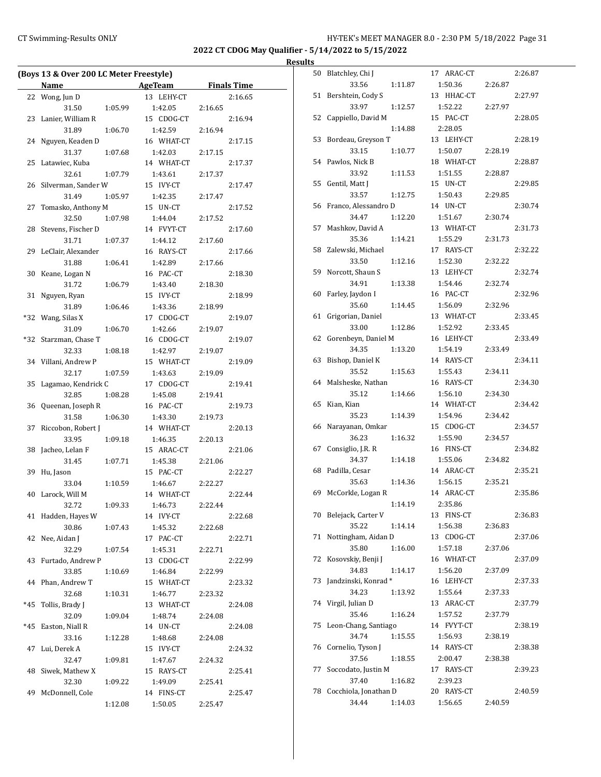**2022 CT CDOG May Qualifier - 5/14/2022 to 5/15/2022**

|     | (Boys 13 & Over 200 LC Meter Freestyle) |         |                       |         |                    |
|-----|-----------------------------------------|---------|-----------------------|---------|--------------------|
|     | Name                                    |         | AgeTeam               |         | <b>Finals Time</b> |
|     |                                         |         | 13 LEHY-CT            |         |                    |
|     | 22 Wong, Jun D                          |         |                       |         | 2:16.65            |
|     | 31.50                                   | 1:05.99 | 1:42.05               | 2:16.65 |                    |
| 23  | Lanier, William R<br>31.89              |         | 15 CDOG-CT            |         | 2:16.94            |
|     |                                         | 1:06.70 | 1:42.59               | 2:16.94 |                    |
| 24  | Nguyen, Keaden D<br>31.37               |         | 16 WHAT-CT            |         | 2:17.15            |
|     |                                         | 1:07.68 | 1:42.03               | 2:17.15 |                    |
| 25  | Latawiec, Kuba<br>32.61                 |         | 14 WHAT-CT<br>1:43.61 |         | 2:17.37            |
|     | Silverman, Sander W                     | 1:07.79 |                       | 2:17.37 |                    |
| 26  | 31.49                                   | 1:05.97 | 15 IVY-CT<br>1:42.35  | 2:17.47 | 2:17.47            |
| 27  | Tomasko, Anthony M                      |         | 15 UN-CT              |         | 2:17.52            |
|     | 32.50                                   | 1:07.98 | 1:44.04               | 2:17.52 |                    |
| 28  | Stevens, Fischer D                      |         | 14 FVYT-CT            |         | 2:17.60            |
|     | 31.71                                   | 1:07.37 | 1:44.12               | 2:17.60 |                    |
| 29  | LeClair, Alexander                      |         | 16 RAYS-CT            |         | 2:17.66            |
|     | 31.88                                   | 1:06.41 | 1:42.89               | 2:17.66 |                    |
| 30  | Keane, Logan N                          |         | 16 PAC-CT             |         | 2:18.30            |
|     | 31.72                                   | 1:06.79 | 1:43.40               | 2:18.30 |                    |
| 31  | Nguyen, Ryan                            |         | 15 IVY-CT             |         | 2:18.99            |
|     | 31.89                                   | 1:06.46 | 1:43.36               | 2:18.99 |                    |
| *32 | Wang, Silas X                           |         | 17 CDOG-CT            |         | 2:19.07            |
|     | 31.09                                   | 1:06.70 | 1:42.66               | 2:19.07 |                    |
| *32 | Starzman, Chase T                       |         | 16 CDOG-CT            |         | 2:19.07            |
|     | 32.33                                   | 1:08.18 | 1:42.97               | 2:19.07 |                    |
| 34  | Villani, Andrew P                       |         | 15 WHAT-CT            |         | 2:19.09            |
|     | 32.17                                   | 1:07.59 | 1:43.63               | 2:19.09 |                    |
| 35  | Lagamao, Kendrick C                     |         | 17 CDOG-CT            |         | 2:19.41            |
|     | 32.85                                   | 1:08.28 | 1:45.08               | 2:19.41 |                    |
| 36  | Queenan, Joseph R                       |         | 16 PAC-CT             |         | 2:19.73            |
|     | 31.58                                   | 1:06.30 | 1:43.30               | 2:19.73 |                    |
| 37  | Riccobon, Robert J                      |         | 14 WHAT-CT            |         | 2:20.13            |
|     | 33.95                                   | 1:09.18 | 1:46.35               | 2:20.13 |                    |
| 38  | Jacheo, Lelan F                         |         | 15 ARAC-CT            |         | 2:21.06            |
|     | 31.45                                   | 1:07.71 | 1:45.38               | 2:21.06 |                    |
| 39  | Hu, Jason                               |         | 15 PAC-CT             |         | 2:22.27            |
|     | 33.04                                   | 1:10.59 | 1:46.67               | 2:22.27 |                    |
| 40  | Larock, Will M                          |         | 14 WHAT-CT            |         | 2:22.44            |
|     | 32.72                                   | 1:09.33 | 1:46.73               | 2:22.44 |                    |
|     | 41 Hadden, Hayes W                      |         | 14 IVY-CT             |         | 2:22.68            |
|     | 30.86                                   | 1:07.43 | 1:45.32               | 2:22.68 |                    |
| 42  | Nee, Aidan J                            |         | 17 PAC-CT             |         | 2:22.71            |
|     | 32.29                                   | 1:07.54 | 1:45.31               | 2:22.71 |                    |
| 43  | Furtado, Andrew P                       |         | 13 CDOG-CT            |         | 2:22.99            |
|     | 33.85                                   | 1:10.69 | 1:46.84               | 2:22.99 |                    |
| 44  | Phan, Andrew T                          |         | 15 WHAT-CT            |         | 2:23.32            |
|     | 32.68                                   | 1:10.31 | 1:46.77               | 2:23.32 |                    |
| *45 | Tollis, Brady J                         |         | 13 WHAT-CT            |         | 2:24.08            |
|     | 32.09                                   | 1:09.04 | 1:48.74               | 2:24.08 |                    |
| *45 | Easton, Niall R                         |         | 14 UN-CT              |         | 2:24.08            |
|     | 33.16                                   | 1:12.28 | 1:48.68               | 2:24.08 |                    |
| 47  | Lui, Derek A                            |         | 15 IVY-CT             |         | 2:24.32            |
|     | 32.47                                   | 1:09.81 | 1:47.67               | 2:24.32 |                    |
| 48  | Siwek, Mathew X                         |         | 15 RAYS-CT            |         | 2:25.41            |
|     | 32.30                                   | 1:09.22 | 1:49.09               | 2:25.41 |                    |
| 49  | McDonnell, Cole                         |         | 14 FINS-CT            |         | 2:25.47            |
|     |                                         | 1:12.08 | 1:50.05               | 2:25.47 |                    |

| 50 | Blatchley, Chi J             |         | 17 ARAC-CT |         | 2:26.87 |
|----|------------------------------|---------|------------|---------|---------|
|    | 33.56                        | 1:11.87 | 1:50.36    | 2:26.87 |         |
| 51 | Bershtein, Cody S            |         | 13 HHAC-CT |         | 2:27.97 |
|    | 33.97                        | 1:12.57 | 1:52.22    | 2:27.97 |         |
| 52 | Cappiello, David M           |         | 15 PAC-CT  |         | 2:28.05 |
|    |                              | 1:14.88 | 2:28.05    |         |         |
| 53 | Bordeau, Greyson T           |         | 13 LEHY-CT |         | 2:28.19 |
|    | 33.15                        | 1:10.77 | 1:50.07    | 2:28.19 |         |
|    | 54 Pawlos, Nick B            |         | 18 WHAT-CT |         | 2:28.87 |
|    | 33.92                        | 1:11.53 | 1:51.55    | 2:28.87 |         |
| 55 | Gentil, Matt J               |         | 15 UN-CT   |         | 2:29.85 |
|    | 33.57                        | 1:12.75 | 1:50.43    | 2:29.85 |         |
| 56 | Franco, Alessandro D         |         | 14 UN-CT   |         | 2:30.74 |
|    | 34.47                        | 1:12.20 | 1:51.67    | 2:30.74 |         |
| 57 | Mashkov, David A             |         | 13 WHAT-CT |         | 2:31.73 |
|    | 35.36                        | 1:14.21 | 1:55.29    | 2:31.73 |         |
| 58 | Zalewski, Michael            |         | 17 RAYS-CT |         | 2:32.22 |
|    | 33.50                        | 1:12.16 | 1:52.30    | 2:32.22 |         |
| 59 | Norcott, Shaun S             |         | 13 LEHY-CT |         | 2:32.74 |
|    | 34.91                        | 1:13.38 | 1:54.46    | 2:32.74 |         |
| 60 | Farley, Jaydon I             |         | 16 PAC-CT  |         | 2:32.96 |
|    | 35.60                        | 1:14.45 | 1:56.09    | 2:32.96 |         |
| 61 | Grigorian, Daniel            |         | 13 WHAT-CT |         | 2:33.45 |
|    | 33.00                        | 1:12.86 | 1:52.92    | 2:33.45 |         |
|    |                              |         | 16 LEHY-CT |         |         |
| 62 | Gorenbeyn, Daniel M<br>34.35 |         |            | 2:33.49 | 2:33.49 |
|    |                              | 1:13.20 | 1:54.19    |         |         |
| 63 | Bishop, Daniel K             |         | 14 RAYS-CT |         | 2:34.11 |
|    | 35.52                        | 1:15.63 | 1:55.43    | 2:34.11 |         |
| 64 | Malsheske, Nathan            |         | 16 RAYS-CT |         | 2:34.30 |
|    | 35.12                        | 1:14.66 | 1:56.10    | 2:34.30 |         |
| 65 | Kian, Kian                   |         | 14 WHAT-CT |         | 2:34.42 |
|    | 35.23                        | 1:14.39 | 1:54.96    | 2:34.42 |         |
| 66 | Narayanan, Omkar             |         | 15 CDOG-CT |         | 2:34.57 |
|    | 36.23                        | 1:16.32 | 1:55.90    | 2:34.57 |         |
| 67 | Consiglio, J.R. R            |         | 16 FINS-CT |         | 2:34.82 |
|    | 34.37                        | 1:14.18 | 1:55.06    | 2:34.82 |         |
| 68 | Padilla, Cesar               |         | 14 ARAC-CT |         | 2:35.21 |
|    | 35.63                        | 1:14.36 | 1:56.15    | 2:35.21 |         |
| 69 | McCorkle, Logan R            |         | 14 ARAC-CT |         | 2:35.86 |
|    |                              | 1:14.19 | 2:35.86    |         |         |
| 70 | Belejack, Carter V           |         | 13 FINS-CT |         | 2:36.83 |
|    | 35.22                        | 1:14.14 | 1:56.38    | 2:36.83 |         |
| 71 | Nottingham, Aidan D          |         | 13 CDOG-CT |         | 2:37.06 |
|    | 35.80                        | 1:16.00 | 1:57.18    | 2:37.06 |         |
| 72 | Kosovskiy, Benji J           |         | 16 WHAT-CT |         | 2:37.09 |
|    | 34.83                        | 1:14.17 | 1:56.20    | 2:37.09 |         |
| 73 | Jandzinski, Konrad*          |         | 16 LEHY-CT |         | 2:37.33 |
|    | 34.23                        | 1:13.92 | 1:55.64    | 2:37.33 |         |
| 74 | Virgil, Julian D             |         | 13 ARAC-CT |         | 2:37.79 |
|    | 35.46                        | 1:16.24 | 1:57.52    | 2:37.79 |         |
| 75 | Leon-Chang, Santiago         |         | 14 FVYT-CT |         | 2:38.19 |
|    | 34.74                        | 1:15.55 | 1:56.93    | 2:38.19 |         |
| 76 | Cornelio, Tyson J            |         | 14 RAYS-CT |         | 2:38.38 |
|    | 37.56                        | 1:18.55 | 2:00.47    | 2:38.38 |         |
| 77 | Soccodato, Justin M          |         | 17 RAYS-CT |         | 2:39.23 |
|    | 37.40                        | 1:16.82 | 2:39.23    |         |         |
| 78 | Cocchiola, Jonathan D        |         | 20 RAYS-CT |         | 2:40.59 |
|    | 34.44                        | 1:14.03 | 1:56.65    | 2:40.59 |         |
|    |                              |         |            |         |         |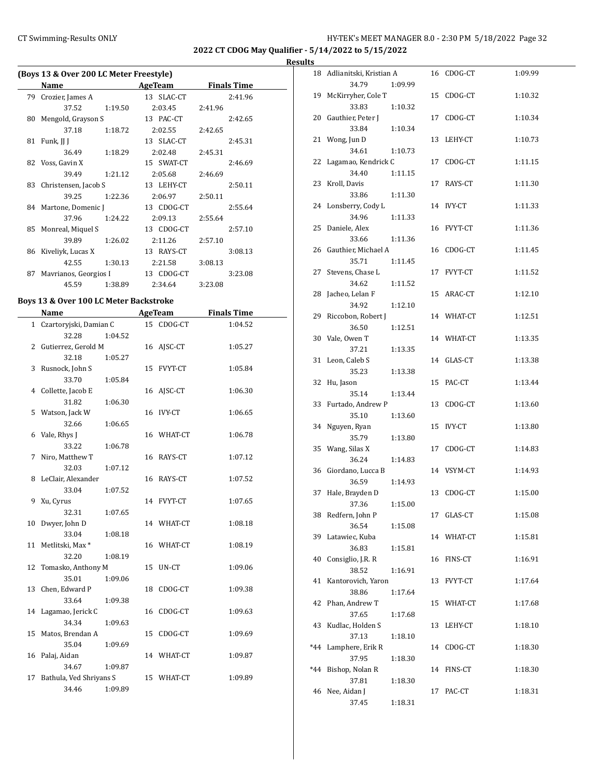**2022 CT CDOG May Qualifier - 5/14/2022 to 5/15/2022**

## **Results**

|     | (Boys 13 & Over 200 LC Meter Freestyle) |         |  |            |         |                    |  |  |  |
|-----|-----------------------------------------|---------|--|------------|---------|--------------------|--|--|--|
|     | Name                                    |         |  | AgeTeam    |         | <b>Finals Time</b> |  |  |  |
| 79. | Crozier, James A                        |         |  | 13 SLAC-CT |         | 2:41.96            |  |  |  |
|     | 37.52                                   | 1:19.50 |  | 2:03.45    | 2:41.96 |                    |  |  |  |
| 80  | Mengold, Grayson S                      |         |  | 13 PAC-CT  |         | 2:42.65            |  |  |  |
|     | 37.18                                   | 1:18.72 |  | 2:02.55    | 2:42.65 |                    |  |  |  |
| 81  | Funk, JJ J                              |         |  | 13 SLAC-CT |         | 2:45.31            |  |  |  |
|     | 36.49 1:18.29                           |         |  | 2:02.48    | 2:45.31 |                    |  |  |  |
|     | 82 Voss, Gavin X                        |         |  | 15 SWAT-CT |         | 2:46.69            |  |  |  |
|     | 39.49                                   | 1:21.12 |  | 2:05.68    | 2:46.69 |                    |  |  |  |
| 83  | Christensen, Jacob S                    |         |  | 13 LEHY-CT |         | 2:50.11            |  |  |  |
|     | 39.25                                   | 1:22.36 |  | 2:06.97    | 2:50.11 |                    |  |  |  |
|     | 84 Martone, Domenic J                   |         |  | 13 CDOG-CT |         | 2:55.64            |  |  |  |
|     | 37.96                                   | 1:24.22 |  | 2:09.13    | 2:55.64 |                    |  |  |  |
|     | 85 Monreal, Miquel S                    |         |  | 13 CDOG-CT |         | 2:57.10            |  |  |  |
|     | 39.89                                   | 1:26.02 |  | 2:11.26    | 2:57.10 |                    |  |  |  |
|     | 86 Kiveliyk, Lucas X                    |         |  | 13 RAYS-CT |         | 3:08.13            |  |  |  |
|     | 42.55                                   | 1:30.13 |  | 2:21.58    | 3:08.13 |                    |  |  |  |
| 87  | Mavrianos, Georgios I                   |         |  | 13 CDOG-CT |         | 3:23.08            |  |  |  |
|     | 45.59                                   | 1:38.89 |  | 2:34.64    | 3:23.08 |                    |  |  |  |

## **Boys 13 & Over 100 LC Meter Backstroke**

|    | Name                     |         |    | <b>AgeTeam</b> | <b>Finals Time</b> |  |
|----|--------------------------|---------|----|----------------|--------------------|--|
|    | 1 Czartoryjski, Damian C |         |    | 15 CDOG-CT     | 1:04.52            |  |
|    | 32.28                    | 1:04.52 |    |                |                    |  |
| 2  | Gutierrez, Gerold M      |         |    | 16 AJSC-CT     | 1:05.27            |  |
|    | 32.18                    | 1:05.27 |    |                |                    |  |
| 3  | Rusnock, John S          |         | 15 | <b>FVYT-CT</b> | 1:05.84            |  |
|    | 33.70                    | 1:05.84 |    |                |                    |  |
|    | 4 Collette, Jacob E      |         |    | 16 AISC-CT     | 1:06.30            |  |
|    | 31.82                    | 1:06.30 |    |                |                    |  |
|    | 5 Watson, Jack W         |         | 16 | <b>IVY-CT</b>  | 1:06.65            |  |
|    | 32.66                    | 1:06.65 |    |                |                    |  |
| 6  | Vale, Rhys J             |         |    | 16 WHAT-CT     | 1:06.78            |  |
|    | 33.22                    | 1:06.78 |    |                |                    |  |
| 7  | Niro, Matthew T          |         |    | 16 RAYS-CT     | 1:07.12            |  |
|    | 32.03                    | 1:07.12 |    |                |                    |  |
| 8  | LeClair, Alexander       |         |    | 16 RAYS-CT     | 1:07.52            |  |
|    | 33.04                    | 1:07.52 |    |                |                    |  |
| 9  | Xu, Cyrus                |         |    | 14 FVYT-CT     | 1:07.65            |  |
|    | 32.31                    | 1:07.65 |    |                |                    |  |
| 10 | Dwyer, John D            |         |    | 14 WHAT-CT     | 1:08.18            |  |
|    | 33.04                    | 1:08.18 |    |                |                    |  |
|    | 11 Metlitski, Max*       |         |    | 16 WHAT-CT     | 1:08.19            |  |
|    | 32.20                    | 1:08.19 |    |                |                    |  |
| 12 | Tomasko, Anthony M       |         | 15 | UN-CT          | 1:09.06            |  |
|    | 35.01                    | 1:09.06 |    |                |                    |  |
| 13 | Chen, Edward P           |         | 18 | CDOG-CT        | 1:09.38            |  |
|    | 33.64                    | 1:09.38 |    |                |                    |  |
|    | 14 Lagamao, Jerick C     |         |    | 16 CDOG-CT     | 1:09.63            |  |
|    | 34.34                    | 1:09.63 |    |                |                    |  |
|    | 15 Matos, Brendan A      |         | 15 | CDOG-CT        | 1:09.69            |  |
|    | 35.04                    | 1:09.69 |    |                |                    |  |
| 16 | Palaj, Aidan             |         |    | 14 WHAT-CT     | 1:09.87            |  |
|    | 34.67                    | 1:09.87 |    |                |                    |  |
| 17 | Bathula, Ved Shriyans S  |         | 15 | WHAT-CT        | 1:09.89            |  |
|    | 34.46                    | 1:09.89 |    |                |                    |  |

| 18    | Adlianitski, Kristian A     |         |    | 16 CDOG-CT    | 1:09.99 |
|-------|-----------------------------|---------|----|---------------|---------|
|       | 34.79                       | 1:09.99 |    |               |         |
| 19    | McKirryher, Cole T          |         | 15 | CDOG-CT       | 1:10.32 |
|       | 33.83                       | 1:10.32 |    |               |         |
| 20    | Gauthier, Peter J           |         |    | 17 CDOG-CT    | 1:10.34 |
|       | 33.84                       | 1:10.34 |    |               |         |
| 21    | Wong, Jun D                 |         |    | 13 LEHY-CT    | 1:10.73 |
|       | 34.61                       | 1:10.73 |    |               |         |
| 22    | Lagamao, Kendrick C         |         | 17 | CDOG-CT       | 1:11.15 |
|       | 34.40<br>Kroll, Davis       | 1:11.15 |    | RAYS-CT       | 1:11.30 |
| 23    | 33.86                       | 1:11.30 | 17 |               |         |
| 24    | Lonsberry, Cody L           |         |    | 14 IVY-CT     | 1:11.33 |
|       | 34.96                       | 1:11.33 |    |               |         |
| 25    | Daniele, Alex               |         | 16 | FVYT-CT       | 1:11.36 |
|       | 33.66                       | 1:11.36 |    |               |         |
| 26    | Gauthier, Michael A         |         | 16 | CDOG-CT       | 1:11.45 |
|       | 35.71                       | 1:11.45 |    |               |         |
| 27    | Stevens, Chase L            |         |    | 17 FVYT-CT    | 1:11.52 |
|       | 34.62                       | 1:11.52 |    |               |         |
| 28    | Jacheo, Lelan F             |         |    | 15 ARAC-CT    | 1:12.10 |
|       | 34.92                       | 1:12.10 |    |               |         |
| 29    | Riccobon, Robert J<br>36.50 | 1:12.51 |    | 14 WHAT-CT    | 1:12.51 |
| 30    | Vale, Owen T                |         |    | 14 WHAT-CT    | 1:13.35 |
|       | 37.21                       | 1:13.35 |    |               |         |
| 31    | Leon, Caleb S               |         |    | 14 GLAS-CT    | 1:13.38 |
|       | 35.23                       | 1:13.38 |    |               |         |
| 32    | Hu, Jason                   |         | 15 | PAC-CT        | 1:13.44 |
|       | 35.14                       | 1:13.44 |    |               |         |
| 33    | Furtado, Andrew P           |         | 13 | CDOG-CT       | 1:13.60 |
|       | 35.10                       | 1:13.60 |    |               |         |
| 34    | Nguyen, Ryan                |         | 15 | <b>IVY-CT</b> | 1:13.80 |
|       | 35.79                       | 1:13.80 |    |               |         |
| 35    | Wang, Silas X<br>36.24      | 1:14.83 | 17 | CDOG-CT       | 1:14.83 |
| 36    | Giordano, Lucca B           |         |    | 14 VSYM-CT    | 1:14.93 |
|       | 36.59                       | 1:14.93 |    |               |         |
| 37    | Hale, Brayden D             |         |    | 13 CDOG-CT    | 1:15.00 |
|       | 37.36                       | 1:15.00 |    |               |         |
| 38    | Redfern, John P             |         | 17 | GLAS-CT       | 1:15.08 |
|       | 36.54                       | 1:15.08 |    |               |         |
| 39    | Latawiec, Kuba              |         |    | 14 WHAT-CT    | 1:15.81 |
|       | 36.83                       | 1:15.81 |    |               |         |
| 40    | Consiglio, J.R. R           |         | 16 | FINS-CT       | 1:16.91 |
|       | 38.52                       | 1:16.91 |    |               |         |
| 41    | Kantorovich, Yaron<br>38.86 | 1:17.64 | 13 | FVYT-CT       | 1:17.64 |
| 42    | Phan, Andrew T              |         | 15 | WHAT-CT       | 1:17.68 |
|       | 37.65                       | 1:17.68 |    |               |         |
| 43    | Kudlac, Holden S            |         | 13 | LEHY-CT       | 1:18.10 |
|       | 37.13                       | 1:18.10 |    |               |         |
| *44   | Lamphere, Erik R            |         | 14 | CDOG-CT       | 1:18.30 |
|       | 37.95                       | 1:18.30 |    |               |         |
| $*44$ | Bishop, Nolan R             |         | 14 | FINS-CT       | 1:18.30 |
|       | 37.81                       | 1:18.30 |    |               |         |
| 46    | Nee, Aidan J                |         | 17 | PAC-CT        | 1:18.31 |
|       | 37.45                       | 1:18.31 |    |               |         |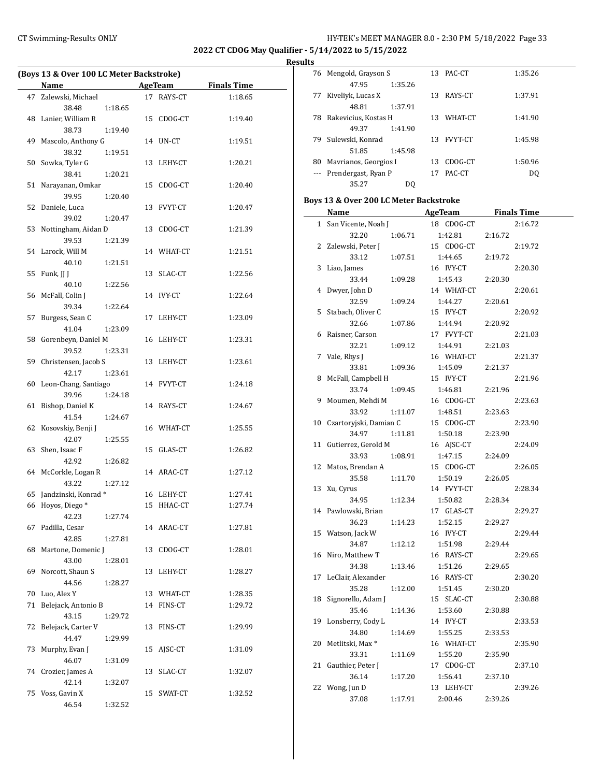÷,

## CT Swimming-Results ONLY **CT Swimming-Results ONLY** 13 1999 13

**2022 CT CDOG May Qualifier - 5/14/2022 to 5/15/2022**

**Results**

 $\overline{\phantom{a}}$ 

|    | (Boys 13 & Over 100 LC Meter Backstroke) |         |    |                     |         |  |  |
|----|------------------------------------------|---------|----|---------------------|---------|--|--|
|    | <b>Name</b>                              |         |    | AgeTeam Finals Time |         |  |  |
|    | 47 Zalewski, Michael                     |         |    | 17 RAYS-CT          | 1:18.65 |  |  |
|    | 38.48                                    | 1:18.65 |    |                     |         |  |  |
| 48 | Lanier, William R                        |         |    | 15 CDOG-CT          | 1:19.40 |  |  |
|    | 38.73                                    | 1:19.40 |    |                     |         |  |  |
| 49 | Mascolo, Anthony G                       |         |    | 14 UN-CT            | 1:19.51 |  |  |
|    | 38.32                                    | 1:19.51 |    |                     |         |  |  |
| 50 | Sowka, Tyler G                           |         |    | 13 LEHY-CT          | 1:20.21 |  |  |
|    | 38.41                                    | 1:20.21 |    |                     |         |  |  |
| 51 | Narayanan, Omkar                         |         |    | 15 CDOG-CT          | 1:20.40 |  |  |
|    | 39.95                                    | 1:20.40 |    |                     |         |  |  |
| 52 | Daniele, Luca                            |         |    | 13 FVYT-CT          | 1:20.47 |  |  |
|    | 39.02                                    | 1:20.47 |    |                     |         |  |  |
| 53 | Nottingham, Aidan D                      |         |    | 13 CDOG-CT          | 1:21.39 |  |  |
|    | 39.53                                    | 1:21.39 |    |                     |         |  |  |
|    | 54 Larock, Will M                        |         |    | 14 WHAT-CT          | 1:21.51 |  |  |
|    | 40.10                                    | 1:21.51 |    |                     |         |  |  |
| 55 | Funk, JJ J                               |         |    | 13 SLAC-CT          | 1:22.56 |  |  |
|    | 40.10                                    | 1:22.56 |    |                     |         |  |  |
| 56 | McFall, Colin J                          |         |    | 14 IVY-CT           | 1:22.64 |  |  |
|    | 39.34                                    | 1:22.64 |    |                     |         |  |  |
| 57 | Burgess, Sean C                          |         |    | 17 LEHY-CT          | 1:23.09 |  |  |
|    | 41.04                                    | 1:23.09 |    |                     |         |  |  |
| 58 | Gorenbeyn, Daniel M                      |         |    | 16 LEHY-CT          | 1:23.31 |  |  |
|    | 39.52                                    | 1:23.31 |    |                     |         |  |  |
|    | 59 Christensen, Jacob S                  |         |    | 13 LEHY-CT          | 1:23.61 |  |  |
|    | 42.17                                    | 1:23.61 |    |                     |         |  |  |
| 60 | Leon-Chang, Santiago                     |         |    | 14 FVYT-CT          | 1:24.18 |  |  |
|    | 39.96                                    | 1:24.18 |    |                     |         |  |  |
| 61 | Bishop, Daniel K                         |         |    | 14 RAYS-CT          | 1:24.67 |  |  |
|    | 41.54                                    | 1:24.67 |    |                     |         |  |  |
| 62 | Kosovskiy, Benji J                       |         |    | 16 WHAT-CT          | 1:25.55 |  |  |
|    | 42.07                                    | 1:25.55 |    |                     |         |  |  |
| 63 | Shen, Isaac F                            |         |    | 15 GLAS-CT          | 1:26.82 |  |  |
|    | 42.92                                    | 1:26.82 |    |                     |         |  |  |
|    | 64 McCorkle, Logan R                     |         |    | 14 ARAC-CT          | 1:27.12 |  |  |
|    | 43.22                                    | 1:27.12 |    |                     |         |  |  |
|    | 65 Jandzinski, Konrad*                   |         |    | 16 LEHY-CT          | 1:27.41 |  |  |
|    | 66 Hoyos, Diego*                         |         |    | 15 HHAC-CT          | 1:27.74 |  |  |
|    | 42.23                                    | 1:27.74 |    |                     |         |  |  |
| 67 | Padilla, Cesar                           |         |    | 14 ARAC-CT          | 1:27.81 |  |  |
|    | 42.85                                    | 1:27.81 |    |                     |         |  |  |
| 68 | Martone, Domenic J                       |         |    | 13 CDOG-CT          | 1:28.01 |  |  |
|    | 43.00                                    | 1:28.01 |    |                     |         |  |  |
| 69 | Norcott, Shaun S                         |         |    | 13 LEHY-CT          | 1:28.27 |  |  |
|    | 44.56                                    | 1:28.27 |    |                     |         |  |  |
| 70 | Luo, Alex Y                              |         |    | 13 WHAT-CT          | 1:28.35 |  |  |
| 71 | Belejack, Antonio B                      |         |    | 14 FINS-CT          | 1:29.72 |  |  |
|    | 43.15                                    | 1:29.72 |    |                     |         |  |  |
| 72 | Belejack, Carter V                       |         |    | 13 FINS-CT          | 1:29.99 |  |  |
|    | 44.47                                    | 1:29.99 |    |                     |         |  |  |
| 73 | Murphy, Evan J                           |         |    | 15 AJSC-CT          | 1:31.09 |  |  |
|    | 46.07                                    | 1:31.09 |    |                     |         |  |  |
|    | 74 Crozier, James A                      |         | 13 | SLAC-CT             | 1:32.07 |  |  |
|    | 42.14                                    | 1:32.07 |    |                     |         |  |  |
|    | 75 Voss, Gavin X                         |         | 15 | SWAT-CT             | 1:32.52 |  |  |
|    | 46.54                                    | 1:32.52 |    |                     |         |  |  |

|    | 76 Mengold, Grayson S   |         | 13 | PAC-CT         | 1:35.26 |
|----|-------------------------|---------|----|----------------|---------|
|    | 47.95                   | 1:35.26 |    |                |         |
| 77 | Kiveliyk, Lucas X       |         | 13 | RAYS-CT        | 1:37.91 |
|    | 48.81                   | 1:37.91 |    |                |         |
| 78 | Rakevicius, Kostas H    |         | 13 | WHAT-CT        | 1:41.90 |
|    | 49.37                   | 1:41.90 |    |                |         |
| 79 | Sulewski, Konrad        |         | 13 | <b>FVYT-CT</b> | 1:45.98 |
|    | 51.85                   | 1:45.98 |    |                |         |
| 80 | Mavrianos, Georgios I   |         | 13 | CDOG-CT        | 1:50.96 |
|    | --- Prendergast, Ryan P |         | 17 | PAC-CT         | DO      |
|    | 35.27                   | DO      |    |                |         |

## **Boys 13 & Over 200 LC Meter Backstroke**

|    | Name                        |         | <b>AgeTeam</b> |            |         | <b>Finals Time</b> |
|----|-----------------------------|---------|----------------|------------|---------|--------------------|
| 1  | San Vicente, Noah J         |         |                | 18 CDOG-CT |         | 2:16.72            |
|    | 32.20                       | 1:06.71 |                | 1:42.81    | 2:16.72 |                    |
| 2  | Zalewski, Peter J           |         |                | 15 CDOG-CT |         | 2:19.72            |
|    | 33.12                       | 1:07.51 |                | 1:44.65    | 2:19.72 |                    |
| 3  | Liao, James                 |         |                | 16 IVY-CT  |         | 2:20.30            |
|    | 33.44                       | 1:09.28 |                | 1:45.43    | 2:20.30 |                    |
| 4  | Dwyer, John D               |         |                | 14 WHAT-CT |         | 2:20.61            |
|    | 32.59                       | 1:09.24 |                | 1:44.27    | 2:20.61 |                    |
| 5  | Stabach, Oliver C           |         |                | 15 IVY-CT  |         | 2:20.92            |
|    | 32.66                       | 1:07.86 |                | 1:44.94    | 2:20.92 |                    |
| 6  | Raisner, Carson             |         |                | 17 FVYT-CT |         | 2:21.03            |
|    | 32.21                       | 1:09.12 |                | 1:44.91    | 2:21.03 |                    |
| 7  | Vale, Rhys J                |         |                | 16 WHAT-CT |         | 2:21.37            |
|    | 33.81                       | 1:09.36 |                | 1:45.09    | 2:21.37 |                    |
| 8  | McFall, Campbell H          |         |                | 15 IVY-CT  |         | 2:21.96            |
|    | 33.74                       | 1:09.45 |                | 1:46.81    | 2:21.96 |                    |
| 9  | Moumen, Mehdi M             |         |                | 16 CDOG-CT |         | 2:23.63            |
|    | 33.92                       | 1:11.07 |                | 1:48.51    | 2:23.63 |                    |
| 10 | Czartoryjski, Damian C      |         |                | 15 CDOG-CT |         | 2:23.90            |
|    | 34.97                       | 1:11.81 |                | 1:50.18    | 2:23.90 |                    |
| 11 | Gutierrez, Gerold M         |         |                | 16 AJSC-CT |         | 2:24.09            |
|    | 33.93                       | 1:08.91 |                | 1:47.15    | 2:24.09 |                    |
| 12 | Matos, Brendan A            |         |                | 15 CDOG-CT |         | 2:26.05            |
|    | 35.58                       | 1:11.70 |                | 1:50.19    | 2:26.05 |                    |
| 13 | Xu, Cyrus                   |         |                | 14 FVYT-CT |         | 2:28.34            |
|    | 34.95                       | 1:12.34 |                | 1:50.82    | 2:28.34 |                    |
| 14 | Pawlowski, Brian            |         |                | 17 GLAS-CT |         | 2:29.27            |
|    | 36.23                       | 1:14.23 |                | 1:52.15    | 2:29.27 |                    |
| 15 | Watson, Jack W              |         |                | 16 IVY-CT  |         | 2:29.44            |
|    | 34.87                       | 1:12.12 |                | 1:51.98    | 2:29.44 |                    |
| 16 | Niro, Matthew T             |         |                | 16 RAYS-CT |         | 2:29.65            |
|    | 34.38                       | 1:13.46 |                | 1:51.26    | 2:29.65 |                    |
| 17 | LeClair, Alexander          |         |                | 16 RAYS-CT |         | 2:30.20            |
|    | 35.28                       | 1:12.00 |                | 1:51.45    | 2:30.20 |                    |
| 18 | Signorello, Adam J          |         |                | 15 SLAC-CT |         | 2:30.88            |
|    | 35.46                       | 1:14.36 |                | 1:53.60    | 2:30.88 |                    |
| 19 | Lonsberry, Cody L           |         |                | 14 IVY-CT  |         | 2:33.53            |
|    | 34.80                       | 1:14.69 |                | 1:55.25    | 2:33.53 |                    |
| 20 | Metlitski, Max <sup>*</sup> |         |                | 16 WHAT-CT |         | 2:35.90            |
|    | 33.31                       | 1:11.69 |                | 1:55.20    | 2:35.90 |                    |
| 21 | Gauthier, Peter J           |         |                | 17 CDOG-CT |         | 2:37.10            |
|    | 36.14                       | 1:17.20 |                | 1:56.41    | 2:37.10 |                    |
| 22 | Wong, Jun D                 |         |                | 13 LEHY-CT |         | 2:39.26            |
|    | 37.08                       | 1:17.91 |                | 2:00.46    | 2:39.26 |                    |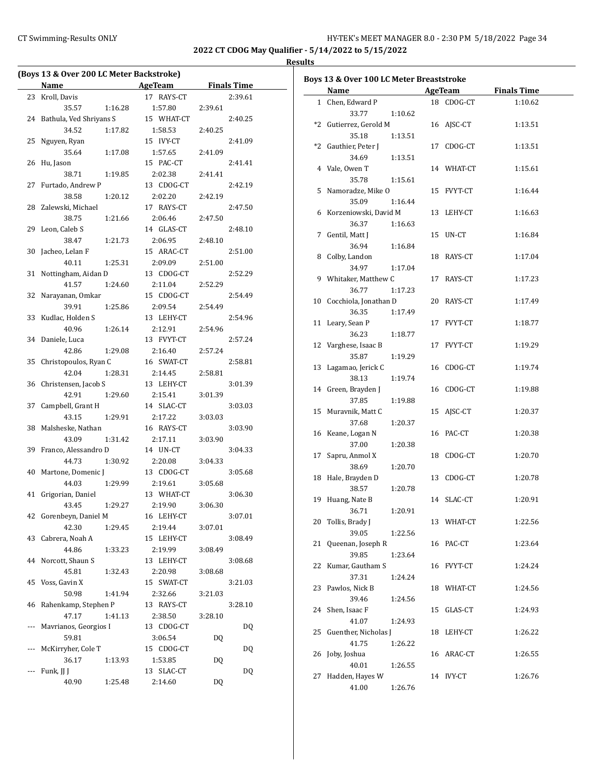## CT Swimming-Results ONLY **CONCER 8.0 - 2:30 PM 5/18/2022** Page 34

**2022 CT CDOG May Qualifier - 5/14/2022 to 5/15/2022**

|     | (Boys 13 & Over 200 LC Meter Backstroke) |         |                             |         |                    |
|-----|------------------------------------------|---------|-----------------------------|---------|--------------------|
|     | <b>Name</b>                              |         | <b>Example 2016</b> AgeTeam |         | <b>Finals Time</b> |
| 23  | Kroll, Davis                             |         | 17 RAYS-CT                  |         | 2:39.61            |
|     | 35.57                                    | 1:16.28 | 1:57.80                     | 2:39.61 |                    |
| 24  | Bathula, Ved Shriyans S                  |         | 15 WHAT-CT                  |         | 2:40.25            |
|     | 34.52                                    | 1:17.82 | 1:58.53                     | 2:40.25 |                    |
| 25  | Nguyen, Ryan                             |         | 15 IVY-CT                   |         | 2:41.09            |
|     | 35.64                                    | 1:17.08 | 1:57.65                     | 2:41.09 |                    |
| 26  | Hu, Jason                                |         | 15 PAC-CT                   |         | 2:41.41            |
|     | 38.71                                    | 1:19.85 | 2:02.38                     | 2:41.41 |                    |
| 27  | Furtado, Andrew P                        |         | 13 CDOG-CT                  |         | 2:42.19            |
|     | 38.58                                    | 1:20.12 | 2:02.20                     | 2:42.19 |                    |
| 28  | Zalewski, Michael                        |         | 17 RAYS-CT                  |         | 2:47.50            |
|     | 38.75                                    | 1:21.66 | 2:06.46                     | 2:47.50 |                    |
| 29  | Leon, Caleb S                            |         | 14 GLAS-CT                  |         | 2:48.10            |
|     | 38.47                                    | 1:21.73 | 2:06.95                     | 2:48.10 |                    |
| 30  | Jacheo, Lelan F                          |         | 15 ARAC-CT                  |         | 2:51.00            |
|     | 40.11                                    | 1:25.31 | 2:09.09                     | 2:51.00 |                    |
| 31  | Nottingham, Aidan D                      |         | 13 CDOG-CT                  |         | 2:52.29            |
|     | 41.57                                    | 1:24.60 | 2:11.04                     | 2:52.29 |                    |
| 32  | Narayanan, Omkar                         |         | 15 CDOG-CT                  |         | 2:54.49            |
|     | 39.91                                    | 1:25.86 | 2:09.54                     | 2:54.49 |                    |
| 33  | Kudlac, Holden S                         |         | 13 LEHY-CT                  |         | 2:54.96            |
|     | 40.96                                    | 1:26.14 | 2:12.91                     | 2:54.96 |                    |
| 34  | Daniele, Luca                            |         | 13 FVYT-CT                  |         | 2:57.24            |
|     | 42.86                                    | 1:29.08 | 2:16.40                     | 2:57.24 |                    |
| 35  | Christopoulos, Ryan C                    |         | 16 SWAT-CT                  |         | 2:58.81            |
|     | 42.04                                    | 1:28.31 | 2:14.45                     | 2:58.81 |                    |
| 36  | Christensen, Jacob S                     |         | 13 LEHY-CT                  |         | 3:01.39            |
|     | 42.91                                    | 1:29.60 | 2:15.41                     | 3:01.39 |                    |
| 37  | Campbell, Grant H                        |         | 14 SLAC-CT                  |         | 3:03.03            |
|     | 43.15                                    | 1:29.91 | 2:17.22                     | 3:03.03 |                    |
| 38  | Malsheske, Nathan                        |         | 16 RAYS-CT                  |         | 3:03.90            |
|     | 43.09                                    | 1:31.42 | 2:17.11                     | 3:03.90 |                    |
| 39  | Franco, Alessandro D                     |         | 14 UN-CT                    |         | 3:04.33            |
|     | 44.73                                    | 1:30.92 | 2:20.08                     | 3:04.33 |                    |
| 40  | Martone, Domenic J                       |         | 13 CDOG-CT                  |         | 3:05.68            |
|     | 44.03                                    | 1:29.99 | 2:19.61                     | 3:05.68 |                    |
| 41  | Grigorian, Daniel                        |         | 13 WHAT-CT                  |         | 3:06.30            |
|     | 43.45                                    | 1:29.27 | 2:19.90                     | 3:06.30 |                    |
| 42  | Gorenbeyn, Daniel M                      |         | 16 LEHY-CT                  |         | 3:07.01            |
|     | 42.30                                    | 1:29.45 | 2:19.44                     | 3:07.01 |                    |
| 43  | Cabrera, Noah A                          |         | 15 LEHY-CT                  |         | 3:08.49            |
|     | 44.86                                    | 1:33.23 | 2:19.99                     | 3:08.49 |                    |
| 44  | Norcott, Shaun S                         |         | 13<br>LEHY-CT               |         | 3:08.68            |
|     | 45.81                                    | 1:32.43 | 2:20.98                     | 3:08.68 |                    |
| 45  | Voss, Gavin X                            |         | SWAT-CT<br>15               |         | 3:21.03            |
|     | 50.98                                    | 1:41.94 | 2:32.66                     | 3:21.03 |                    |
| 46  | Rahenkamp, Stephen P                     |         | 13 RAYS-CT                  |         | 3:28.10            |
|     | 47.17                                    | 1:41.13 | 2:38.50                     | 3:28.10 |                    |
| --- | Mavrianos, Georgios I                    |         | 13 CDOG-CT                  |         | DQ                 |
|     | 59.81                                    |         | 3:06.54                     | DQ      |                    |
| --- | McKirryher, Cole T                       |         | 15 CDOG-CT                  |         | DQ                 |
|     | 36.17                                    | 1:13.93 | 1:53.85                     | DQ      |                    |
| --- | Funk, JJ J                               |         | 13 SLAC-CT                  |         | DQ                 |
|     | 40.90                                    | 1:25.48 | 2:14.60                     | DQ      |                    |

|    | Boys 13 & Over 100 LC Meter Breaststroke |    |                |                    |
|----|------------------------------------------|----|----------------|--------------------|
|    | Name                                     |    | <b>AgeTeam</b> | <b>Finals Time</b> |
|    | 1 Chen, Edward P                         |    | 18 CDOG-CT     | 1:10.62            |
|    | 33.77<br>1:10.62                         |    |                |                    |
|    | *2 Gutierrez, Gerold M                   |    | 16 AJSC-CT     | 1:13.51            |
|    | 35.18<br>1:13.51                         |    |                |                    |
|    | *2 Gauthier, Peter J                     |    | 17 CDOG-CT     | 1:13.51            |
|    | 34.69<br>1:13.51                         |    |                |                    |
|    | 4 Vale, Owen T                           |    | 14 WHAT-CT     | 1:15.61            |
|    | 35.78<br>1:15.61                         |    |                |                    |
|    | 5 Namoradze, Mike O                      |    | 15 FVYT-CT     | 1:16.44            |
|    | 35.09<br>1:16.44                         |    |                |                    |
|    | 6 Korzeniowski, David M                  |    | 13 LEHY-CT     | 1:16.63            |
|    | 36.37<br>1:16.63                         |    |                |                    |
| 7  | Gentil, Matt J                           |    | 15 UN-CT       | 1:16.84            |
|    | 36.94<br>1:16.84                         |    |                |                    |
| 8  | Colby, Landon                            |    | 18 RAYS-CT     | 1:17.04            |
|    | 34.97<br>1:17.04                         |    |                |                    |
|    | 9 Whitaker, Matthew C                    |    | 17 RAYS-CT     | 1:17.23            |
|    | 36.77<br>1:17.23                         |    |                |                    |
|    | 10 Cocchiola, Jonathan D                 |    | 20 RAYS-CT     | 1:17.49            |
|    | 36.35<br>1:17.49                         |    |                |                    |
|    | 11 Leary, Sean P                         |    |                | 1:18.77            |
|    |                                          |    | 17 FVYT-CT     |                    |
|    | 36.23<br>1:18.77                         |    |                |                    |
|    | 12 Varghese, Isaac B                     |    | 17 FVYT-CT     | 1:19.29            |
|    | 35.87<br>1:19.29                         |    |                |                    |
|    | 13 Lagamao, Jerick C                     |    | 16 CDOG-CT     | 1:19.74            |
|    | 38.13<br>1:19.74                         |    |                |                    |
|    | 14 Green, Brayden J                      |    | 16 CDOG-CT     | 1:19.88            |
|    | 37.85<br>1:19.88                         |    |                |                    |
| 15 | Muravnik, Matt C                         |    | 15 AJSC-CT     | 1:20.37            |
|    | 37.68<br>1:20.37                         |    |                |                    |
|    | 16 Keane, Logan N                        |    | 16 PAC-CT      | 1:20.38            |
|    | 37.00<br>1:20.38                         |    |                |                    |
| 17 | Sapru, Anmol X                           |    | 18 CDOG-CT     | 1:20.70            |
|    | 38.69<br>1:20.70                         |    |                |                    |
|    | 18 Hale, Brayden D                       |    | 13 CDOG-CT     | 1:20.78            |
|    | 38.57<br>1:20.78                         |    |                |                    |
| 19 | Huang, Nate B                            |    | 14 SLAC-CT     | 1:20.91            |
|    | 1:20.91<br>36.71                         |    |                |                    |
| 20 | Tollis, Brady J                          |    | 13 WHAT-CT     | 1:22.56            |
|    | 39.05<br>1:22.56                         |    |                |                    |
| 21 | Queenan, Joseph R                        |    | 16 PAC-CT      | 1:23.64            |
|    | 39.85<br>1:23.64                         |    |                |                    |
| 22 | Kumar, Gautham S                         |    | 16 FVYT-CT     | 1:24.24            |
|    | 37.31<br>1:24.24                         |    |                |                    |
| 23 | Pawlos, Nick B                           |    | 18 WHAT-CT     | 1:24.56            |
|    | 39.46                                    |    |                |                    |
|    | 1:24.56<br>24 Shen, Isaac F              | 15 | GLAS-CT        |                    |
|    | 41.07                                    |    |                | 1:24.93            |
|    | 1:24.93                                  |    |                |                    |
| 25 | Guenther, Nicholas J                     |    | 18 LEHY-CT     | 1:26.22            |
|    | 41.75<br>1:26.22                         |    |                |                    |
| 26 | Joby, Joshua                             |    | 16 ARAC-CT     | 1:26.55            |
|    | 40.01<br>1:26.55                         |    |                |                    |
| 27 | Hadden, Hayes W                          |    | 14 IVY-CT      | 1:26.76            |
|    | 41.00<br>1:26.76                         |    |                |                    |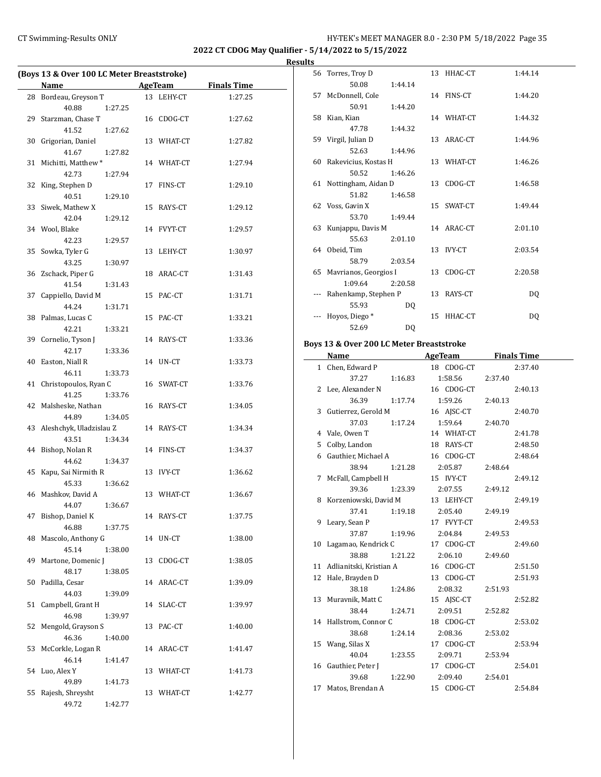## CT Swimming-Results ONLY **CONCER 8.0 - 2:30 PM 5/18/2022** Page 35

**2022 CT CDOG May Qualifier - 5/14/2022 to 5/15/2022**

**Results**

| (Boys 13 & Over 100 LC Meter Breaststroke) |                                    |    |            |                    |  |
|--------------------------------------------|------------------------------------|----|------------|--------------------|--|
|                                            | <b>Example 2.1 AgeTeam</b><br>Name |    |            | <b>Finals Time</b> |  |
|                                            | 28 Bordeau, Greyson T              |    | 13 LEHY-CT | 1:27.25            |  |
|                                            | 40.88<br>1:27.25                   |    |            |                    |  |
| 29                                         | Starzman, Chase T                  |    | 16 CDOG-CT | 1:27.62            |  |
|                                            | 41.52<br>1:27.62                   |    |            |                    |  |
| 30                                         | Grigorian, Daniel                  |    | 13 WHAT-CT | 1:27.82            |  |
|                                            | 41.67<br>1:27.82                   |    |            |                    |  |
| 31                                         | Michitti, Matthew*                 |    | 14 WHAT-CT | 1:27.94            |  |
|                                            | 42.73<br>1:27.94                   |    |            |                    |  |
| 32                                         | King, Stephen D                    |    | 17 FINS-CT | 1:29.10            |  |
|                                            | 40.51<br>1:29.10                   |    |            |                    |  |
| 33                                         | Siwek, Mathew X                    |    | 15 RAYS-CT | 1:29.12            |  |
|                                            | 42.04<br>1:29.12                   |    |            |                    |  |
|                                            | 34 Wool, Blake                     |    | 14 FVYT-CT | 1:29.57            |  |
|                                            | 42.23<br>1:29.57                   |    |            |                    |  |
| 35                                         | Sowka, Tyler G                     |    | 13 LEHY-CT | 1:30.97            |  |
|                                            | 43.25<br>1:30.97                   |    |            |                    |  |
|                                            | 36 Zschack, Piper G                |    | 18 ARAC-CT | 1:31.43            |  |
|                                            | 41.54<br>1:31.43                   |    |            |                    |  |
| 37                                         | Cappiello, David M                 |    | 15 PAC-CT  | 1:31.71            |  |
|                                            | 44.24<br>1:31.71                   |    |            |                    |  |
|                                            | 38 Palmas, Lucas C                 |    | 15 PAC-CT  | 1:33.21            |  |
|                                            | 42.21<br>1:33.21                   |    |            |                    |  |
| 39                                         | Cornelio, Tyson J                  |    | 14 RAYS-CT | 1:33.36            |  |
|                                            | 42.17<br>1:33.36                   |    |            |                    |  |
| 40                                         | Easton, Niall R                    |    | 14 UN-CT   | 1:33.73            |  |
|                                            | 46.11<br>1:33.73                   |    |            |                    |  |
| 41                                         | Christopoulos, Ryan C              |    | 16 SWAT-CT | 1:33.76            |  |
|                                            | 41.25<br>1:33.76                   |    |            |                    |  |
|                                            | 42 Malsheske, Nathan               |    | 16 RAYS-CT | 1:34.05            |  |
|                                            | 44.89<br>1:34.05                   |    |            |                    |  |
| 43                                         | Aleshchyk, Uladzislau Z            |    | 14 RAYS-CT | 1:34.34            |  |
|                                            | 43.51<br>1:34.34                   |    |            |                    |  |
| 44                                         | Bishop, Nolan R                    |    | 14 FINS-CT | 1:34.37            |  |
|                                            | 44.62<br>1:34.37                   |    |            |                    |  |
| 45                                         | Kapu, Sai Nirmith R                |    | 13 IVY-CT  | 1:36.62            |  |
|                                            | 45.33<br>1:36.62                   |    |            |                    |  |
|                                            | 46 Mashkov, David A                |    | 13 WHAT-CT | 1:36.67            |  |
|                                            | 44.07<br>1:36.67                   |    |            |                    |  |
| 47                                         | Bishop, Daniel K                   |    | 14 RAYS-CT | 1:37.75            |  |
|                                            | 46.88<br>1:37.75                   |    |            |                    |  |
| 48                                         | Mascolo, Anthony G                 |    | 14 UN-CT   | 1:38.00            |  |
|                                            | 45.14<br>1:38.00                   |    |            |                    |  |
| 49                                         | Martone, Domenic J                 | 13 | CDOG-CT    | 1:38.05            |  |
|                                            | 48.17<br>1:38.05                   |    |            |                    |  |
| 50                                         | Padilla, Cesar                     |    | 14 ARAC-CT | 1:39.09            |  |
|                                            | 44.03<br>1:39.09                   |    |            |                    |  |
| 51                                         | Campbell, Grant H                  | 14 | SLAC-CT    | 1:39.97            |  |
|                                            | 46.98<br>1:39.97                   |    |            |                    |  |
| 52                                         | Mengold, Grayson S                 |    | 13 PAC-CT  | 1:40.00            |  |
|                                            | 46.36<br>1:40.00                   |    |            |                    |  |
| 53                                         | McCorkle, Logan R                  |    | 14 ARAC-CT | 1:41.47            |  |
|                                            | 46.14<br>1:41.47                   |    |            |                    |  |
| 54                                         | Luo, Alex Y                        |    | 13 WHAT-CT | 1:41.73            |  |
|                                            | 49.89<br>1:41.73                   |    |            |                    |  |
| 55                                         | Rajesh, Shreysht                   |    | 13 WHAT-CT | 1:42.77            |  |
|                                            | 49.72<br>1:42.77                   |    |            |                    |  |

| 56 Torres, Troy D        |         | 13 HHAC-CT | 1:44.14        |
|--------------------------|---------|------------|----------------|
| 50.08                    | 1:44.14 |            |                |
| 57 McDonnell, Cole       |         | 14 FINS-CT | 1:44.20        |
| 50.91                    | 1:44.20 |            |                |
| 58 Kian, Kian            |         | 14 WHAT-CT | 1:44.32        |
| 47.78                    | 1:44.32 |            |                |
| 59 Virgil, Julian D      |         | 13 ARAC-CT | 1:44.96        |
| 52.63                    | 1:44.96 |            |                |
| 60 Rakevicius, Kostas H  |         | 13 WHAT-CT | 1:46.26        |
| 50.52                    | 1:46.26 |            |                |
| 61 Nottingham, Aidan D   |         | 13 CDOG-CT | 1:46.58        |
| 51.82                    | 1:46.58 |            |                |
| 62 Voss, Gavin X         |         | 15 SWAT-CT | 1:49.44        |
| 53.70                    | 1:49.44 |            |                |
| 63 Kunjappu, Davis M     |         | 14 ARAC-CT | 2:01.10        |
| 55.63                    | 2:01.10 |            |                |
| 64 Obeid, Tim            |         | 13 IVY-CT  | 2:03.54        |
| 58.79                    | 2:03.54 |            |                |
| 65 Mavrianos, Georgios I |         | 13 CDOG-CT | 2:20.58        |
| 1:09.64                  | 2:20.58 |            |                |
| Rahenkamp, Stephen P     |         | 13 RAYS-CT | D <sub>0</sub> |
| 55.93                    | DQ      |            |                |
| Hovos, Diego*            |         | 15 HHAC-CT | DQ             |
| 52.69                    | DO.     |            |                |
|                          |         |            |                |

## **Boys 13 & Over 200 LC Meter Breaststroke**

|    | Name                       | AgeTeam    | <b>Finals Time</b> |
|----|----------------------------|------------|--------------------|
|    | 1 Chen, Edward P           | 18 CDOG-CT | 2:37.40            |
|    | 37.27<br>1:16.83           | 1:58.56    | 2:37.40            |
|    | 2 Lee, Alexander N         | 16 CDOG-CT | 2:40.13            |
|    | 36.39<br>1:17.74           | 1:59.26    | 2:40.13            |
|    | 3 Gutierrez, Gerold M      | 16 AJSC-CT | 2:40.70            |
|    | 37.03<br>1:17.24           | 1:59.64    | 2:40.70            |
|    | 4 Vale, Owen T             | 14 WHAT-CT | 2:41.78            |
| 5  | Colby, Landon              | 18 RAYS-CT | 2:48.50            |
|    | 6 Gauthier, Michael A      | 16 CDOG-CT | 2:48.64            |
|    | 38.94<br>1:21.28           | 2:05.87    | 2:48.64            |
| 7  | McFall, Campbell H         | 15 IVY-CT  | 2:49.12            |
|    | 39.36<br>1:23.39           | 2:07.55    | 2:49.12            |
|    | 8 Korzeniowski, David M    | 13 LEHY-CT | 2:49.19            |
|    | 37.41<br>1:19.18           | 2:05.40    | 2:49.19            |
|    | 9 Leary, Sean P            | 17 FVYT-CT | 2:49.53            |
|    | 37.87<br>1:19.96           | 2:04.84    | 2:49.53            |
|    | 10 Lagamao, Kendrick C     | 17 CDOG-CT | 2:49.60            |
|    | 38.88<br>1:21.22           | 2:06.10    | 2:49.60            |
|    | 11 Adlianitski, Kristian A | 16 CDOG-CT | 2:51.50            |
|    | 12 Hale, Brayden D         | 13 CDOG-CT | 2:51.93            |
|    | 38.18<br>1:24.86           | 2:08.32    | 2:51.93            |
|    | 13 Muravnik, Matt C        | 15 AJSC-CT | 2:52.82            |
|    | 38.44<br>1:24.71           | 2:09.51    | 2:52.82            |
|    | 14 Hallstrom, Connor C     | 18 CDOG-CT | 2:53.02            |
|    | 38.68<br>1:24.14           | 2:08.36    | 2:53.02            |
|    | 15 Wang, Silas X           | 17 CDOG-CT | 2:53.94            |
|    | 40.04<br>1:23.55           | 2:09.71    | 2:53.94            |
|    | 16 Gauthier, Peter J       | 17 CDOG-CT | 2:54.01            |
|    | 39.68<br>1:22.90           | 2:09.40    | 2:54.01            |
| 17 | Matos, Brendan A           | 15 CDOG-CT | 2:54.84            |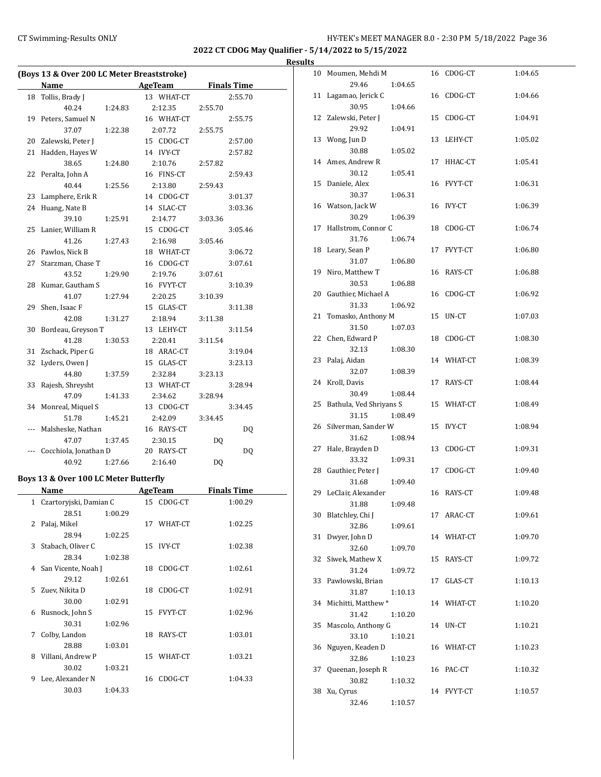## CT Swimming-Results ONLY **CT Swimming-Results ONLY** 100 12:30 PM 5/18/2022 Page 36

**2022 CT CDOG May Qualifier - 5/14/2022 to 5/15/2022**

 $\overline{\phantom{0}}$ 

|       | (Boys 13 & Over 200 LC Meter Breaststroke)<br><b>Name</b> | AgeTeam             | <b>Finals Time</b> |
|-------|-----------------------------------------------------------|---------------------|--------------------|
| 18    | Tollis, Brady J                                           | 13 WHAT-CT          | 2:55.70            |
|       | 40.24<br>1:24.83                                          | 2:12.35             | 2:55.70            |
|       | 19 Peters, Samuel N                                       | 16 WHAT-CT          | 2:55.75            |
|       | 37.07<br>1:22.38                                          | 2:07.72             | 2:55.75            |
|       |                                                           |                     |                    |
|       | 20 Zalewski, Peter J                                      | 15 CDOG-CT          | 2:57.00            |
| 21    | Hadden, Hayes W                                           | 14 IVY-CT           | 2:57.82            |
|       | 38.65<br>1:24.80                                          | 2:10.76             | 2:57.82            |
| 22    | Peralta, John A                                           | 16 FINS-CT          | 2:59.43            |
|       | 40.44<br>1:25.56                                          | 2:13.80             | 2:59.43            |
|       | 23 Lamphere, Erik R                                       | 14 CDOG-CT          | 3:01.37            |
| 24    | Huang, Nate B                                             | 14 SLAC-CT          | 3:03.36            |
|       | 39.10<br>1:25.91                                          | 2:14.77             | 3:03.36            |
| 25    | Lanier, William R                                         | 15 CDOG-CT          | 3:05.46            |
|       | 41.26<br>1:27.43                                          | 2:16.98             | 3:05.46            |
|       | 26 Pawlos, Nick B                                         | 18 WHAT-CT          | 3:06.72            |
| 27    | Starzman, Chase T                                         | 16 CDOG-CT          | 3:07.61            |
|       | 43.52<br>1:29.90                                          | 2:19.76             | 3:07.61            |
| 28    | Kumar, Gautham S                                          | 16 FVYT-CT          | 3:10.39            |
|       | 41.07<br>1:27.94                                          | 2:20.25             | 3:10.39            |
| 29    | Shen, Isaac F                                             | 15 GLAS-CT          | 3:11.38            |
|       | 42.08<br>1:31.27                                          | 2:18.94             | 3:11.38            |
| 30    | Bordeau, Greyson T                                        | 13 LEHY-CT          | 3:11.54            |
|       | 41.28<br>1:30.53                                          | 2:20.41             | 3:11.54            |
| 31    | Zschack, Piper G                                          | 18 ARAC-CT          | 3:19.04            |
| 32    | Lyders, Owen J                                            | 15 GLAS-CT          | 3:23.13            |
|       | 44.80<br>1:37.59                                          | 2:32.84             | 3:23.13            |
| 33    | Rajesh, Shreysht                                          | 13 WHAT-CT          | 3:28.94            |
|       | 47.09<br>1:41.33                                          | 2:34.62             | 3:28.94            |
| 34    | Monreal, Miquel S                                         | 13 CDOG-CT          | 3:34.45            |
|       | 51.78<br>1:45.21                                          | 2:42.09             | 3:34.45            |
|       | Malsheske, Nathan                                         | 16 RAYS-CT          | DQ                 |
|       | 47.07<br>1:37.45                                          | 2:30.15             | DQ                 |
| $---$ | Cocchiola, Jonathan D                                     | 20 RAYS-CT          | DQ                 |
|       | 40.92<br>1:27.66                                          | 2:16.40             | D <sub>0</sub>     |
|       |                                                           |                     |                    |
|       | Boys 13 & Over 100 LC Meter Butterfly                     |                     |                    |
|       | Name                                                      | AgeTeam             | <b>Finals Time</b> |
|       | 1 Czartoryjski, Damian C                                  | 15 CDOG-CT          | 1:00.29            |
|       | 28.51<br>1:00.29                                          |                     |                    |
| 2     | Palaj, Mikel                                              | 17 WHAT-CT          | 1:02.25            |
|       | 28.94<br>1:02.25                                          |                     |                    |
| 3     | Stabach, Oliver C                                         | <b>IVY-CT</b><br>15 | 1:02.38            |
|       | 28.34<br>1:02.38                                          |                     |                    |
| 4     | San Vicente, Noah J                                       | CDOG-CT<br>18       | 1:02.61            |
|       | 29.12<br>1:02.61                                          |                     |                    |
| 5     | Zuev, Nikita D                                            | 18<br>CDOG-CT       | 1:02.91            |
|       | 30.00<br>1:02.91                                          |                     |                    |
| 6     | Rusnock, John S                                           | 15<br>FVYT-CT       | 1:02.96            |
|       | 30.31<br>1:02.96                                          |                     |                    |
| 7     | Colby, Landon                                             | RAYS-CT<br>18       | 1:03.01            |
|       | 28.88<br>1:03.01                                          |                     |                    |
| 8     | Villani, Andrew P                                         | 15 WHAT-CT          | 1:03.21            |
|       | 30.02<br>1:03.21                                          |                     |                    |
| 9     | Lee, Alexander N                                          | 16<br>CDOG-CT       | 1:04.33            |
|       | 30.03<br>1:04.33                                          |                     |                    |

|    | 10 Moumen, Mehdi M       |         |    | 16 CDOG-CT | 1:04.65 |
|----|--------------------------|---------|----|------------|---------|
|    | 29.46                    | 1:04.65 |    |            |         |
| 11 | Lagamao, Jerick C        |         | 16 | CDOG-CT    | 1:04.66 |
|    | 30.95                    | 1:04.66 |    |            |         |
| 12 | Zalewski, Peter J        |         | 15 | CDOG-CT    | 1:04.91 |
|    | 29.92<br>13 Wong, Jun D  | 1:04.91 | 13 | LEHY-CT    |         |
|    | 30.88                    | 1:05.02 |    |            | 1:05.02 |
| 14 | Ames, Andrew R           |         | 17 | HHAC-CT    | 1:05.41 |
|    | 30.12                    | 1:05.41 |    |            |         |
| 15 | Daniele, Alex            |         |    | 16 FVYT-CT | 1:06.31 |
|    | 30.37                    | 1:06.31 |    |            |         |
|    | 16 Watson, Jack W        |         | 16 | IVY-CT     | 1:06.39 |
|    | 30.29                    | 1:06.39 |    |            |         |
| 17 | Hallstrom, Connor C      |         | 18 | CDOG-CT    | 1:06.74 |
|    | 31.76                    | 1:06.74 |    |            |         |
| 18 | Leary, Sean P            |         |    | 17 FVYT-CT | 1:06.80 |
|    | 31.07                    | 1:06.80 |    |            |         |
| 19 | Niro, Matthew T          |         | 16 | RAYS-CT    | 1:06.88 |
|    | 30.53                    | 1:06.88 |    |            |         |
| 20 | Gauthier, Michael A      |         | 16 | CDOG-CT    | 1:06.92 |
|    | 31.33                    | 1:06.92 |    |            |         |
| 21 | Tomasko, Anthony M       |         | 15 | UN-CT      | 1:07.03 |
|    | 31.50                    | 1:07.03 |    |            |         |
| 22 | Chen, Edward P           |         | 18 | CDOG-CT    | 1:08.30 |
|    | 32.13                    | 1:08.30 |    |            |         |
| 23 | Palaj, Aidan             |         |    | 14 WHAT-CT | 1:08.39 |
|    | 32.07                    | 1:08.39 |    |            |         |
| 24 | Kroll, Davis             |         |    | 17 RAYS-CT | 1:08.44 |
|    | 30.49                    | 1:08.44 |    |            |         |
| 25 | Bathula, Ved Shriyans S  |         |    | 15 WHAT-CT | 1:08.49 |
|    | 31.15                    | 1:08.49 |    |            |         |
| 26 | Silverman, Sander W      |         | 15 | IVY-CT     | 1:08.94 |
|    | 31.62                    | 1:08.94 |    |            |         |
| 27 | Hale, Brayden D          |         | 13 | CDOG-CT    | 1:09.31 |
|    | 33.32                    | 1:09.31 |    |            |         |
|    | 28 Gauthier, Peter J     |         | 17 | CDOG-CT    | 1:09.40 |
|    | 31.68                    | 1:09.40 |    |            |         |
|    | 29 LeClair, Alexander    |         | 16 | RAYS-CT    | 1:09.48 |
|    | 31.88                    | 1:09.48 |    |            |         |
|    | 30 Blatchley, Chi J      |         |    | 17 ARAC-CT | 1:09.61 |
|    | 32.86                    | 1:09.61 |    |            |         |
| 31 | Dwyer, John D            |         | 14 | WHAT-CT    | 1:09.70 |
|    | 32.60                    | 1:09.70 |    |            |         |
| 32 | Siwek, Mathew X<br>31.24 |         | 15 | RAYS-CT    | 1:09.72 |
| 33 | Pawlowski, Brian         | 1:09.72 | 17 |            |         |
|    | 31.87                    | 1:10.13 |    | GLAS-CT    | 1:10.13 |
| 34 | Michitti, Matthew*       |         |    | 14 WHAT-CT | 1:10.20 |
|    | 31.42                    | 1:10.20 |    |            |         |
| 35 | Mascolo, Anthony G       |         | 14 | UN-CT      | 1:10.21 |
|    | 33.10                    | 1:10.21 |    |            |         |
| 36 | Nguyen, Keaden D         |         | 16 | WHAT-CT    | 1:10.23 |
|    | 32.86                    | 1:10.23 |    |            |         |
| 37 | Queenan, Joseph R        |         | 16 | PAC-CT     | 1:10.32 |
|    | 30.82                    | 1:10.32 |    |            |         |
| 38 | Xu, Cyrus                |         |    | 14 FVYT-CT | 1:10.57 |
|    | 32.46                    | 1:10.57 |    |            |         |
|    |                          |         |    |            |         |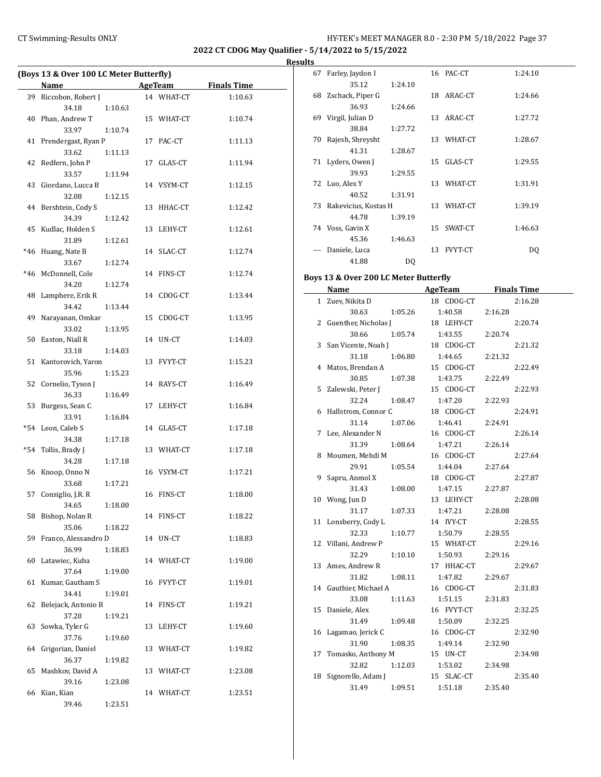**2022 CT CDOG May Qualifier - 5/14/2022 to 5/15/2022**

**Results**

|     | (Boys 13 & Over 100 LC Meter Butterfly) |         |            |                    |
|-----|-----------------------------------------|---------|------------|--------------------|
|     | Name                                    |         | AgeTeam    | <b>Finals Time</b> |
|     | 39 Riccobon, Robert J                   |         | 14 WHAT-CT | 1:10.63            |
|     | 34.18                                   |         |            |                    |
|     |                                         | 1:10.63 |            |                    |
|     | 40 Phan, Andrew T                       |         | 15 WHAT-CT | 1:10.74            |
|     | 33.97                                   | 1:10.74 |            |                    |
|     | 41 Prendergast, Ryan P                  |         | 17 PAC-CT  | 1:11.13            |
|     | 33.62                                   | 1:11.13 |            |                    |
|     | 42 Redfern, John P                      |         | 17 GLAS-CT | 1:11.94            |
|     | 33.57                                   | 1:11.94 |            |                    |
|     | 43 Giordano, Lucca B                    |         | 14 VSYM-CT | 1:12.15            |
|     | 32.08                                   | 1:12.15 |            |                    |
|     | 44 Bershtein, Cody S                    |         | 13 HHAC-CT | 1:12.42            |
|     | 34.39                                   | 1:12.42 |            |                    |
|     | 45 Kudlac, Holden S                     |         | 13 LEHY-CT | 1:12.61            |
|     | 31.89                                   | 1:12.61 |            |                    |
| *46 | Huang, Nate B                           |         | 14 SLAC-CT | 1:12.74            |
|     | 33.67                                   | 1:12.74 |            |                    |
|     | *46 McDonnell, Cole                     |         | 14 FINS-CT | 1:12.74            |
|     | 34.20                                   | 1:12.74 |            |                    |
|     | 48 Lamphere, Erik R                     |         | 14 CDOG-CT | 1:13.44            |
|     | 34.42                                   | 1:13.44 |            |                    |
|     |                                         |         |            |                    |
| 49  | Narayanan, Omkar                        |         | 15 CDOG-CT | 1:13.95            |
|     | 33.02                                   | 1:13.95 |            |                    |
|     | 50 Easton, Niall R                      |         | 14 UN-CT   | 1:14.03            |
|     | 33.18                                   | 1:14.03 |            |                    |
|     | 51 Kantorovich, Yaron                   |         | 13 FVYT-CT | 1:15.23            |
|     | 35.96                                   | 1:15.23 |            |                    |
|     | 52 Cornelio, Tyson J                    |         | 14 RAYS-CT | 1:16.49            |
|     | 36.33                                   | 1:16.49 |            |                    |
|     | 53 Burgess, Sean C                      |         | 17 LEHY-CT | 1:16.84            |
|     | 33.91                                   | 1:16.84 |            |                    |
|     | *54 Leon, Caleb S                       |         | 14 GLAS-CT | 1:17.18            |
|     | 34.38                                   | 1:17.18 |            |                    |
| *54 | Tollis, Brady J                         |         | 13 WHAT-CT | 1:17.18            |
|     | 34.28                                   | 1:17.18 |            |                    |
|     | 56 Knoop, Onno N                        |         | 16 VSYM-CT | 1:17.21            |
|     | 33.68                                   | 1:17.21 |            |                    |
| 57  | Consiglio, J.R. R                       |         | 16 FINS-CT | 1:18.00            |
|     | 34.65                                   | 1:18.00 |            |                    |
|     | 58 Bishop, Nolan R                      |         | 14 FINS-CT | 1:18.22            |
|     | 35.06                                   | 1:18.22 |            |                    |
|     | 59 Franco, Alessandro D                 |         | 14 UN-CT   |                    |
|     | 36.99                                   |         |            | 1:18.83            |
|     |                                         | 1:18.83 |            |                    |
|     | 60 Latawiec, Kuba                       |         | 14 WHAT-CT | 1:19.00            |
|     | 37.64                                   | 1:19.00 |            |                    |
| 61  | Kumar, Gautham S                        |         | 16 FVYT-CT | 1:19.01            |
|     | 34.41                                   | 1:19.01 |            |                    |
| 62  | Belejack, Antonio B                     |         | 14 FINS-CT | 1:19.21            |
|     | 37.20                                   | 1:19.21 |            |                    |
| 63  | Sowka, Tyler G                          |         | 13 LEHY-CT | 1:19.60            |
|     | 37.76                                   | 1:19.60 |            |                    |
|     | 64 Grigorian, Daniel                    |         | 13 WHAT-CT | 1:19.82            |
|     | 36.37                                   | 1:19.82 |            |                    |
|     | 65 Mashkov, David A                     |         | 13 WHAT-CT | 1:23.08            |
|     | 39.16                                   | 1:23.08 |            |                    |
|     | 66 Kian, Kian                           |         | 14 WHAT-CT | 1:23.51            |
|     | 39.46                                   | 1:23.51 |            |                    |
|     |                                         |         |            |                    |

| э  |                      |         |    |                |         |  |
|----|----------------------|---------|----|----------------|---------|--|
| 67 | Farley, Jaydon I     |         |    | 16 PAC-CT      | 1:24.10 |  |
|    | 35.12                | 1:24.10 |    |                |         |  |
| 68 | Zschack, Piper G     |         |    | 18 ARAC-CT     | 1:24.66 |  |
|    | 36.93                | 1:24.66 |    |                |         |  |
| 69 | Virgil, Julian D     |         |    | 13 ARAC-CT     | 1:27.72 |  |
|    | 38.84                | 1:27.72 |    |                |         |  |
| 70 | Rajesh, Shreysht     |         |    | 13 WHAT-CT     | 1:28.67 |  |
|    | 41.31                | 1:28.67 |    |                |         |  |
|    | 71 Lyders, Owen J    |         | 15 | GLAS-CT        | 1:29.55 |  |
|    | 39.93                | 1:29.55 |    |                |         |  |
|    | 72 Luo, Alex Y       |         | 13 | WHAT-CT        | 1:31.91 |  |
|    | 40.52                | 1:31.91 |    |                |         |  |
| 73 | Rakevicius, Kostas H |         |    | 13 WHAT-CT     | 1:39.19 |  |
|    | 44.78                | 1:39.19 |    |                |         |  |
|    | 74 Voss, Gavin X     |         | 15 | SWAT-CT        | 1:46.63 |  |
|    | 45.36                | 1:46.63 |    |                |         |  |
|    | Daniele, Luca        |         | 13 | <b>FVYT-CT</b> | DQ      |  |
|    | 41.88                | DQ      |    |                |         |  |
|    |                      |         |    |                |         |  |

## **Boys 13 & Over 200 LC Meter Butterfly**

|              | Name                   | AgeTeam    | <b>Finals Time</b> |
|--------------|------------------------|------------|--------------------|
| $\mathbf{1}$ | Zuev, Nikita D         | 18 CDOG-CT | 2:16.28            |
|              | 30.63<br>1:05.26       | 1:40.58    | 2:16.28            |
| 2            | Guenther, Nicholas J   | 18 LEHY-CT | 2:20.74            |
|              | 30.66<br>1:05.74       | 1:43.55    | 2:20.74            |
| 3            | San Vicente, Noah J    | 18 CDOG-CT | 2:21.32            |
|              | 31.18<br>1:06.80       | 1:44.65    | 2:21.32            |
| 4            | Matos, Brendan A       | 15 CDOG-CT | 2:22.49            |
|              | 30.85<br>1:07.38       | 1:43.75    | 2:22.49            |
| 5            | Zalewski, Peter J      | 15 CDOG-CT | 2:22.93            |
|              | 32.24<br>1:08.47       | 1:47.20    | 2:22.93            |
| 6            | Hallstrom, Connor C    | 18 CDOG-CT | 2:24.91            |
|              | 31.14<br>1:07.06       | 1:46.41    | 2:24.91            |
| 7            | Lee, Alexander N       | 16 CDOG-CT | 2:26.14            |
|              | 31.39<br>1:08.64       | 1:47.21    | 2:26.14            |
| 8            | Moumen, Mehdi M        | 16 CDOG-CT | 2:27.64            |
|              | 29.91<br>1:05.54       | 1:44.04    | 2:27.64            |
| 9            | Sapru, Anmol X         | 18 CDOG-CT | 2:27.87            |
|              | 31.43<br>1:08.00       | 1:47.15    | 2:27.87            |
| 10           | Wong, Jun D            | 13 LEHY-CT | 2:28.08            |
|              | 31.17<br>1:07.33       | 1:47.21    | 2:28.08            |
| 11           | Lonsberry, Cody L      | 14 IVY-CT  | 2:28.55            |
|              | 32.33<br>1:10.77       | 1:50.79    | 2:28.55            |
|              | 12 Villani, Andrew P   | 15 WHAT-CT | 2:29.16            |
|              | 32.29<br>1:10.10       | 1:50.93    | 2:29.16            |
|              | 13 Ames, Andrew R      | 17 HHAC-CT | 2:29.67            |
|              | 31.82<br>1:08.11       | 1:47.82    | 2:29.67            |
|              | 14 Gauthier, Michael A | 16 CDOG-CT | 2:31.83            |
|              | 33.08<br>1:11.63       | 1:51.15    | 2:31.83            |
| 15           | Daniele, Alex          | 16 FVYT-CT | 2:32.25            |
|              | 31.49<br>1:09.48       | 1:50.09    | 2:32.25            |
|              | 16 Lagamao, Jerick C   | 16 CDOG-CT | 2:32.90            |
|              | 31.90<br>1:08.35       | 1:49.14    | 2:32.90            |
| 17           | Tomasko, Anthony M     | 15 UN-CT   | 2:34.98            |
|              | 32.82<br>1:12.03       | 1:53.02    | 2:34.98            |
|              | 18 Signorello, Adam J  | 15 SLAC-CT | 2:35.40            |
|              | 31.49<br>1:09.51       | 1:51.18    | 2:35.40            |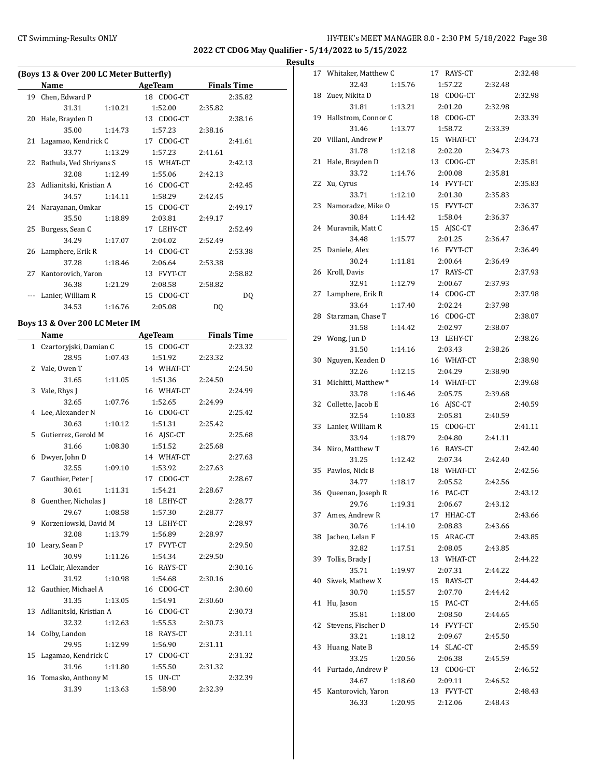**2022 CT CDOG May Qualifier - 5/14/2022 to 5/15/2022**

#### **Results**

| (Boys 13 & Over 200 LC Meter Butterfly) |                                |         |            |                    |                    |  |
|-----------------------------------------|--------------------------------|---------|------------|--------------------|--------------------|--|
|                                         | <b>Name</b>                    |         | AgeTeam    | <b>Finals Time</b> |                    |  |
| 19                                      | Chen, Edward P                 |         | 18 CDOG-CT |                    | 2:35.82            |  |
|                                         | 31.31                          | 1:10.21 | 1:52.00    | 2:35.82            |                    |  |
| 20                                      | Hale, Brayden D                |         | 13 CDOG-CT |                    | 2:38.16            |  |
|                                         | 35.00                          | 1:14.73 | 1:57.23    | 2:38.16            |                    |  |
| 21                                      | Lagamao, Kendrick C            |         | 17 CDOG-CT |                    | 2:41.61            |  |
|                                         | 33.77                          | 1:13.29 | 1:57.23    | 2:41.61            |                    |  |
| 22                                      | Bathula, Ved Shriyans S        |         | 15 WHAT-CT |                    | 2:42.13            |  |
|                                         | 32.08                          | 1:12.49 | 1:55.06    | 2:42.13            |                    |  |
| 23                                      | Adlianitski, Kristian A        |         | 16 CDOG-CT |                    | 2:42.45            |  |
|                                         | 34.57                          | 1:14.11 | 1:58.29    | 2:42.45            |                    |  |
| 24                                      | Narayanan, Omkar               |         | 15 CDOG-CT |                    | 2:49.17            |  |
|                                         | 35.50                          | 1:18.89 | 2:03.81    | 2:49.17            |                    |  |
| 25                                      | Burgess, Sean C                |         | 17 LEHY-CT |                    | 2:52.49            |  |
|                                         | 34.29                          | 1:17.07 | 2:04.02    | 2:52.49            |                    |  |
| 26                                      | Lamphere, Erik R               |         | 14 CDOG-CT |                    | 2:53.38            |  |
|                                         | 37.28                          | 1:18.46 | 2:06.64    | 2:53.38            |                    |  |
| 27                                      | Kantorovich, Yaron             |         | 13 FVYT-CT |                    | 2:58.82            |  |
|                                         | 36.38                          | 1:21.29 | 2:08.58    | 2:58.82            |                    |  |
|                                         | Lanier, William R              |         | 15 CDOG-CT |                    | DQ                 |  |
|                                         | 34.53                          | 1:16.76 | 2:05.08    | DQ                 |                    |  |
|                                         | Boys 13 & Over 200 LC Meter IM |         |            |                    |                    |  |
|                                         | <b>Name</b>                    |         | AgeTeam    |                    | <b>Finals Time</b> |  |
| $\mathbf{1}$                            | Czartoryjski, Damian C         |         | 15 CDOG-CT |                    | 2:23.32            |  |
|                                         | 28.95                          | 1:07.43 | 1:51.92    | 2:23.32            |                    |  |
| 2                                       | Vale, Owen T                   |         | 14 WHAT-CT |                    | 2:24.50            |  |
|                                         | 31.65                          | 1:11.05 | 1:51.36    | 2:24.50            |                    |  |
| 3                                       | Vale, Rhys J                   |         | 16 WHAT-CT |                    | 2:24.99            |  |
|                                         | 32.65                          | 1:07.76 | 1:52.65    | 2:24.99            |                    |  |
| 4                                       | Lee, Alexander N               |         | 16 CDOG-CT |                    | 2:25.42            |  |
|                                         | 30.63                          | 1:10.12 | 1:51.31    | 2:25.42            |                    |  |
| 5                                       | Gutierrez, Gerold M            |         | 16 AJSC-CT |                    | 2:25.68            |  |
|                                         | 31.66                          | 1:08.30 | 1:51.52    | 2:25.68            |                    |  |
| 6                                       | Dwyer, John D                  |         | 14 WHAT-CT |                    | 2:27.63            |  |
|                                         | 32.55                          | 1:09.10 | 1:53.92    | 2:27.63            |                    |  |

7 Gauthier, Peter J 17 CDOG-CT 2:28.67 30.61 1:11.31 1:54.21 2:28.67 8 Guenther, Nicholas J 18 LEHY-CT 2:28.77 29.67 1:08.58 1:57.30 2:28.77 9 Korzeniowski, David M 13 LEHY-CT 2:28.97 32.08 1:13.79 1:56.89 2:28.97 10 Leary, Sean P 17 FVYT-CT 2:29.50 30.99 1:11.26 1:54.34 2:29.50 11 LeClair, Alexander 16 RAYS-CT 2:30.16 31.92 1:10.98 1:54.68 2:30.16 12 Gauthier, Michael A 16 CDOG-CT 2:30.60 31.35 1:13.05 1:54.91 2:30.60 13 Adlianitski, Kristian A 16 CDOG-CT 2:30.73 32.32 1:12.63 1:55.53 2:30.73 14 Colby, Landon 18 RAYS-CT 2:31.11 29.95 1:12.99 1:56.90 2:31.11 15 Lagamao, Kendrick C 17 CDOG-CT 2:31.32 31.96 1:11.80 1:55.50 2:31.32 16 Tomasko, Anthony M 15 UN-CT 2:32.39 31.39 1:13.63 1:58.90 2:32.39

| 17 | Whitaker, Matthew C |         | 17 RAYS-CT |         | 2:32.48 |
|----|---------------------|---------|------------|---------|---------|
|    | 32.43               | 1:15.76 | 1:57.22    | 2:32.48 |         |
| 18 | Zuev, Nikita D      |         | 18 CDOG-CT |         | 2:32.98 |
|    | 31.81               | 1:13.21 | 2:01.20    | 2:32.98 |         |
| 19 | Hallstrom, Connor C |         | 18 CDOG-CT |         | 2:33.39 |
|    | 31.46               | 1:13.77 | 1:58.72    | 2:33.39 |         |
| 20 | Villani, Andrew P   |         | 15 WHAT-CT |         | 2:34.73 |
|    | 31.78               | 1:12.18 | 2:02.20    | 2:34.73 |         |
| 21 | Hale, Brayden D     |         | 13 CDOG-CT |         | 2:35.81 |
|    |                     |         |            |         |         |
|    | 33.72               | 1:14.76 | 2:00.08    | 2:35.81 |         |
| 22 | Xu, Cyrus           |         | 14 FVYT-CT |         | 2:35.83 |
|    | 33.71               | 1:12.10 | 2:01.30    | 2:35.83 |         |
| 23 | Namoradze, Mike O   |         | 15 FVYT-CT |         | 2:36.37 |
|    | 30.84               | 1:14.42 | 1:58.04    | 2:36.37 |         |
| 24 | Muravnik, Matt C    |         | 15 AJSC-CT |         | 2:36.47 |
|    | 34.48               | 1:15.77 | 2:01.25    | 2:36.47 |         |
| 25 | Daniele, Alex       |         | 16 FVYT-CT |         | 2:36.49 |
|    | 30.24               | 1:11.81 | 2:00.64    | 2:36.49 |         |
| 26 | Kroll, Davis        |         | 17 RAYS-CT |         | 2:37.93 |
|    | 32.91               | 1:12.79 | 2:00.67    | 2:37.93 |         |
| 27 | Lamphere, Erik R    |         | 14 CDOG-CT |         | 2:37.98 |
|    | 33.64               | 1:17.40 | 2:02.24    | 2:37.98 |         |
| 28 | Starzman, Chase T   |         | 16 CDOG-CT |         | 2:38.07 |
|    | 31.58               | 1:14.42 | 2:02.97    |         |         |
|    |                     |         |            | 2:38.07 |         |
| 29 | Wong, Jun D         |         | 13 LEHY-CT |         | 2:38.26 |
|    | 31.50               | 1:14.16 | 2:03.43    | 2:38.26 |         |
| 30 | Nguyen, Keaden D    |         | 16 WHAT-CT |         | 2:38.90 |
|    | 32.26               | 1:12.15 | 2:04.29    | 2:38.90 |         |
| 31 | Michitti, Matthew*  |         | 14 WHAT-CT |         | 2:39.68 |
|    | 33.78               | 1:16.46 | 2:05.75    | 2:39.68 |         |
| 32 | Collette, Jacob E   |         | 16 AJSC-CT |         | 2:40.59 |
|    | 32.54               | 1:10.83 | 2:05.81    | 2:40.59 |         |
| 33 | Lanier, William R   |         | 15 CDOG-CT |         | 2:41.11 |
|    | 33.94               | 1:18.79 | 2:04.80    | 2:41.11 |         |
| 34 | Niro, Matthew T     |         | 16 RAYS-CT |         | 2:42.40 |
|    | 31.25               | 1:12.42 | 2:07.34    | 2:42.40 |         |
| 35 | Pawlos, Nick B      |         | 18 WHAT-CT |         | 2:42.56 |
|    | 34.77               | 1:18.17 | 2:05.52    | 2:42.56 |         |
| 36 | Queenan, Joseph R   |         | 16 PAC-CT  |         | 2:43.12 |
|    | 29.76               | 1:19.31 | 2:06.67    | 2:43.12 |         |
|    | 37 Ames, Andrew R   |         | 17 HHAC-CT |         | 2:43.66 |
|    |                     |         |            |         |         |
|    | 30.76               | 1:14.10 | 2:08.83    | 2:43.66 |         |
| 38 | Jacheo, Lelan F     |         | 15 ARAC-CT |         | 2:43.85 |
|    | 32.82               | 1:17.51 | 2:08.05    | 2:43.85 |         |
| 39 | Tollis, Brady J     |         | 13 WHAT-CT |         | 2:44.22 |
|    | 35.71               | 1:19.97 | 2:07.31    | 2:44.22 |         |
| 40 | Siwek, Mathew X     |         | 15 RAYS-CT |         | 2:44.42 |
|    | 30.70               | 1:15.57 | 2:07.70    | 2:44.42 |         |
| 41 | Hu, Jason           |         | 15 PAC-CT  |         | 2:44.65 |
|    | 35.81               | 1:18.00 | 2:08.50    | 2:44.65 |         |
| 42 | Stevens, Fischer D  |         | 14 FVYT-CT |         | 2:45.50 |
|    | 33.21               | 1:18.12 | 2:09.67    | 2:45.50 |         |
| 43 | Huang, Nate B       |         | 14 SLAC-CT |         | 2:45.59 |
|    | 33.25               | 1:20.56 | 2:06.38    | 2:45.59 |         |
| 44 | Furtado, Andrew P   |         | 13 CDOG-CT |         | 2:46.52 |
|    | 34.67               | 1:18.60 |            |         |         |
|    |                     |         | 2:09.11    | 2:46.52 |         |
| 45 | Kantorovich, Yaron  |         | 13 FVYT-CT |         | 2:48.43 |
|    | 36.33               | 1:20.95 | 2:12.06    | 2:48.43 |         |